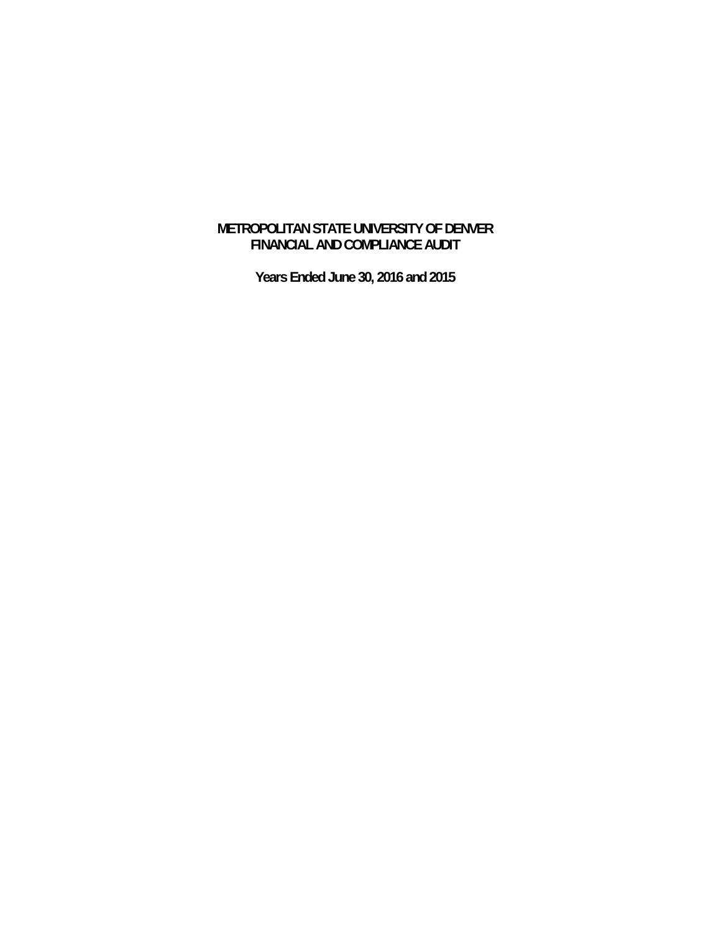# **METROPOLITAN STATE UNIVERSITY OF DENVER FINANCIAL AND COMPLIANCE AUDIT**

**Years Ended June 30, 2016 and 2015**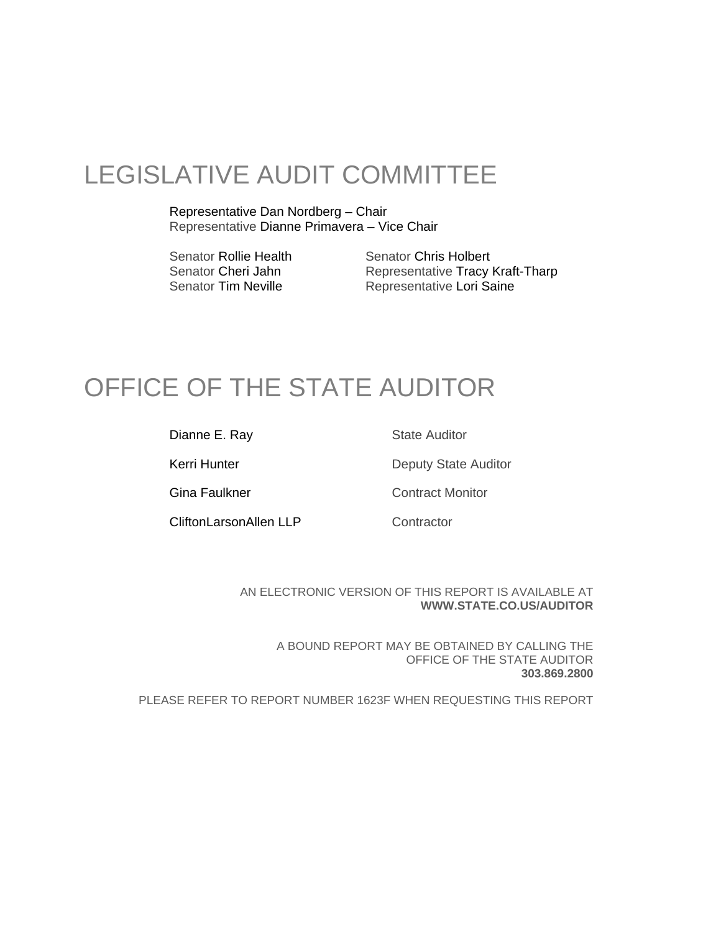# LEGISLATIVE AUDIT COMMITTEE

Representative Dan Nordberg – Chair Representative Dianne Primavera – Vice Chair

Senator Rollie Health Senator Chris Holbert Senator Cheri Jahn **Representative Tracy Kraft-Tharp**<br>
Senator Tim Neville **Representative Lori Saine** Representative Lori Saine

# OFFICE OF THE STATE AUDITOR

Dianne E. Ray State Auditor

Kerri Hunter **Deputy State Auditor** Deputy State Auditor

Gina Faulkner Contract Monitor

CliftonLarsonAllen LLP Contractor

AN ELECTRONIC VERSION OF THIS REPORT IS AVAILABLE AT **WWW.STATE.CO.US/AUDITOR**

> A BOUND REPORT MAY BE OBTAINED BY CALLING THE OFFICE OF THE STATE AUDITOR **303.869.2800**

PLEASE REFER TO REPORT NUMBER 1623F WHEN REQUESTING THIS REPORT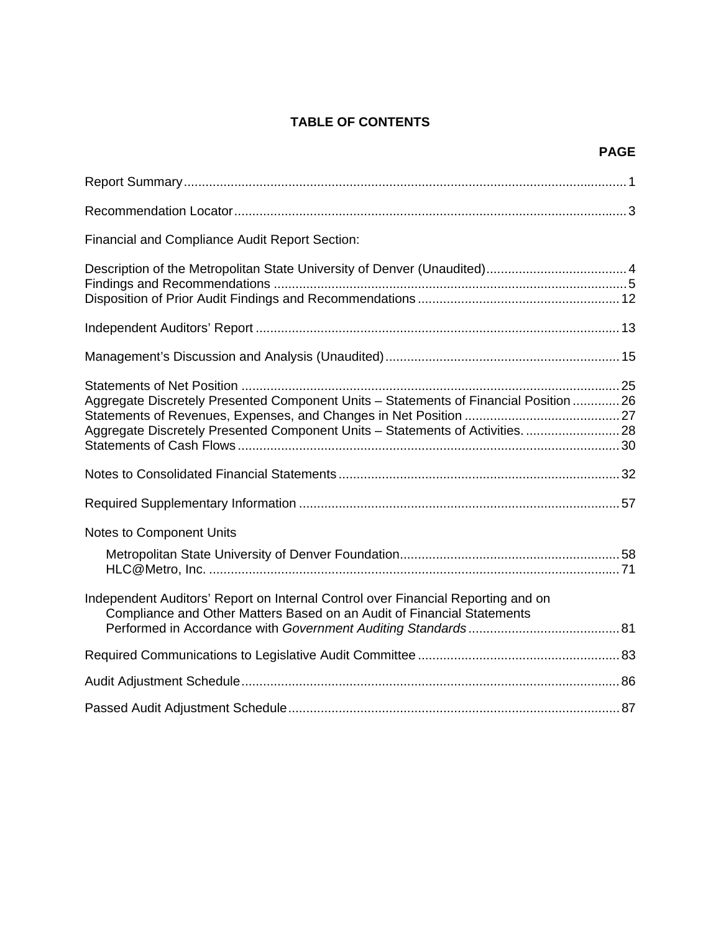# **TABLE OF CONTENTS**

| <b>Financial and Compliance Audit Report Section:</b>                                                                                                                   |
|-------------------------------------------------------------------------------------------------------------------------------------------------------------------------|
|                                                                                                                                                                         |
|                                                                                                                                                                         |
|                                                                                                                                                                         |
| Aggregate Discretely Presented Component Units - Statements of Financial Position  26<br>Aggregate Discretely Presented Component Units - Statements of Activities.  28 |
|                                                                                                                                                                         |
|                                                                                                                                                                         |
| Notes to Component Units                                                                                                                                                |
|                                                                                                                                                                         |
| Independent Auditors' Report on Internal Control over Financial Reporting and on<br>Compliance and Other Matters Based on an Audit of Financial Statements              |
|                                                                                                                                                                         |
|                                                                                                                                                                         |
|                                                                                                                                                                         |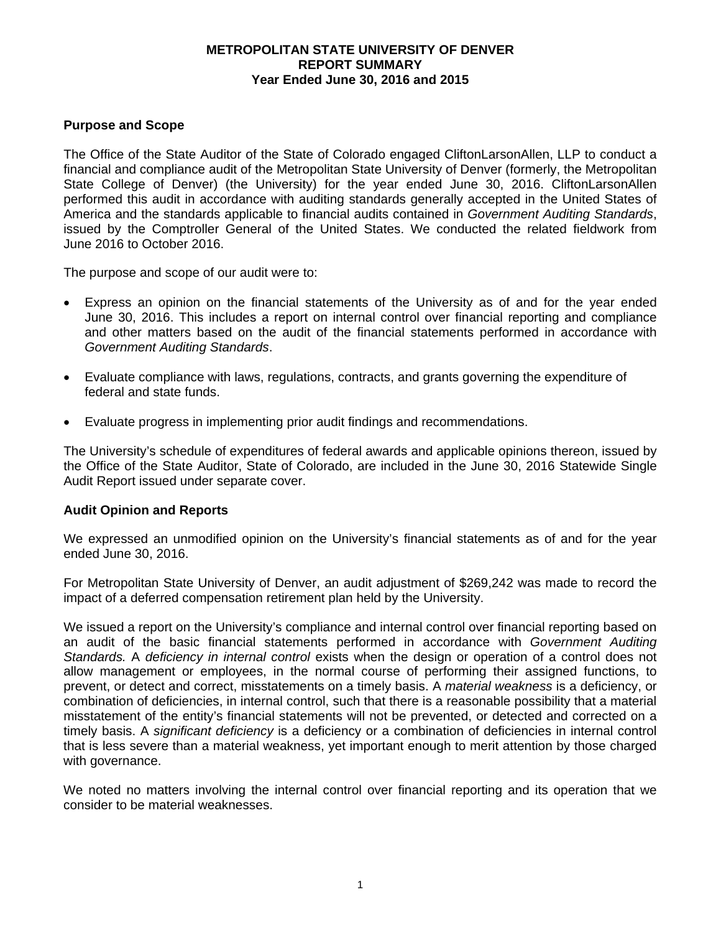#### **METROPOLITAN STATE UNIVERSITY OF DENVER REPORT SUMMARY Year Ended June 30, 2016 and 2015**

# **Purpose and Scope**

The Office of the State Auditor of the State of Colorado engaged CliftonLarsonAllen, LLP to conduct a financial and compliance audit of the Metropolitan State University of Denver (formerly, the Metropolitan State College of Denver) (the University) for the year ended June 30, 2016. CliftonLarsonAllen performed this audit in accordance with auditing standards generally accepted in the United States of America and the standards applicable to financial audits contained in *Government Auditing Standards*, issued by the Comptroller General of the United States. We conducted the related fieldwork from June 2016 to October 2016.

The purpose and scope of our audit were to:

- Express an opinion on the financial statements of the University as of and for the year ended June 30, 2016. This includes a report on internal control over financial reporting and compliance and other matters based on the audit of the financial statements performed in accordance with *Government Auditing Standards*.
- Evaluate compliance with laws, regulations, contracts, and grants governing the expenditure of federal and state funds.
- Evaluate progress in implementing prior audit findings and recommendations.

The University's schedule of expenditures of federal awards and applicable opinions thereon, issued by the Office of the State Auditor, State of Colorado, are included in the June 30, 2016 Statewide Single Audit Report issued under separate cover.

#### **Audit Opinion and Reports**

We expressed an unmodified opinion on the University's financial statements as of and for the year ended June 30, 2016.

For Metropolitan State University of Denver, an audit adjustment of \$269,242 was made to record the impact of a deferred compensation retirement plan held by the University.

We issued a report on the University's compliance and internal control over financial reporting based on an audit of the basic financial statements performed in accordance with *Government Auditing Standards.* A *deficiency in internal control* exists when the design or operation of a control does not allow management or employees, in the normal course of performing their assigned functions, to prevent, or detect and correct, misstatements on a timely basis. A *material weakness* is a deficiency, or combination of deficiencies, in internal control, such that there is a reasonable possibility that a material misstatement of the entity's financial statements will not be prevented, or detected and corrected on a timely basis. A *significant deficiency* is a deficiency or a combination of deficiencies in internal control that is less severe than a material weakness, yet important enough to merit attention by those charged with governance.

We noted no matters involving the internal control over financial reporting and its operation that we consider to be material weaknesses.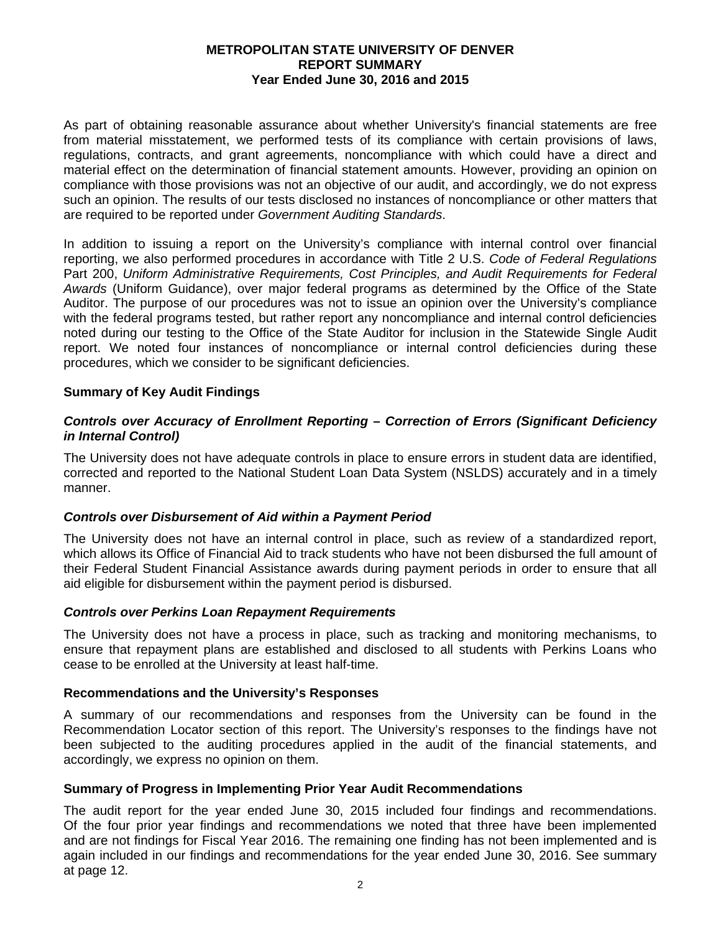#### **METROPOLITAN STATE UNIVERSITY OF DENVER REPORT SUMMARY Year Ended June 30, 2016 and 2015**

As part of obtaining reasonable assurance about whether University's financial statements are free from material misstatement, we performed tests of its compliance with certain provisions of laws, regulations, contracts, and grant agreements, noncompliance with which could have a direct and material effect on the determination of financial statement amounts. However, providing an opinion on compliance with those provisions was not an objective of our audit, and accordingly, we do not express such an opinion. The results of our tests disclosed no instances of noncompliance or other matters that are required to be reported under *Government Auditing Standards*.

In addition to issuing a report on the University's compliance with internal control over financial reporting, we also performed procedures in accordance with Title 2 U.S. *Code of Federal Regulations*  Part 200, *Uniform Administrative Requirements, Cost Principles, and Audit Requirements for Federal Awards* (Uniform Guidance), over major federal programs as determined by the Office of the State Auditor. The purpose of our procedures was not to issue an opinion over the University's compliance with the federal programs tested, but rather report any noncompliance and internal control deficiencies noted during our testing to the Office of the State Auditor for inclusion in the Statewide Single Audit report. We noted four instances of noncompliance or internal control deficiencies during these procedures, which we consider to be significant deficiencies.

# **Summary of Key Audit Findings**

# *Controls over Accuracy of Enrollment Reporting – Correction of Errors (Significant Deficiency in Internal Control)*

The University does not have adequate controls in place to ensure errors in student data are identified, corrected and reported to the National Student Loan Data System (NSLDS) accurately and in a timely manner.

# *Controls over Disbursement of Aid within a Payment Period*

The University does not have an internal control in place, such as review of a standardized report, which allows its Office of Financial Aid to track students who have not been disbursed the full amount of their Federal Student Financial Assistance awards during payment periods in order to ensure that all aid eligible for disbursement within the payment period is disbursed.

# *Controls over Perkins Loan Repayment Requirements*

The University does not have a process in place, such as tracking and monitoring mechanisms, to ensure that repayment plans are established and disclosed to all students with Perkins Loans who cease to be enrolled at the University at least half-time.

# **Recommendations and the University's Responses**

A summary of our recommendations and responses from the University can be found in the Recommendation Locator section of this report. The University's responses to the findings have not been subjected to the auditing procedures applied in the audit of the financial statements, and accordingly, we express no opinion on them.

#### **Summary of Progress in Implementing Prior Year Audit Recommendations**

The audit report for the year ended June 30, 2015 included four findings and recommendations. Of the four prior year findings and recommendations we noted that three have been implemented and are not findings for Fiscal Year 2016. The remaining one finding has not been implemented and is again included in our findings and recommendations for the year ended June 30, 2016. See summary at page 12.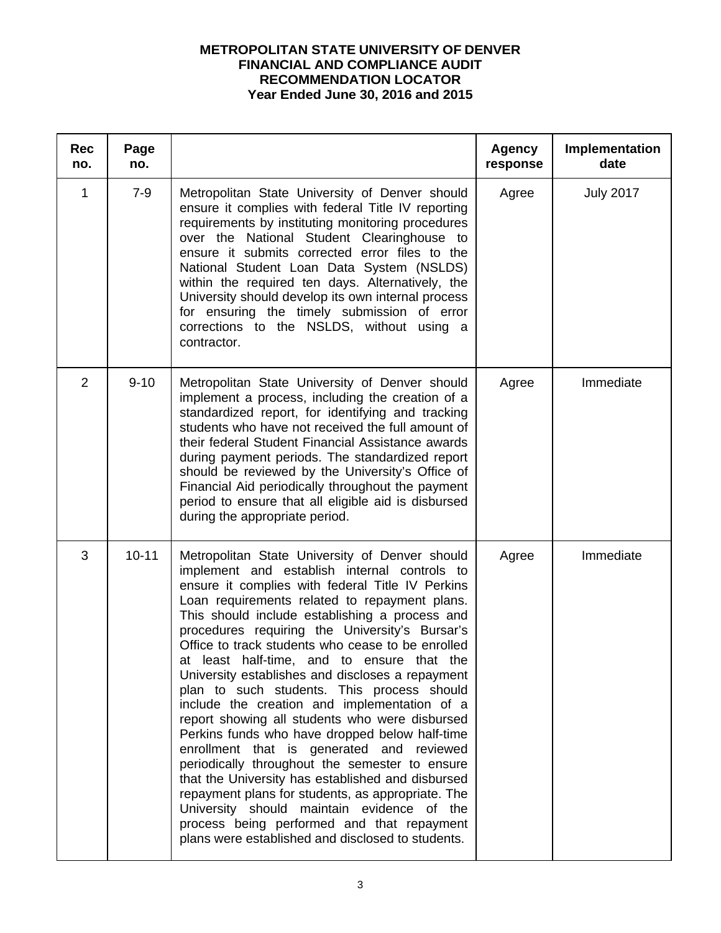# **METROPOLITAN STATE UNIVERSITY OF DENVER FINANCIAL AND COMPLIANCE AUDIT RECOMMENDATION LOCATOR Year Ended June 30, 2016 and 2015**

| <b>Rec</b><br>no. | Page<br>no. |                                                                                                                                                                                                                                                                                                                                                                                                                                                                                                                                                                                                                                                                                                                                                                                                                                                                                                                                                                                                                            | <b>Agency</b><br>response | Implementation<br>date |
|-------------------|-------------|----------------------------------------------------------------------------------------------------------------------------------------------------------------------------------------------------------------------------------------------------------------------------------------------------------------------------------------------------------------------------------------------------------------------------------------------------------------------------------------------------------------------------------------------------------------------------------------------------------------------------------------------------------------------------------------------------------------------------------------------------------------------------------------------------------------------------------------------------------------------------------------------------------------------------------------------------------------------------------------------------------------------------|---------------------------|------------------------|
| 1                 | $7 - 9$     | Metropolitan State University of Denver should<br>ensure it complies with federal Title IV reporting<br>requirements by instituting monitoring procedures<br>over the National Student Clearinghouse to<br>ensure it submits corrected error files to the<br>National Student Loan Data System (NSLDS)<br>within the required ten days. Alternatively, the<br>University should develop its own internal process<br>for ensuring the timely submission of error<br>corrections to the NSLDS, without using a<br>contractor.                                                                                                                                                                                                                                                                                                                                                                                                                                                                                                | Agree                     | <b>July 2017</b>       |
| $\overline{2}$    | $9 - 10$    | Metropolitan State University of Denver should<br>implement a process, including the creation of a<br>standardized report, for identifying and tracking<br>students who have not received the full amount of<br>their federal Student Financial Assistance awards<br>during payment periods. The standardized report<br>should be reviewed by the University's Office of<br>Financial Aid periodically throughout the payment<br>period to ensure that all eligible aid is disbursed<br>during the appropriate period.                                                                                                                                                                                                                                                                                                                                                                                                                                                                                                     | Agree                     | Immediate              |
| 3                 | $10 - 11$   | Metropolitan State University of Denver should<br>implement and establish internal controls to<br>ensure it complies with federal Title IV Perkins<br>Loan requirements related to repayment plans.<br>This should include establishing a process and<br>procedures requiring the University's Bursar's<br>Office to track students who cease to be enrolled<br>at least half-time, and to ensure that the<br>University establishes and discloses a repayment<br>plan to such students. This process should<br>include the creation and implementation of a<br>report showing all students who were disbursed<br>Perkins funds who have dropped below half-time<br>enrollment that is generated and reviewed<br>periodically throughout the semester to ensure<br>that the University has established and disbursed<br>repayment plans for students, as appropriate. The<br>University should maintain evidence of the<br>process being performed and that repayment<br>plans were established and disclosed to students. | Agree                     | Immediate              |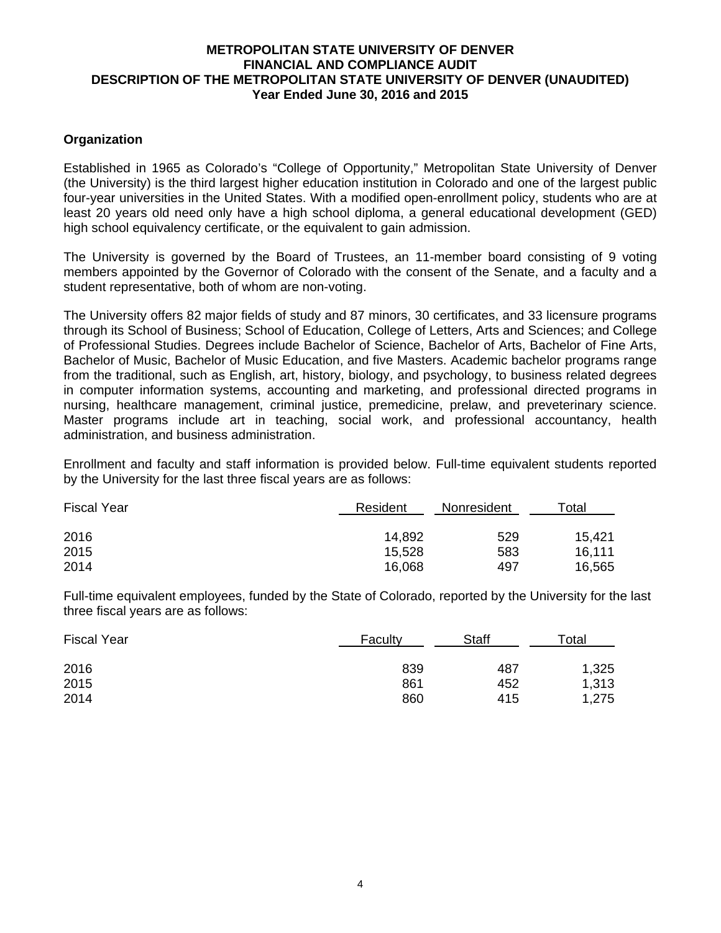## **METROPOLITAN STATE UNIVERSITY OF DENVER FINANCIAL AND COMPLIANCE AUDIT DESCRIPTION OF THE METROPOLITAN STATE UNIVERSITY OF DENVER (UNAUDITED) Year Ended June 30, 2016 and 2015**

# **Organization**

Established in 1965 as Colorado's "College of Opportunity," Metropolitan State University of Denver (the University) is the third largest higher education institution in Colorado and one of the largest public four-year universities in the United States. With a modified open-enrollment policy, students who are at least 20 years old need only have a high school diploma, a general educational development (GED) high school equivalency certificate, or the equivalent to gain admission.

The University is governed by the Board of Trustees, an 11-member board consisting of 9 voting members appointed by the Governor of Colorado with the consent of the Senate, and a faculty and a student representative, both of whom are non-voting.

The University offers 82 major fields of study and 87 minors, 30 certificates, and 33 licensure programs through its School of Business; School of Education, College of Letters, Arts and Sciences; and College of Professional Studies. Degrees include Bachelor of Science, Bachelor of Arts, Bachelor of Fine Arts, Bachelor of Music, Bachelor of Music Education, and five Masters. Academic bachelor programs range from the traditional, such as English, art, history, biology, and psychology, to business related degrees in computer information systems, accounting and marketing, and professional directed programs in nursing, healthcare management, criminal justice, premedicine, prelaw, and preveterinary science. Master programs include art in teaching, social work, and professional accountancy, health administration, and business administration.

Enrollment and faculty and staff information is provided below. Full-time equivalent students reported by the University for the last three fiscal years are as follows:

| <b>Fiscal Year</b> | Resident | Nonresident | Total  |
|--------------------|----------|-------------|--------|
| 2016               | 14,892   | 529         | 15,421 |
| 2015               | 15,528   | 583         | 16.111 |
| 2014               | 16,068   | 497         | 16,565 |

Full-time equivalent employees, funded by the State of Colorado, reported by the University for the last three fiscal years are as follows:

| <b>Fiscal Year</b> | Faculty | Staff | Total |
|--------------------|---------|-------|-------|
| 2016               | 839     | 487   | 1,325 |
| 2015               | 861     | 452   | 1,313 |
| 2014               | 860     | 415   | 1,275 |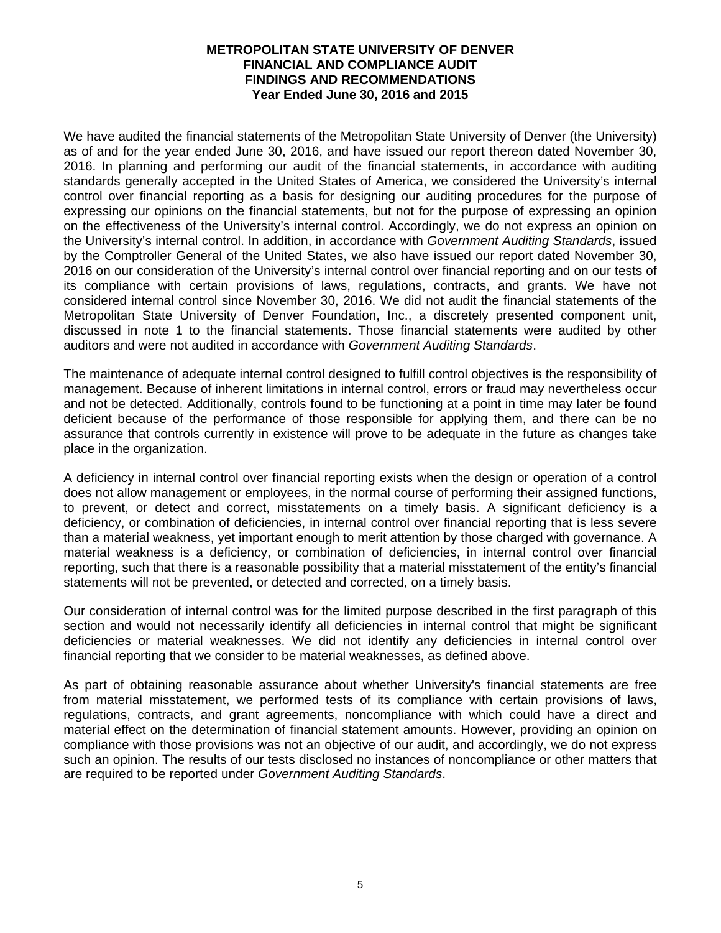We have audited the financial statements of the Metropolitan State University of Denver (the University) as of and for the year ended June 30, 2016, and have issued our report thereon dated November 30, 2016. In planning and performing our audit of the financial statements, in accordance with auditing standards generally accepted in the United States of America, we considered the University's internal control over financial reporting as a basis for designing our auditing procedures for the purpose of expressing our opinions on the financial statements, but not for the purpose of expressing an opinion on the effectiveness of the University's internal control. Accordingly, we do not express an opinion on the University's internal control. In addition, in accordance with *Government Auditing Standards*, issued by the Comptroller General of the United States, we also have issued our report dated November 30, 2016 on our consideration of the University's internal control over financial reporting and on our tests of its compliance with certain provisions of laws, regulations, contracts, and grants. We have not considered internal control since November 30, 2016. We did not audit the financial statements of the Metropolitan State University of Denver Foundation, Inc., a discretely presented component unit, discussed in note 1 to the financial statements. Those financial statements were audited by other auditors and were not audited in accordance with *Government Auditing Standards*.

The maintenance of adequate internal control designed to fulfill control objectives is the responsibility of management. Because of inherent limitations in internal control, errors or fraud may nevertheless occur and not be detected. Additionally, controls found to be functioning at a point in time may later be found deficient because of the performance of those responsible for applying them, and there can be no assurance that controls currently in existence will prove to be adequate in the future as changes take place in the organization.

A deficiency in internal control over financial reporting exists when the design or operation of a control does not allow management or employees, in the normal course of performing their assigned functions, to prevent, or detect and correct, misstatements on a timely basis. A significant deficiency is a deficiency, or combination of deficiencies, in internal control over financial reporting that is less severe than a material weakness, yet important enough to merit attention by those charged with governance. A material weakness is a deficiency, or combination of deficiencies, in internal control over financial reporting, such that there is a reasonable possibility that a material misstatement of the entity's financial statements will not be prevented, or detected and corrected, on a timely basis.

Our consideration of internal control was for the limited purpose described in the first paragraph of this section and would not necessarily identify all deficiencies in internal control that might be significant deficiencies or material weaknesses. We did not identify any deficiencies in internal control over financial reporting that we consider to be material weaknesses, as defined above.

As part of obtaining reasonable assurance about whether University's financial statements are free from material misstatement, we performed tests of its compliance with certain provisions of laws, regulations, contracts, and grant agreements, noncompliance with which could have a direct and material effect on the determination of financial statement amounts. However, providing an opinion on compliance with those provisions was not an objective of our audit, and accordingly, we do not express such an opinion. The results of our tests disclosed no instances of noncompliance or other matters that are required to be reported under *Government Auditing Standards*.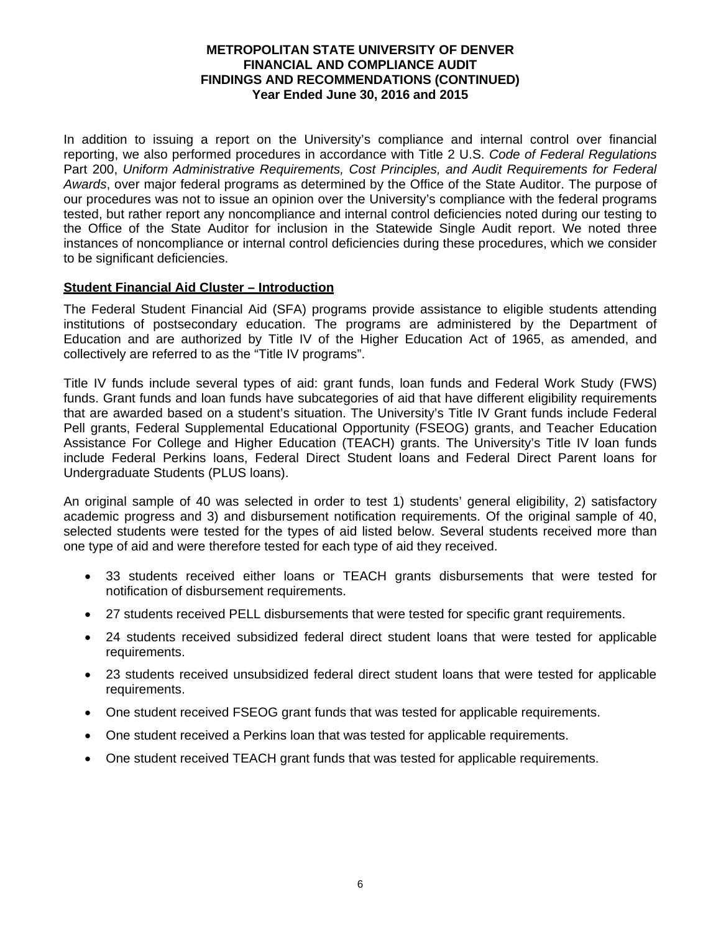In addition to issuing a report on the University's compliance and internal control over financial reporting, we also performed procedures in accordance with Title 2 U.S. *Code of Federal Regulations* Part 200, *Uniform Administrative Requirements, Cost Principles, and Audit Requirements for Federal Awards*, over major federal programs as determined by the Office of the State Auditor. The purpose of our procedures was not to issue an opinion over the University's compliance with the federal programs tested, but rather report any noncompliance and internal control deficiencies noted during our testing to the Office of the State Auditor for inclusion in the Statewide Single Audit report. We noted three instances of noncompliance or internal control deficiencies during these procedures, which we consider to be significant deficiencies.

# **Student Financial Aid Cluster – Introduction**

The Federal Student Financial Aid (SFA) programs provide assistance to eligible students attending institutions of postsecondary education. The programs are administered by the Department of Education and are authorized by Title IV of the Higher Education Act of 1965, as amended, and collectively are referred to as the "Title IV programs".

Title IV funds include several types of aid: grant funds, loan funds and Federal Work Study (FWS) funds. Grant funds and loan funds have subcategories of aid that have different eligibility requirements that are awarded based on a student's situation. The University's Title IV Grant funds include Federal Pell grants, Federal Supplemental Educational Opportunity (FSEOG) grants, and Teacher Education Assistance For College and Higher Education (TEACH) grants. The University's Title IV loan funds include Federal Perkins loans, Federal Direct Student loans and Federal Direct Parent loans for Undergraduate Students (PLUS loans).

An original sample of 40 was selected in order to test 1) students' general eligibility, 2) satisfactory academic progress and 3) and disbursement notification requirements. Of the original sample of 40, selected students were tested for the types of aid listed below. Several students received more than one type of aid and were therefore tested for each type of aid they received.

- 33 students received either loans or TEACH grants disbursements that were tested for notification of disbursement requirements.
- 27 students received PELL disbursements that were tested for specific grant requirements.
- 24 students received subsidized federal direct student loans that were tested for applicable requirements.
- 23 students received unsubsidized federal direct student loans that were tested for applicable requirements.
- One student received FSEOG grant funds that was tested for applicable requirements.
- One student received a Perkins loan that was tested for applicable requirements.
- One student received TEACH grant funds that was tested for applicable requirements.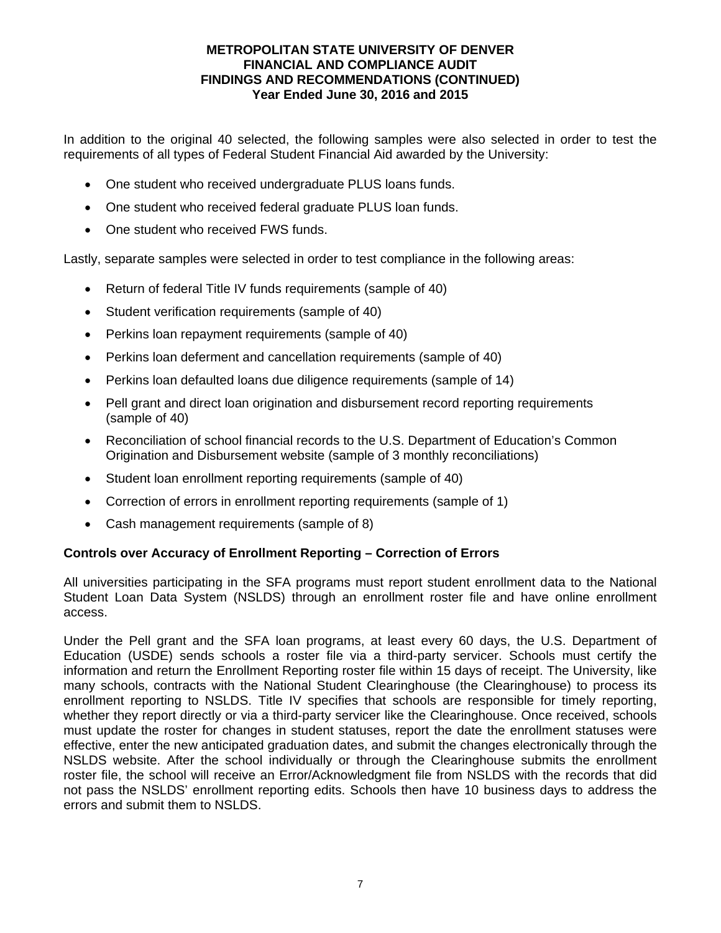In addition to the original 40 selected, the following samples were also selected in order to test the requirements of all types of Federal Student Financial Aid awarded by the University:

- One student who received undergraduate PLUS loans funds.
- One student who received federal graduate PLUS loan funds.
- One student who received FWS funds.

Lastly, separate samples were selected in order to test compliance in the following areas:

- Return of federal Title IV funds requirements (sample of 40)
- Student verification requirements (sample of 40)
- Perkins loan repayment requirements (sample of 40)
- Perkins loan deferment and cancellation requirements (sample of 40)
- Perkins loan defaulted loans due diligence requirements (sample of 14)
- Pell grant and direct loan origination and disbursement record reporting requirements (sample of 40)
- Reconciliation of school financial records to the U.S. Department of Education's Common Origination and Disbursement website (sample of 3 monthly reconciliations)
- Student loan enrollment reporting requirements (sample of 40)
- Correction of errors in enrollment reporting requirements (sample of 1)
- Cash management requirements (sample of 8)

# **Controls over Accuracy of Enrollment Reporting – Correction of Errors**

All universities participating in the SFA programs must report student enrollment data to the National Student Loan Data System (NSLDS) through an enrollment roster file and have online enrollment access.

Under the Pell grant and the SFA loan programs, at least every 60 days, the U.S. Department of Education (USDE) sends schools a roster file via a third-party servicer. Schools must certify the information and return the Enrollment Reporting roster file within 15 days of receipt. The University, like many schools, contracts with the National Student Clearinghouse (the Clearinghouse) to process its enrollment reporting to NSLDS. Title IV specifies that schools are responsible for timely reporting, whether they report directly or via a third-party servicer like the Clearinghouse. Once received, schools must update the roster for changes in student statuses, report the date the enrollment statuses were effective, enter the new anticipated graduation dates, and submit the changes electronically through the NSLDS website. After the school individually or through the Clearinghouse submits the enrollment roster file, the school will receive an Error/Acknowledgment file from NSLDS with the records that did not pass the NSLDS' enrollment reporting edits. Schools then have 10 business days to address the errors and submit them to NSLDS.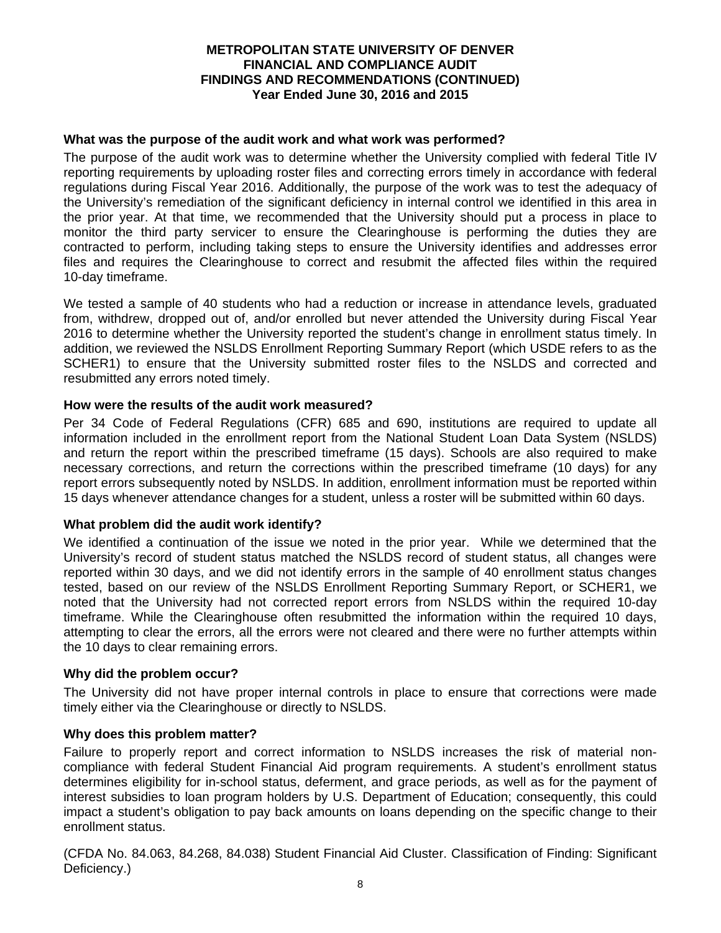# **What was the purpose of the audit work and what work was performed?**

The purpose of the audit work was to determine whether the University complied with federal Title IV reporting requirements by uploading roster files and correcting errors timely in accordance with federal regulations during Fiscal Year 2016. Additionally, the purpose of the work was to test the adequacy of the University's remediation of the significant deficiency in internal control we identified in this area in the prior year. At that time, we recommended that the University should put a process in place to monitor the third party servicer to ensure the Clearinghouse is performing the duties they are contracted to perform, including taking steps to ensure the University identifies and addresses error files and requires the Clearinghouse to correct and resubmit the affected files within the required 10-day timeframe.

We tested a sample of 40 students who had a reduction or increase in attendance levels, graduated from, withdrew, dropped out of, and/or enrolled but never attended the University during Fiscal Year 2016 to determine whether the University reported the student's change in enrollment status timely. In addition, we reviewed the NSLDS Enrollment Reporting Summary Report (which USDE refers to as the SCHER1) to ensure that the University submitted roster files to the NSLDS and corrected and resubmitted any errors noted timely.

# **How were the results of the audit work measured?**

Per 34 Code of Federal Regulations (CFR) 685 and 690, institutions are required to update all information included in the enrollment report from the National Student Loan Data System (NSLDS) and return the report within the prescribed timeframe (15 days). Schools are also required to make necessary corrections, and return the corrections within the prescribed timeframe (10 days) for any report errors subsequently noted by NSLDS. In addition, enrollment information must be reported within 15 days whenever attendance changes for a student, unless a roster will be submitted within 60 days.

# **What problem did the audit work identify?**

We identified a continuation of the issue we noted in the prior year. While we determined that the University's record of student status matched the NSLDS record of student status, all changes were reported within 30 days, and we did not identify errors in the sample of 40 enrollment status changes tested, based on our review of the NSLDS Enrollment Reporting Summary Report, or SCHER1, we noted that the University had not corrected report errors from NSLDS within the required 10-day timeframe. While the Clearinghouse often resubmitted the information within the required 10 days, attempting to clear the errors, all the errors were not cleared and there were no further attempts within the 10 days to clear remaining errors.

# **Why did the problem occur?**

The University did not have proper internal controls in place to ensure that corrections were made timely either via the Clearinghouse or directly to NSLDS.

#### **Why does this problem matter?**

Failure to properly report and correct information to NSLDS increases the risk of material noncompliance with federal Student Financial Aid program requirements. A student's enrollment status determines eligibility for in-school status, deferment, and grace periods, as well as for the payment of interest subsidies to loan program holders by U.S. Department of Education; consequently, this could impact a student's obligation to pay back amounts on loans depending on the specific change to their enrollment status.

(CFDA No. 84.063, 84.268, 84.038) Student Financial Aid Cluster. Classification of Finding: Significant Deficiency.)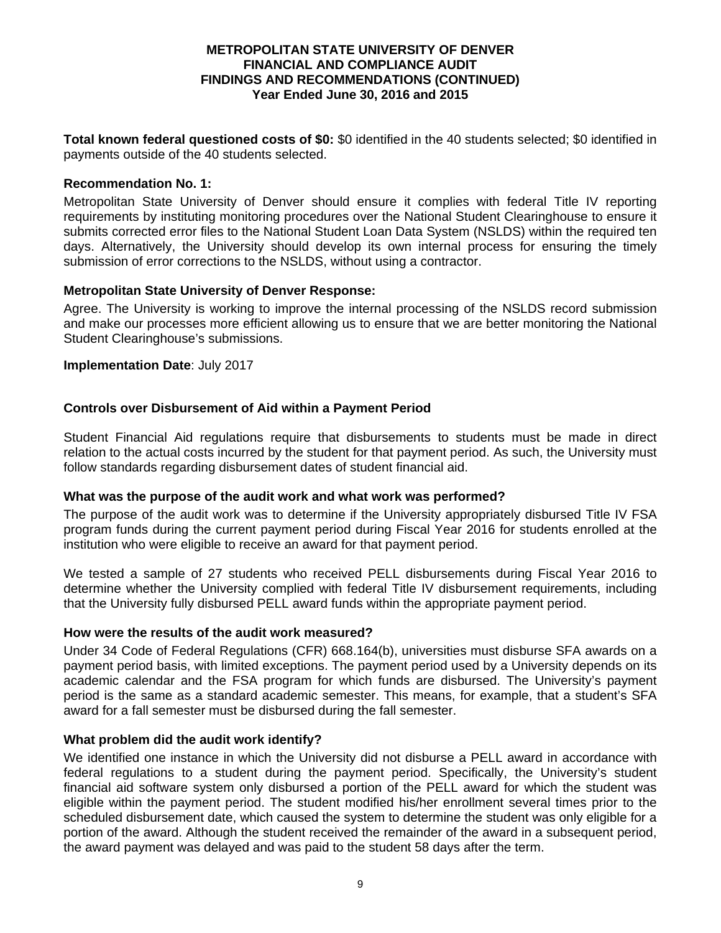**Total known federal questioned costs of \$0:** \$0 identified in the 40 students selected; \$0 identified in payments outside of the 40 students selected.

# **Recommendation No. 1:**

Metropolitan State University of Denver should ensure it complies with federal Title IV reporting requirements by instituting monitoring procedures over the National Student Clearinghouse to ensure it submits corrected error files to the National Student Loan Data System (NSLDS) within the required ten days. Alternatively, the University should develop its own internal process for ensuring the timely submission of error corrections to the NSLDS, without using a contractor.

# **Metropolitan State University of Denver Response:**

Agree. The University is working to improve the internal processing of the NSLDS record submission and make our processes more efficient allowing us to ensure that we are better monitoring the National Student Clearinghouse's submissions.

# **Implementation Date**: July 2017

# **Controls over Disbursement of Aid within a Payment Period**

Student Financial Aid regulations require that disbursements to students must be made in direct relation to the actual costs incurred by the student for that payment period. As such, the University must follow standards regarding disbursement dates of student financial aid.

#### **What was the purpose of the audit work and what work was performed?**

The purpose of the audit work was to determine if the University appropriately disbursed Title IV FSA program funds during the current payment period during Fiscal Year 2016 for students enrolled at the institution who were eligible to receive an award for that payment period.

We tested a sample of 27 students who received PELL disbursements during Fiscal Year 2016 to determine whether the University complied with federal Title IV disbursement requirements, including that the University fully disbursed PELL award funds within the appropriate payment period.

# **How were the results of the audit work measured?**

Under 34 Code of Federal Regulations (CFR) 668.164(b), universities must disburse SFA awards on a payment period basis, with limited exceptions. The payment period used by a University depends on its academic calendar and the FSA program for which funds are disbursed. The University's payment period is the same as a standard academic semester. This means, for example, that a student's SFA award for a fall semester must be disbursed during the fall semester.

# **What problem did the audit work identify?**

We identified one instance in which the University did not disburse a PELL award in accordance with federal regulations to a student during the payment period. Specifically, the University's student financial aid software system only disbursed a portion of the PELL award for which the student was eligible within the payment period. The student modified his/her enrollment several times prior to the scheduled disbursement date, which caused the system to determine the student was only eligible for a portion of the award. Although the student received the remainder of the award in a subsequent period, the award payment was delayed and was paid to the student 58 days after the term.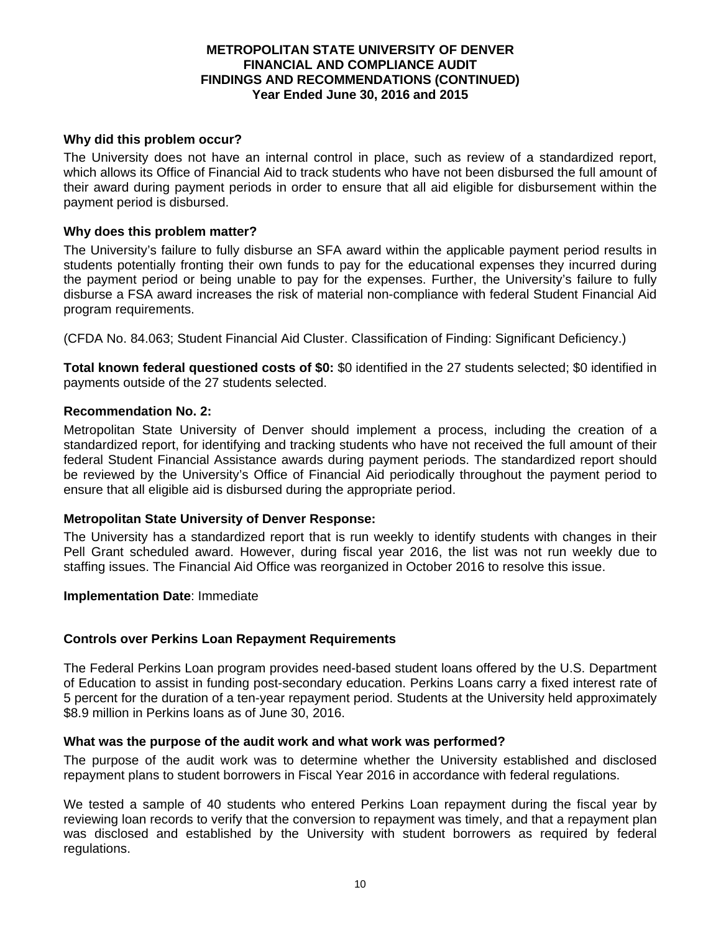# **Why did this problem occur?**

The University does not have an internal control in place, such as review of a standardized report, which allows its Office of Financial Aid to track students who have not been disbursed the full amount of their award during payment periods in order to ensure that all aid eligible for disbursement within the payment period is disbursed.

#### **Why does this problem matter?**

The University's failure to fully disburse an SFA award within the applicable payment period results in students potentially fronting their own funds to pay for the educational expenses they incurred during the payment period or being unable to pay for the expenses. Further, the University's failure to fully disburse a FSA award increases the risk of material non-compliance with federal Student Financial Aid program requirements.

(CFDA No. 84.063; Student Financial Aid Cluster. Classification of Finding: Significant Deficiency.)

**Total known federal questioned costs of \$0:** \$0 identified in the 27 students selected; \$0 identified in payments outside of the 27 students selected.

# **Recommendation No. 2:**

Metropolitan State University of Denver should implement a process, including the creation of a standardized report, for identifying and tracking students who have not received the full amount of their federal Student Financial Assistance awards during payment periods. The standardized report should be reviewed by the University's Office of Financial Aid periodically throughout the payment period to ensure that all eligible aid is disbursed during the appropriate period.

# **Metropolitan State University of Denver Response:**

The University has a standardized report that is run weekly to identify students with changes in their Pell Grant scheduled award. However, during fiscal year 2016, the list was not run weekly due to staffing issues. The Financial Aid Office was reorganized in October 2016 to resolve this issue.

#### **Implementation Date**: Immediate

# **Controls over Perkins Loan Repayment Requirements**

The Federal Perkins Loan program provides need-based student loans offered by the U.S. Department of Education to assist in funding post-secondary education. Perkins Loans carry a fixed interest rate of 5 percent for the duration of a ten-year repayment period. Students at the University held approximately \$8.9 million in Perkins loans as of June 30, 2016.

#### **What was the purpose of the audit work and what work was performed?**

The purpose of the audit work was to determine whether the University established and disclosed repayment plans to student borrowers in Fiscal Year 2016 in accordance with federal regulations.

We tested a sample of 40 students who entered Perkins Loan repayment during the fiscal year by reviewing loan records to verify that the conversion to repayment was timely, and that a repayment plan was disclosed and established by the University with student borrowers as required by federal regulations.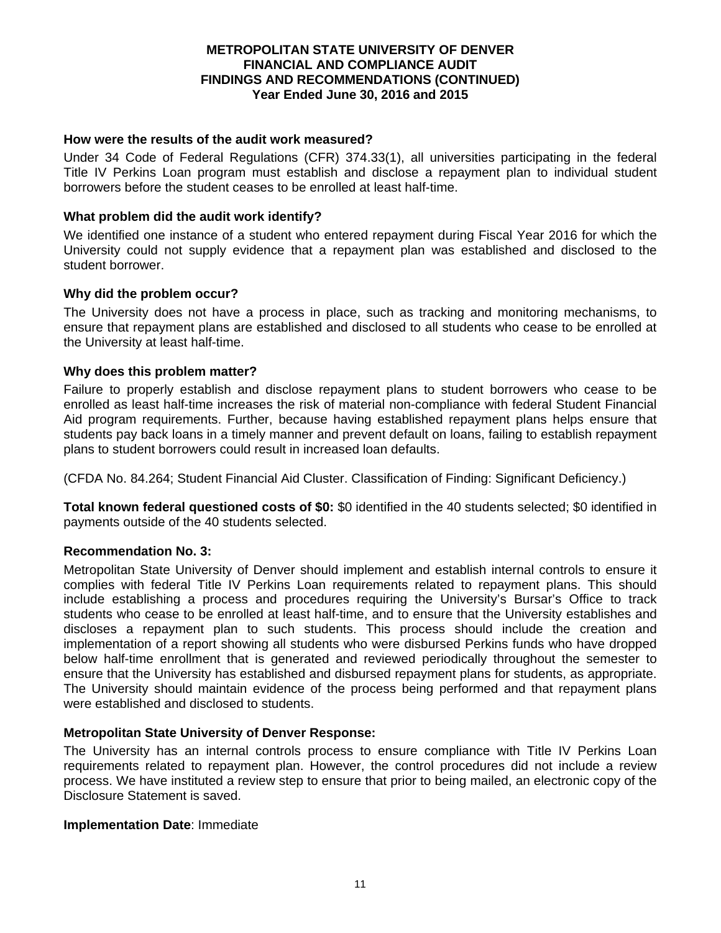# **How were the results of the audit work measured?**

Under 34 Code of Federal Regulations (CFR) 374.33(1), all universities participating in the federal Title IV Perkins Loan program must establish and disclose a repayment plan to individual student borrowers before the student ceases to be enrolled at least half-time.

# **What problem did the audit work identify?**

We identified one instance of a student who entered repayment during Fiscal Year 2016 for which the University could not supply evidence that a repayment plan was established and disclosed to the student borrower.

# **Why did the problem occur?**

The University does not have a process in place, such as tracking and monitoring mechanisms, to ensure that repayment plans are established and disclosed to all students who cease to be enrolled at the University at least half-time.

# **Why does this problem matter?**

Failure to properly establish and disclose repayment plans to student borrowers who cease to be enrolled as least half-time increases the risk of material non-compliance with federal Student Financial Aid program requirements. Further, because having established repayment plans helps ensure that students pay back loans in a timely manner and prevent default on loans, failing to establish repayment plans to student borrowers could result in increased loan defaults.

(CFDA No. 84.264; Student Financial Aid Cluster. Classification of Finding: Significant Deficiency.)

**Total known federal questioned costs of \$0:** \$0 identified in the 40 students selected; \$0 identified in payments outside of the 40 students selected.

#### **Recommendation No. 3:**

Metropolitan State University of Denver should implement and establish internal controls to ensure it complies with federal Title IV Perkins Loan requirements related to repayment plans. This should include establishing a process and procedures requiring the University's Bursar's Office to track students who cease to be enrolled at least half-time, and to ensure that the University establishes and discloses a repayment plan to such students. This process should include the creation and implementation of a report showing all students who were disbursed Perkins funds who have dropped below half-time enrollment that is generated and reviewed periodically throughout the semester to ensure that the University has established and disbursed repayment plans for students, as appropriate. The University should maintain evidence of the process being performed and that repayment plans were established and disclosed to students.

# **Metropolitan State University of Denver Response:**

The University has an internal controls process to ensure compliance with Title IV Perkins Loan requirements related to repayment plan. However, the control procedures did not include a review process. We have instituted a review step to ensure that prior to being mailed, an electronic copy of the Disclosure Statement is saved.

#### **Implementation Date**: Immediate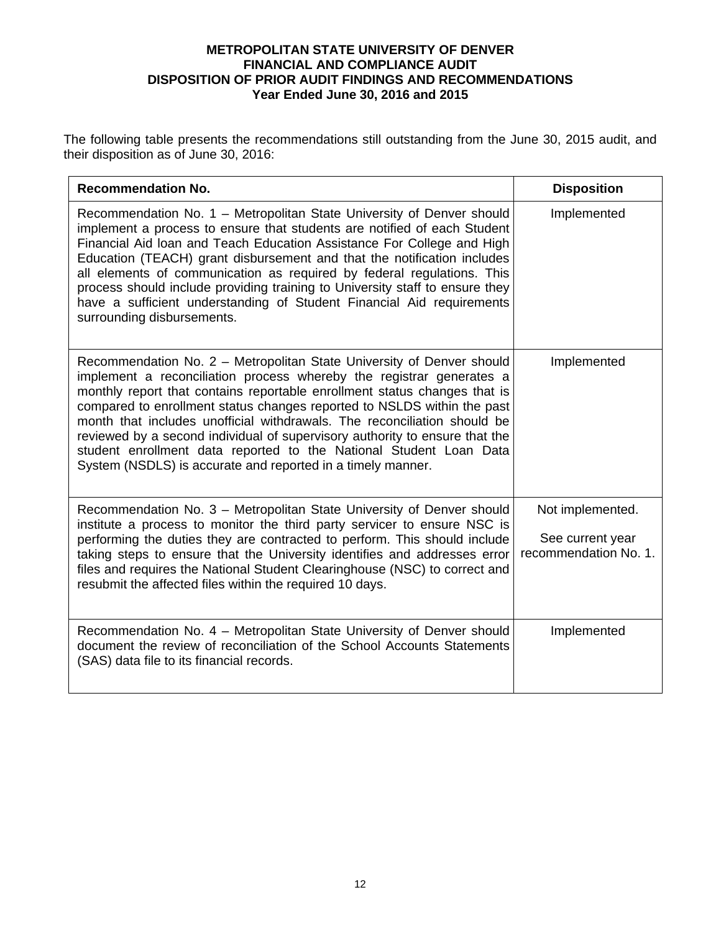## **METROPOLITAN STATE UNIVERSITY OF DENVER FINANCIAL AND COMPLIANCE AUDIT DISPOSITION OF PRIOR AUDIT FINDINGS AND RECOMMENDATIONS Year Ended June 30, 2016 and 2015**

The following table presents the recommendations still outstanding from the June 30, 2015 audit, and their disposition as of June 30, 2016:

| <b>Recommendation No.</b>                                                                                                                                                                                                                                                                                                                                                                                                                                                                                                                                                                             | <b>Disposition</b>                                            |
|-------------------------------------------------------------------------------------------------------------------------------------------------------------------------------------------------------------------------------------------------------------------------------------------------------------------------------------------------------------------------------------------------------------------------------------------------------------------------------------------------------------------------------------------------------------------------------------------------------|---------------------------------------------------------------|
| Recommendation No. 1 - Metropolitan State University of Denver should<br>implement a process to ensure that students are notified of each Student<br>Financial Aid loan and Teach Education Assistance For College and High<br>Education (TEACH) grant disbursement and that the notification includes<br>all elements of communication as required by federal regulations. This<br>process should include providing training to University staff to ensure they<br>have a sufficient understanding of Student Financial Aid requirements<br>surrounding disbursements.                               | Implemented                                                   |
| Recommendation No. 2 – Metropolitan State University of Denver should<br>implement a reconciliation process whereby the registrar generates a<br>monthly report that contains reportable enrollment status changes that is<br>compared to enrollment status changes reported to NSLDS within the past<br>month that includes unofficial withdrawals. The reconciliation should be<br>reviewed by a second individual of supervisory authority to ensure that the<br>student enrollment data reported to the National Student Loan Data<br>System (NSDLS) is accurate and reported in a timely manner. | Implemented                                                   |
| Recommendation No. 3 - Metropolitan State University of Denver should<br>institute a process to monitor the third party servicer to ensure NSC is<br>performing the duties they are contracted to perform. This should include<br>taking steps to ensure that the University identifies and addresses error<br>files and requires the National Student Clearinghouse (NSC) to correct and<br>resubmit the affected files within the required 10 days.                                                                                                                                                 | Not implemented.<br>See current year<br>recommendation No. 1. |
| Recommendation No. 4 - Metropolitan State University of Denver should<br>document the review of reconciliation of the School Accounts Statements<br>(SAS) data file to its financial records.                                                                                                                                                                                                                                                                                                                                                                                                         | Implemented                                                   |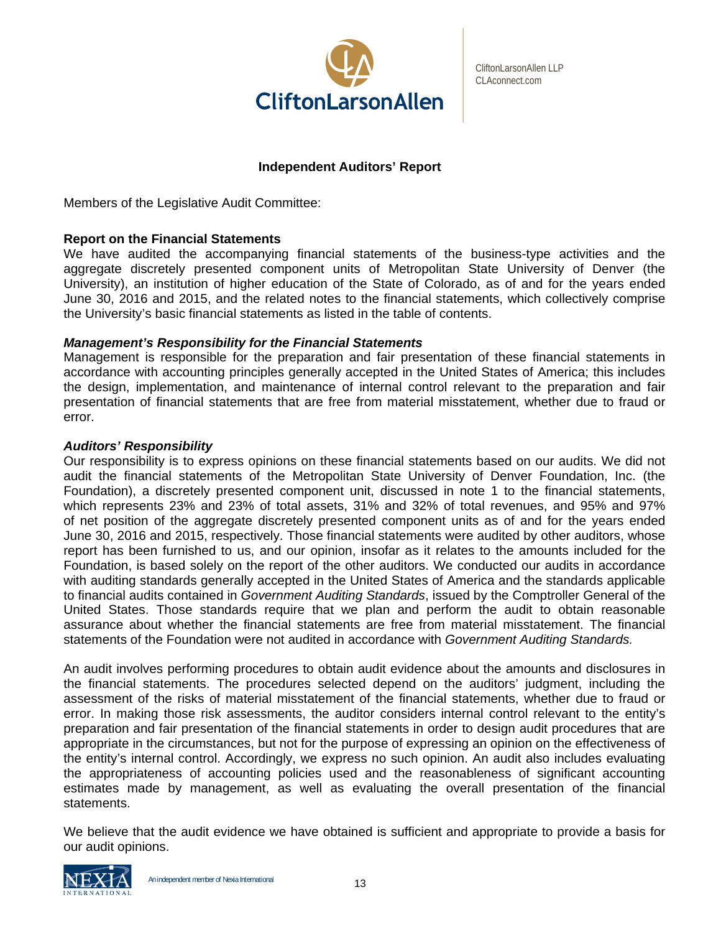

CliftonLarsonAllen LLP CLAconnect.com

# **Independent Auditors' Report**

Members of the Legislative Audit Committee:

# **Report on the Financial Statements**

We have audited the accompanying financial statements of the business-type activities and the aggregate discretely presented component units of Metropolitan State University of Denver (the University), an institution of higher education of the State of Colorado, as of and for the years ended June 30, 2016 and 2015, and the related notes to the financial statements, which collectively comprise the University's basic financial statements as listed in the table of contents.

# *Management's Responsibility for the Financial Statements*

Management is responsible for the preparation and fair presentation of these financial statements in accordance with accounting principles generally accepted in the United States of America; this includes the design, implementation, and maintenance of internal control relevant to the preparation and fair presentation of financial statements that are free from material misstatement, whether due to fraud or error.

# *Auditors' Responsibility*

Our responsibility is to express opinions on these financial statements based on our audits. We did not audit the financial statements of the Metropolitan State University of Denver Foundation, Inc. (the Foundation), a discretely presented component unit, discussed in note 1 to the financial statements, which represents 23% and 23% of total assets, 31% and 32% of total revenues, and 95% and 97% of net position of the aggregate discretely presented component units as of and for the years ended June 30, 2016 and 2015, respectively. Those financial statements were audited by other auditors, whose report has been furnished to us, and our opinion, insofar as it relates to the amounts included for the Foundation, is based solely on the report of the other auditors. We conducted our audits in accordance with auditing standards generally accepted in the United States of America and the standards applicable to financial audits contained in *Government Auditing Standards*, issued by the Comptroller General of the United States. Those standards require that we plan and perform the audit to obtain reasonable assurance about whether the financial statements are free from material misstatement. The financial statements of the Foundation were not audited in accordance with *Government Auditing Standards.*

An audit involves performing procedures to obtain audit evidence about the amounts and disclosures in the financial statements. The procedures selected depend on the auditors' judgment, including the assessment of the risks of material misstatement of the financial statements, whether due to fraud or error. In making those risk assessments, the auditor considers internal control relevant to the entity's preparation and fair presentation of the financial statements in order to design audit procedures that are appropriate in the circumstances, but not for the purpose of expressing an opinion on the effectiveness of the entity's internal control. Accordingly, we express no such opinion. An audit also includes evaluating the appropriateness of accounting policies used and the reasonableness of significant accounting estimates made by management, as well as evaluating the overall presentation of the financial statements.

We believe that the audit evidence we have obtained is sufficient and appropriate to provide a basis for our audit opinions.

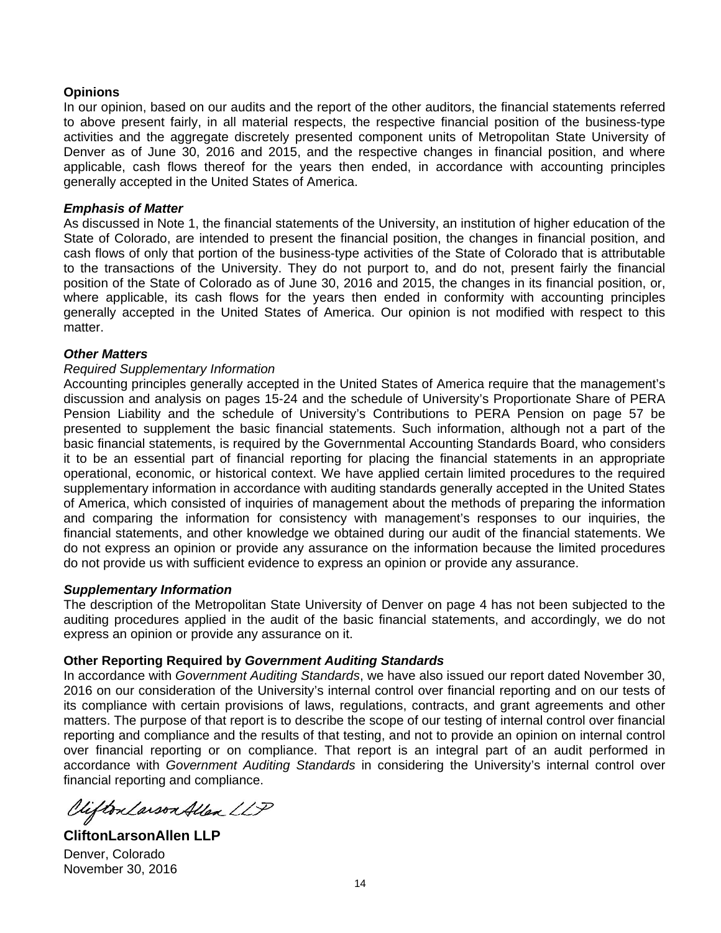#### **Opinions**

In our opinion, based on our audits and the report of the other auditors, the financial statements referred to above present fairly, in all material respects, the respective financial position of the business-type activities and the aggregate discretely presented component units of Metropolitan State University of Denver as of June 30, 2016 and 2015, and the respective changes in financial position, and where applicable, cash flows thereof for the years then ended, in accordance with accounting principles generally accepted in the United States of America.

#### *Emphasis of Matter*

As discussed in Note 1, the financial statements of the University, an institution of higher education of the State of Colorado, are intended to present the financial position, the changes in financial position, and cash flows of only that portion of the business-type activities of the State of Colorado that is attributable to the transactions of the University. They do not purport to, and do not, present fairly the financial position of the State of Colorado as of June 30, 2016 and 2015, the changes in its financial position, or, where applicable, its cash flows for the years then ended in conformity with accounting principles generally accepted in the United States of America. Our opinion is not modified with respect to this matter.

# *Other Matters*

# *Required Supplementary Information*

Accounting principles generally accepted in the United States of America require that the management's discussion and analysis on pages 15-24 and the schedule of University's Proportionate Share of PERA Pension Liability and the schedule of University's Contributions to PERA Pension on page 57 be presented to supplement the basic financial statements. Such information, although not a part of the basic financial statements, is required by the Governmental Accounting Standards Board, who considers it to be an essential part of financial reporting for placing the financial statements in an appropriate operational, economic, or historical context. We have applied certain limited procedures to the required supplementary information in accordance with auditing standards generally accepted in the United States of America, which consisted of inquiries of management about the methods of preparing the information and comparing the information for consistency with management's responses to our inquiries, the financial statements, and other knowledge we obtained during our audit of the financial statements. We do not express an opinion or provide any assurance on the information because the limited procedures do not provide us with sufficient evidence to express an opinion or provide any assurance.

#### *Supplementary Information*

The description of the Metropolitan State University of Denver on page 4 has not been subjected to the auditing procedures applied in the audit of the basic financial statements, and accordingly, we do not express an opinion or provide any assurance on it.

#### **Other Reporting Required by** *Government Auditing Standards*

In accordance with *Government Auditing Standards*, we have also issued our report dated November 30, 2016 on our consideration of the University's internal control over financial reporting and on our tests of its compliance with certain provisions of laws, regulations, contracts, and grant agreements and other matters. The purpose of that report is to describe the scope of our testing of internal control over financial reporting and compliance and the results of that testing, and not to provide an opinion on internal control over financial reporting or on compliance. That report is an integral part of an audit performed in accordance with *Government Auditing Standards* in considering the University's internal control over financial reporting and compliance.

Clifton Larson Allen LLP

**CliftonLarsonAllen LLP**  Denver, Colorado November 30, 2016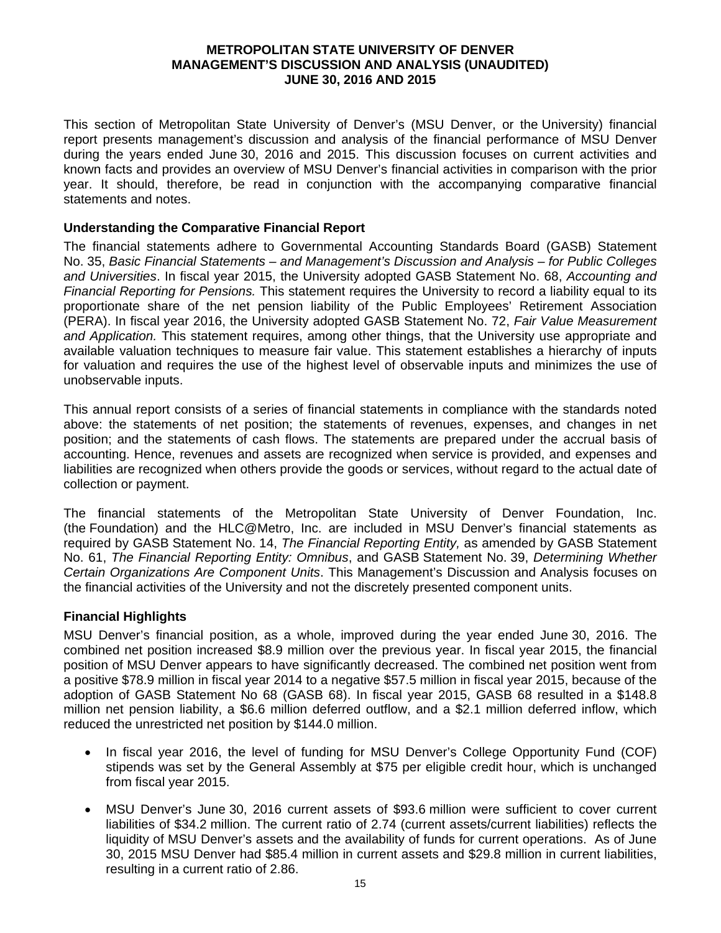This section of Metropolitan State University of Denver's (MSU Denver, or the University) financial report presents management's discussion and analysis of the financial performance of MSU Denver during the years ended June 30, 2016 and 2015. This discussion focuses on current activities and known facts and provides an overview of MSU Denver's financial activities in comparison with the prior year. It should, therefore, be read in conjunction with the accompanying comparative financial statements and notes.

# **Understanding the Comparative Financial Report**

The financial statements adhere to Governmental Accounting Standards Board (GASB) Statement No. 35, *Basic Financial Statements – and Management's Discussion and Analysis – for Public Colleges and Universities*. In fiscal year 2015, the University adopted GASB Statement No. 68, *Accounting and Financial Reporting for Pensions.* This statement requires the University to record a liability equal to its proportionate share of the net pension liability of the Public Employees' Retirement Association (PERA). In fiscal year 2016, the University adopted GASB Statement No. 72, *Fair Value Measurement and Application.* This statement requires, among other things, that the University use appropriate and available valuation techniques to measure fair value. This statement establishes a hierarchy of inputs for valuation and requires the use of the highest level of observable inputs and minimizes the use of unobservable inputs.

This annual report consists of a series of financial statements in compliance with the standards noted above: the statements of net position; the statements of revenues, expenses, and changes in net position; and the statements of cash flows. The statements are prepared under the accrual basis of accounting. Hence, revenues and assets are recognized when service is provided, and expenses and liabilities are recognized when others provide the goods or services, without regard to the actual date of collection or payment.

The financial statements of the Metropolitan State University of Denver Foundation, Inc. (the Foundation) and the HLC@Metro, Inc. are included in MSU Denver's financial statements as required by GASB Statement No. 14, *The Financial Reporting Entity,* as amended by GASB Statement No. 61, *The Financial Reporting Entity: Omnibus*, and GASB Statement No. 39, *Determining Whether Certain Organizations Are Component Units*. This Management's Discussion and Analysis focuses on the financial activities of the University and not the discretely presented component units.

# **Financial Highlights**

MSU Denver's financial position, as a whole, improved during the year ended June 30, 2016. The combined net position increased \$8.9 million over the previous year. In fiscal year 2015, the financial position of MSU Denver appears to have significantly decreased. The combined net position went from a positive \$78.9 million in fiscal year 2014 to a negative \$57.5 million in fiscal year 2015, because of the adoption of GASB Statement No 68 (GASB 68). In fiscal year 2015, GASB 68 resulted in a \$148.8 million net pension liability, a \$6.6 million deferred outflow, and a \$2.1 million deferred inflow, which reduced the unrestricted net position by \$144.0 million.

- In fiscal year 2016, the level of funding for MSU Denver's College Opportunity Fund (COF) stipends was set by the General Assembly at \$75 per eligible credit hour, which is unchanged from fiscal year 2015.
- MSU Denver's June 30, 2016 current assets of \$93.6 million were sufficient to cover current liabilities of \$34.2 million. The current ratio of 2.74 (current assets/current liabilities) reflects the liquidity of MSU Denver's assets and the availability of funds for current operations. As of June 30, 2015 MSU Denver had \$85.4 million in current assets and \$29.8 million in current liabilities, resulting in a current ratio of 2.86.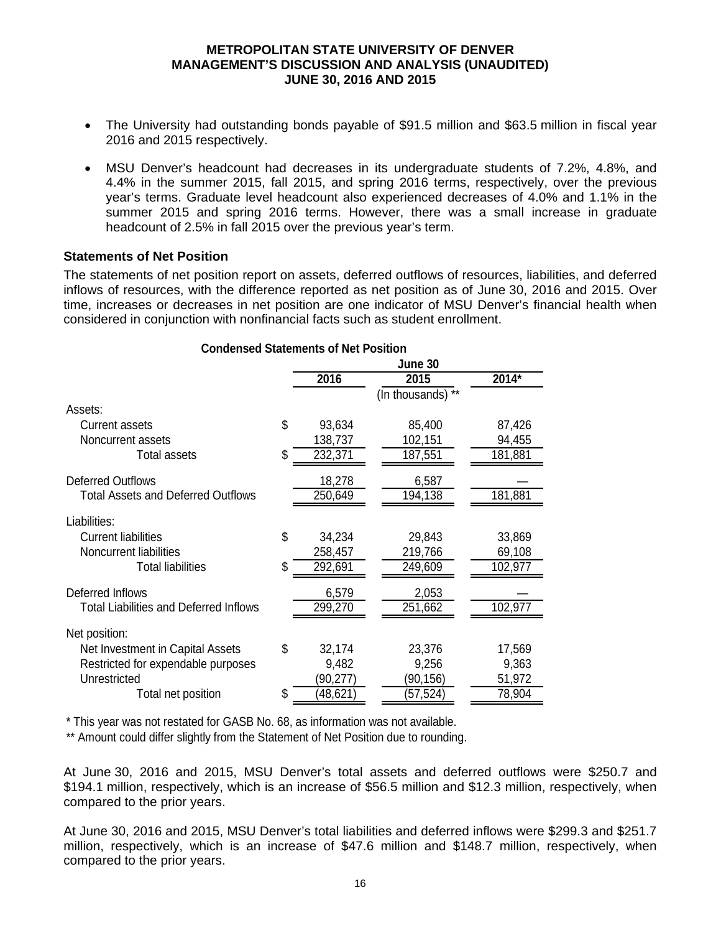- The University had outstanding bonds payable of \$91.5 million and \$63.5 million in fiscal year 2016 and 2015 respectively.
- MSU Denver's headcount had decreases in its undergraduate students of 7.2%, 4.8%, and 4.4% in the summer 2015, fall 2015, and spring 2016 terms, respectively, over the previous year's terms. Graduate level headcount also experienced decreases of 4.0% and 1.1% in the summer 2015 and spring 2016 terms. However, there was a small increase in graduate headcount of 2.5% in fall 2015 over the previous year's term.

# **Statements of Net Position**

The statements of net position report on assets, deferred outflows of resources, liabilities, and deferred inflows of resources, with the difference reported as net position as of June 30, 2016 and 2015. Over time, increases or decreases in net position are one indicator of MSU Denver's financial health when considered in conjunction with nonfinancial facts such as student enrollment.

| Condensed Statements of Net Position      |    |           |                   |         |  |  |  |  |
|-------------------------------------------|----|-----------|-------------------|---------|--|--|--|--|
|                                           |    | June 30   |                   |         |  |  |  |  |
|                                           |    | 2016      | 2015              | 2014*   |  |  |  |  |
|                                           |    |           | (In thousands) ** |         |  |  |  |  |
| Assets:                                   |    |           |                   |         |  |  |  |  |
| Current assets                            | \$ | 93,634    | 85,400            | 87,426  |  |  |  |  |
| Noncurrent assets                         |    | 138,737   | 102,151           | 94,455  |  |  |  |  |
| Total assets                              | \$ | 232,371   | 187,551           | 181,881 |  |  |  |  |
| <b>Deferred Outflows</b>                  |    | 18,278    | 6,587             |         |  |  |  |  |
| <b>Total Assets and Deferred Outflows</b> |    | 250,649   | 194,138           | 181,881 |  |  |  |  |
| Liabilities:                              |    |           |                   |         |  |  |  |  |
| <b>Current liabilities</b>                | \$ | 34,234    | 29,843            | 33,869  |  |  |  |  |
| Noncurrent liabilities                    |    | 258,457   | 219,766           | 69,108  |  |  |  |  |
| <b>Total liabilities</b>                  | \$ | 292,691   | 249,609           | 102,977 |  |  |  |  |
| Deferred Inflows                          |    | 6,579     | 2,053             |         |  |  |  |  |
| Total Liabilities and Deferred Inflows    |    | 299,270   | 251,662           | 102,977 |  |  |  |  |
| Net position:                             |    |           |                   |         |  |  |  |  |
| Net Investment in Capital Assets          | \$ | 32,174    | 23,376            | 17,569  |  |  |  |  |
| Restricted for expendable purposes        |    | 9,482     | 9,256             | 9,363   |  |  |  |  |
| Unrestricted                              |    | (90,277)  | (90,156)          | 51,972  |  |  |  |  |
| Total net position                        | \$ | (48, 621) | (57,524)          | 78,904  |  |  |  |  |
|                                           |    |           |                   |         |  |  |  |  |

# **Condensed Statements of Net Position**

\* This year was not restated for GASB No. 68, as information was not available.

\*\* Amount could differ slightly from the Statement of Net Position due to rounding.

At June 30, 2016 and 2015, MSU Denver's total assets and deferred outflows were \$250.7 and \$194.1 million, respectively, which is an increase of \$56.5 million and \$12.3 million, respectively, when compared to the prior years.

At June 30, 2016 and 2015, MSU Denver's total liabilities and deferred inflows were \$299.3 and \$251.7 million, respectively, which is an increase of \$47.6 million and \$148.7 million, respectively, when compared to the prior years.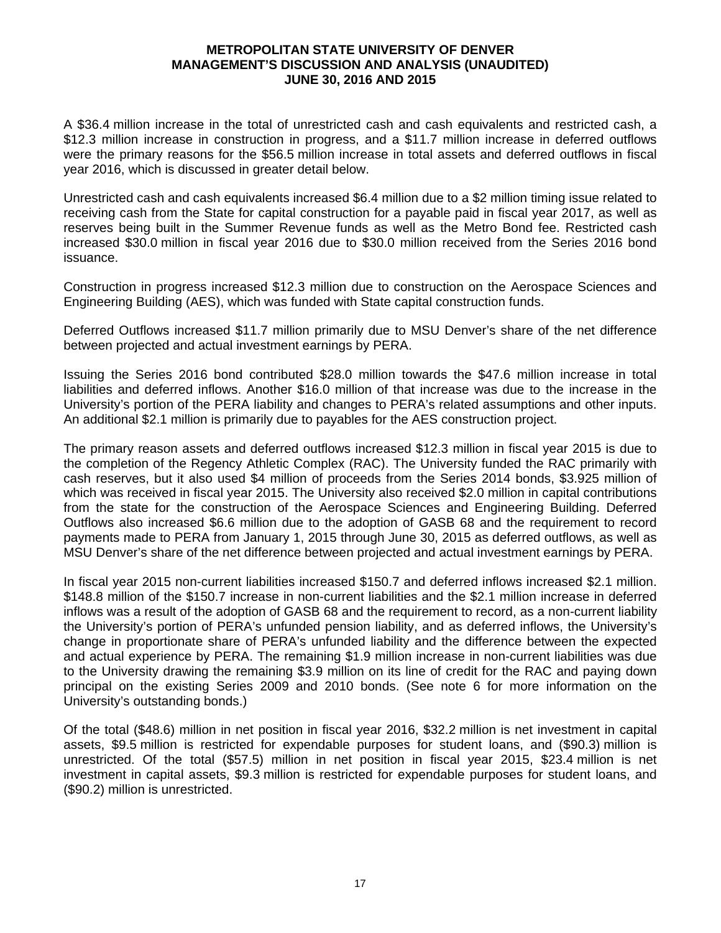A \$36.4 million increase in the total of unrestricted cash and cash equivalents and restricted cash, a \$12.3 million increase in construction in progress, and a \$11.7 million increase in deferred outflows were the primary reasons for the \$56.5 million increase in total assets and deferred outflows in fiscal year 2016, which is discussed in greater detail below.

Unrestricted cash and cash equivalents increased \$6.4 million due to a \$2 million timing issue related to receiving cash from the State for capital construction for a payable paid in fiscal year 2017, as well as reserves being built in the Summer Revenue funds as well as the Metro Bond fee. Restricted cash increased \$30.0 million in fiscal year 2016 due to \$30.0 million received from the Series 2016 bond issuance.

Construction in progress increased \$12.3 million due to construction on the Aerospace Sciences and Engineering Building (AES), which was funded with State capital construction funds.

Deferred Outflows increased \$11.7 million primarily due to MSU Denver's share of the net difference between projected and actual investment earnings by PERA.

Issuing the Series 2016 bond contributed \$28.0 million towards the \$47.6 million increase in total liabilities and deferred inflows. Another \$16.0 million of that increase was due to the increase in the University's portion of the PERA liability and changes to PERA's related assumptions and other inputs. An additional \$2.1 million is primarily due to payables for the AES construction project.

The primary reason assets and deferred outflows increased \$12.3 million in fiscal year 2015 is due to the completion of the Regency Athletic Complex (RAC). The University funded the RAC primarily with cash reserves, but it also used \$4 million of proceeds from the Series 2014 bonds, \$3.925 million of which was received in fiscal year 2015. The University also received \$2.0 million in capital contributions from the state for the construction of the Aerospace Sciences and Engineering Building. Deferred Outflows also increased \$6.6 million due to the adoption of GASB 68 and the requirement to record payments made to PERA from January 1, 2015 through June 30, 2015 as deferred outflows, as well as MSU Denver's share of the net difference between projected and actual investment earnings by PERA.

In fiscal year 2015 non-current liabilities increased \$150.7 and deferred inflows increased \$2.1 million. \$148.8 million of the \$150.7 increase in non-current liabilities and the \$2.1 million increase in deferred inflows was a result of the adoption of GASB 68 and the requirement to record, as a non-current liability the University's portion of PERA's unfunded pension liability, and as deferred inflows, the University's change in proportionate share of PERA's unfunded liability and the difference between the expected and actual experience by PERA. The remaining \$1.9 million increase in non-current liabilities was due to the University drawing the remaining \$3.9 million on its line of credit for the RAC and paying down principal on the existing Series 2009 and 2010 bonds. (See note 6 for more information on the University's outstanding bonds.)

Of the total (\$48.6) million in net position in fiscal year 2016, \$32.2 million is net investment in capital assets, \$9.5 million is restricted for expendable purposes for student loans, and (\$90.3) million is unrestricted. Of the total (\$57.5) million in net position in fiscal year 2015, \$23.4 million is net investment in capital assets, \$9.3 million is restricted for expendable purposes for student loans, and (\$90.2) million is unrestricted.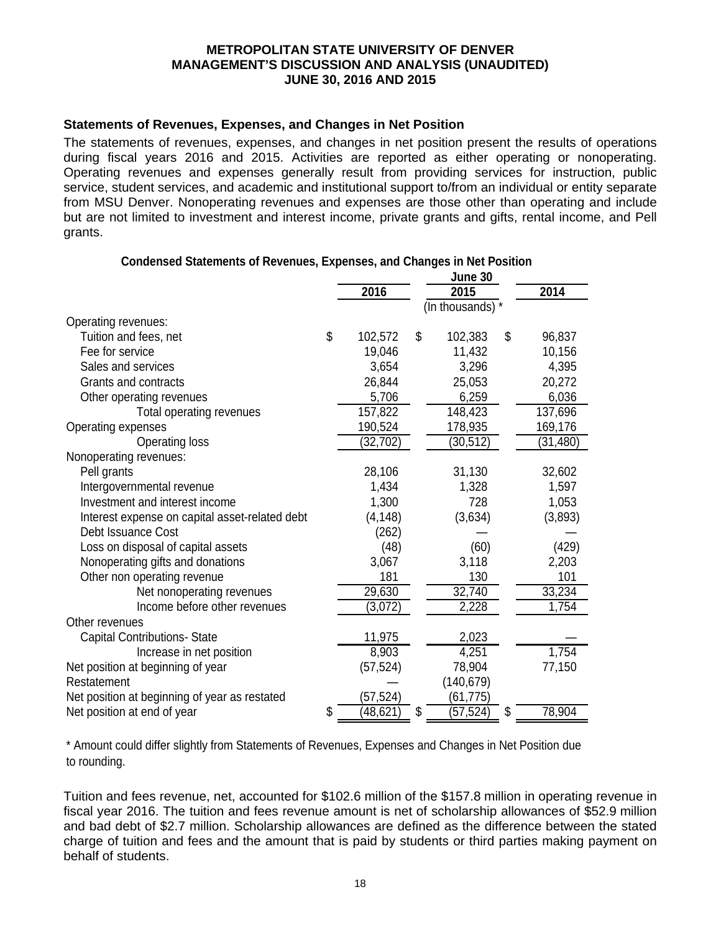#### **Statements of Revenues, Expenses, and Changes in Net Position**

The statements of revenues, expenses, and changes in net position present the results of operations during fiscal years 2016 and 2015. Activities are reported as either operating or nonoperating. Operating revenues and expenses generally result from providing services for instruction, public service, student services, and academic and institutional support to/from an individual or entity separate from MSU Denver. Nonoperating revenues and expenses are those other than operating and include but are not limited to investment and interest income, private grants and gifts, rental income, and Pell grants.

|                                                |               | June 30          |    |          |
|------------------------------------------------|---------------|------------------|----|----------|
|                                                | 2016          | 2015             |    | 2014     |
|                                                |               | (In thousands) * |    |          |
| Operating revenues:                            |               |                  |    |          |
| Tuition and fees, net                          | \$<br>102,572 | \$<br>102,383    | \$ | 96,837   |
| Fee for service                                | 19,046        | 11,432           |    | 10,156   |
| Sales and services                             | 3,654         | 3,296            |    | 4,395    |
| Grants and contracts                           | 26,844        | 25,053           |    | 20,272   |
| Other operating revenues                       | 5,706         | 6,259            |    | 6,036    |
| Total operating revenues                       | 157,822       | 148,423          |    | 137,696  |
| Operating expenses                             | 190,524       | 178,935          |    | 169,176  |
| Operating loss                                 | (32,702)      | (30, 512)        |    | (31,480) |
| Nonoperating revenues:                         |               |                  |    |          |
| Pell grants                                    | 28,106        | 31,130           |    | 32,602   |
| Intergovernmental revenue                      | 1,434         | 1,328            |    | 1,597    |
| Investment and interest income                 | 1,300         | 728              |    | 1,053    |
| Interest expense on capital asset-related debt | (4, 148)      | (3,634)          |    | (3,893)  |
| Debt Issuance Cost                             | (262)         |                  |    |          |
| Loss on disposal of capital assets             | (48)          | (60)             |    | (429)    |
| Nonoperating gifts and donations               | 3,067         | 3,118            |    | 2,203    |
| Other non operating revenue                    | 181           | 130              |    | 101      |
| Net nonoperating revenues                      | 29,630        | 32,740           |    | 33,234   |
| Income before other revenues                   | (3,072)       | 2,228            |    | 1,754    |
| Other revenues                                 |               |                  |    |          |
| <b>Capital Contributions- State</b>            | 11,975        | 2,023            |    |          |
| Increase in net position                       | 8,903         | 4,251            |    | 1,754    |
| Net position at beginning of year              | (57, 524)     | 78,904           |    | 77,150   |
| Restatement                                    |               | (140, 679)       |    |          |
| Net position at beginning of year as restated  | (57, 524)     | (61,775)         |    |          |
| Net position at end of year                    | \$<br>(48,621 | \$<br>(57,524)   | ₩  | 78,904   |

#### **Condensed Statements of Revenues, Expenses, and Changes in Net Position**

\* Amount could differ slightly from Statements of Revenues, Expenses and Changes in Net Position due to rounding.

Tuition and fees revenue, net, accounted for \$102.6 million of the \$157.8 million in operating revenue in fiscal year 2016. The tuition and fees revenue amount is net of scholarship allowances of \$52.9 million and bad debt of \$2.7 million. Scholarship allowances are defined as the difference between the stated charge of tuition and fees and the amount that is paid by students or third parties making payment on behalf of students.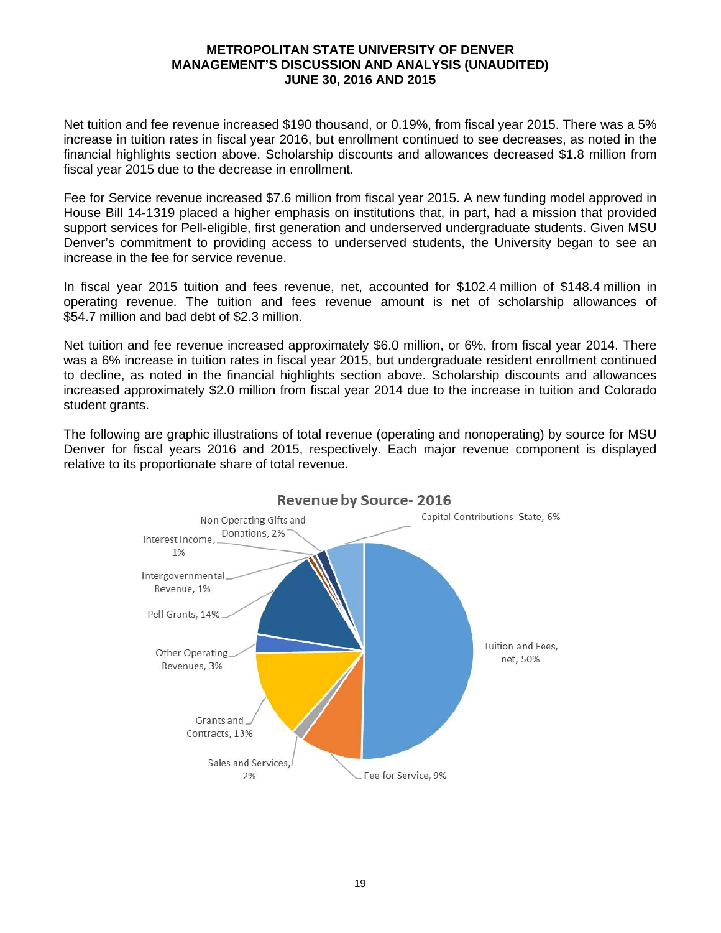Net tuition and fee revenue increased \$190 thousand, or 0.19%, from fiscal year 2015. There was a 5% increase in tuition rates in fiscal year 2016, but enrollment continued to see decreases, as noted in the financial highlights section above. Scholarship discounts and allowances decreased \$1.8 million from fiscal year 2015 due to the decrease in enrollment.

Fee for Service revenue increased \$7.6 million from fiscal year 2015. A new funding model approved in House Bill 14-1319 placed a higher emphasis on institutions that, in part, had a mission that provided support services for Pell-eligible, first generation and underserved undergraduate students. Given MSU Denver's commitment to providing access to underserved students, the University began to see an increase in the fee for service revenue.

In fiscal year 2015 tuition and fees revenue, net, accounted for \$102.4 million of \$148.4 million in operating revenue. The tuition and fees revenue amount is net of scholarship allowances of \$54.7 million and bad debt of \$2.3 million.

Net tuition and fee revenue increased approximately \$6.0 million, or 6%, from fiscal year 2014. There was a 6% increase in tuition rates in fiscal year 2015, but undergraduate resident enrollment continued to decline, as noted in the financial highlights section above. Scholarship discounts and allowances increased approximately \$2.0 million from fiscal year 2014 due to the increase in tuition and Colorado student grants.

The following are graphic illustrations of total revenue (operating and nonoperating) by source for MSU Denver for fiscal years 2016 and 2015, respectively. Each major revenue component is displayed relative to its proportionate share of total revenue.

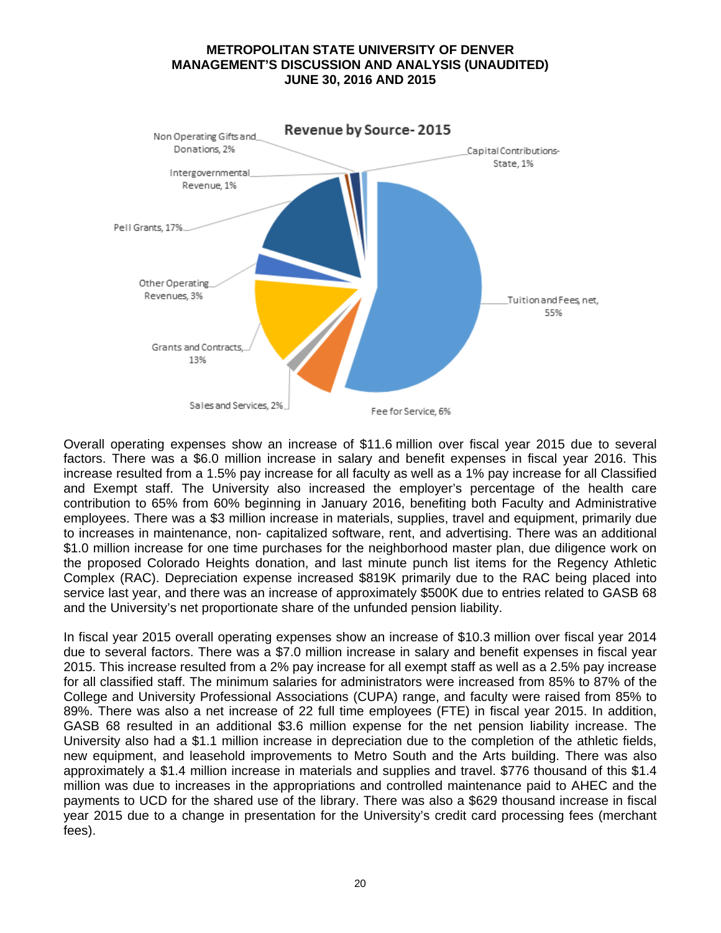

Overall operating expenses show an increase of \$11.6 million over fiscal year 2015 due to several factors. There was a \$6.0 million increase in salary and benefit expenses in fiscal year 2016. This increase resulted from a 1.5% pay increase for all faculty as well as a 1% pay increase for all Classified and Exempt staff. The University also increased the employer's percentage of the health care contribution to 65% from 60% beginning in January 2016, benefiting both Faculty and Administrative employees. There was a \$3 million increase in materials, supplies, travel and equipment, primarily due to increases in maintenance, non- capitalized software, rent, and advertising. There was an additional \$1.0 million increase for one time purchases for the neighborhood master plan, due diligence work on the proposed Colorado Heights donation, and last minute punch list items for the Regency Athletic Complex (RAC). Depreciation expense increased \$819K primarily due to the RAC being placed into service last year, and there was an increase of approximately \$500K due to entries related to GASB 68 and the University's net proportionate share of the unfunded pension liability.

In fiscal year 2015 overall operating expenses show an increase of \$10.3 million over fiscal year 2014 due to several factors. There was a \$7.0 million increase in salary and benefit expenses in fiscal year 2015. This increase resulted from a 2% pay increase for all exempt staff as well as a 2.5% pay increase for all classified staff. The minimum salaries for administrators were increased from 85% to 87% of the College and University Professional Associations (CUPA) range, and faculty were raised from 85% to 89%. There was also a net increase of 22 full time employees (FTE) in fiscal year 2015. In addition, GASB 68 resulted in an additional \$3.6 million expense for the net pension liability increase. The University also had a \$1.1 million increase in depreciation due to the completion of the athletic fields, new equipment, and leasehold improvements to Metro South and the Arts building. There was also approximately a \$1.4 million increase in materials and supplies and travel. \$776 thousand of this \$1.4 million was due to increases in the appropriations and controlled maintenance paid to AHEC and the payments to UCD for the shared use of the library. There was also a \$629 thousand increase in fiscal year 2015 due to a change in presentation for the University's credit card processing fees (merchant fees).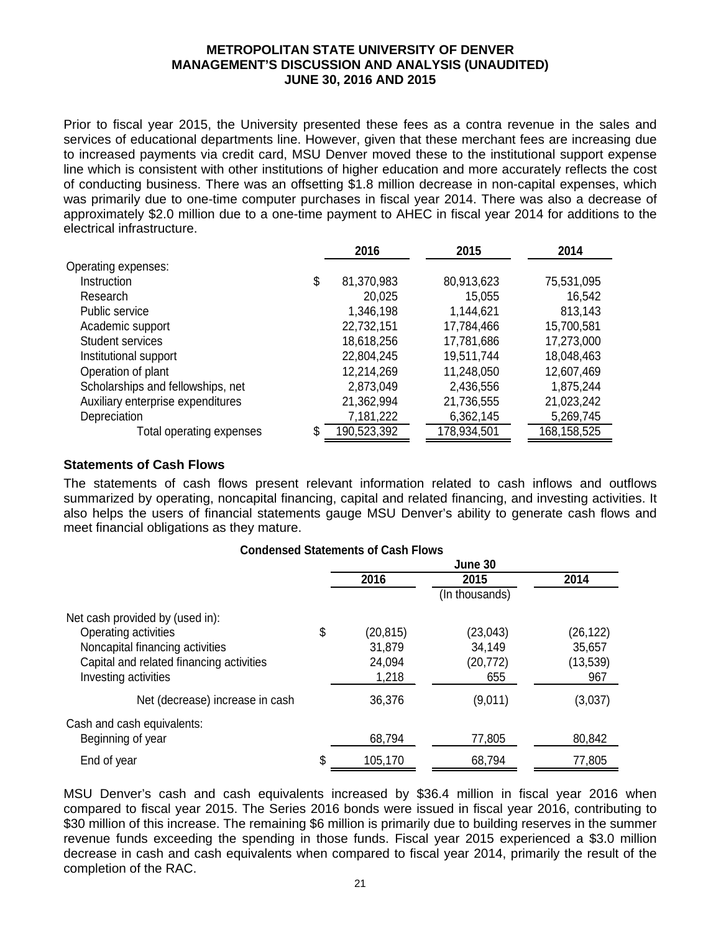Prior to fiscal year 2015, the University presented these fees as a contra revenue in the sales and services of educational departments line. However, given that these merchant fees are increasing due to increased payments via credit card, MSU Denver moved these to the institutional support expense line which is consistent with other institutions of higher education and more accurately reflects the cost of conducting business. There was an offsetting \$1.8 million decrease in non-capital expenses, which was primarily due to one-time computer purchases in fiscal year 2014. There was also a decrease of approximately \$2.0 million due to a one-time payment to AHEC in fiscal year 2014 for additions to the electrical infrastructure.

|                                   | 2016              | 2015        | 2014        |
|-----------------------------------|-------------------|-------------|-------------|
| Operating expenses:               |                   |             |             |
| Instruction                       | \$<br>81,370,983  | 80,913,623  | 75,531,095  |
| Research                          | 20,025            | 15,055      | 16,542      |
| Public service                    | 1,346,198         | 1,144,621   | 813,143     |
| Academic support                  | 22,732,151        | 17,784,466  | 15,700,581  |
| Student services                  | 18,618,256        | 17,781,686  | 17,273,000  |
| Institutional support             | 22,804,245        | 19,511,744  | 18,048,463  |
| Operation of plant                | 12,214,269        | 11,248,050  | 12,607,469  |
| Scholarships and fellowships, net | 2,873,049         | 2,436,556   | 1,875,244   |
| Auxiliary enterprise expenditures | 21,362,994        | 21,736,555  | 21,023,242  |
| Depreciation                      | 7,181,222         | 6,362,145   | 5,269,745   |
| Total operating expenses          | \$<br>190,523,392 | 178,934,501 | 168,158,525 |

#### **Statements of Cash Flows**

The statements of cash flows present relevant information related to cash inflows and outflows summarized by operating, noncapital financing, capital and related financing, and investing activities. It also helps the users of financial statements gauge MSU Denver's ability to generate cash flows and meet financial obligations as they mature.

# **Condensed Statements of Cash Flows**

|                                          | June 30         |                |           |
|------------------------------------------|-----------------|----------------|-----------|
|                                          | 2016            | 2015           | 2014      |
|                                          |                 | (In thousands) |           |
| Net cash provided by (used in):          |                 |                |           |
| Operating activities                     | \$<br>(20, 815) | (23, 043)      | (26, 122) |
| Noncapital financing activities          | 31,879          | 34,149         | 35,657    |
| Capital and related financing activities | 24,094          | (20, 772)      | (13,539)  |
| Investing activities                     | 1,218           | 655            | 967       |
| Net (decrease) increase in cash          | 36,376          | (9,011)        | (3,037)   |
| Cash and cash equivalents:               |                 |                |           |
| Beginning of year                        | 68,794          | 77,805         | 80,842    |
| End of year                              | \$<br>105,170   | 68,794         | 77,805    |

MSU Denver's cash and cash equivalents increased by \$36.4 million in fiscal year 2016 when compared to fiscal year 2015. The Series 2016 bonds were issued in fiscal year 2016, contributing to \$30 million of this increase. The remaining \$6 million is primarily due to building reserves in the summer revenue funds exceeding the spending in those funds. Fiscal year 2015 experienced a \$3.0 million decrease in cash and cash equivalents when compared to fiscal year 2014, primarily the result of the completion of the RAC.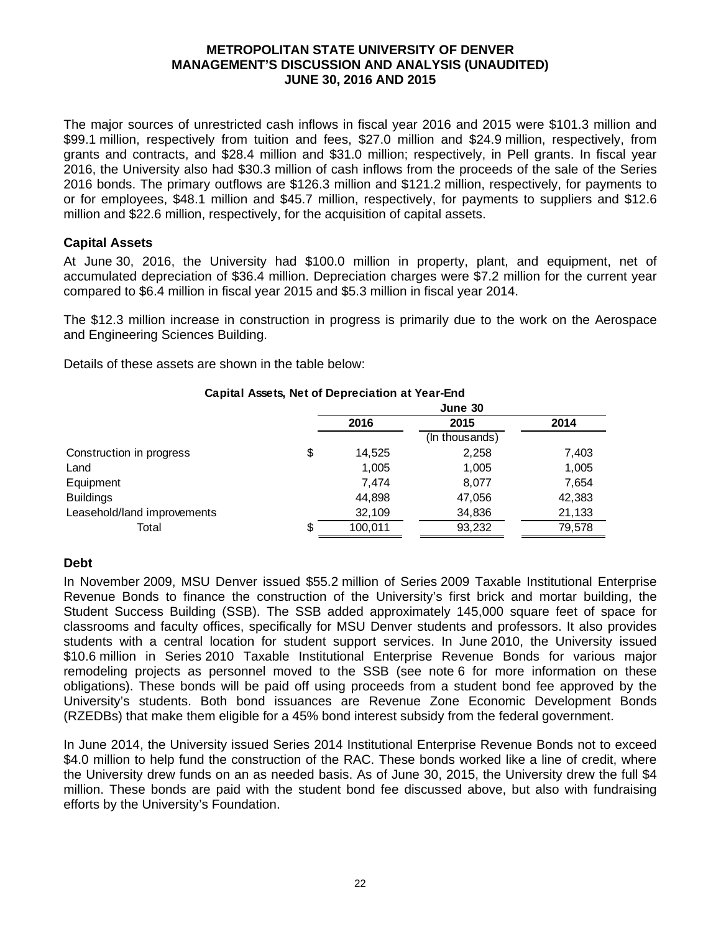The major sources of unrestricted cash inflows in fiscal year 2016 and 2015 were \$101.3 million and \$99.1 million, respectively from tuition and fees, \$27.0 million and \$24.9 million, respectively, from grants and contracts, and \$28.4 million and \$31.0 million; respectively, in Pell grants. In fiscal year 2016, the University also had \$30.3 million of cash inflows from the proceeds of the sale of the Series 2016 bonds. The primary outflows are \$126.3 million and \$121.2 million, respectively, for payments to or for employees, \$48.1 million and \$45.7 million, respectively, for payments to suppliers and \$12.6 million and \$22.6 million, respectively, for the acquisition of capital assets.

# **Capital Assets**

At June 30, 2016, the University had \$100.0 million in property, plant, and equipment, net of accumulated depreciation of \$36.4 million. Depreciation charges were \$7.2 million for the current year compared to \$6.4 million in fiscal year 2015 and \$5.3 million in fiscal year 2014.

The \$12.3 million increase in construction in progress is primarily due to the work on the Aerospace and Engineering Sciences Building.

Details of these assets are shown in the table below:

#### **Capital Assets, Net of Depreciation at Year-End**

|                             | June 30       |                |        |  |
|-----------------------------|---------------|----------------|--------|--|
|                             | 2016          | 2015           | 2014   |  |
|                             |               | (In thousands) |        |  |
| Construction in progress    | \$<br>14,525  | 2,258          | 7,403  |  |
| Land                        | 1,005         | 1,005          | 1,005  |  |
| Equipment                   | 7.474         | 8,077          | 7,654  |  |
| <b>Buildings</b>            | 44,898        | 47,056         | 42,383 |  |
| Leasehold/land improvements | 32,109        | 34,836         | 21,133 |  |
| Total                       | \$<br>100.011 | 93,232         | 79,578 |  |

# **Debt**

In November 2009, MSU Denver issued \$55.2 million of Series 2009 Taxable Institutional Enterprise Revenue Bonds to finance the construction of the University's first brick and mortar building, the Student Success Building (SSB). The SSB added approximately 145,000 square feet of space for classrooms and faculty offices, specifically for MSU Denver students and professors. It also provides students with a central location for student support services. In June 2010, the University issued \$10.6 million in Series 2010 Taxable Institutional Enterprise Revenue Bonds for various major remodeling projects as personnel moved to the SSB (see note 6 for more information on these obligations). These bonds will be paid off using proceeds from a student bond fee approved by the University's students. Both bond issuances are Revenue Zone Economic Development Bonds (RZEDBs) that make them eligible for a 45% bond interest subsidy from the federal government.

In June 2014, the University issued Series 2014 Institutional Enterprise Revenue Bonds not to exceed \$4.0 million to help fund the construction of the RAC. These bonds worked like a line of credit, where the University drew funds on an as needed basis. As of June 30, 2015, the University drew the full \$4 million. These bonds are paid with the student bond fee discussed above, but also with fundraising efforts by the University's Foundation.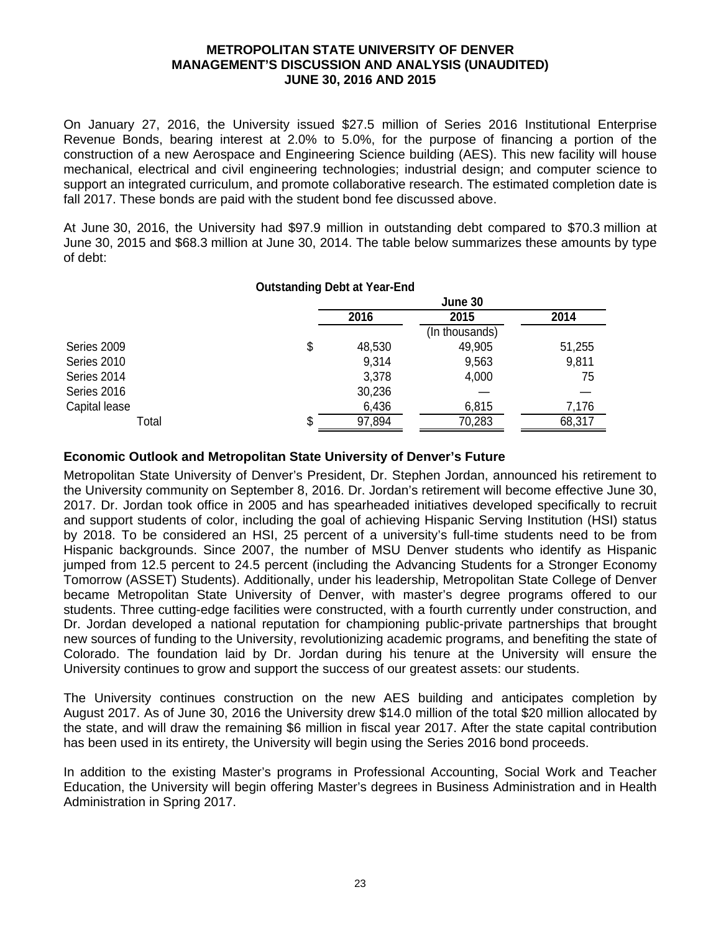On January 27, 2016, the University issued \$27.5 million of Series 2016 Institutional Enterprise Revenue Bonds, bearing interest at 2.0% to 5.0%, for the purpose of financing a portion of the construction of a new Aerospace and Engineering Science building (AES). This new facility will house mechanical, electrical and civil engineering technologies; industrial design; and computer science to support an integrated curriculum, and promote collaborative research. The estimated completion date is fall 2017. These bonds are paid with the student bond fee discussed above.

At June 30, 2016, the University had \$97.9 million in outstanding debt compared to \$70.3 million at June 30, 2015 and \$68.3 million at June 30, 2014. The table below summarizes these amounts by type of debt:

|               | <b>Outstanding Debt at Year-End</b> |         |                |        |  |
|---------------|-------------------------------------|---------|----------------|--------|--|
|               |                                     | June 30 |                |        |  |
|               |                                     | 2016    | 2015           | 2014   |  |
|               |                                     |         | (In thousands) |        |  |
| Series 2009   | \$                                  | 48,530  | 49,905         | 51,255 |  |
| Series 2010   |                                     | 9,314   | 9,563          | 9,811  |  |
| Series 2014   |                                     | 3,378   | 4,000          | 75     |  |
| Series 2016   |                                     | 30,236  |                |        |  |
| Capital lease |                                     | 6,436   | 6,815          | 7,176  |  |
| Total         |                                     | 97,894  | 70,283         | 68,317 |  |

# **Economic Outlook and Metropolitan State University of Denver's Future**

Metropolitan State University of Denver's President, Dr. Stephen Jordan, announced his retirement to the University community on September 8, 2016. Dr. Jordan's retirement will become effective June 30, 2017. Dr. Jordan took office in 2005 and has spearheaded initiatives developed specifically to recruit and support students of color, including the goal of achieving Hispanic Serving Institution (HSI) status by 2018. To be considered an HSI, 25 percent of a university's full-time students need to be from Hispanic backgrounds. Since 2007, the number of MSU Denver students who identify as Hispanic jumped from 12.5 percent to 24.5 percent (including the Advancing Students for a Stronger Economy Tomorrow (ASSET) Students). Additionally, under his leadership, Metropolitan State College of Denver became Metropolitan State University of Denver, with master's degree programs offered to our students. Three cutting-edge facilities were constructed, with a fourth currently under construction, and Dr. Jordan developed a national reputation for championing public-private partnerships that brought new sources of funding to the University, revolutionizing academic programs, and benefiting the state of Colorado. The foundation laid by Dr. Jordan during his tenure at the University will ensure the University continues to grow and support the success of our greatest assets: our students.

The University continues construction on the new AES building and anticipates completion by August 2017. As of June 30, 2016 the University drew \$14.0 million of the total \$20 million allocated by the state, and will draw the remaining \$6 million in fiscal year 2017. After the state capital contribution has been used in its entirety, the University will begin using the Series 2016 bond proceeds.

In addition to the existing Master's programs in Professional Accounting, Social Work and Teacher Education, the University will begin offering Master's degrees in Business Administration and in Health Administration in Spring 2017.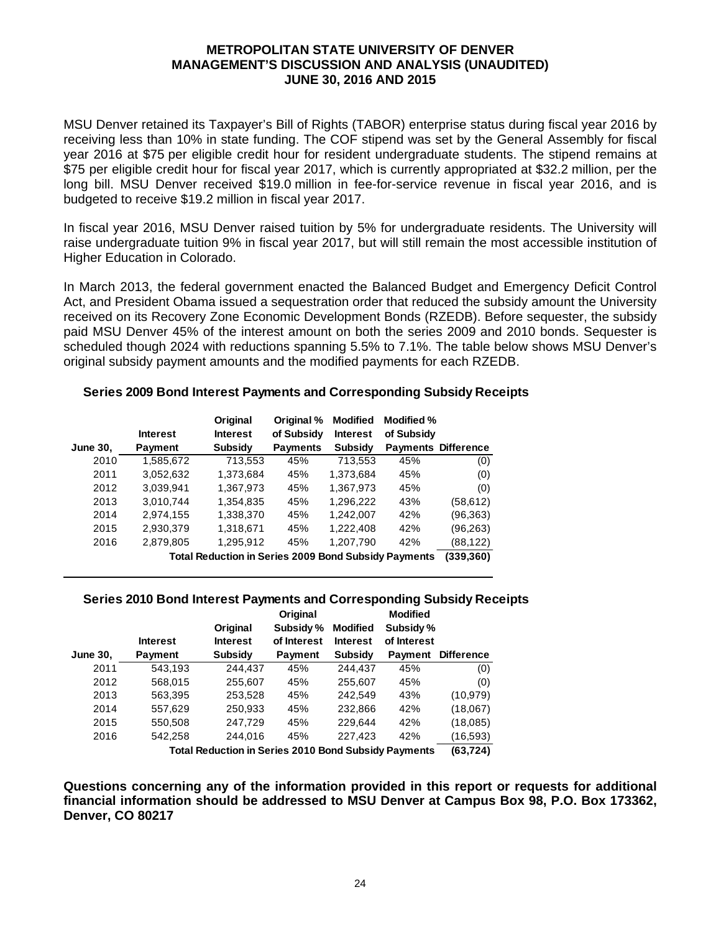MSU Denver retained its Taxpayer's Bill of Rights (TABOR) enterprise status during fiscal year 2016 by receiving less than 10% in state funding. The COF stipend was set by the General Assembly for fiscal year 2016 at \$75 per eligible credit hour for resident undergraduate students. The stipend remains at \$75 per eligible credit hour for fiscal year 2017, which is currently appropriated at \$32.2 million, per the long bill. MSU Denver received \$19.0 million in fee-for-service revenue in fiscal year 2016, and is budgeted to receive \$19.2 million in fiscal year 2017.

In fiscal year 2016, MSU Denver raised tuition by 5% for undergraduate residents. The University will raise undergraduate tuition 9% in fiscal year 2017, but will still remain the most accessible institution of Higher Education in Colorado.

In March 2013, the federal government enacted the Balanced Budget and Emergency Deficit Control Act, and President Obama issued a sequestration order that reduced the subsidy amount the University received on its Recovery Zone Economic Development Bonds (RZEDB). Before sequester, the subsidy paid MSU Denver 45% of the interest amount on both the series 2009 and 2010 bonds. Sequester is scheduled though 2024 with reductions spanning 5.5% to 7.1%. The table below shows MSU Denver's original subsidy payment amounts and the modified payments for each RZEDB.

|                 |                 | Original                                                    | Original %      | <b>Modified</b> | <b>Modified %</b> |                            |
|-----------------|-----------------|-------------------------------------------------------------|-----------------|-----------------|-------------------|----------------------------|
|                 | <b>Interest</b> | <b>Interest</b>                                             | of Subsidy      | <b>Interest</b> | of Subsidy        |                            |
| <b>June 30,</b> | <b>Payment</b>  | <b>Subsidy</b>                                              | <b>Payments</b> | <b>Subsidy</b>  |                   | <b>Payments Difference</b> |
| 2010            | 1,585,672       | 713,553                                                     | 45%             | 713,553         | 45%               | (0)                        |
| 2011            | 3,052,632       | 1,373,684                                                   | 45%             | 1,373,684       | 45%               | (0)                        |
| 2012            | 3.039.941       | 1,367,973                                                   | 45%             | 1.367.973       | 45%               | (0)                        |
| 2013            | 3,010,744       | 1,354,835                                                   | 45%             | 1,296,222       | 43%               | (58, 612)                  |
| 2014            | 2,974,155       | 1,338,370                                                   | 45%             | 1,242,007       | 42%               | (96, 363)                  |
| 2015            | 2,930,379       | 1,318,671                                                   | 45%             | 1.222.408       | 42%               | (96,263)                   |
| 2016            | 2,879,805       | 1,295,912                                                   | 45%             | 1,207,790       | 42%               | (88, 122)                  |
|                 |                 | <b>Total Reduction in Series 2009 Bond Subsidy Payments</b> |                 |                 |                   | (339,360)                  |

# **Series 2009 Bond Interest Payments and Corresponding Subsidy Receipts**

#### **Series 2010 Bond Interest Payments and Corresponding Subsidy Receipts**

|                 |                 | -                                                           | Original       |                 | <b>Modified</b> |                   |
|-----------------|-----------------|-------------------------------------------------------------|----------------|-----------------|-----------------|-------------------|
|                 |                 | Original                                                    | Subsidy %      | <b>Modified</b> | Subsidy %       |                   |
|                 | <b>Interest</b> | <b>Interest</b>                                             | of Interest    | <b>Interest</b> | of Interest     |                   |
| <b>June 30,</b> | <b>Payment</b>  | <b>Subsidy</b>                                              | <b>Payment</b> | <b>Subsidy</b>  | Payment         | <b>Difference</b> |
| 2011            | 543,193         | 244.437                                                     | 45%            | 244,437         | 45%             | (0)               |
| 2012            | 568,015         | 255,607                                                     | 45%            | 255,607         | 45%             | (0)               |
| 2013            | 563,395         | 253,528                                                     | 45%            | 242,549         | 43%             | (10, 979)         |
| 2014            | 557,629         | 250,933                                                     | 45%            | 232,866         | 42%             | (18,067)          |
| 2015            | 550,508         | 247,729                                                     | 45%            | 229.644         | 42%             | (18,085)          |
| 2016            | 542,258         | 244,016                                                     | 45%            | 227,423         | 42%             | (16, 593)         |
|                 |                 | <b>Total Reduction in Series 2010 Bond Subsidy Payments</b> |                |                 |                 | (63,724)          |

**Questions concerning any of the information provided in this report or requests for additional financial information should be addressed to MSU Denver at Campus Box 98, P.O. Box 173362, Denver, CO 80217**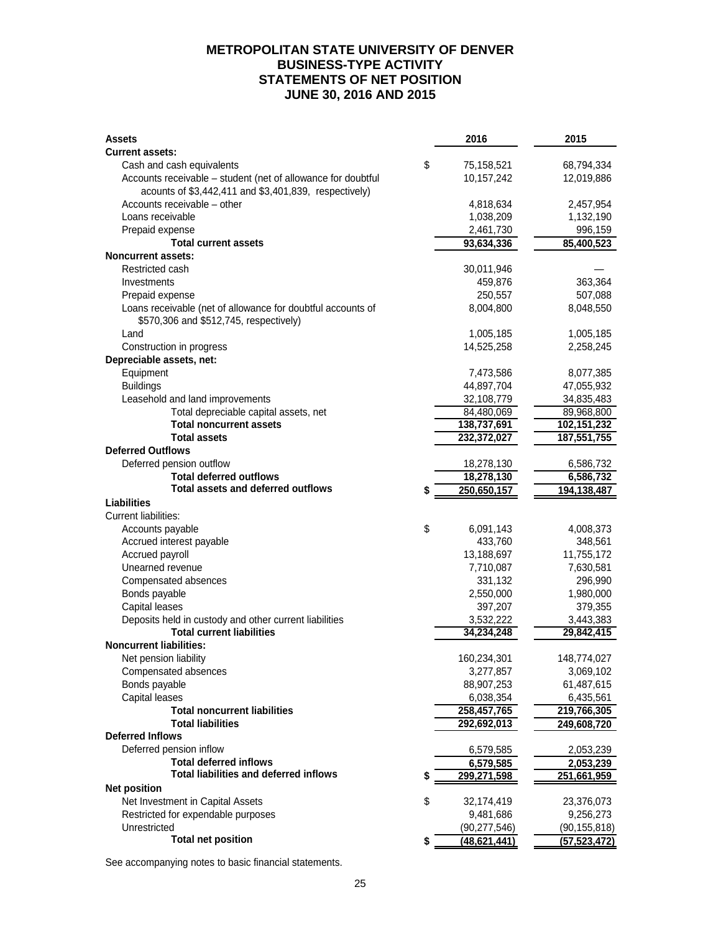# **METROPOLITAN STATE UNIVERSITY OF DENVER BUSINESS-TYPE ACTIVITY STATEMENTS OF NET POSITION JUNE 30, 2016 AND 2015**

| Assets                                                       | 2016               | 2015               |
|--------------------------------------------------------------|--------------------|--------------------|
| <b>Current assets:</b>                                       |                    |                    |
| Cash and cash equivalents                                    | \$<br>75,158,521   | 68,794,334         |
| Accounts receivable - student (net of allowance for doubtful | 10,157,242         | 12,019,886         |
| acounts of \$3,442,411 and \$3,401,839, respectively)        |                    |                    |
| Accounts receivable - other                                  | 4,818,634          | 2,457,954          |
| Loans receivable                                             | 1,038,209          | 1,132,190          |
| Prepaid expense                                              | 2,461,730          | 996,159            |
| <b>Total current assets</b>                                  | 93,634,336         | 85,400,523         |
| <b>Noncurrent assets:</b>                                    |                    |                    |
| Restricted cash                                              | 30,011,946         |                    |
| Investments                                                  | 459,876            | 363,364            |
| Prepaid expense                                              | 250,557            | 507,088            |
| Loans receivable (net of allowance for doubtful accounts of  | 8,004,800          | 8,048,550          |
| \$570,306 and \$512,745, respectively)                       |                    |                    |
| Land                                                         | 1,005,185          | 1,005,185          |
| Construction in progress                                     | 14,525,258         | 2,258,245          |
| Depreciable assets, net:                                     |                    |                    |
| Equipment                                                    | 7,473,586          | 8,077,385          |
| <b>Buildings</b>                                             | 44,897,704         | 47,055,932         |
| Leasehold and land improvements                              | 32,108,779         | 34,835,483         |
| Total depreciable capital assets, net                        | 84,480,069         | 89,968,800         |
| <b>Total noncurrent assets</b>                               | 138,737,691        | 102,151,232        |
| <b>Total assets</b>                                          | 232,372,027        | 187,551,755        |
| <b>Deferred Outflows</b>                                     |                    |                    |
| Deferred pension outflow                                     | 18,278,130         | 6,586,732          |
| <b>Total deferred outflows</b>                               | 18,278,130         | 6,586,732          |
| <b>Total assets and deferred outflows</b>                    | \$<br>250,650,157  | <u>194,138,487</u> |
| <b>Liabilities</b>                                           |                    |                    |
| <b>Current liabilities:</b>                                  |                    |                    |
| Accounts payable                                             | \$<br>6,091,143    | 4,008,373          |
| Accrued interest payable                                     | 433,760            | 348,561            |
| Accrued payroll                                              | 13,188,697         | 11,755,172         |
| Unearned revenue                                             | 7,710,087          | 7,630,581          |
| Compensated absences                                         | 331,132            | 296,990            |
| Bonds payable                                                | 2,550,000          | 1,980,000          |
| Capital leases                                               | 397,207            | 379,355            |
| Deposits held in custody and other current liabilities       | 3,532,222          | 3,443,383          |
| <b>Total current liabilities</b>                             | 34,234,248         | 29,842,415         |
| <b>Noncurrent liabilities:</b>                               |                    |                    |
| Net pension liability                                        | 160,234,301        | 148,774,027        |
| Compensated absences                                         | 3,277,857          | 3,069,102          |
| Bonds payable                                                | 88,907,253         | 61,487,615         |
| Capital leases                                               | 6,038,354          | 6,435,561          |
| <b>Total noncurrent liabilities</b>                          | 258,457,765        | 219,766,305        |
| <b>Total liabilities</b>                                     | 292,692,013        | 249,608,720        |
| <b>Deferred Inflows</b>                                      |                    |                    |
| Deferred pension inflow                                      | 6,579,585          | 2,053,239          |
| <b>Total deferred inflows</b>                                | 6,579,585          | 2,053,239          |
| <b>Total liabilities and deferred inflows</b>                | \$<br>299,271,598  | 251,661,959        |
| <b>Net position</b>                                          |                    |                    |
| Net Investment in Capital Assets                             | \$<br>32,174,419   | 23,376,073         |
| Restricted for expendable purposes                           | 9,481,686          | 9,256,273          |
| Unrestricted                                                 | (90, 277, 546)     | (90, 155, 818)     |
| <b>Total net position</b>                                    | \$<br>(48,621,441) | (57, 523, 472)     |

See accompanying notes to basic financial statements.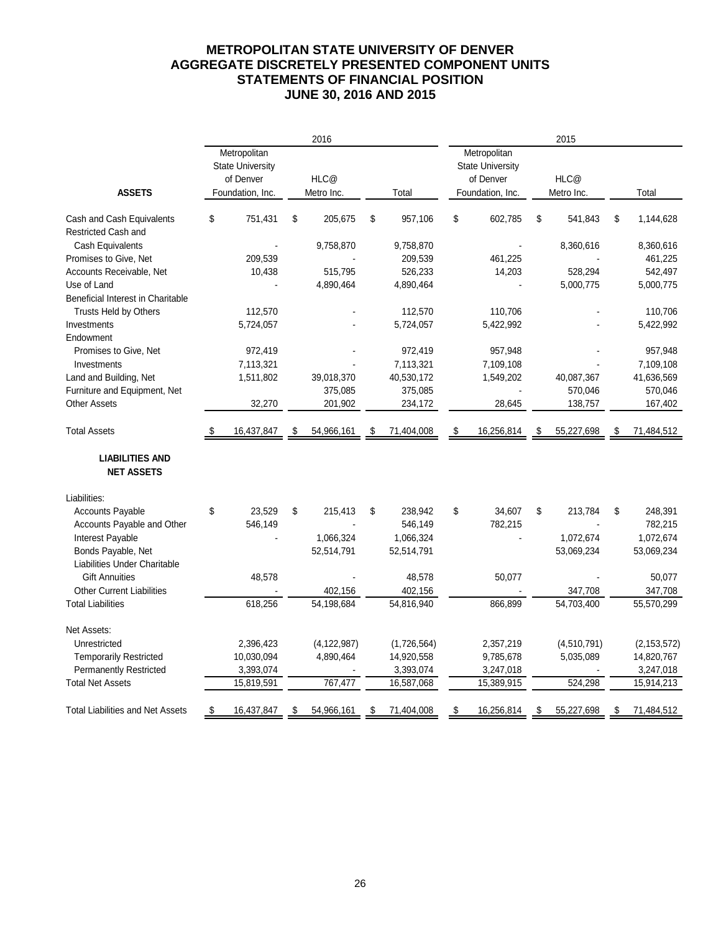# **METROPOLITAN STATE UNIVERSITY OF DENVER AGGREGATE DISCRETELY PRESENTED COMPONENT UNITS STATEMENTS OF FINANCIAL POSITION JUNE 30, 2016 AND 2015**

|                                                  |                                                      |                  |      | 2016          |    |             | 2015                                                 |                  |    |             |    |               |
|--------------------------------------------------|------------------------------------------------------|------------------|------|---------------|----|-------------|------------------------------------------------------|------------------|----|-------------|----|---------------|
|                                                  | Metropolitan<br><b>State University</b><br>of Denver |                  | HLC@ |               |    |             | Metropolitan<br><b>State University</b><br>of Denver |                  |    | HLC@        |    |               |
| <b>ASSETS</b>                                    |                                                      | Foundation, Inc. |      | Metro Inc.    |    | Total       |                                                      | Foundation, Inc. |    | Metro Inc.  |    | Total         |
| Cash and Cash Equivalents<br>Restricted Cash and | \$                                                   | 751,431          | \$   | 205,675       | \$ | 957,106     | \$                                                   | 602,785          | \$ | 541,843     | \$ | 1,144,628     |
| Cash Equivalents                                 |                                                      |                  |      | 9,758,870     |    | 9,758,870   |                                                      |                  |    | 8,360,616   |    | 8,360,616     |
| Promises to Give, Net                            |                                                      | 209,539          |      |               |    | 209,539     |                                                      | 461,225          |    |             |    | 461,225       |
| Accounts Receivable, Net                         |                                                      | 10,438           |      | 515,795       |    | 526,233     |                                                      | 14,203           |    | 528,294     |    | 542,497       |
| Use of Land<br>Beneficial Interest in Charitable |                                                      |                  |      | 4,890,464     |    | 4,890,464   |                                                      |                  |    | 5,000,775   |    | 5,000,775     |
| Trusts Held by Others                            |                                                      | 112,570          |      |               |    | 112,570     |                                                      | 110,706          |    |             |    | 110,706       |
| Investments<br>Endowment                         |                                                      | 5,724,057        |      |               |    | 5,724,057   |                                                      | 5,422,992        |    |             |    | 5,422,992     |
| Promises to Give, Net                            |                                                      | 972,419          |      |               |    | 972,419     |                                                      | 957,948          |    |             |    | 957,948       |
| Investments                                      |                                                      | 7,113,321        |      |               |    | 7,113,321   |                                                      | 7,109,108        |    |             |    | 7,109,108     |
| Land and Building, Net                           |                                                      | 1,511,802        |      | 39,018,370    |    | 40,530,172  |                                                      | 1,549,202        |    | 40,087,367  |    | 41,636,569    |
| Furniture and Equipment, Net                     |                                                      |                  |      | 375,085       |    | 375,085     |                                                      |                  |    | 570,046     |    | 570,046       |
| <b>Other Assets</b>                              |                                                      | 32,270           |      | 201,902       |    | 234,172     |                                                      | 28,645           |    | 138,757     |    | 167,402       |
| <b>Total Assets</b>                              |                                                      | 16,437,847       |      | 54,966,161    | \$ | 71,404,008  |                                                      | 16,256,814       | S  | 55,227,698  | \$ | 71,484,512    |
| <b>LIABILITIES AND</b><br><b>NET ASSETS</b>      |                                                      |                  |      |               |    |             |                                                      |                  |    |             |    |               |
| Liabilities:                                     |                                                      |                  |      |               |    |             |                                                      |                  |    |             |    |               |
| Accounts Payable                                 | \$                                                   | 23,529           | \$   | 215,413       | \$ | 238,942     | \$                                                   | 34,607           | \$ | 213,784     | \$ | 248,391       |
| Accounts Payable and Other                       |                                                      | 546,149          |      |               |    | 546,149     |                                                      | 782,215          |    |             |    | 782,215       |
| Interest Payable                                 |                                                      |                  |      | 1,066,324     |    | 1,066,324   |                                                      |                  |    | 1,072,674   |    | 1,072,674     |
| Bonds Payable, Net                               |                                                      |                  |      | 52,514,791    |    | 52,514,791  |                                                      |                  |    | 53,069,234  |    | 53,069,234    |
| Liabilities Under Charitable                     |                                                      |                  |      |               |    |             |                                                      |                  |    |             |    |               |
| <b>Gift Annuities</b>                            |                                                      | 48,578           |      |               |    | 48,578      |                                                      | 50,077           |    |             |    | 50,077        |
| <b>Other Current Liabilities</b>                 |                                                      |                  |      | 402,156       |    | 402,156     |                                                      |                  |    | 347,708     |    | 347,708       |
| <b>Total Liabilities</b>                         |                                                      | 618,256          |      | 54,198,684    |    | 54,816,940  |                                                      | 866,899          |    | 54,703,400  |    | 55,570,299    |
| Net Assets:                                      |                                                      |                  |      |               |    |             |                                                      |                  |    |             |    |               |
| Unrestricted                                     |                                                      | 2,396,423        |      | (4, 122, 987) |    | (1,726,564) |                                                      | 2,357,219        |    | (4,510,791) |    | (2, 153, 572) |
| <b>Temporarily Restricted</b>                    |                                                      | 10,030,094       |      | 4,890,464     |    | 14,920,558  |                                                      | 9,785,678        |    | 5,035,089   |    | 14,820,767    |
| <b>Permanently Restricted</b>                    |                                                      | 3,393,074        |      |               |    | 3,393,074   |                                                      | 3,247,018        |    |             |    | 3,247,018     |
| <b>Total Net Assets</b>                          |                                                      | 15,819,591       |      | 767,477       |    | 16,587,068  |                                                      | 15,389,915       |    | 524,298     |    | 15,914,213    |
| <b>Total Liabilities and Net Assets</b>          | S                                                    | 16,437,847       |      | 54,966,161    | S  | 71,404,008  | S                                                    | 16,256,814       | S  | 55,227,698  | S  | 71,484,512    |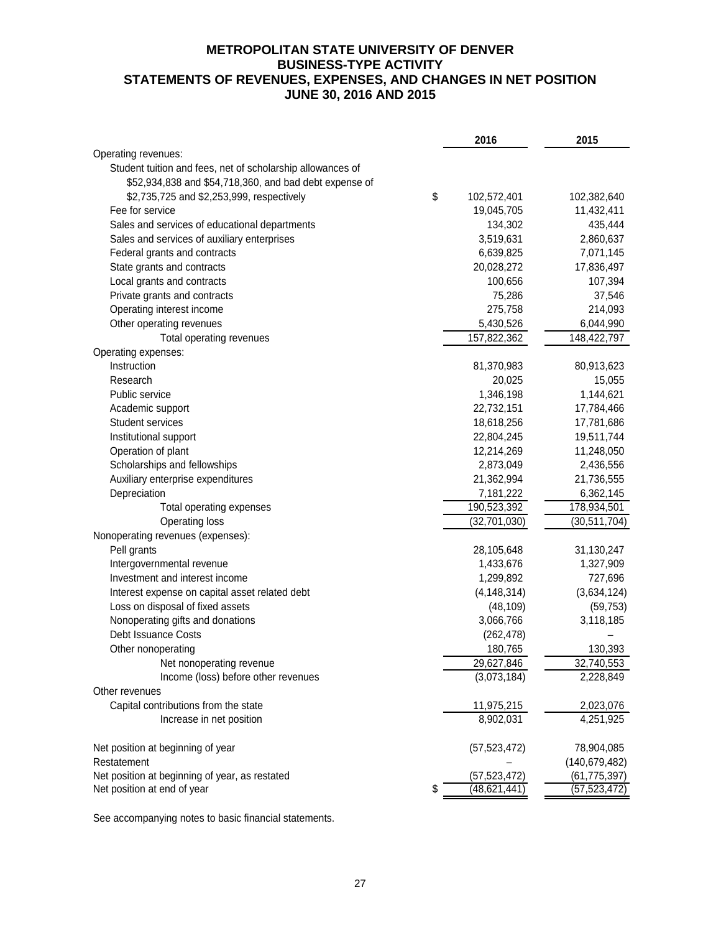# **METROPOLITAN STATE UNIVERSITY OF DENVER BUSINESS-TYPE ACTIVITY STATEMENTS OF REVENUES, EXPENSES, AND CHANGES IN NET POSITION JUNE 30, 2016 AND 2015**

|                                                            | 2016                 | 2015            |
|------------------------------------------------------------|----------------------|-----------------|
| Operating revenues:                                        |                      |                 |
| Student tuition and fees, net of scholarship allowances of |                      |                 |
| \$52,934,838 and \$54,718,360, and bad debt expense of     |                      |                 |
| \$2,735,725 and \$2,253,999, respectively                  | \$<br>102,572,401    | 102,382,640     |
| Fee for service                                            | 19,045,705           | 11,432,411      |
| Sales and services of educational departments              | 134,302              | 435,444         |
| Sales and services of auxiliary enterprises                | 3,519,631            | 2,860,637       |
| Federal grants and contracts                               | 6,639,825            | 7,071,145       |
| State grants and contracts                                 | 20,028,272           | 17,836,497      |
| Local grants and contracts                                 | 100,656              | 107,394         |
| Private grants and contracts                               | 75,286               | 37,546          |
| Operating interest income                                  | 275,758              | 214,093         |
| Other operating revenues                                   | 5,430,526            | 6,044,990       |
| Total operating revenues                                   | 157,822,362          | 148,422,797     |
| Operating expenses:                                        |                      |                 |
| Instruction                                                | 81,370,983           | 80,913,623      |
| Research                                                   | 20,025               | 15,055          |
| Public service                                             | 1,346,198            | 1,144,621       |
| Academic support                                           | 22,732,151           | 17,784,466      |
| <b>Student services</b>                                    | 18,618,256           | 17,781,686      |
| Institutional support                                      | 22,804,245           | 19,511,744      |
| Operation of plant                                         | 12,214,269           | 11,248,050      |
| Scholarships and fellowships                               | 2,873,049            | 2,436,556       |
| Auxiliary enterprise expenditures                          | 21,362,994           | 21,736,555      |
| Depreciation                                               | 7,181,222            | 6,362,145       |
| Total operating expenses                                   | 190,523,392          | 178,934,501     |
| Operating loss                                             | (32,701,030)         | (30, 511, 704)  |
| Nonoperating revenues (expenses):                          |                      |                 |
| Pell grants                                                | 28,105,648           | 31,130,247      |
| Intergovernmental revenue                                  | 1,433,676            | 1,327,909       |
| Investment and interest income                             | 1,299,892            | 727,696         |
| Interest expense on capital asset related debt             | (4, 148, 314)        | (3,634,124)     |
| Loss on disposal of fixed assets                           | (48, 109)            | (59, 753)       |
| Nonoperating gifts and donations                           | 3,066,766            | 3,118,185       |
| Debt Issuance Costs                                        | (262, 478)           |                 |
| Other nonoperating                                         | 180,765              | 130,393         |
| Net nonoperating revenue                                   | 29,627,846           | 32,740,553      |
| Income (loss) before other revenues                        | (3,073,184)          | 2,228,849       |
| Other revenues                                             |                      |                 |
| Capital contributions from the state                       | 11,975,215           | 2,023,076       |
| Increase in net position                                   | 8,902,031            | 4,251,925       |
| Net position at beginning of year                          | (57, 523, 472)       | 78,904,085      |
| Restatement                                                |                      | (140, 679, 482) |
| Net position at beginning of year, as restated             | (57, 523, 472)       | (61, 775, 397)  |
| Net position at end of year                                | \$<br>(48, 621, 441) | (57, 523, 472)  |

See accompanying notes to basic financial statements.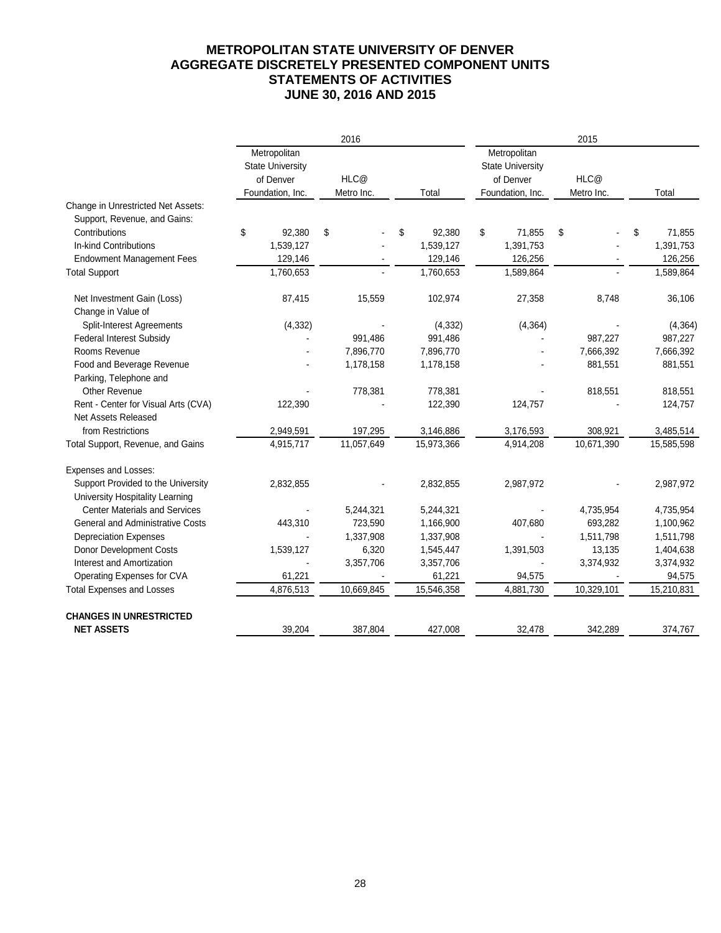# **METROPOLITAN STATE UNIVERSITY OF DENVER AGGREGATE DISCRETELY PRESENTED COMPONENT UNITS STATEMENTS OF ACTIVITIES JUNE 30, 2016 AND 2015**

|                                                                       |                                                                          | 2016       |              | 2015                                                                     |                    |              |  |  |
|-----------------------------------------------------------------------|--------------------------------------------------------------------------|------------|--------------|--------------------------------------------------------------------------|--------------------|--------------|--|--|
|                                                                       | Metropolitan<br><b>State University</b><br>of Denver<br>Foundation, Inc. |            | Total        | Metropolitan<br><b>State University</b><br>of Denver<br>Foundation, Inc. | HLC@<br>Metro Inc. | Total        |  |  |
| Change in Unrestricted Net Assets:                                    |                                                                          |            |              |                                                                          |                    |              |  |  |
| Support, Revenue, and Gains:                                          |                                                                          |            |              |                                                                          |                    |              |  |  |
| Contributions                                                         | \$<br>92,380                                                             | \$         | \$<br>92,380 | \$<br>71,855                                                             | \$                 | \$<br>71,855 |  |  |
| In-kind Contributions                                                 | 1,539,127                                                                |            | 1,539,127    | 1,391,753                                                                |                    | 1,391,753    |  |  |
| <b>Endowment Management Fees</b>                                      | 129,146                                                                  |            | 129,146      | 126,256                                                                  |                    | 126,256      |  |  |
| <b>Total Support</b>                                                  | 1,760,653                                                                |            | 1,760,653    | 1,589,864                                                                |                    | 1,589,864    |  |  |
| Net Investment Gain (Loss)<br>Change in Value of                      | 87,415                                                                   | 15,559     | 102,974      | 27,358                                                                   | 8,748              | 36,106       |  |  |
| Split-Interest Agreements                                             | (4, 332)                                                                 |            | (4, 332)     | (4, 364)                                                                 |                    | (4, 364)     |  |  |
| <b>Federal Interest Subsidy</b>                                       |                                                                          | 991,486    | 991,486      |                                                                          | 987,227            | 987,227      |  |  |
| Rooms Revenue                                                         |                                                                          | 7,896,770  | 7,896,770    |                                                                          | 7,666,392          | 7,666,392    |  |  |
| Food and Beverage Revenue                                             |                                                                          | 1,178,158  | 1,178,158    | 881,551                                                                  |                    | 881,551      |  |  |
| Parking, Telephone and                                                |                                                                          |            |              |                                                                          |                    |              |  |  |
| <b>Other Revenue</b>                                                  |                                                                          | 778,381    | 778,381      |                                                                          | 818,551            | 818,551      |  |  |
| Rent - Center for Visual Arts (CVA)                                   | 122,390                                                                  |            | 122,390      | 124,757                                                                  |                    | 124,757      |  |  |
| Net Assets Released                                                   |                                                                          |            |              |                                                                          |                    |              |  |  |
| from Restrictions                                                     | 2,949,591                                                                | 197,295    | 3,146,886    | 3,176,593                                                                | 308,921            | 3,485,514    |  |  |
| Total Support, Revenue, and Gains                                     | 4,915,717                                                                | 11,057,649 | 15,973,366   | 4,914,208                                                                | 10,671,390         | 15,585,598   |  |  |
| Expenses and Losses:                                                  |                                                                          |            |              |                                                                          |                    |              |  |  |
| Support Provided to the University<br>University Hospitality Learning | 2,832,855                                                                |            | 2,832,855    | 2,987,972                                                                |                    | 2,987,972    |  |  |
| <b>Center Materials and Services</b>                                  |                                                                          | 5,244,321  | 5,244,321    |                                                                          | 4,735,954          | 4,735,954    |  |  |
| <b>General and Administrative Costs</b>                               | 443,310                                                                  | 723,590    | 1,166,900    | 407,680                                                                  | 693,282            | 1,100,962    |  |  |
| <b>Depreciation Expenses</b>                                          |                                                                          | 1,337,908  | 1,337,908    |                                                                          | 1,511,798          | 1,511,798    |  |  |
| Donor Development Costs                                               | 1,539,127                                                                | 6,320      | 1,545,447    | 1,391,503                                                                | 13,135             | 1,404,638    |  |  |
| Interest and Amortization                                             |                                                                          | 3,357,706  | 3,357,706    |                                                                          | 3,374,932          | 3,374,932    |  |  |
| Operating Expenses for CVA                                            | 61,221                                                                   |            | 61,221       | 94,575                                                                   |                    | 94,575       |  |  |
| <b>Total Expenses and Losses</b>                                      | 4,876,513                                                                | 10,669,845 | 15,546,358   | 4,881,730                                                                | 10,329,101         | 15,210,831   |  |  |
| <b>CHANGES IN UNRESTRICTED</b>                                        |                                                                          |            |              |                                                                          |                    |              |  |  |
| <b>NET ASSETS</b>                                                     | 39,204                                                                   | 387,804    | 427,008      | 32,478                                                                   | 342,289            | 374,767      |  |  |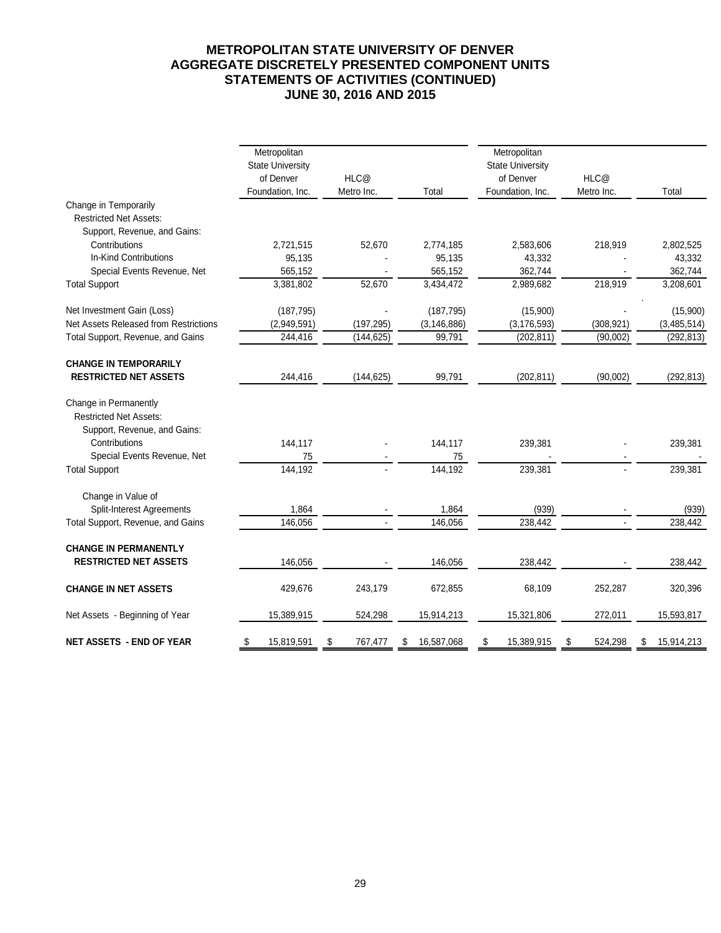# **METROPOLITAN STATE UNIVERSITY OF DENVER AGGREGATE DISCRETELY PRESENTED COMPONENT UNITS STATEMENTS OF ACTIVITIES (CONTINUED) JUNE 30, 2016 AND 2015**

|                                                                                        | Metropolitan<br><b>State University</b><br>of Denver<br>Foundation, Inc. | HLC@<br>Metro Inc. | Total            | Metropolitan<br><b>State University</b><br>of Denver<br>Foundation, Inc. | HLC@<br>Metro Inc. |   | Total       |
|----------------------------------------------------------------------------------------|--------------------------------------------------------------------------|--------------------|------------------|--------------------------------------------------------------------------|--------------------|---|-------------|
| Change in Temporarily                                                                  |                                                                          |                    |                  |                                                                          |                    |   |             |
| <b>Restricted Net Assets:</b>                                                          |                                                                          |                    |                  |                                                                          |                    |   |             |
| Support, Revenue, and Gains:                                                           |                                                                          |                    |                  |                                                                          |                    |   |             |
| Contributions                                                                          | 2,721,515                                                                | 52,670             | 2,774,185        | 2,583,606                                                                | 218,919            |   | 2,802,525   |
| In-Kind Contributions                                                                  | 95,135                                                                   |                    | 95,135           | 43,332                                                                   |                    |   | 43,332      |
| Special Events Revenue, Net                                                            | 565,152                                                                  |                    | 565,152          | 362,744                                                                  |                    |   | 362,744     |
| <b>Total Support</b>                                                                   | 3,381,802                                                                | 52,670             | 3,434,472        | 2,989,682                                                                | 218,919            |   | 3,208,601   |
| Net Investment Gain (Loss)                                                             | (187, 795)                                                               |                    | (187, 795)       | (15,900)                                                                 |                    |   | (15,900)    |
| Net Assets Released from Restrictions                                                  | (2,949,591)                                                              | (197, 295)         | (3, 146, 886)    | (3, 176, 593)                                                            | (308, 921)         |   | (3,485,514) |
| Total Support, Revenue, and Gains                                                      | 244,416                                                                  | (144, 625)         | 99,791           | (202, 811)                                                               | (90,002)           |   | (292, 813)  |
| <b>CHANGE IN TEMPORARILY</b>                                                           |                                                                          |                    |                  |                                                                          |                    |   |             |
| <b>RESTRICTED NET ASSETS</b>                                                           | 244,416                                                                  | (144, 625)         | 99,791           | (202, 811)                                                               | (90,002)           |   | (292, 813)  |
| Change in Permanently<br><b>Restricted Net Assets:</b><br>Support, Revenue, and Gains: |                                                                          |                    |                  |                                                                          |                    |   |             |
| Contributions                                                                          | 144,117                                                                  |                    | 144,117          |                                                                          |                    |   | 239,381     |
| Special Events Revenue, Net                                                            | 75                                                                       |                    |                  | 239,381                                                                  |                    |   |             |
| <b>Total Support</b>                                                                   | 144,192                                                                  |                    | 75<br>144,192    | 239,381                                                                  |                    |   | 239,381     |
| Change in Value of                                                                     |                                                                          |                    |                  |                                                                          |                    |   |             |
| <b>Split-Interest Agreements</b>                                                       | 1,864                                                                    |                    | 1,864            | (939)                                                                    |                    |   | (939)       |
| Total Support, Revenue, and Gains                                                      | 146,056                                                                  |                    | 146,056          | 238,442                                                                  |                    |   | 238,442     |
| <b>CHANGE IN PERMANENTLY</b>                                                           |                                                                          |                    |                  |                                                                          |                    |   |             |
| <b>RESTRICTED NET ASSETS</b>                                                           | 146,056                                                                  |                    | 146,056          | 238,442                                                                  |                    |   | 238,442     |
| <b>CHANGE IN NET ASSETS</b>                                                            | 429,676                                                                  | 243,179            | 672,855          | 68,109                                                                   | 252,287            |   | 320,396     |
| Net Assets - Beginning of Year                                                         | 15,389,915                                                               | 524,298            | 15,914,213       | 15,321,806                                                               | 272,011            |   | 15,593,817  |
| <b>NET ASSETS - END OF YEAR</b>                                                        | \$<br>15,819,591                                                         | \$<br>767,477      | \$<br>16,587,068 | \$<br>15,389,915                                                         | \$<br>524,298      | S | 15,914,213  |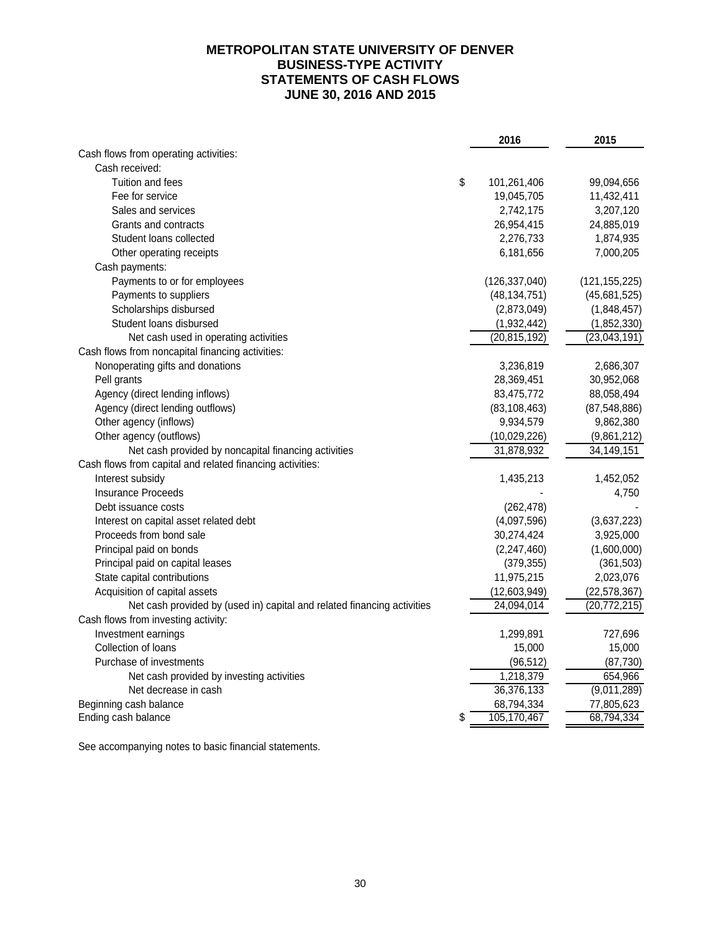# **METROPOLITAN STATE UNIVERSITY OF DENVER BUSINESS-TYPE ACTIVITY STATEMENTS OF CASH FLOWS JUNE 30, 2016 AND 2015**

|                                                                         | 2016              | 2015            |
|-------------------------------------------------------------------------|-------------------|-----------------|
| Cash flows from operating activities:                                   |                   |                 |
| Cash received:                                                          |                   |                 |
| Tuition and fees                                                        | \$<br>101,261,406 | 99,094,656      |
| Fee for service                                                         | 19,045,705        | 11,432,411      |
| Sales and services                                                      | 2,742,175         | 3,207,120       |
| Grants and contracts                                                    | 26,954,415        | 24,885,019      |
| Student loans collected                                                 | 2,276,733         | 1,874,935       |
| Other operating receipts                                                | 6,181,656         | 7,000,205       |
| Cash payments:                                                          |                   |                 |
| Payments to or for employees                                            | (126, 337, 040)   | (121, 155, 225) |
| Payments to suppliers                                                   | (48, 134, 751)    | (45,681,525)    |
| Scholarships disbursed                                                  | (2,873,049)       | (1,848,457)     |
| Student loans disbursed                                                 | (1,932,442)       | (1,852,330)     |
| Net cash used in operating activities                                   | (20, 815, 192)    | (23,043,191)    |
| Cash flows from noncapital financing activities:                        |                   |                 |
| Nonoperating gifts and donations                                        | 3,236,819         | 2,686,307       |
| Pell grants                                                             | 28,369,451        | 30,952,068      |
| Agency (direct lending inflows)                                         | 83,475,772        | 88,058,494      |
| Agency (direct lending outflows)                                        | (83, 108, 463)    | (87, 548, 886)  |
| Other agency (inflows)                                                  | 9,934,579         | 9,862,380       |
| Other agency (outflows)                                                 | (10,029,226)      | (9,861,212)     |
| Net cash provided by noncapital financing activities                    | 31,878,932        | 34,149,151      |
| Cash flows from capital and related financing activities:               |                   |                 |
| Interest subsidy                                                        | 1,435,213         | 1,452,052       |
| <b>Insurance Proceeds</b>                                               |                   | 4,750           |
| Debt issuance costs                                                     | (262, 478)        |                 |
| Interest on capital asset related debt                                  | (4,097,596)       | (3,637,223)     |
| Proceeds from bond sale                                                 | 30,274,424        | 3,925,000       |
| Principal paid on bonds                                                 | (2, 247, 460)     | (1,600,000)     |
| Principal paid on capital leases                                        | (379, 355)        | (361, 503)      |
| State capital contributions                                             | 11,975,215        | 2,023,076       |
| Acquisition of capital assets                                           | (12,603,949)      | (22, 578, 367)  |
| Net cash provided by (used in) capital and related financing activities | 24,094,014        | (20, 772, 215)  |
| Cash flows from investing activity:                                     |                   |                 |
| Investment earnings                                                     | 1,299,891         | 727,696         |
| Collection of loans                                                     | 15,000            | 15,000          |
| Purchase of investments                                                 | (96, 512)         | (87, 730)       |
| Net cash provided by investing activities                               | 1,218,379         | 654,966         |
| Net decrease in cash                                                    | 36,376,133        | (9,011,289)     |
| Beginning cash balance                                                  | 68,794,334        | 77,805,623      |
| Ending cash balance                                                     | \$<br>105,170,467 | 68,794,334      |

See accompanying notes to basic financial statements.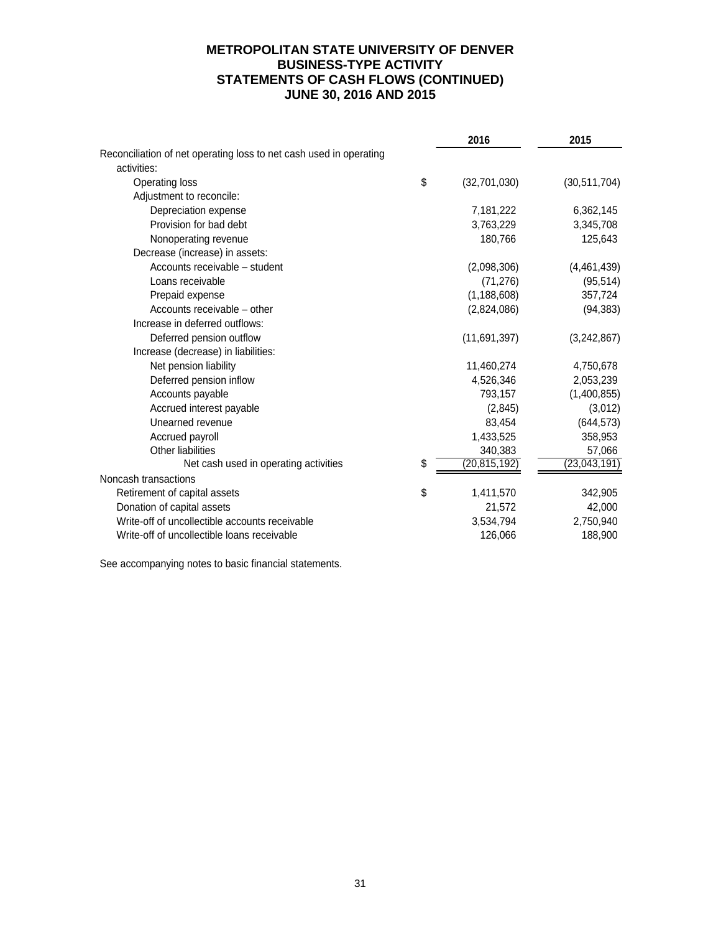# **METROPOLITAN STATE UNIVERSITY OF DENVER BUSINESS-TYPE ACTIVITY STATEMENTS OF CASH FLOWS (CONTINUED) JUNE 30, 2016 AND 2015**

|                                                                    | 2016                 | 2015           |
|--------------------------------------------------------------------|----------------------|----------------|
| Reconciliation of net operating loss to net cash used in operating |                      |                |
| activities:                                                        |                      |                |
| Operating loss                                                     | \$<br>(32,701,030)   | (30,511,704)   |
| Adjustment to reconcile:                                           |                      |                |
| Depreciation expense                                               | 7,181,222            | 6,362,145      |
| Provision for bad debt                                             | 3,763,229            | 3,345,708      |
| Nonoperating revenue                                               | 180,766              | 125,643        |
| Decrease (increase) in assets:                                     |                      |                |
| Accounts receivable - student                                      | (2,098,306)          | (4,461,439)    |
| Loans receivable                                                   | (71, 276)            | (95, 514)      |
| Prepaid expense                                                    | (1, 188, 608)        | 357,724        |
| Accounts receivable - other                                        | (2,824,086)          | (94, 383)      |
| Increase in deferred outflows:                                     |                      |                |
| Deferred pension outflow                                           | (11,691,397)         | (3,242,867)    |
| Increase (decrease) in liabilities:                                |                      |                |
| Net pension liability                                              | 11,460,274           | 4,750,678      |
| Deferred pension inflow                                            | 4,526,346            | 2,053,239      |
| Accounts payable                                                   | 793,157              | (1,400,855)    |
| Accrued interest payable                                           | (2, 845)             | (3,012)        |
| Unearned revenue                                                   | 83,454               | (644, 573)     |
| Accrued payroll                                                    | 1,433,525            | 358,953        |
| Other liabilities                                                  | 340,383              | 57,066         |
| Net cash used in operating activities                              | \$<br>(20, 815, 192) | (23, 043, 191) |
| Noncash transactions                                               |                      |                |
| Retirement of capital assets                                       | \$<br>1,411,570      | 342,905        |
| Donation of capital assets                                         | 21,572               | 42,000         |
| Write-off of uncollectible accounts receivable                     | 3,534,794            | 2,750,940      |
| Write-off of uncollectible loans receivable                        | 126,066              | 188,900        |
|                                                                    |                      |                |

See accompanying notes to basic financial statements.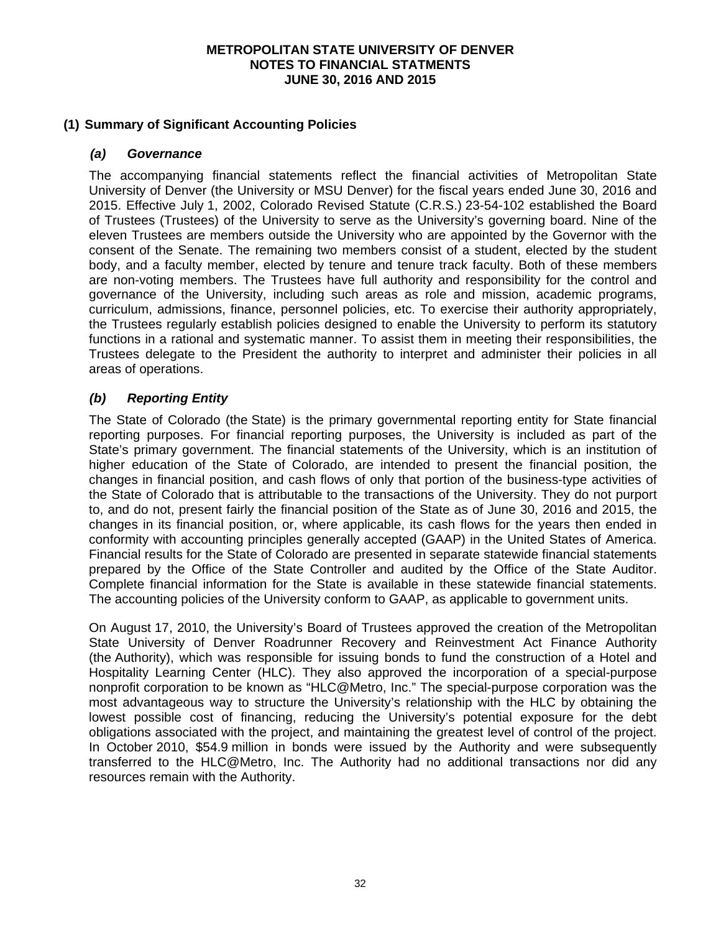#### **METROPOLITAN STATE UNIVERSITY OF DENVER NOTES TO FINANCIAL STATMENTS JUNE 30, 2016 AND 2015**

# **(1) Summary of Significant Accounting Policies**

#### *(a) Governance*

The accompanying financial statements reflect the financial activities of Metropolitan State University of Denver (the University or MSU Denver) for the fiscal years ended June 30, 2016 and 2015. Effective July 1, 2002, Colorado Revised Statute (C.R.S.) 23-54-102 established the Board of Trustees (Trustees) of the University to serve as the University's governing board. Nine of the eleven Trustees are members outside the University who are appointed by the Governor with the consent of the Senate. The remaining two members consist of a student, elected by the student body, and a faculty member, elected by tenure and tenure track faculty. Both of these members are non-voting members. The Trustees have full authority and responsibility for the control and governance of the University, including such areas as role and mission, academic programs, curriculum, admissions, finance, personnel policies, etc. To exercise their authority appropriately, the Trustees regularly establish policies designed to enable the University to perform its statutory functions in a rational and systematic manner. To assist them in meeting their responsibilities, the Trustees delegate to the President the authority to interpret and administer their policies in all areas of operations.

# *(b) Reporting Entity*

The State of Colorado (the State) is the primary governmental reporting entity for State financial reporting purposes. For financial reporting purposes, the University is included as part of the State's primary government. The financial statements of the University, which is an institution of higher education of the State of Colorado, are intended to present the financial position, the changes in financial position, and cash flows of only that portion of the business-type activities of the State of Colorado that is attributable to the transactions of the University. They do not purport to, and do not, present fairly the financial position of the State as of June 30, 2016 and 2015, the changes in its financial position, or, where applicable, its cash flows for the years then ended in conformity with accounting principles generally accepted (GAAP) in the United States of America. Financial results for the State of Colorado are presented in separate statewide financial statements prepared by the Office of the State Controller and audited by the Office of the State Auditor. Complete financial information for the State is available in these statewide financial statements. The accounting policies of the University conform to GAAP, as applicable to government units.

On August 17, 2010, the University's Board of Trustees approved the creation of the Metropolitan State University of Denver Roadrunner Recovery and Reinvestment Act Finance Authority (the Authority), which was responsible for issuing bonds to fund the construction of a Hotel and Hospitality Learning Center (HLC). They also approved the incorporation of a special-purpose nonprofit corporation to be known as "HLC@Metro, Inc." The special-purpose corporation was the most advantageous way to structure the University's relationship with the HLC by obtaining the lowest possible cost of financing, reducing the University's potential exposure for the debt obligations associated with the project, and maintaining the greatest level of control of the project. In October 2010, \$54.9 million in bonds were issued by the Authority and were subsequently transferred to the HLC@Metro, Inc. The Authority had no additional transactions nor did any resources remain with the Authority.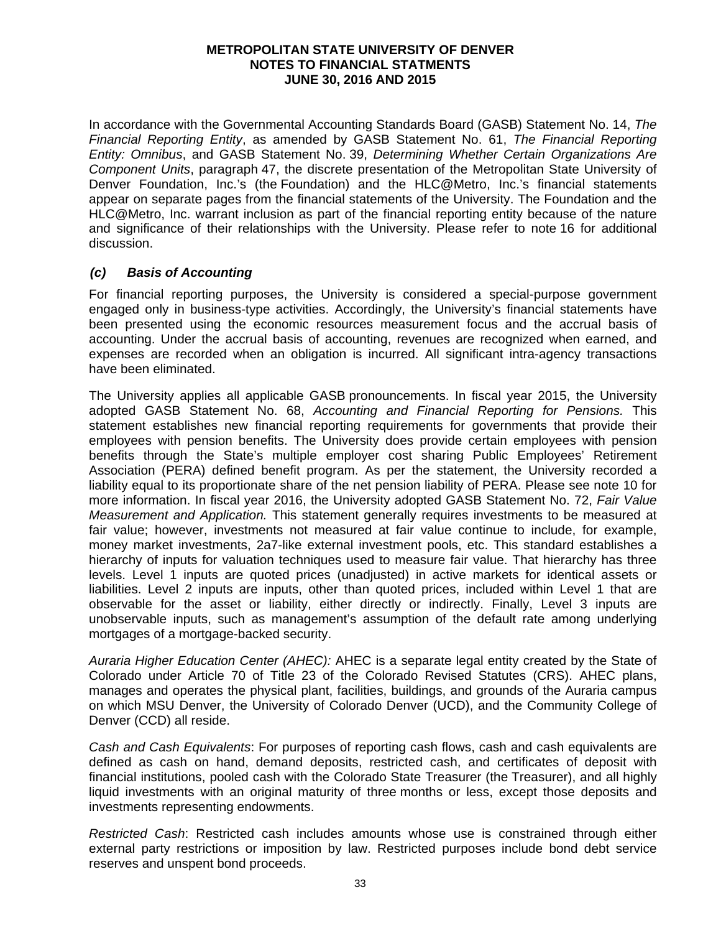#### **METROPOLITAN STATE UNIVERSITY OF DENVER NOTES TO FINANCIAL STATMENTS JUNE 30, 2016 AND 2015**

In accordance with the Governmental Accounting Standards Board (GASB) Statement No. 14, *The Financial Reporting Entity*, as amended by GASB Statement No. 61, *The Financial Reporting Entity: Omnibus*, and GASB Statement No. 39, *Determining Whether Certain Organizations Are Component Units*, paragraph 47, the discrete presentation of the Metropolitan State University of Denver Foundation, Inc.'s (the Foundation) and the HLC@Metro, Inc.'s financial statements appear on separate pages from the financial statements of the University. The Foundation and the HLC@Metro, Inc. warrant inclusion as part of the financial reporting entity because of the nature and significance of their relationships with the University. Please refer to note 16 for additional discussion.

# *(c) Basis of Accounting*

For financial reporting purposes, the University is considered a special-purpose government engaged only in business-type activities. Accordingly, the University's financial statements have been presented using the economic resources measurement focus and the accrual basis of accounting. Under the accrual basis of accounting, revenues are recognized when earned, and expenses are recorded when an obligation is incurred. All significant intra-agency transactions have been eliminated.

The University applies all applicable GASB pronouncements. In fiscal year 2015, the University adopted GASB Statement No. 68, *Accounting and Financial Reporting for Pensions.* This statement establishes new financial reporting requirements for governments that provide their employees with pension benefits. The University does provide certain employees with pension benefits through the State's multiple employer cost sharing Public Employees' Retirement Association (PERA) defined benefit program. As per the statement, the University recorded a liability equal to its proportionate share of the net pension liability of PERA. Please see note 10 for more information. In fiscal year 2016, the University adopted GASB Statement No. 72, *Fair Value Measurement and Application.* This statement generally requires investments to be measured at fair value; however, investments not measured at fair value continue to include, for example, money market investments, 2a7-like external investment pools, etc. This standard establishes a hierarchy of inputs for valuation techniques used to measure fair value. That hierarchy has three levels. Level 1 inputs are quoted prices (unadjusted) in active markets for identical assets or liabilities. Level 2 inputs are inputs, other than quoted prices, included within Level 1 that are observable for the asset or liability, either directly or indirectly. Finally, Level 3 inputs are unobservable inputs, such as management's assumption of the default rate among underlying mortgages of a mortgage-backed security.

*Auraria Higher Education Center (AHEC):* AHEC is a separate legal entity created by the State of Colorado under Article 70 of Title 23 of the Colorado Revised Statutes (CRS). AHEC plans, manages and operates the physical plant, facilities, buildings, and grounds of the Auraria campus on which MSU Denver, the University of Colorado Denver (UCD), and the Community College of Denver (CCD) all reside.

*Cash and Cash Equivalents*: For purposes of reporting cash flows, cash and cash equivalents are defined as cash on hand, demand deposits, restricted cash, and certificates of deposit with financial institutions, pooled cash with the Colorado State Treasurer (the Treasurer), and all highly liquid investments with an original maturity of three months or less, except those deposits and investments representing endowments.

*Restricted Cash*: Restricted cash includes amounts whose use is constrained through either external party restrictions or imposition by law. Restricted purposes include bond debt service reserves and unspent bond proceeds.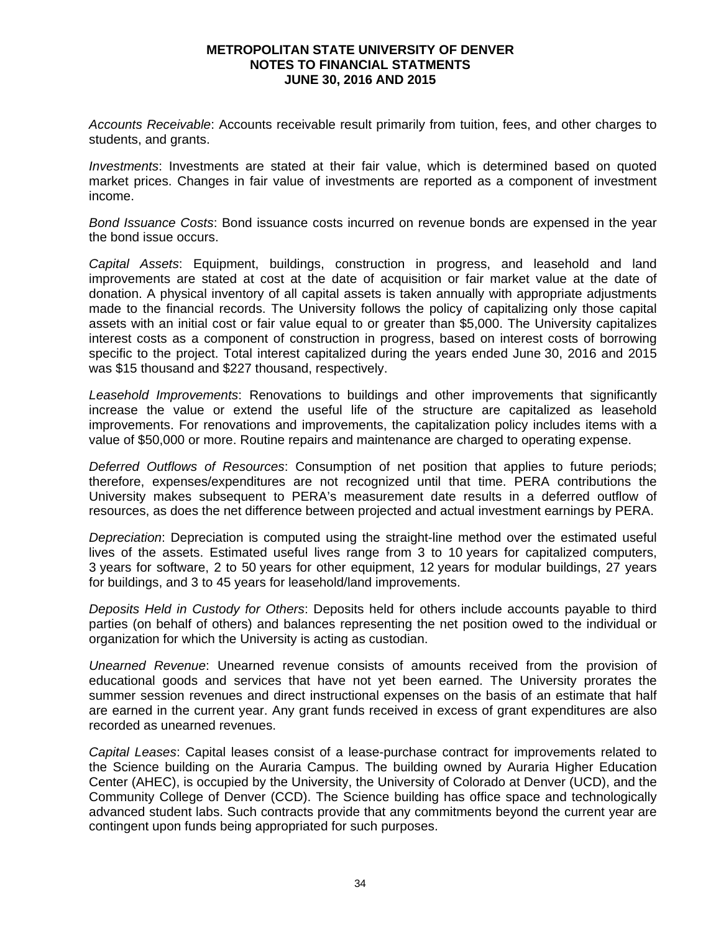*Accounts Receivable*: Accounts receivable result primarily from tuition, fees, and other charges to students, and grants.

*Investments*: Investments are stated at their fair value, which is determined based on quoted market prices. Changes in fair value of investments are reported as a component of investment income.

*Bond Issuance Costs*: Bond issuance costs incurred on revenue bonds are expensed in the year the bond issue occurs.

*Capital Assets*: Equipment, buildings, construction in progress, and leasehold and land improvements are stated at cost at the date of acquisition or fair market value at the date of donation. A physical inventory of all capital assets is taken annually with appropriate adjustments made to the financial records. The University follows the policy of capitalizing only those capital assets with an initial cost or fair value equal to or greater than \$5,000. The University capitalizes interest costs as a component of construction in progress, based on interest costs of borrowing specific to the project. Total interest capitalized during the years ended June 30, 2016 and 2015 was \$15 thousand and \$227 thousand, respectively.

*Leasehold Improvements*: Renovations to buildings and other improvements that significantly increase the value or extend the useful life of the structure are capitalized as leasehold improvements. For renovations and improvements, the capitalization policy includes items with a value of \$50,000 or more. Routine repairs and maintenance are charged to operating expense.

*Deferred Outflows of Resources*: Consumption of net position that applies to future periods; therefore, expenses/expenditures are not recognized until that time. PERA contributions the University makes subsequent to PERA's measurement date results in a deferred outflow of resources, as does the net difference between projected and actual investment earnings by PERA.

*Depreciation*: Depreciation is computed using the straight-line method over the estimated useful lives of the assets. Estimated useful lives range from 3 to 10 years for capitalized computers, 3 years for software, 2 to 50 years for other equipment, 12 years for modular buildings, 27 years for buildings, and 3 to 45 years for leasehold/land improvements.

*Deposits Held in Custody for Others*: Deposits held for others include accounts payable to third parties (on behalf of others) and balances representing the net position owed to the individual or organization for which the University is acting as custodian.

*Unearned Revenue*: Unearned revenue consists of amounts received from the provision of educational goods and services that have not yet been earned. The University prorates the summer session revenues and direct instructional expenses on the basis of an estimate that half are earned in the current year. Any grant funds received in excess of grant expenditures are also recorded as unearned revenues.

*Capital Leases*: Capital leases consist of a lease-purchase contract for improvements related to the Science building on the Auraria Campus. The building owned by Auraria Higher Education Center (AHEC), is occupied by the University, the University of Colorado at Denver (UCD), and the Community College of Denver (CCD). The Science building has office space and technologically advanced student labs. Such contracts provide that any commitments beyond the current year are contingent upon funds being appropriated for such purposes.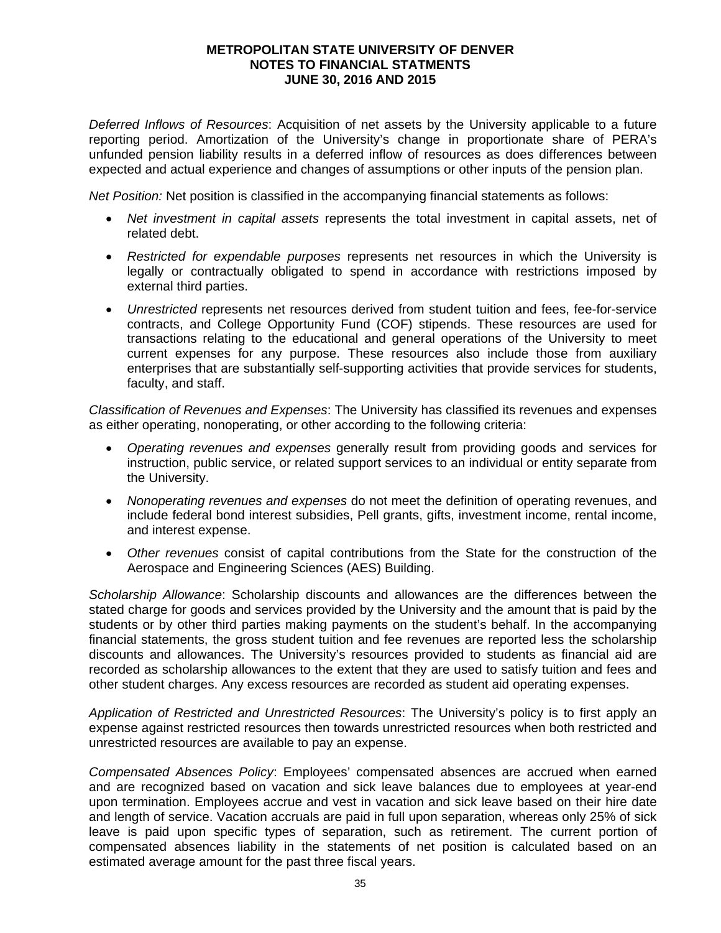*Deferred Inflows of Resources*: Acquisition of net assets by the University applicable to a future reporting period. Amortization of the University's change in proportionate share of PERA's unfunded pension liability results in a deferred inflow of resources as does differences between expected and actual experience and changes of assumptions or other inputs of the pension plan.

*Net Position:* Net position is classified in the accompanying financial statements as follows:

- *Net investment in capital assets* represents the total investment in capital assets, net of related debt.
- *Restricted for expendable purposes* represents net resources in which the University is legally or contractually obligated to spend in accordance with restrictions imposed by external third parties.
- *Unrestricted* represents net resources derived from student tuition and fees, fee-for-service contracts, and College Opportunity Fund (COF) stipends. These resources are used for transactions relating to the educational and general operations of the University to meet current expenses for any purpose. These resources also include those from auxiliary enterprises that are substantially self-supporting activities that provide services for students, faculty, and staff.

*Classification of Revenues and Expenses*: The University has classified its revenues and expenses as either operating, nonoperating, or other according to the following criteria:

- *Operating revenues and expenses* generally result from providing goods and services for instruction, public service, or related support services to an individual or entity separate from the University.
- *Nonoperating revenues and expenses* do not meet the definition of operating revenues, and include federal bond interest subsidies, Pell grants, gifts, investment income, rental income, and interest expense.
- *Other revenues* consist of capital contributions from the State for the construction of the Aerospace and Engineering Sciences (AES) Building.

*Scholarship Allowance*: Scholarship discounts and allowances are the differences between the stated charge for goods and services provided by the University and the amount that is paid by the students or by other third parties making payments on the student's behalf. In the accompanying financial statements, the gross student tuition and fee revenues are reported less the scholarship discounts and allowances. The University's resources provided to students as financial aid are recorded as scholarship allowances to the extent that they are used to satisfy tuition and fees and other student charges. Any excess resources are recorded as student aid operating expenses.

*Application of Restricted and Unrestricted Resources*: The University's policy is to first apply an expense against restricted resources then towards unrestricted resources when both restricted and unrestricted resources are available to pay an expense.

*Compensated Absences Policy*: Employees' compensated absences are accrued when earned and are recognized based on vacation and sick leave balances due to employees at year-end upon termination. Employees accrue and vest in vacation and sick leave based on their hire date and length of service. Vacation accruals are paid in full upon separation, whereas only 25% of sick leave is paid upon specific types of separation, such as retirement. The current portion of compensated absences liability in the statements of net position is calculated based on an estimated average amount for the past three fiscal years.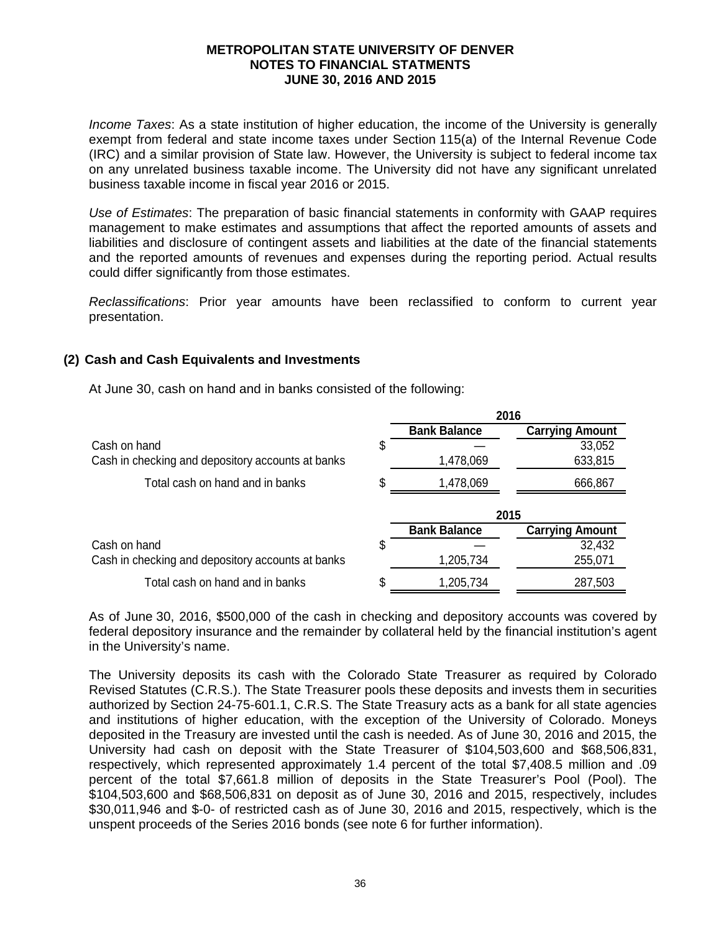*Income Taxes*: As a state institution of higher education, the income of the University is generally exempt from federal and state income taxes under Section 115(a) of the Internal Revenue Code (IRC) and a similar provision of State law. However, the University is subject to federal income tax on any unrelated business taxable income. The University did not have any significant unrelated business taxable income in fiscal year 2016 or 2015.

*Use of Estimates*: The preparation of basic financial statements in conformity with GAAP requires management to make estimates and assumptions that affect the reported amounts of assets and liabilities and disclosure of contingent assets and liabilities at the date of the financial statements and the reported amounts of revenues and expenses during the reporting period. Actual results could differ significantly from those estimates.

*Reclassifications*: Prior year amounts have been reclassified to conform to current year presentation.

# **(2) Cash and Cash Equivalents and Investments**

At June 30, cash on hand and in banks consisted of the following:

|                                                   | 2016                |                        |
|---------------------------------------------------|---------------------|------------------------|
|                                                   | <b>Bank Balance</b> | <b>Carrying Amount</b> |
| Cash on hand                                      | \$                  | 33,052                 |
| Cash in checking and depository accounts at banks | 1,478,069           | 633,815                |
| Total cash on hand and in banks                   | \$<br>1,478,069     | 666,867                |
|                                                   | 2015                |                        |
|                                                   |                     |                        |
|                                                   | <b>Bank Balance</b> | <b>Carrying Amount</b> |
| Cash on hand                                      | \$                  | 32,432                 |
| Cash in checking and depository accounts at banks | 1,205,734           | 255,071                |

As of June 30, 2016, \$500,000 of the cash in checking and depository accounts was covered by federal depository insurance and the remainder by collateral held by the financial institution's agent in the University's name.

The University deposits its cash with the Colorado State Treasurer as required by Colorado Revised Statutes (C.R.S.). The State Treasurer pools these deposits and invests them in securities authorized by Section 24-75-601.1, C.R.S. The State Treasury acts as a bank for all state agencies and institutions of higher education, with the exception of the University of Colorado. Moneys deposited in the Treasury are invested until the cash is needed. As of June 30, 2016 and 2015, the University had cash on deposit with the State Treasurer of \$104,503,600 and \$68,506,831, respectively, which represented approximately 1.4 percent of the total \$7,408.5 million and .09 percent of the total \$7,661.8 million of deposits in the State Treasurer's Pool (Pool). The \$104,503,600 and \$68,506,831 on deposit as of June 30, 2016 and 2015, respectively, includes \$30,011,946 and \$-0- of restricted cash as of June 30, 2016 and 2015, respectively, which is the unspent proceeds of the Series 2016 bonds (see note 6 for further information).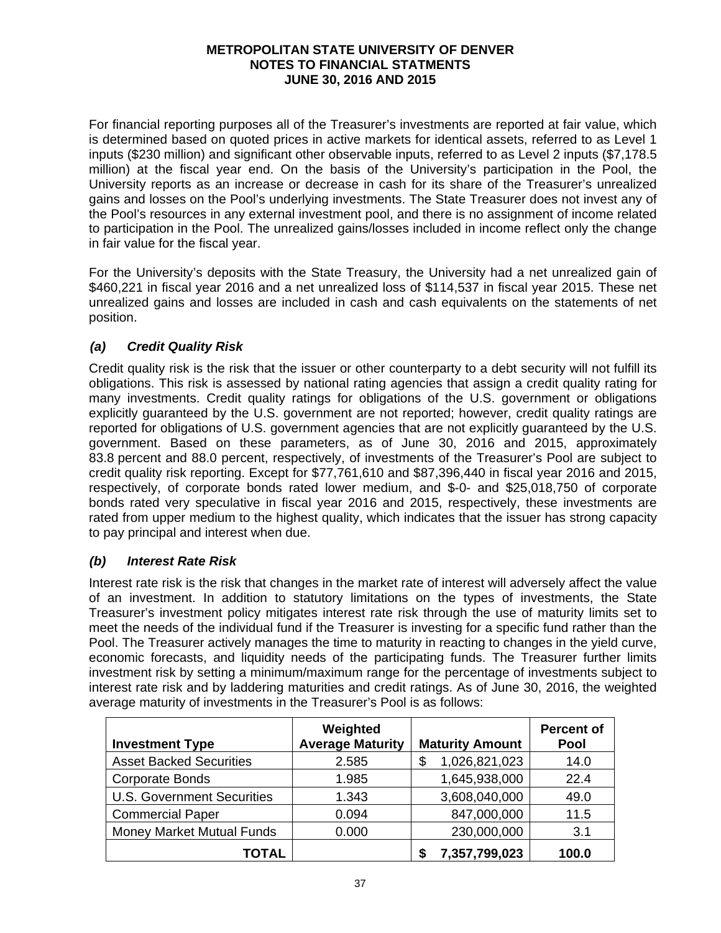For financial reporting purposes all of the Treasurer's investments are reported at fair value, which is determined based on quoted prices in active markets for identical assets, referred to as Level 1 inputs (\$230 million) and significant other observable inputs, referred to as Level 2 inputs (\$7,178.5 million) at the fiscal year end. On the basis of the University's participation in the Pool, the University reports as an increase or decrease in cash for its share of the Treasurer's unrealized gains and losses on the Pool's underlying investments. The State Treasurer does not invest any of the Pool's resources in any external investment pool, and there is no assignment of income related to participation in the Pool. The unrealized gains/losses included in income reflect only the change in fair value for the fiscal year.

For the University's deposits with the State Treasury, the University had a net unrealized gain of \$460,221 in fiscal year 2016 and a net unrealized loss of \$114,537 in fiscal year 2015. These net unrealized gains and losses are included in cash and cash equivalents on the statements of net position.

# *(a) Credit Quality Risk*

Credit quality risk is the risk that the issuer or other counterparty to a debt security will not fulfill its obligations. This risk is assessed by national rating agencies that assign a credit quality rating for many investments. Credit quality ratings for obligations of the U.S. government or obligations explicitly guaranteed by the U.S. government are not reported; however, credit quality ratings are reported for obligations of U.S. government agencies that are not explicitly guaranteed by the U.S. government. Based on these parameters, as of June 30, 2016 and 2015, approximately 83.8 percent and 88.0 percent, respectively, of investments of the Treasurer's Pool are subject to credit quality risk reporting. Except for \$77,761,610 and \$87,396,440 in fiscal year 2016 and 2015, respectively, of corporate bonds rated lower medium, and \$-0- and \$25,018,750 of corporate bonds rated very speculative in fiscal year 2016 and 2015, respectively, these investments are rated from upper medium to the highest quality, which indicates that the issuer has strong capacity to pay principal and interest when due.

# *(b) Interest Rate Risk*

Interest rate risk is the risk that changes in the market rate of interest will adversely affect the value of an investment. In addition to statutory limitations on the types of investments, the State Treasurer's investment policy mitigates interest rate risk through the use of maturity limits set to meet the needs of the individual fund if the Treasurer is investing for a specific fund rather than the Pool. The Treasurer actively manages the time to maturity in reacting to changes in the yield curve, economic forecasts, and liquidity needs of the participating funds. The Treasurer further limits investment risk by setting a minimum/maximum range for the percentage of investments subject to interest rate risk and by laddering maturities and credit ratings. As of June 30, 2016, the weighted average maturity of investments in the Treasurer's Pool is as follows:

| <b>Investment Type</b>            | Weighted<br><b>Average Maturity</b> | <b>Maturity Amount</b> | <b>Percent of</b><br>Pool |
|-----------------------------------|-------------------------------------|------------------------|---------------------------|
| <b>Asset Backed Securities</b>    | 2.585                               | 1,026,821,023<br>\$    | 14.0                      |
| <b>Corporate Bonds</b>            | 1.985                               | 1,645,938,000          | 22.4                      |
| <b>U.S. Government Securities</b> | 1.343                               | 3,608,040,000          | 49.0                      |
| <b>Commercial Paper</b>           | 0.094                               | 847,000,000            | 11.5                      |
| <b>Money Market Mutual Funds</b>  | 0.000                               | 230,000,000            | 3.1                       |
| TOTAL                             |                                     | 7,357,799,023<br>S     | 100.0                     |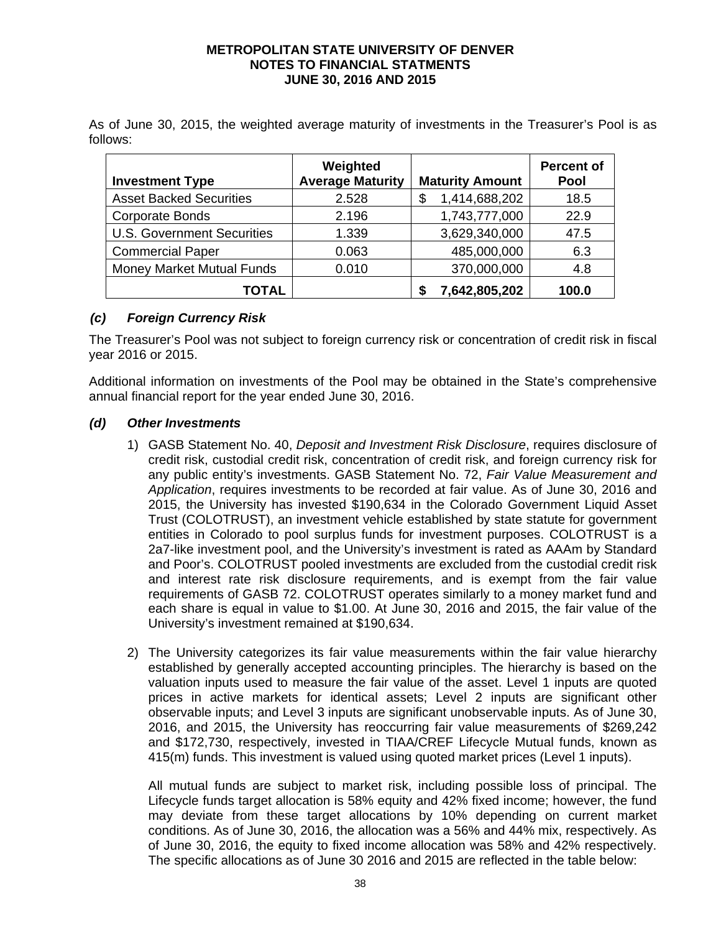As of June 30, 2015, the weighted average maturity of investments in the Treasurer's Pool is as follows:

| <b>Investment Type</b>            | Weighted<br><b>Average Maturity</b> | <b>Maturity Amount</b> | <b>Percent of</b><br>Pool |
|-----------------------------------|-------------------------------------|------------------------|---------------------------|
| <b>Asset Backed Securities</b>    | 2.528                               | 1,414,688,202<br>\$    | 18.5                      |
| <b>Corporate Bonds</b>            | 2.196                               | 1,743,777,000          | 22.9                      |
| <b>U.S. Government Securities</b> | 1.339                               | 3,629,340,000          | 47.5                      |
| <b>Commercial Paper</b>           | 0.063                               | 485,000,000            | 6.3                       |
| <b>Money Market Mutual Funds</b>  | 0.010                               | 370,000,000            | 4.8                       |
| <b>TOTAL</b>                      |                                     | 7,642,805,202          | 100.0                     |

## *(c) Foreign Currency Risk*

The Treasurer's Pool was not subject to foreign currency risk or concentration of credit risk in fiscal year 2016 or 2015.

Additional information on investments of the Pool may be obtained in the State's comprehensive annual financial report for the year ended June 30, 2016.

## *(d) Other Investments*

- 1) GASB Statement No. 40, *Deposit and Investment Risk Disclosure*, requires disclosure of credit risk, custodial credit risk, concentration of credit risk, and foreign currency risk for any public entity's investments. GASB Statement No. 72, *Fair Value Measurement and Application*, requires investments to be recorded at fair value. As of June 30, 2016 and 2015, the University has invested \$190,634 in the Colorado Government Liquid Asset Trust (COLOTRUST), an investment vehicle established by state statute for government entities in Colorado to pool surplus funds for investment purposes. COLOTRUST is a 2a7-like investment pool, and the University's investment is rated as AAAm by Standard and Poor's. COLOTRUST pooled investments are excluded from the custodial credit risk and interest rate risk disclosure requirements, and is exempt from the fair value requirements of GASB 72. COLOTRUST operates similarly to a money market fund and each share is equal in value to \$1.00. At June 30, 2016 and 2015, the fair value of the University's investment remained at \$190,634.
- 2) The University categorizes its fair value measurements within the fair value hierarchy established by generally accepted accounting principles. The hierarchy is based on the valuation inputs used to measure the fair value of the asset. Level 1 inputs are quoted prices in active markets for identical assets; Level 2 inputs are significant other observable inputs; and Level 3 inputs are significant unobservable inputs. As of June 30, 2016, and 2015, the University has reoccurring fair value measurements of \$269,242 and \$172,730, respectively, invested in TIAA/CREF Lifecycle Mutual funds, known as 415(m) funds. This investment is valued using quoted market prices (Level 1 inputs).

All mutual funds are subject to market risk, including possible loss of principal. The Lifecycle funds target allocation is 58% equity and 42% fixed income; however, the fund may deviate from these target allocations by 10% depending on current market conditions. As of June 30, 2016, the allocation was a 56% and 44% mix, respectively. As of June 30, 2016, the equity to fixed income allocation was 58% and 42% respectively. The specific allocations as of June 30 2016 and 2015 are reflected in the table below: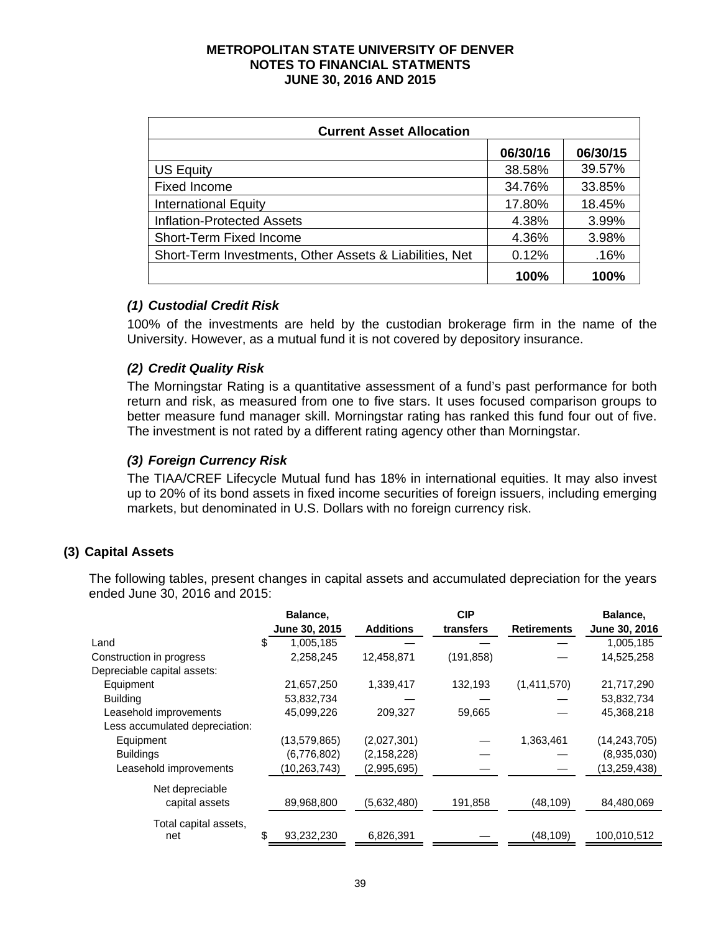| <b>Current Asset Allocation</b>                         |          |          |  |  |  |  |  |
|---------------------------------------------------------|----------|----------|--|--|--|--|--|
|                                                         | 06/30/16 | 06/30/15 |  |  |  |  |  |
| <b>US Equity</b>                                        | 38.58%   | 39.57%   |  |  |  |  |  |
| <b>Fixed Income</b>                                     | 34.76%   | 33.85%   |  |  |  |  |  |
| <b>International Equity</b>                             | 17.80%   | 18.45%   |  |  |  |  |  |
| Inflation-Protected Assets                              | 4.38%    | 3.99%    |  |  |  |  |  |
| Short-Term Fixed Income                                 | 4.36%    | 3.98%    |  |  |  |  |  |
| Short-Term Investments, Other Assets & Liabilities, Net | 0.12%    | .16%     |  |  |  |  |  |
|                                                         | 100%     | 100%     |  |  |  |  |  |

# *(1) Custodial Credit Risk*

100% of the investments are held by the custodian brokerage firm in the name of the University. However, as a mutual fund it is not covered by depository insurance.

# *(2) Credit Quality Risk*

The Morningstar Rating is a quantitative assessment of a fund's past performance for both return and risk, as measured from one to five stars. It uses focused comparison groups to better measure fund manager skill. Morningstar rating has ranked this fund four out of five. The investment is not rated by a different rating agency other than Morningstar.

# *(3) Foreign Currency Risk*

The TIAA/CREF Lifecycle Mutual fund has 18% in international equities. It may also invest up to 20% of its bond assets in fixed income securities of foreign issuers, including emerging markets, but denominated in U.S. Dollars with no foreign currency risk.

# **(3) Capital Assets**

The following tables, present changes in capital assets and accumulated depreciation for the years ended June 30, 2016 and 2015:

|                                | Balance,         |                  | <b>CIP</b> |                    | Balance,       |
|--------------------------------|------------------|------------------|------------|--------------------|----------------|
|                                | June 30, 2015    | <b>Additions</b> | transfers  | <b>Retirements</b> | June 30, 2016  |
| Land                           | \$<br>1,005,185  |                  |            |                    | 1,005,185      |
| Construction in progress       | 2,258,245        | 12,458,871       | (191, 858) |                    | 14,525,258     |
| Depreciable capital assets:    |                  |                  |            |                    |                |
| Equipment                      | 21,657,250       | 1,339,417        | 132,193    | (1,411,570)        | 21,717,290     |
| <b>Building</b>                | 53,832,734       |                  |            |                    | 53,832,734     |
| Leasehold improvements         | 45,099,226       | 209,327          | 59,665     |                    | 45,368,218     |
| Less accumulated depreciation: |                  |                  |            |                    |                |
| Equipment                      | (13,579,865)     | (2,027,301)      |            | 1,363,461          | (14, 243, 705) |
| <b>Buildings</b>               | (6,776,802)      | (2, 158, 228)    |            |                    | (8,935,030)    |
| Leasehold improvements         | (10,263,743)     | (2,995,695)      |            |                    | (13, 259, 438) |
| Net depreciable                |                  |                  |            |                    |                |
| capital assets                 | 89,968,800       | (5,632,480)      | 191,858    | (48,109)           | 84,480,069     |
| Total capital assets,          |                  |                  |            |                    |                |
| net                            | \$<br>93,232,230 | 6,826,391        |            | (48, 109)          | 100,010,512    |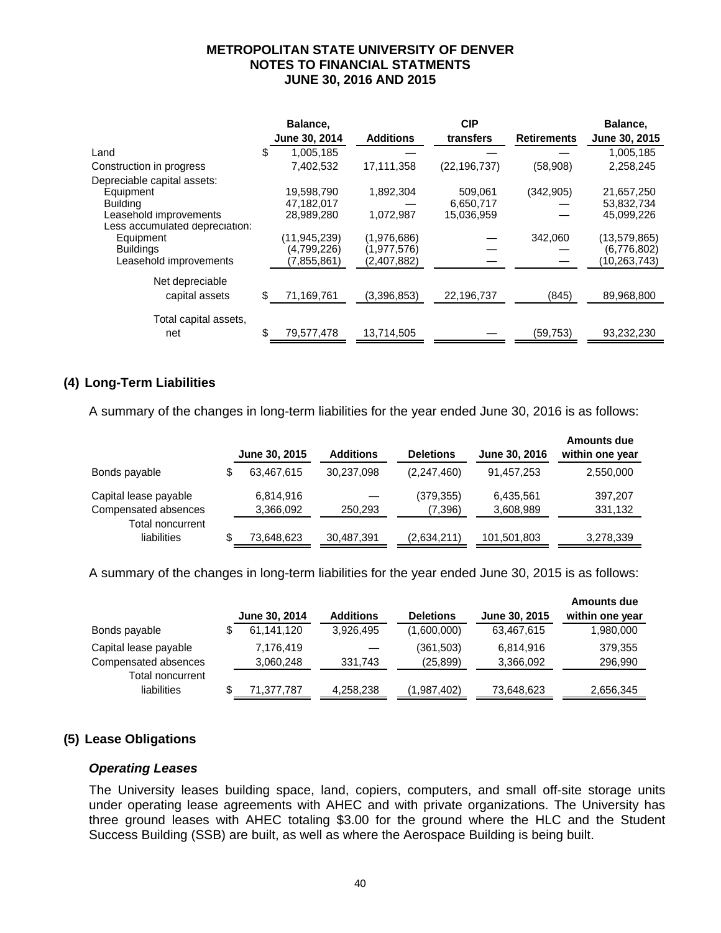|                                | Balance,<br>June 30, 2014 | <b>Additions</b> | <b>CIP</b><br>transfers | <b>Retirements</b> | Balance,<br>June 30, 2015 |
|--------------------------------|---------------------------|------------------|-------------------------|--------------------|---------------------------|
| Land                           | \$<br>1,005,185           |                  |                         |                    | 1,005,185                 |
| Construction in progress       | 7,402,532                 | 17,111,358       | (22, 196, 737)          | (58,908)           | 2,258,245                 |
| Depreciable capital assets:    |                           |                  |                         |                    |                           |
| Equipment                      | 19,598,790                | 1,892,304        | 509,061                 | (342, 905)         | 21,657,250                |
| <b>Building</b>                | 47,182,017                |                  | 6,650,717               |                    | 53,832,734                |
| Leasehold improvements         | 28,989,280                | 1,072,987        | 15,036,959              |                    | 45,099,226                |
| Less accumulated depreciation: |                           |                  |                         |                    |                           |
| Equipment                      | (11, 945, 239)            | (1,976,686)      |                         | 342,060            | (13,579,865)              |
| <b>Buildings</b>               | (4,799,226)               | (1,977,576)      |                         |                    | (6,776,802)               |
| Leasehold improvements         | (7,855,861)               | (2,407,882)      |                         |                    | (10, 263, 743)            |
| Net depreciable                |                           |                  |                         |                    |                           |
| capital assets                 | \$<br>71,169,761          | (3,396,853)      | 22,196,737              | (845)              | 89,968,800                |
| Total capital assets,          |                           |                  |                         |                    |                           |
| net                            | \$<br>79.577.478          | 13,714,505       |                         | (59, 753)          | 93,232,230                |

# **(4) Long-Term Liabilities**

A summary of the changes in long-term liabilities for the year ended June 30, 2016 is as follows:

|                                               |   | June 30, 2015          | <b>Additions</b> | <b>Deletions</b>     | June 30, 2016          | <b>Amounts due</b><br>within one year |
|-----------------------------------------------|---|------------------------|------------------|----------------------|------------------------|---------------------------------------|
| Bonds payable                                 |   | 63,467,615             | 30,237,098       | (2,247,460)          | 91,457,253             | 2,550,000                             |
| Capital lease payable<br>Compensated absences |   | 6,814,916<br>3,366,092 | 250.293          | (379.355)<br>(7,396) | 6,435,561<br>3,608,989 | 397,207<br>331,132                    |
| Total noncurrent<br>liabilities               | S | 73,648,623             | 30,487,391       | (2,634,211)          | 101,501,803            | 3,278,339                             |

A summary of the changes in long-term liabilities for the year ended June 30, 2015 is as follows:

|                       |   |               |                  |                  |               | Amounts due     |
|-----------------------|---|---------------|------------------|------------------|---------------|-----------------|
|                       |   | June 30, 2014 | <b>Additions</b> | <b>Deletions</b> | June 30, 2015 | within one year |
| Bonds payable         |   | 61,141,120    | 3,926,495        | (1,600,000)      | 63,467,615    | 1,980,000       |
| Capital lease payable |   | 7,176,419     |                  | (361,503)        | 6,814,916     | 379,355         |
| Compensated absences  |   | 3,060,248     | 331,743          | (25,899)         | 3,366,092     | 296,990         |
| Total noncurrent      |   |               |                  |                  |               |                 |
| liabilities           | S | 71,377,787    | 4,258,238        | (1,987,402)      | 73,648,623    | 2,656,345       |
|                       |   |               |                  |                  |               |                 |

# **(5) Lease Obligations**

#### *Operating Leases*

The University leases building space, land, copiers, computers, and small off-site storage units under operating lease agreements with AHEC and with private organizations. The University has three ground leases with AHEC totaling \$3.00 for the ground where the HLC and the Student Success Building (SSB) are built, as well as where the Aerospace Building is being built.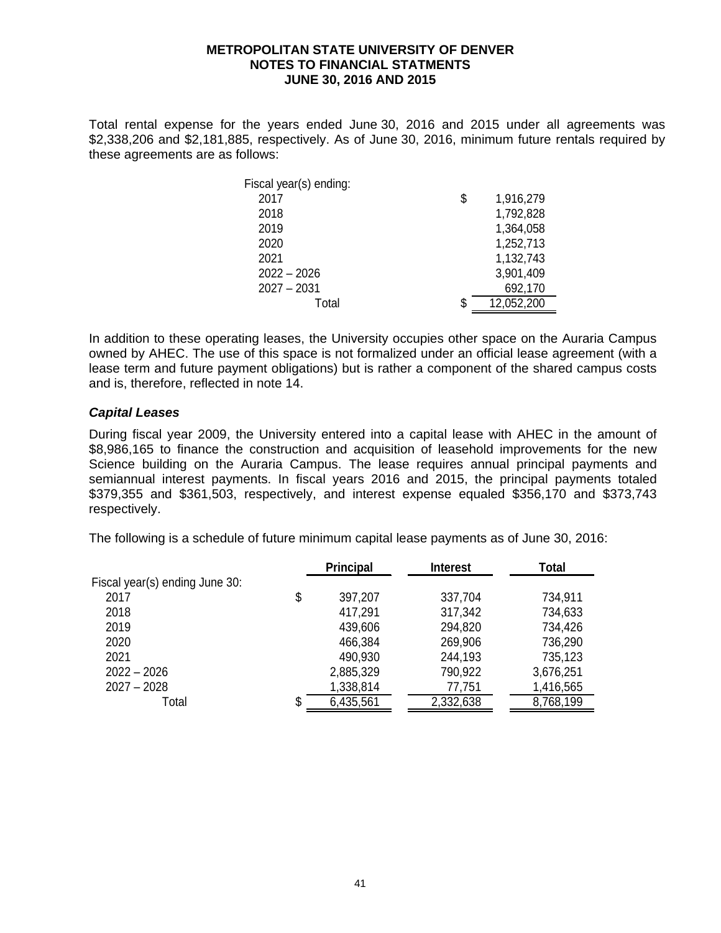Total rental expense for the years ended June 30, 2016 and 2015 under all agreements was \$2,338,206 and \$2,181,885, respectively. As of June 30, 2016, minimum future rentals required by these agreements are as follows:

| Fiscal year(s) ending: |    |            |
|------------------------|----|------------|
| 2017                   | \$ | 1,916,279  |
| 2018                   |    | 1,792,828  |
| 2019                   |    | 1,364,058  |
| 2020                   |    | 1,252,713  |
| 2021                   |    | 1,132,743  |
| $2022 - 2026$          |    | 3,901,409  |
| $2027 - 2031$          |    | 692,170    |
| Total                  | S. | 12,052,200 |

In addition to these operating leases, the University occupies other space on the Auraria Campus owned by AHEC. The use of this space is not formalized under an official lease agreement (with a lease term and future payment obligations) but is rather a component of the shared campus costs and is, therefore, reflected in note 14.

## *Capital Leases*

During fiscal year 2009, the University entered into a capital lease with AHEC in the amount of \$8,986,165 to finance the construction and acquisition of leasehold improvements for the new Science building on the Auraria Campus. The lease requires annual principal payments and semiannual interest payments. In fiscal years 2016 and 2015, the principal payments totaled \$379,355 and \$361,503, respectively, and interest expense equaled \$356,170 and \$373,743 respectively.

The following is a schedule of future minimum capital lease payments as of June 30, 2016:

|                                | <b>Principal</b> | <b>Interest</b> | Total     |
|--------------------------------|------------------|-----------------|-----------|
| Fiscal year(s) ending June 30: |                  |                 |           |
| 2017                           | \$<br>397,207    | 337,704         | 734,911   |
| 2018                           | 417,291          | 317,342         | 734,633   |
| 2019                           | 439,606          | 294,820         | 734,426   |
| 2020                           | 466,384          | 269,906         | 736,290   |
| 2021                           | 490,930          | 244,193         | 735,123   |
| $2022 - 2026$                  | 2,885,329        | 790,922         | 3,676,251 |
| $2027 - 2028$                  | 1,338,814        | 77,751          | 1,416,565 |
| Total                          | \$<br>6,435,561  | 2,332,638       | 8,768,199 |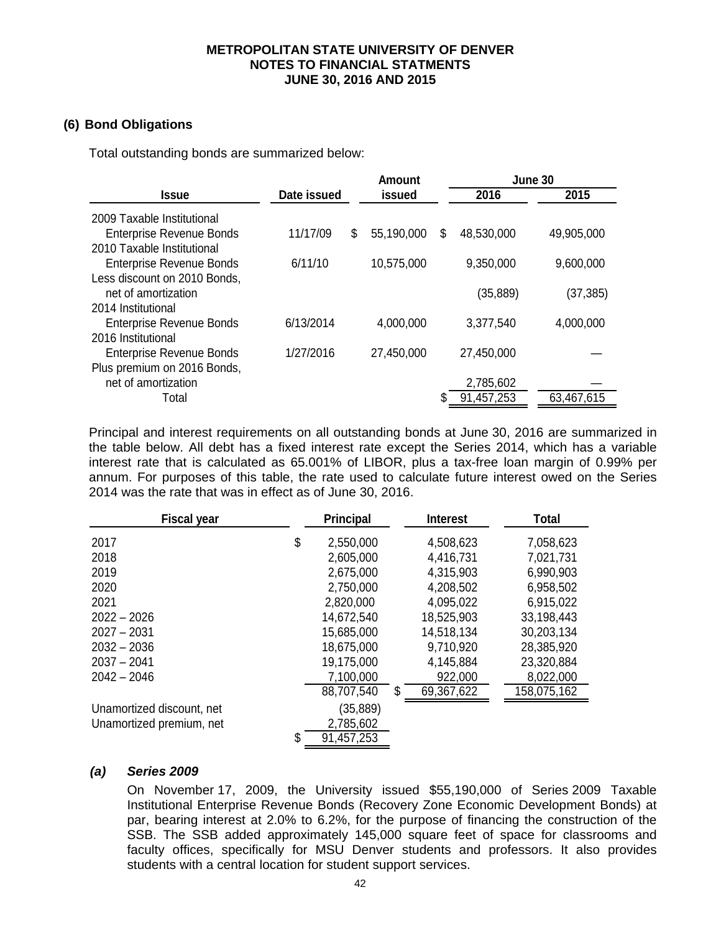# **(6) Bond Obligations**

Total outstanding bonds are summarized below:

|                                 |             | Amount |            |    | June 30    |            |  |
|---------------------------------|-------------|--------|------------|----|------------|------------|--|
| <b>Issue</b>                    | Date issued |        | issued     |    | 2016       | 2015       |  |
| 2009 Taxable Institutional      |             |        |            |    |            |            |  |
| <b>Enterprise Revenue Bonds</b> | 11/17/09    | \$     | 55,190,000 | \$ | 48,530,000 | 49,905,000 |  |
| 2010 Taxable Institutional      |             |        |            |    |            |            |  |
| <b>Enterprise Revenue Bonds</b> | 6/11/10     |        | 10,575,000 |    | 9,350,000  | 9,600,000  |  |
| Less discount on 2010 Bonds,    |             |        |            |    |            |            |  |
| net of amortization             |             |        |            |    | (35, 889)  | (37, 385)  |  |
| 2014 Institutional              |             |        |            |    |            |            |  |
| <b>Enterprise Revenue Bonds</b> | 6/13/2014   |        | 4,000,000  |    | 3,377,540  | 4,000,000  |  |
| 2016 Institutional              |             |        |            |    |            |            |  |
| <b>Enterprise Revenue Bonds</b> | 1/27/2016   |        | 27,450,000 |    | 27,450,000 |            |  |
| Plus premium on 2016 Bonds,     |             |        |            |    |            |            |  |
| net of amortization             |             |        |            |    | 2,785,602  |            |  |
| Total                           |             |        |            |    | 91,457,253 | 63,467,615 |  |

Principal and interest requirements on all outstanding bonds at June 30, 2016 are summarized in the table below. All debt has a fixed interest rate except the Series 2014, which has a variable interest rate that is calculated as 65.001% of LIBOR, plus a tax-free loan margin of 0.99% per annum. For purposes of this table, the rate used to calculate future interest owed on the Series 2014 was the rate that was in effect as of June 30, 2016.

| <b>Fiscal year</b>        | <b>Principal</b> | <b>Interest</b>  | <b>Total</b> |
|---------------------------|------------------|------------------|--------------|
| 2017                      | \$<br>2,550,000  | 4,508,623        | 7,058,623    |
| 2018                      | 2,605,000        | 4,416,731        | 7,021,731    |
| 2019                      | 2,675,000        | 4,315,903        | 6,990,903    |
| 2020                      | 2,750,000        | 4,208,502        | 6,958,502    |
| 2021                      | 2,820,000        | 4,095,022        | 6,915,022    |
| $2022 - 2026$             | 14,672,540       | 18,525,903       | 33,198,443   |
| $2027 - 2031$             | 15,685,000       | 14,518,134       | 30,203,134   |
| $2032 - 2036$             | 18,675,000       | 9,710,920        | 28,385,920   |
| $2037 - 2041$             | 19,175,000       | 4,145,884        | 23,320,884   |
| $2042 - 2046$             | 7,100,000        | 922,000          | 8,022,000    |
|                           | 88,707,540       | \$<br>69,367,622 | 158,075,162  |
| Unamortized discount, net | (35,889)         |                  |              |
| Unamortized premium, net  | 2,785,602        |                  |              |
|                           | 91,457,253       |                  |              |

# *(a) Series 2009*

On November 17, 2009, the University issued \$55,190,000 of Series 2009 Taxable Institutional Enterprise Revenue Bonds (Recovery Zone Economic Development Bonds) at par, bearing interest at 2.0% to 6.2%, for the purpose of financing the construction of the SSB. The SSB added approximately 145,000 square feet of space for classrooms and faculty offices, specifically for MSU Denver students and professors. It also provides students with a central location for student support services.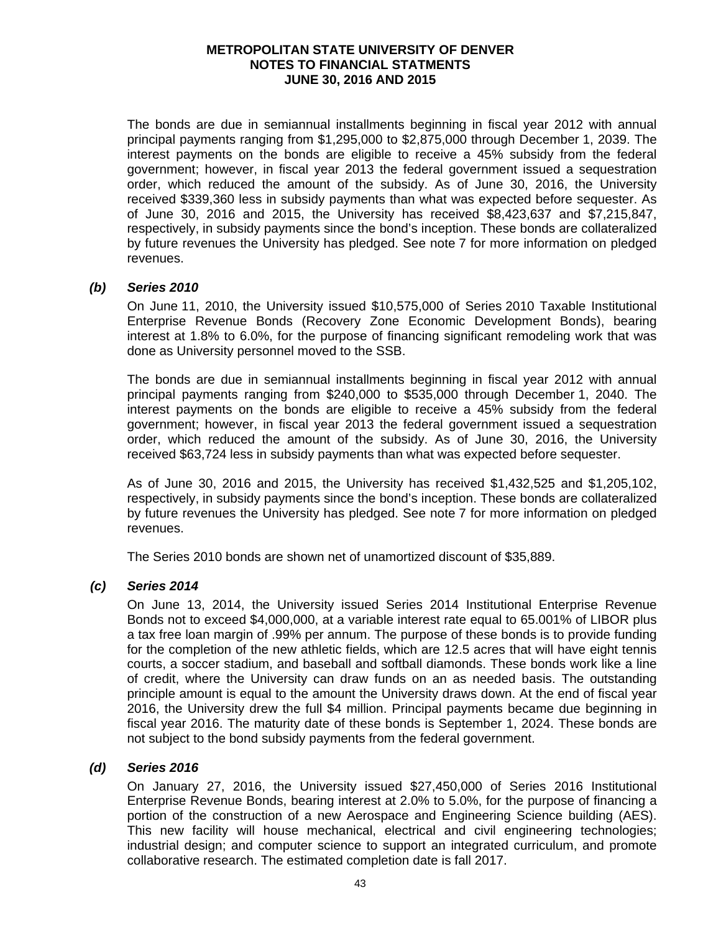The bonds are due in semiannual installments beginning in fiscal year 2012 with annual principal payments ranging from \$1,295,000 to \$2,875,000 through December 1, 2039. The interest payments on the bonds are eligible to receive a 45% subsidy from the federal government; however, in fiscal year 2013 the federal government issued a sequestration order, which reduced the amount of the subsidy. As of June 30, 2016, the University received \$339,360 less in subsidy payments than what was expected before sequester. As of June 30, 2016 and 2015, the University has received \$8,423,637 and \$7,215,847, respectively, in subsidy payments since the bond's inception. These bonds are collateralized by future revenues the University has pledged. See note 7 for more information on pledged revenues.

# *(b) Series 2010*

On June 11, 2010, the University issued \$10,575,000 of Series 2010 Taxable Institutional Enterprise Revenue Bonds (Recovery Zone Economic Development Bonds), bearing interest at 1.8% to 6.0%, for the purpose of financing significant remodeling work that was done as University personnel moved to the SSB.

The bonds are due in semiannual installments beginning in fiscal year 2012 with annual principal payments ranging from \$240,000 to \$535,000 through December 1, 2040. The interest payments on the bonds are eligible to receive a 45% subsidy from the federal government; however, in fiscal year 2013 the federal government issued a sequestration order, which reduced the amount of the subsidy. As of June 30, 2016, the University received \$63,724 less in subsidy payments than what was expected before sequester.

As of June 30, 2016 and 2015, the University has received \$1,432,525 and \$1,205,102, respectively, in subsidy payments since the bond's inception. These bonds are collateralized by future revenues the University has pledged. See note 7 for more information on pledged revenues.

The Series 2010 bonds are shown net of unamortized discount of \$35,889.

# *(c) Series 2014*

On June 13, 2014, the University issued Series 2014 Institutional Enterprise Revenue Bonds not to exceed \$4,000,000, at a variable interest rate equal to 65.001% of LIBOR plus a tax free loan margin of .99% per annum. The purpose of these bonds is to provide funding for the completion of the new athletic fields, which are 12.5 acres that will have eight tennis courts, a soccer stadium, and baseball and softball diamonds. These bonds work like a line of credit, where the University can draw funds on an as needed basis. The outstanding principle amount is equal to the amount the University draws down. At the end of fiscal year 2016, the University drew the full \$4 million. Principal payments became due beginning in fiscal year 2016. The maturity date of these bonds is September 1, 2024. These bonds are not subject to the bond subsidy payments from the federal government.

# *(d) Series 2016*

On January 27, 2016, the University issued \$27,450,000 of Series 2016 Institutional Enterprise Revenue Bonds, bearing interest at 2.0% to 5.0%, for the purpose of financing a portion of the construction of a new Aerospace and Engineering Science building (AES). This new facility will house mechanical, electrical and civil engineering technologies; industrial design; and computer science to support an integrated curriculum, and promote collaborative research. The estimated completion date is fall 2017.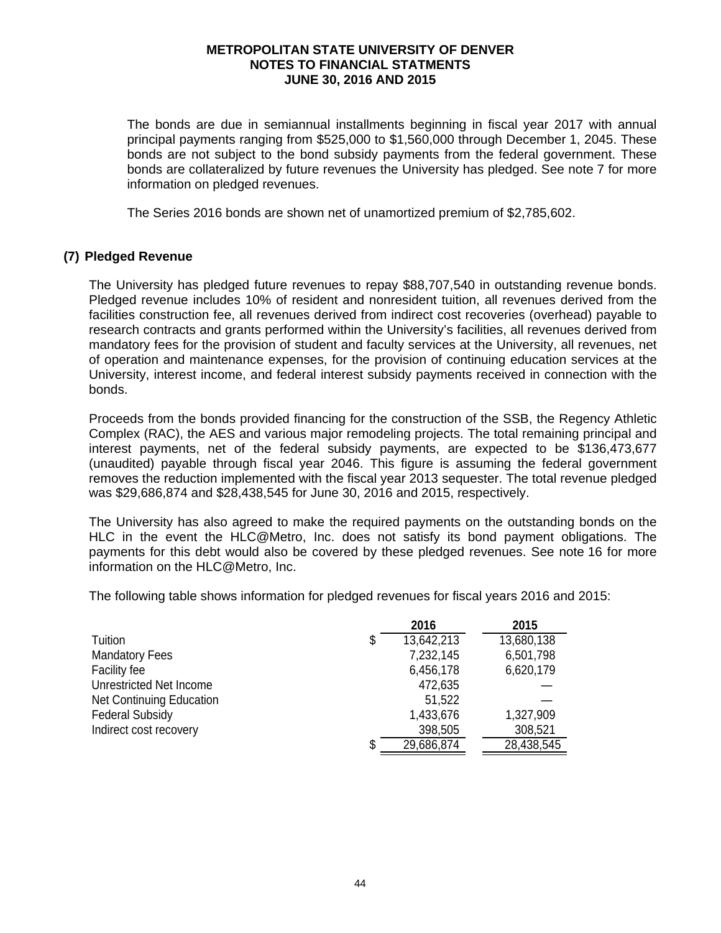The bonds are due in semiannual installments beginning in fiscal year 2017 with annual principal payments ranging from \$525,000 to \$1,560,000 through December 1, 2045. These bonds are not subject to the bond subsidy payments from the federal government. These bonds are collateralized by future revenues the University has pledged. See note 7 for more information on pledged revenues.

The Series 2016 bonds are shown net of unamortized premium of \$2,785,602.

# **(7) Pledged Revenue**

The University has pledged future revenues to repay \$88,707,540 in outstanding revenue bonds. Pledged revenue includes 10% of resident and nonresident tuition, all revenues derived from the facilities construction fee, all revenues derived from indirect cost recoveries (overhead) payable to research contracts and grants performed within the University's facilities, all revenues derived from mandatory fees for the provision of student and faculty services at the University, all revenues, net of operation and maintenance expenses, for the provision of continuing education services at the University, interest income, and federal interest subsidy payments received in connection with the bonds.

Proceeds from the bonds provided financing for the construction of the SSB, the Regency Athletic Complex (RAC), the AES and various major remodeling projects. The total remaining principal and interest payments, net of the federal subsidy payments, are expected to be \$136,473,677 (unaudited) payable through fiscal year 2046. This figure is assuming the federal government removes the reduction implemented with the fiscal year 2013 sequester. The total revenue pledged was \$29,686,874 and \$28,438,545 for June 30, 2016 and 2015, respectively.

The University has also agreed to make the required payments on the outstanding bonds on the HLC in the event the HLC@Metro, Inc. does not satisfy its bond payment obligations. The payments for this debt would also be covered by these pledged revenues. See note 16 for more information on the HLC@Metro, Inc.

The following table shows information for pledged revenues for fiscal years 2016 and 2015:

|                          | 2016       | 2015       |
|--------------------------|------------|------------|
| \$<br>Tuition            | 13,642,213 | 13,680,138 |
| <b>Mandatory Fees</b>    | 7,232,145  | 6,501,798  |
| Facility fee             | 6,456,178  | 6,620,179  |
| Unrestricted Net Income  | 472,635    |            |
| Net Continuing Education | 51,522     |            |
| <b>Federal Subsidy</b>   | 1,433,676  | 1,327,909  |
| Indirect cost recovery   | 398,505    | 308,521    |
| \$                       | 29,686,874 | 28,438,545 |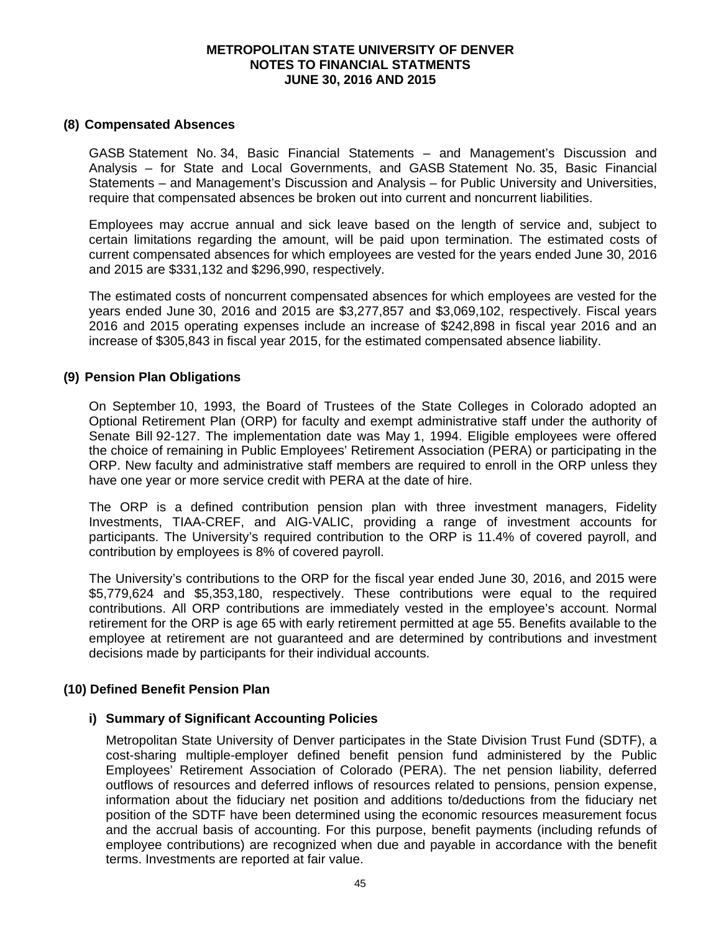#### **(8) Compensated Absences**

GASB Statement No. 34, Basic Financial Statements – and Management's Discussion and Analysis – for State and Local Governments, and GASB Statement No. 35, Basic Financial Statements – and Management's Discussion and Analysis – for Public University and Universities, require that compensated absences be broken out into current and noncurrent liabilities.

Employees may accrue annual and sick leave based on the length of service and, subject to certain limitations regarding the amount, will be paid upon termination. The estimated costs of current compensated absences for which employees are vested for the years ended June 30, 2016 and 2015 are \$331,132 and \$296,990, respectively.

The estimated costs of noncurrent compensated absences for which employees are vested for the years ended June 30, 2016 and 2015 are \$3,277,857 and \$3,069,102, respectively. Fiscal years 2016 and 2015 operating expenses include an increase of \$242,898 in fiscal year 2016 and an increase of \$305,843 in fiscal year 2015, for the estimated compensated absence liability.

#### **(9) Pension Plan Obligations**

On September 10, 1993, the Board of Trustees of the State Colleges in Colorado adopted an Optional Retirement Plan (ORP) for faculty and exempt administrative staff under the authority of Senate Bill 92-127. The implementation date was May 1, 1994. Eligible employees were offered the choice of remaining in Public Employees' Retirement Association (PERA) or participating in the ORP. New faculty and administrative staff members are required to enroll in the ORP unless they have one year or more service credit with PERA at the date of hire.

The ORP is a defined contribution pension plan with three investment managers, Fidelity Investments, TIAA-CREF, and AIG-VALIC, providing a range of investment accounts for participants. The University's required contribution to the ORP is 11.4% of covered payroll, and contribution by employees is 8% of covered payroll.

The University's contributions to the ORP for the fiscal year ended June 30, 2016, and 2015 were \$5,779,624 and \$5,353,180, respectively. These contributions were equal to the required contributions. All ORP contributions are immediately vested in the employee's account. Normal retirement for the ORP is age 65 with early retirement permitted at age 55. Benefits available to the employee at retirement are not guaranteed and are determined by contributions and investment decisions made by participants for their individual accounts.

#### **(10) Defined Benefit Pension Plan**

#### **i) Summary of Significant Accounting Policies**

Metropolitan State University of Denver participates in the State Division Trust Fund (SDTF), a cost-sharing multiple-employer defined benefit pension fund administered by the Public Employees' Retirement Association of Colorado (PERA). The net pension liability, deferred outflows of resources and deferred inflows of resources related to pensions, pension expense, information about the fiduciary net position and additions to/deductions from the fiduciary net position of the SDTF have been determined using the economic resources measurement focus and the accrual basis of accounting. For this purpose, benefit payments (including refunds of employee contributions) are recognized when due and payable in accordance with the benefit terms. Investments are reported at fair value.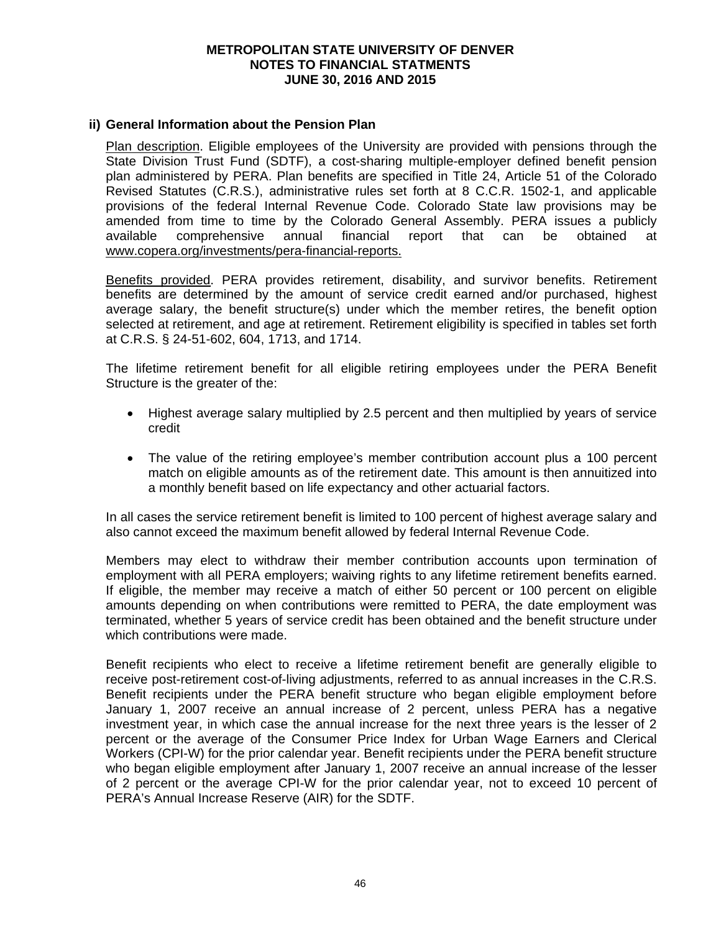### **ii) General Information about the Pension Plan**

Plan description. Eligible employees of the University are provided with pensions through the State Division Trust Fund (SDTF), a cost-sharing multiple-employer defined benefit pension plan administered by PERA. Plan benefits are specified in Title 24, Article 51 of the Colorado Revised Statutes (C.R.S.), administrative rules set forth at 8 C.C.R. 1502-1, and applicable provisions of the federal Internal Revenue Code. Colorado State law provisions may be amended from time to time by the Colorado General Assembly. PERA issues a publicly available comprehensive annual financial report that can be obtained at www.copera.org/investments/pera-financial-reports.

Benefits provided. PERA provides retirement, disability, and survivor benefits. Retirement benefits are determined by the amount of service credit earned and/or purchased, highest average salary, the benefit structure(s) under which the member retires, the benefit option selected at retirement, and age at retirement. Retirement eligibility is specified in tables set forth at C.R.S. § 24-51-602, 604, 1713, and 1714.

The lifetime retirement benefit for all eligible retiring employees under the PERA Benefit Structure is the greater of the:

- Highest average salary multiplied by 2.5 percent and then multiplied by years of service credit
- The value of the retiring employee's member contribution account plus a 100 percent match on eligible amounts as of the retirement date. This amount is then annuitized into a monthly benefit based on life expectancy and other actuarial factors.

In all cases the service retirement benefit is limited to 100 percent of highest average salary and also cannot exceed the maximum benefit allowed by federal Internal Revenue Code.

Members may elect to withdraw their member contribution accounts upon termination of employment with all PERA employers; waiving rights to any lifetime retirement benefits earned. If eligible, the member may receive a match of either 50 percent or 100 percent on eligible amounts depending on when contributions were remitted to PERA, the date employment was terminated, whether 5 years of service credit has been obtained and the benefit structure under which contributions were made.

Benefit recipients who elect to receive a lifetime retirement benefit are generally eligible to receive post-retirement cost-of-living adjustments, referred to as annual increases in the C.R.S. Benefit recipients under the PERA benefit structure who began eligible employment before January 1, 2007 receive an annual increase of 2 percent, unless PERA has a negative investment year, in which case the annual increase for the next three years is the lesser of 2 percent or the average of the Consumer Price Index for Urban Wage Earners and Clerical Workers (CPI-W) for the prior calendar year. Benefit recipients under the PERA benefit structure who began eligible employment after January 1, 2007 receive an annual increase of the lesser of 2 percent or the average CPI-W for the prior calendar year, not to exceed 10 percent of PERA's Annual Increase Reserve (AIR) for the SDTF.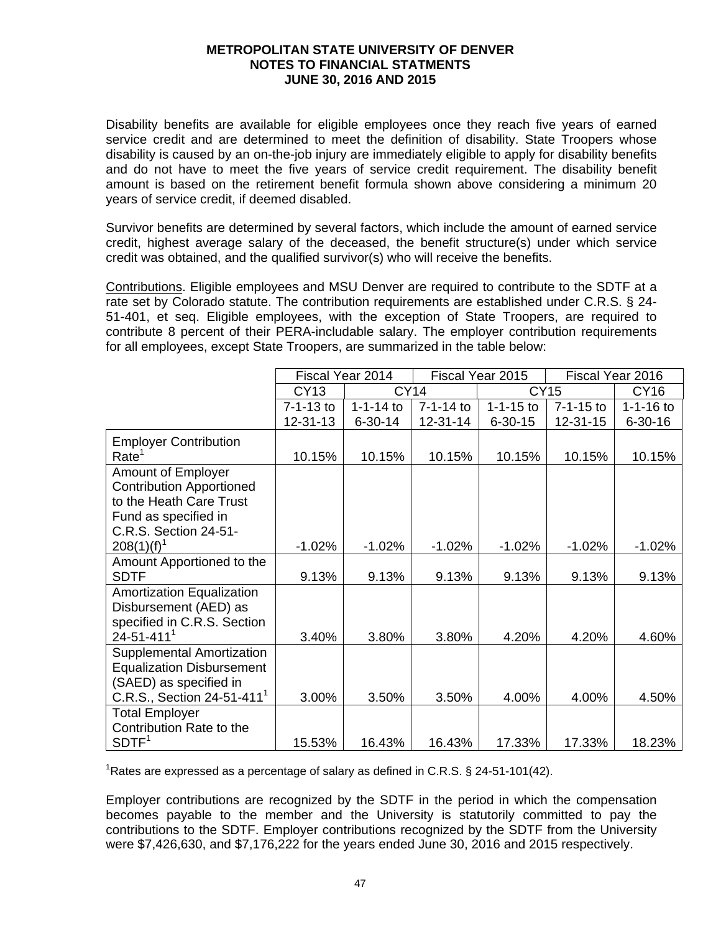Disability benefits are available for eligible employees once they reach five years of earned service credit and are determined to meet the definition of disability. State Troopers whose disability is caused by an on-the-job injury are immediately eligible to apply for disability benefits and do not have to meet the five years of service credit requirement. The disability benefit amount is based on the retirement benefit formula shown above considering a minimum 20 years of service credit, if deemed disabled.

Survivor benefits are determined by several factors, which include the amount of earned service credit, highest average salary of the deceased, the benefit structure(s) under which service credit was obtained, and the qualified survivor(s) who will receive the benefits.

Contributions. Eligible employees and MSU Denver are required to contribute to the SDTF at a rate set by Colorado statute. The contribution requirements are established under C.R.S. § 24- 51-401, et seq. Eligible employees, with the exception of State Troopers, are required to contribute 8 percent of their PERA-includable salary. The employer contribution requirements for all employees, except State Troopers, are summarized in the table below:

|                                        |           | Fiscal Year 2014 | Fiscal Year 2015 |                 |                 | Fiscal Year 2016 |  |
|----------------------------------------|-----------|------------------|------------------|-----------------|-----------------|------------------|--|
|                                        | CY13      | <b>CY14</b>      |                  | <b>CY15</b>     |                 | <b>CY16</b>      |  |
|                                        | 7-1-13 to | $1 - 1 - 14$ to  | $7 - 1 - 14$ to  | $1 - 1 - 15$ to | $7 - 1 - 15$ to | $1 - 1 - 16$ to  |  |
|                                        | 12-31-13  | $6 - 30 - 14$    | $12 - 31 - 14$   | $6 - 30 - 15$   | $12 - 31 - 15$  | $6 - 30 - 16$    |  |
| <b>Employer Contribution</b>           |           |                  |                  |                 |                 |                  |  |
| Rate <sup>1</sup>                      | 10.15%    | 10.15%           | 10.15%           | 10.15%          | 10.15%          | 10.15%           |  |
| <b>Amount of Employer</b>              |           |                  |                  |                 |                 |                  |  |
| <b>Contribution Apportioned</b>        |           |                  |                  |                 |                 |                  |  |
| to the Heath Care Trust                |           |                  |                  |                 |                 |                  |  |
| Fund as specified in                   |           |                  |                  |                 |                 |                  |  |
| C.R.S. Section 24-51-                  |           |                  |                  |                 |                 |                  |  |
| $208(1)(f)^1$                          | $-1.02%$  | $-1.02%$         | $-1.02%$         | $-1.02%$        | $-1.02%$        | $-1.02%$         |  |
| Amount Apportioned to the              |           |                  |                  |                 |                 |                  |  |
| <b>SDTF</b>                            | 9.13%     | 9.13%            | 9.13%            | 9.13%           | 9.13%           | 9.13%            |  |
| Amortization Equalization              |           |                  |                  |                 |                 |                  |  |
| Disbursement (AED) as                  |           |                  |                  |                 |                 |                  |  |
| specified in C.R.S. Section            |           |                  |                  |                 |                 |                  |  |
| $24 - 51 - 4111$                       | 3.40%     | 3.80%            | 3.80%            | 4.20%           | 4.20%           | 4.60%            |  |
| <b>Supplemental Amortization</b>       |           |                  |                  |                 |                 |                  |  |
| <b>Equalization Disbursement</b>       |           |                  |                  |                 |                 |                  |  |
| (SAED) as specified in                 |           |                  |                  |                 |                 |                  |  |
| C.R.S., Section 24-51-411 <sup>1</sup> | 3.00%     | 3.50%            | 3.50%            | 4.00%           | 4.00%           | 4.50%            |  |
| <b>Total Employer</b>                  |           |                  |                  |                 |                 |                  |  |
| Contribution Rate to the               |           |                  |                  |                 |                 |                  |  |
| SDTF <sup>1</sup>                      | 15.53%    | 16.43%           | 16.43%           | 17.33%          | 17.33%          | 18.23%           |  |

<sup>1</sup>Rates are expressed as a percentage of salary as defined in C.R.S. § 24-51-101(42).

Employer contributions are recognized by the SDTF in the period in which the compensation becomes payable to the member and the University is statutorily committed to pay the contributions to the SDTF. Employer contributions recognized by the SDTF from the University were \$7,426,630, and \$7,176,222 for the years ended June 30, 2016 and 2015 respectively.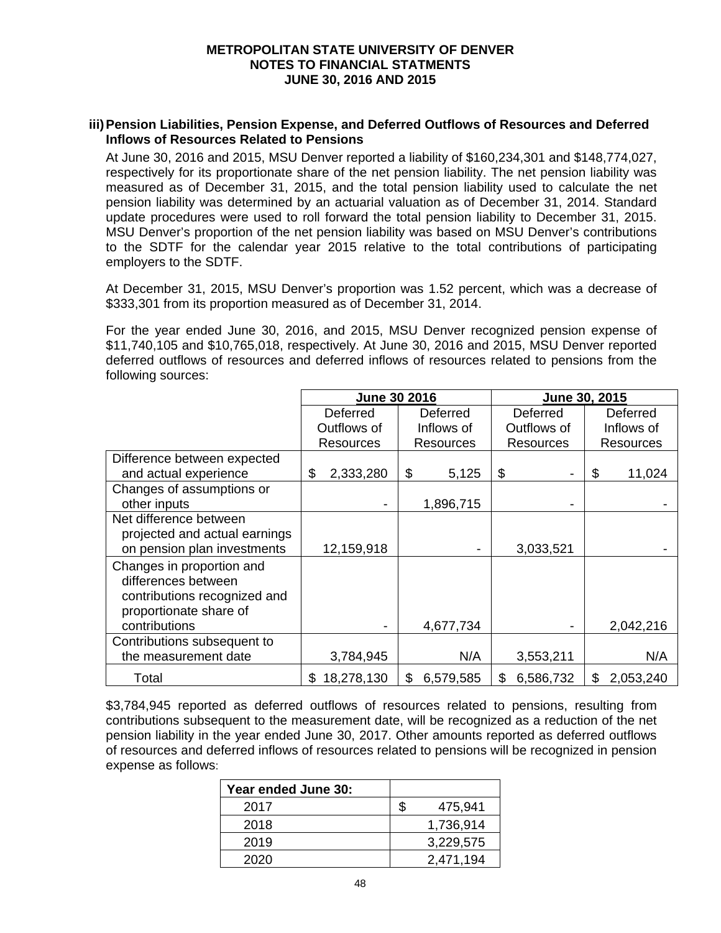## **iii) Pension Liabilities, Pension Expense, and Deferred Outflows of Resources and Deferred Inflows of Resources Related to Pensions**

At June 30, 2016 and 2015, MSU Denver reported a liability of \$160,234,301 and \$148,774,027, respectively for its proportionate share of the net pension liability. The net pension liability was measured as of December 31, 2015, and the total pension liability used to calculate the net pension liability was determined by an actuarial valuation as of December 31, 2014. Standard update procedures were used to roll forward the total pension liability to December 31, 2015. MSU Denver's proportion of the net pension liability was based on MSU Denver's contributions to the SDTF for the calendar year 2015 relative to the total contributions of participating employers to the SDTF.

At December 31, 2015, MSU Denver's proportion was 1.52 percent, which was a decrease of \$333,301 from its proportion measured as of December 31, 2014.

For the year ended June 30, 2016, and 2015, MSU Denver recognized pension expense of \$11,740,105 and \$10,765,018, respectively. At June 30, 2016 and 2015, MSU Denver reported deferred outflows of resources and deferred inflows of resources related to pensions from the following sources:

|                               | <b>June 30 2016</b>      |                | June 30, 2015   |                |
|-------------------------------|--------------------------|----------------|-----------------|----------------|
|                               | Deferred                 | Deferred       | <b>Deferred</b> | Deferred       |
|                               | Outflows of              | Inflows of     | Outflows of     | Inflows of     |
|                               | Resources                | Resources      | Resources       | Resources      |
| Difference between expected   |                          |                |                 |                |
| and actual experience         | 2,333,280<br>\$          | \$<br>5,125    | \$              | \$<br>11,024   |
| Changes of assumptions or     |                          |                |                 |                |
| other inputs                  |                          | 1,896,715      |                 |                |
| Net difference between        |                          |                |                 |                |
| projected and actual earnings |                          |                |                 |                |
| on pension plan investments   | 12,159,918               |                | 3,033,521       |                |
| Changes in proportion and     |                          |                |                 |                |
| differences between           |                          |                |                 |                |
| contributions recognized and  |                          |                |                 |                |
| proportionate share of        |                          |                |                 |                |
| contributions                 | $\overline{\phantom{a}}$ | 4,677,734      |                 | 2,042,216      |
| Contributions subsequent to   |                          |                |                 |                |
| the measurement date          | 3,784,945                | N/A            | 3,553,211       | N/A            |
| Total                         | 18,278,130<br>\$.        | 6,579,585<br>S | 6,586,732<br>S  | 2,053,240<br>S |

\$3,784,945 reported as deferred outflows of resources related to pensions, resulting from contributions subsequent to the measurement date, will be recognized as a reduction of the net pension liability in the year ended June 30, 2017. Other amounts reported as deferred outflows of resources and deferred inflows of resources related to pensions will be recognized in pension expense as follows:

| Year ended June 30: |   |           |
|---------------------|---|-----------|
| 2017                | S | 475,941   |
| 2018                |   | 1,736,914 |
| 2019                |   | 3,229,575 |
| 2020                |   | 2,471,194 |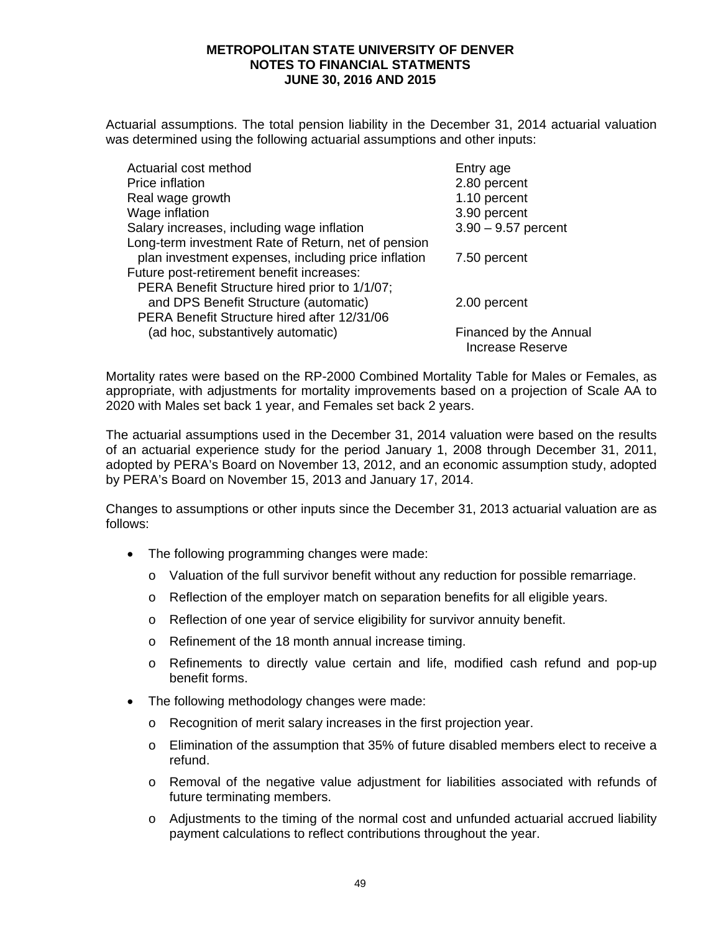Actuarial assumptions. The total pension liability in the December 31, 2014 actuarial valuation was determined using the following actuarial assumptions and other inputs:

| Actuarial cost method                               | Entry age                                  |
|-----------------------------------------------------|--------------------------------------------|
| Price inflation                                     | 2.80 percent                               |
| Real wage growth                                    | 1.10 percent                               |
| Wage inflation                                      | 3.90 percent                               |
| Salary increases, including wage inflation          | $3.90 - 9.57$ percent                      |
| Long-term investment Rate of Return, net of pension |                                            |
| plan investment expenses, including price inflation | 7.50 percent                               |
| Future post-retirement benefit increases:           |                                            |
| PERA Benefit Structure hired prior to 1/1/07;       |                                            |
| and DPS Benefit Structure (automatic)               | 2.00 percent                               |
| PERA Benefit Structure hired after 12/31/06         |                                            |
| (ad hoc, substantively automatic)                   | Financed by the Annual<br>Increase Reserve |

Mortality rates were based on the RP-2000 Combined Mortality Table for Males or Females, as appropriate, with adjustments for mortality improvements based on a projection of Scale AA to 2020 with Males set back 1 year, and Females set back 2 years.

The actuarial assumptions used in the December 31, 2014 valuation were based on the results of an actuarial experience study for the period January 1, 2008 through December 31, 2011, adopted by PERA's Board on November 13, 2012, and an economic assumption study, adopted by PERA's Board on November 15, 2013 and January 17, 2014.

Changes to assumptions or other inputs since the December 31, 2013 actuarial valuation are as follows:

- The following programming changes were made:
	- o Valuation of the full survivor benefit without any reduction for possible remarriage.
	- o Reflection of the employer match on separation benefits for all eligible years.
	- o Reflection of one year of service eligibility for survivor annuity benefit.
	- o Refinement of the 18 month annual increase timing.
	- o Refinements to directly value certain and life, modified cash refund and pop-up benefit forms.
- The following methodology changes were made:
	- o Recognition of merit salary increases in the first projection year.
	- o Elimination of the assumption that 35% of future disabled members elect to receive a refund.
	- o Removal of the negative value adjustment for liabilities associated with refunds of future terminating members.
	- o Adjustments to the timing of the normal cost and unfunded actuarial accrued liability payment calculations to reflect contributions throughout the year.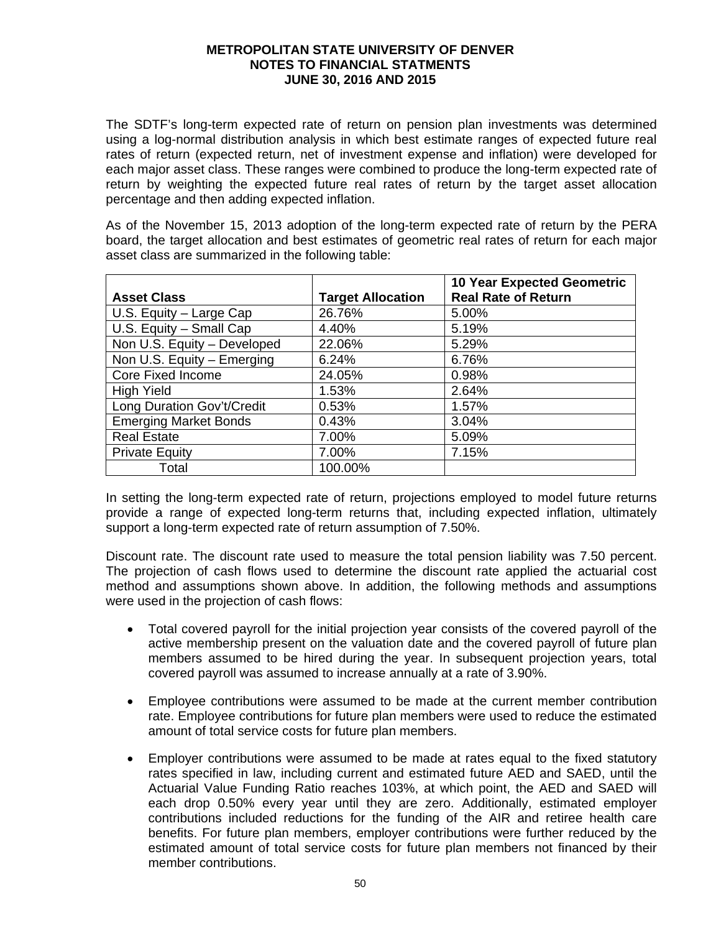The SDTF's long-term expected rate of return on pension plan investments was determined using a log-normal distribution analysis in which best estimate ranges of expected future real rates of return (expected return, net of investment expense and inflation) were developed for each major asset class. These ranges were combined to produce the long-term expected rate of return by weighting the expected future real rates of return by the target asset allocation percentage and then adding expected inflation.

As of the November 15, 2013 adoption of the long-term expected rate of return by the PERA board, the target allocation and best estimates of geometric real rates of return for each major asset class are summarized in the following table:

|                              |                          | <b>10 Year Expected Geometric</b> |
|------------------------------|--------------------------|-----------------------------------|
| <b>Asset Class</b>           | <b>Target Allocation</b> | <b>Real Rate of Return</b>        |
| U.S. Equity - Large Cap      | 26.76%                   | 5.00%                             |
| U.S. Equity - Small Cap      | 4.40%                    | 5.19%                             |
| Non U.S. Equity - Developed  | 22.06%                   | 5.29%                             |
| Non U.S. Equity - Emerging   | 6.24%                    | 6.76%                             |
| <b>Core Fixed Income</b>     | 24.05%                   | 0.98%                             |
| <b>High Yield</b>            | 1.53%                    | 2.64%                             |
| Long Duration Gov't/Credit   | 0.53%                    | 1.57%                             |
| <b>Emerging Market Bonds</b> | 0.43%                    | 3.04%                             |
| <b>Real Estate</b>           | 7.00%                    | 5.09%                             |
| <b>Private Equity</b>        | 7.00%                    | 7.15%                             |
| Total                        | 100.00%                  |                                   |

In setting the long-term expected rate of return, projections employed to model future returns provide a range of expected long-term returns that, including expected inflation, ultimately support a long-term expected rate of return assumption of 7.50%.

Discount rate. The discount rate used to measure the total pension liability was 7.50 percent. The projection of cash flows used to determine the discount rate applied the actuarial cost method and assumptions shown above. In addition, the following methods and assumptions were used in the projection of cash flows:

- Total covered payroll for the initial projection year consists of the covered payroll of the active membership present on the valuation date and the covered payroll of future plan members assumed to be hired during the year. In subsequent projection years, total covered payroll was assumed to increase annually at a rate of 3.90%.
- Employee contributions were assumed to be made at the current member contribution rate. Employee contributions for future plan members were used to reduce the estimated amount of total service costs for future plan members.
- Employer contributions were assumed to be made at rates equal to the fixed statutory rates specified in law, including current and estimated future AED and SAED, until the Actuarial Value Funding Ratio reaches 103%, at which point, the AED and SAED will each drop 0.50% every year until they are zero. Additionally, estimated employer contributions included reductions for the funding of the AIR and retiree health care benefits. For future plan members, employer contributions were further reduced by the estimated amount of total service costs for future plan members not financed by their member contributions.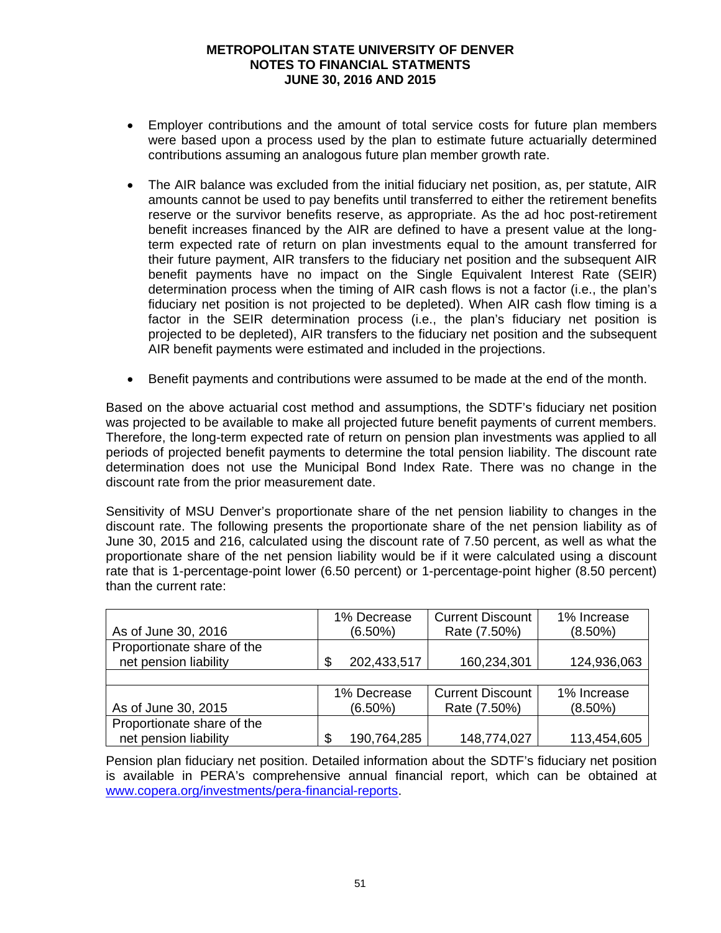- Employer contributions and the amount of total service costs for future plan members were based upon a process used by the plan to estimate future actuarially determined contributions assuming an analogous future plan member growth rate.
- The AIR balance was excluded from the initial fiduciary net position, as, per statute, AIR amounts cannot be used to pay benefits until transferred to either the retirement benefits reserve or the survivor benefits reserve, as appropriate. As the ad hoc post-retirement benefit increases financed by the AIR are defined to have a present value at the longterm expected rate of return on plan investments equal to the amount transferred for their future payment, AIR transfers to the fiduciary net position and the subsequent AIR benefit payments have no impact on the Single Equivalent Interest Rate (SEIR) determination process when the timing of AIR cash flows is not a factor (i.e., the plan's fiduciary net position is not projected to be depleted). When AIR cash flow timing is a factor in the SEIR determination process (i.e., the plan's fiduciary net position is projected to be depleted), AIR transfers to the fiduciary net position and the subsequent AIR benefit payments were estimated and included in the projections.
- Benefit payments and contributions were assumed to be made at the end of the month.

Based on the above actuarial cost method and assumptions, the SDTF's fiduciary net position was projected to be available to make all projected future benefit payments of current members. Therefore, the long-term expected rate of return on pension plan investments was applied to all periods of projected benefit payments to determine the total pension liability. The discount rate determination does not use the Municipal Bond Index Rate. There was no change in the discount rate from the prior measurement date.

Sensitivity of MSU Denver's proportionate share of the net pension liability to changes in the discount rate. The following presents the proportionate share of the net pension liability as of June 30, 2015 and 216, calculated using the discount rate of 7.50 percent, as well as what the proportionate share of the net pension liability would be if it were calculated using a discount rate that is 1-percentage-point lower (6.50 percent) or 1-percentage-point higher (8.50 percent) than the current rate:

| As of June 30, 2016        | 1% Decrease<br>$(6.50\%)$ | <b>Current Discount</b><br>Rate (7.50%) | 1% Increase<br>$(8.50\%)$ |
|----------------------------|---------------------------|-----------------------------------------|---------------------------|
| Proportionate share of the |                           |                                         |                           |
| net pension liability      | 202,433,517<br>\$         | 160,234,301                             | 124,936,063               |
|                            |                           |                                         |                           |
|                            | 1% Decrease               | <b>Current Discount</b>                 | 1% Increase               |
| As of June 30, 2015        | $(6.50\%)$                | Rate (7.50%)                            | $(8.50\%)$                |
| Proportionate share of the |                           |                                         |                           |
| net pension liability      | 190,764,285<br>\$         | 148,774,027                             | 113,454,605               |

Pension plan fiduciary net position. Detailed information about the SDTF's fiduciary net position is available in PERA's comprehensive annual financial report, which can be obtained at www.copera.org/investments/pera-financial-reports.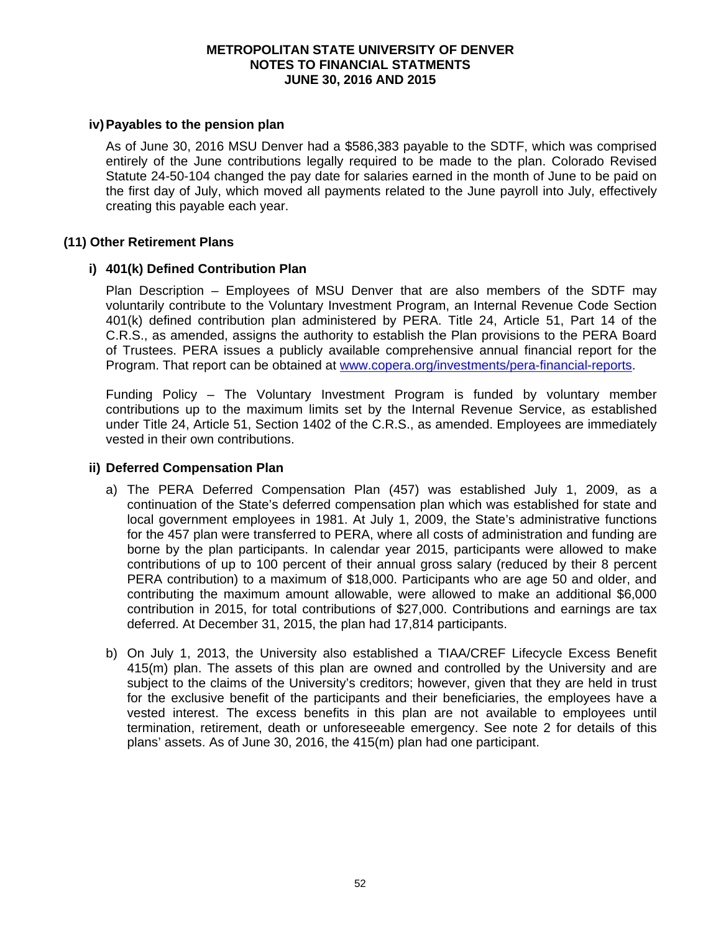## **iv) Payables to the pension plan**

As of June 30, 2016 MSU Denver had a \$586,383 payable to the SDTF, which was comprised entirely of the June contributions legally required to be made to the plan. Colorado Revised Statute 24-50-104 changed the pay date for salaries earned in the month of June to be paid on the first day of July, which moved all payments related to the June payroll into July, effectively creating this payable each year.

#### **(11) Other Retirement Plans**

## **i) 401(k) Defined Contribution Plan**

Plan Description *–* Employees of MSU Denver that are also members of the SDTF may voluntarily contribute to the Voluntary Investment Program, an Internal Revenue Code Section 401(k) defined contribution plan administered by PERA. Title 24, Article 51, Part 14 of the C.R.S., as amended, assigns the authority to establish the Plan provisions to the PERA Board of Trustees. PERA issues a publicly available comprehensive annual financial report for the Program. That report can be obtained at www.copera.org/investments/pera-financial-reports.

Funding Policy *–* The Voluntary Investment Program is funded by voluntary member contributions up to the maximum limits set by the Internal Revenue Service, as established under Title 24, Article 51, Section 1402 of the C.R.S., as amended. Employees are immediately vested in their own contributions.

#### **ii) Deferred Compensation Plan**

- a) The PERA Deferred Compensation Plan (457) was established July 1, 2009, as a continuation of the State's deferred compensation plan which was established for state and local government employees in 1981. At July 1, 2009, the State's administrative functions for the 457 plan were transferred to PERA, where all costs of administration and funding are borne by the plan participants. In calendar year 2015, participants were allowed to make contributions of up to 100 percent of their annual gross salary (reduced by their 8 percent PERA contribution) to a maximum of \$18,000. Participants who are age 50 and older, and contributing the maximum amount allowable, were allowed to make an additional \$6,000 contribution in 2015, for total contributions of \$27,000. Contributions and earnings are tax deferred. At December 31, 2015, the plan had 17,814 participants.
- b) On July 1, 2013, the University also established a TIAA/CREF Lifecycle Excess Benefit 415(m) plan. The assets of this plan are owned and controlled by the University and are subject to the claims of the University's creditors; however, given that they are held in trust for the exclusive benefit of the participants and their beneficiaries, the employees have a vested interest. The excess benefits in this plan are not available to employees until termination, retirement, death or unforeseeable emergency. See note 2 for details of this plans' assets. As of June 30, 2016, the 415(m) plan had one participant.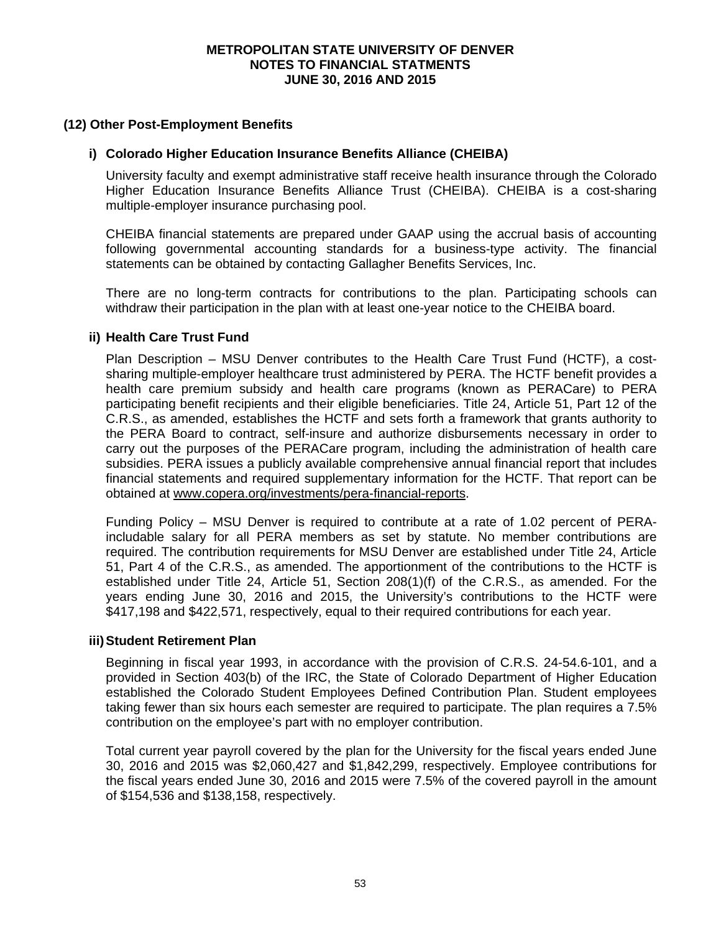# **(12) Other Post-Employment Benefits**

### **i) Colorado Higher Education Insurance Benefits Alliance (CHEIBA)**

University faculty and exempt administrative staff receive health insurance through the Colorado Higher Education Insurance Benefits Alliance Trust (CHEIBA). CHEIBA is a cost-sharing multiple-employer insurance purchasing pool.

CHEIBA financial statements are prepared under GAAP using the accrual basis of accounting following governmental accounting standards for a business-type activity. The financial statements can be obtained by contacting Gallagher Benefits Services, Inc.

There are no long-term contracts for contributions to the plan. Participating schools can withdraw their participation in the plan with at least one-year notice to the CHEIBA board.

# **ii) Health Care Trust Fund**

Plan Description – MSU Denver contributes to the Health Care Trust Fund (HCTF), a costsharing multiple-employer healthcare trust administered by PERA. The HCTF benefit provides a health care premium subsidy and health care programs (known as PERACare) to PERA participating benefit recipients and their eligible beneficiaries. Title 24, Article 51, Part 12 of the C.R.S., as amended, establishes the HCTF and sets forth a framework that grants authority to the PERA Board to contract, self-insure and authorize disbursements necessary in order to carry out the purposes of the PERACare program, including the administration of health care subsidies. PERA issues a publicly available comprehensive annual financial report that includes financial statements and required supplementary information for the HCTF. That report can be obtained at www.copera.org/investments/pera-financial-reports.

Funding Policy – MSU Denver is required to contribute at a rate of 1.02 percent of PERAincludable salary for all PERA members as set by statute. No member contributions are required. The contribution requirements for MSU Denver are established under Title 24, Article 51, Part 4 of the C.R.S., as amended. The apportionment of the contributions to the HCTF is established under Title 24, Article 51, Section 208(1)(f) of the C.R.S., as amended. For the years ending June 30, 2016 and 2015, the University's contributions to the HCTF were \$417,198 and \$422,571, respectively, equal to their required contributions for each year.

#### **iii) Student Retirement Plan**

Beginning in fiscal year 1993, in accordance with the provision of C.R.S. 24-54.6-101, and a provided in Section 403(b) of the IRC, the State of Colorado Department of Higher Education established the Colorado Student Employees Defined Contribution Plan. Student employees taking fewer than six hours each semester are required to participate. The plan requires a 7.5% contribution on the employee's part with no employer contribution.

Total current year payroll covered by the plan for the University for the fiscal years ended June 30, 2016 and 2015 was \$2,060,427 and \$1,842,299, respectively. Employee contributions for the fiscal years ended June 30, 2016 and 2015 were 7.5% of the covered payroll in the amount of \$154,536 and \$138,158, respectively.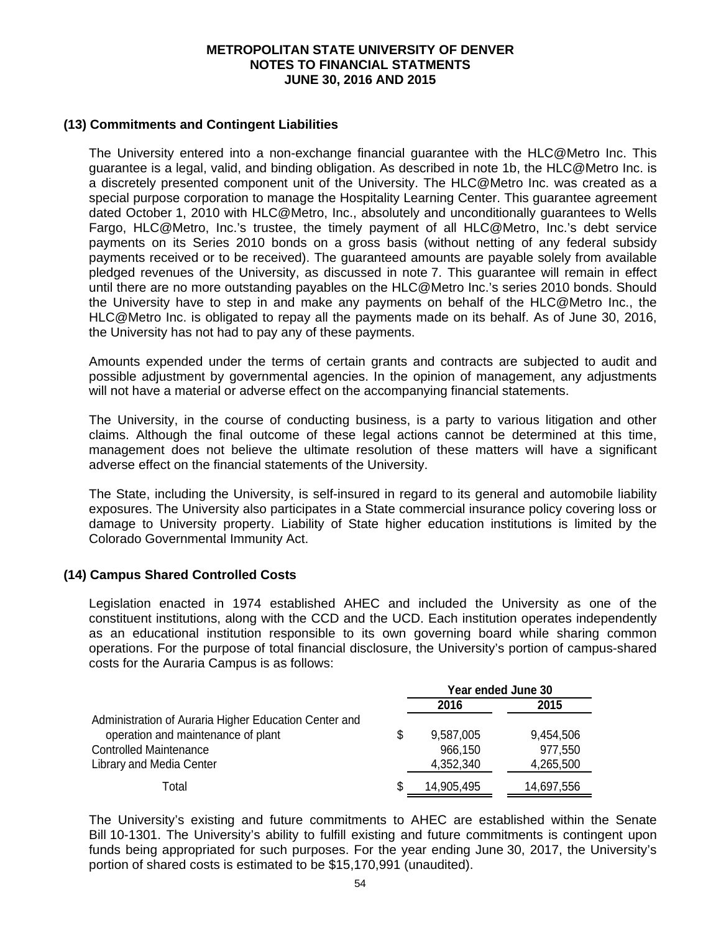# **(13) Commitments and Contingent Liabilities**

The University entered into a non-exchange financial guarantee with the HLC@Metro Inc. This guarantee is a legal, valid, and binding obligation. As described in note 1b, the HLC@Metro Inc. is a discretely presented component unit of the University. The HLC@Metro Inc. was created as a special purpose corporation to manage the Hospitality Learning Center. This guarantee agreement dated October 1, 2010 with HLC@Metro, Inc., absolutely and unconditionally guarantees to Wells Fargo, HLC@Metro, Inc.'s trustee, the timely payment of all HLC@Metro, Inc.'s debt service payments on its Series 2010 bonds on a gross basis (without netting of any federal subsidy payments received or to be received). The guaranteed amounts are payable solely from available pledged revenues of the University, as discussed in note 7. This guarantee will remain in effect until there are no more outstanding payables on the HLC@Metro Inc.'s series 2010 bonds. Should the University have to step in and make any payments on behalf of the HLC@Metro Inc., the HLC@Metro Inc. is obligated to repay all the payments made on its behalf. As of June 30, 2016, the University has not had to pay any of these payments.

Amounts expended under the terms of certain grants and contracts are subjected to audit and possible adjustment by governmental agencies. In the opinion of management, any adjustments will not have a material or adverse effect on the accompanying financial statements.

The University, in the course of conducting business, is a party to various litigation and other claims. Although the final outcome of these legal actions cannot be determined at this time, management does not believe the ultimate resolution of these matters will have a significant adverse effect on the financial statements of the University.

The State, including the University, is self-insured in regard to its general and automobile liability exposures. The University also participates in a State commercial insurance policy covering loss or damage to University property. Liability of State higher education institutions is limited by the Colorado Governmental Immunity Act.

#### **(14) Campus Shared Controlled Costs**

Legislation enacted in 1974 established AHEC and included the University as one of the constituent institutions, along with the CCD and the UCD. Each institution operates independently as an educational institution responsible to its own governing board while sharing common operations. For the purpose of total financial disclosure, the University's portion of campus-shared costs for the Auraria Campus is as follows:

|                                                       | Year ended June 30 |            |  |  |
|-------------------------------------------------------|--------------------|------------|--|--|
|                                                       | 2016               | 2015       |  |  |
| Administration of Auraria Higher Education Center and |                    |            |  |  |
| operation and maintenance of plant                    | 9,587,005          | 9,454,506  |  |  |
| <b>Controlled Maintenance</b>                         | 966,150            | 977,550    |  |  |
| Library and Media Center                              | 4,352,340          | 4,265,500  |  |  |
| Total                                                 | 14,905,495         | 14,697,556 |  |  |

The University's existing and future commitments to AHEC are established within the Senate Bill 10-1301. The University's ability to fulfill existing and future commitments is contingent upon funds being appropriated for such purposes. For the year ending June 30, 2017, the University's portion of shared costs is estimated to be \$15,170,991 (unaudited).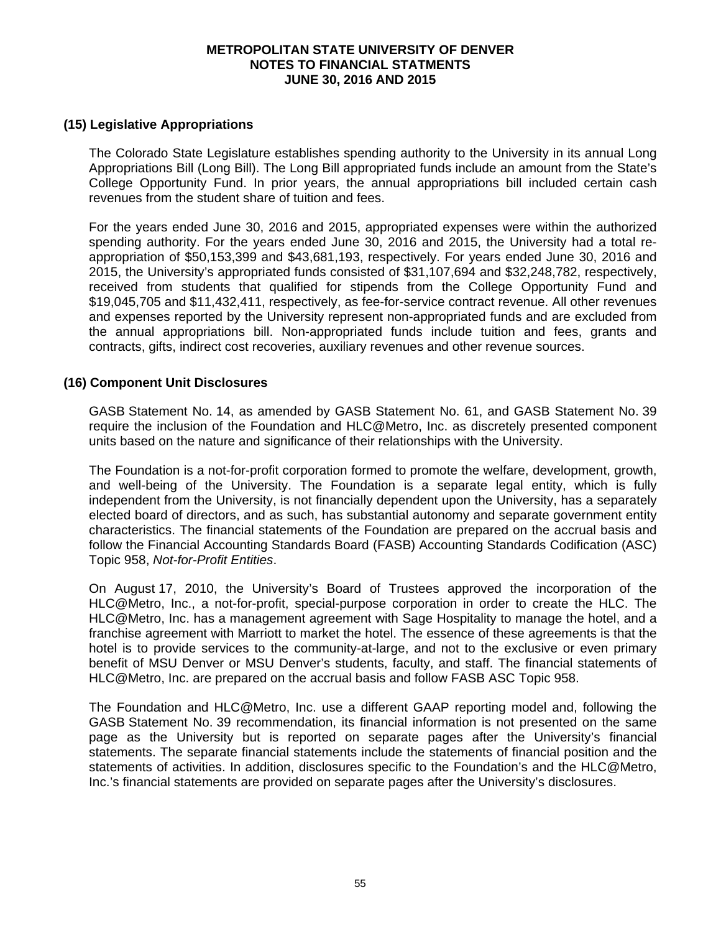## **(15) Legislative Appropriations**

The Colorado State Legislature establishes spending authority to the University in its annual Long Appropriations Bill (Long Bill). The Long Bill appropriated funds include an amount from the State's College Opportunity Fund. In prior years, the annual appropriations bill included certain cash revenues from the student share of tuition and fees.

For the years ended June 30, 2016 and 2015, appropriated expenses were within the authorized spending authority. For the years ended June 30, 2016 and 2015, the University had a total reappropriation of \$50,153,399 and \$43,681,193, respectively. For years ended June 30, 2016 and 2015, the University's appropriated funds consisted of \$31,107,694 and \$32,248,782, respectively, received from students that qualified for stipends from the College Opportunity Fund and \$19,045,705 and \$11,432,411, respectively, as fee-for-service contract revenue. All other revenues and expenses reported by the University represent non-appropriated funds and are excluded from the annual appropriations bill. Non-appropriated funds include tuition and fees, grants and contracts, gifts, indirect cost recoveries, auxiliary revenues and other revenue sources.

## **(16) Component Unit Disclosures**

GASB Statement No. 14, as amended by GASB Statement No. 61, and GASB Statement No. 39 require the inclusion of the Foundation and HLC@Metro, Inc. as discretely presented component units based on the nature and significance of their relationships with the University.

The Foundation is a not-for-profit corporation formed to promote the welfare, development, growth, and well-being of the University. The Foundation is a separate legal entity, which is fully independent from the University, is not financially dependent upon the University, has a separately elected board of directors, and as such, has substantial autonomy and separate government entity characteristics. The financial statements of the Foundation are prepared on the accrual basis and follow the Financial Accounting Standards Board (FASB) Accounting Standards Codification (ASC) Topic 958, *Not-for-Profit Entities*.

On August 17, 2010, the University's Board of Trustees approved the incorporation of the HLC@Metro, Inc., a not-for-profit, special-purpose corporation in order to create the HLC. The HLC@Metro, Inc. has a management agreement with Sage Hospitality to manage the hotel, and a franchise agreement with Marriott to market the hotel. The essence of these agreements is that the hotel is to provide services to the community-at-large, and not to the exclusive or even primary benefit of MSU Denver or MSU Denver's students, faculty, and staff. The financial statements of HLC@Metro, Inc. are prepared on the accrual basis and follow FASB ASC Topic 958.

The Foundation and HLC@Metro, Inc. use a different GAAP reporting model and, following the GASB Statement No. 39 recommendation, its financial information is not presented on the same page as the University but is reported on separate pages after the University's financial statements. The separate financial statements include the statements of financial position and the statements of activities. In addition, disclosures specific to the Foundation's and the HLC@Metro, Inc.'s financial statements are provided on separate pages after the University's disclosures.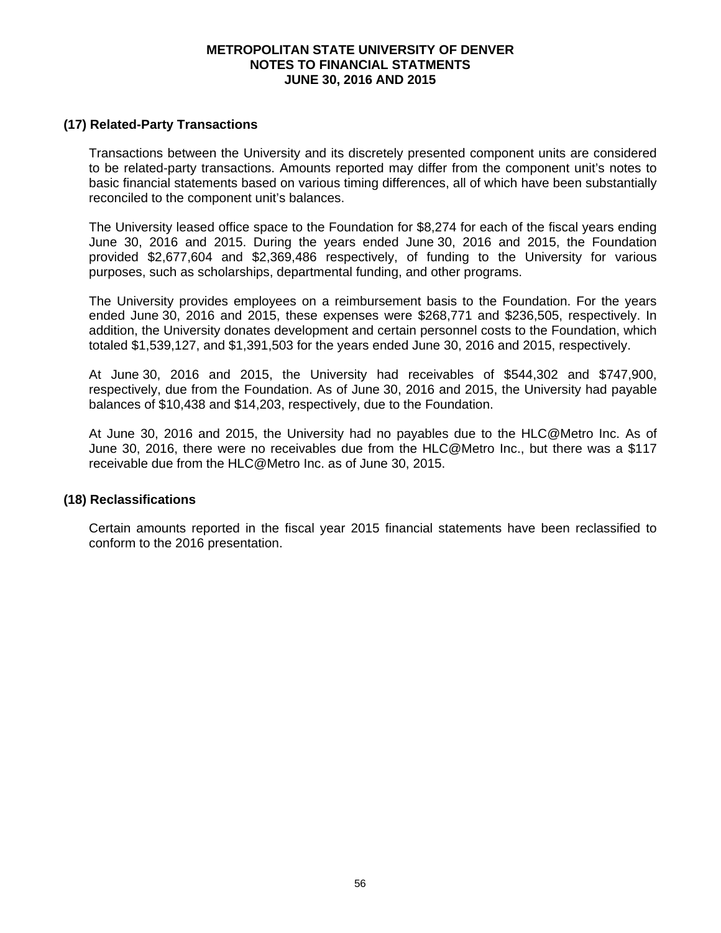# **(17) Related-Party Transactions**

Transactions between the University and its discretely presented component units are considered to be related-party transactions. Amounts reported may differ from the component unit's notes to basic financial statements based on various timing differences, all of which have been substantially reconciled to the component unit's balances.

The University leased office space to the Foundation for \$8,274 for each of the fiscal years ending June 30, 2016 and 2015. During the years ended June 30, 2016 and 2015, the Foundation provided \$2,677,604 and \$2,369,486 respectively, of funding to the University for various purposes, such as scholarships, departmental funding, and other programs.

The University provides employees on a reimbursement basis to the Foundation. For the years ended June 30, 2016 and 2015, these expenses were \$268,771 and \$236,505, respectively. In addition, the University donates development and certain personnel costs to the Foundation, which totaled \$1,539,127, and \$1,391,503 for the years ended June 30, 2016 and 2015, respectively.

At June 30, 2016 and 2015, the University had receivables of \$544,302 and \$747,900, respectively, due from the Foundation. As of June 30, 2016 and 2015, the University had payable balances of \$10,438 and \$14,203, respectively, due to the Foundation.

At June 30, 2016 and 2015, the University had no payables due to the HLC@Metro Inc. As of June 30, 2016, there were no receivables due from the HLC@Metro Inc., but there was a \$117 receivable due from the HLC@Metro Inc. as of June 30, 2015.

## **(18) Reclassifications**

Certain amounts reported in the fiscal year 2015 financial statements have been reclassified to conform to the 2016 presentation.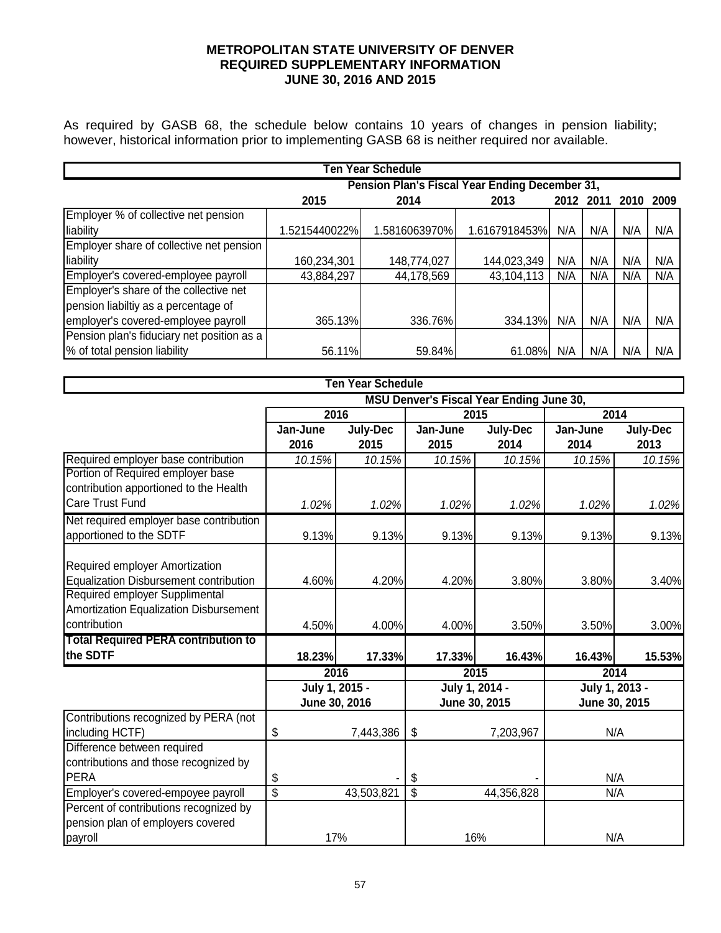# **METROPOLITAN STATE UNIVERSITY OF DENVER REQUIRED SUPPLEMENTARY INFORMATION JUNE 30, 2016 AND 2015**

As required by GASB 68, the schedule below contains 10 years of changes in pension liability; however, historical information prior to implementing GASB 68 is neither required nor available.

| <b>Ten Year Schedule</b>                   |                                                |               |               |      |      |      |      |  |  |  |  |
|--------------------------------------------|------------------------------------------------|---------------|---------------|------|------|------|------|--|--|--|--|
|                                            | Pension Plan's Fiscal Year Ending December 31, |               |               |      |      |      |      |  |  |  |  |
|                                            | 2015                                           | 2014          | 2013          | 2012 | 2011 | 2010 | 2009 |  |  |  |  |
| Employer % of collective net pension       |                                                |               |               |      |      |      |      |  |  |  |  |
| liability                                  | ا5215440022%.                                  | 1.5816063970% | 1.6167918453% | N/A  | N/A  | N/A  | N/A  |  |  |  |  |
| Employer share of collective net pension   |                                                |               |               |      |      |      |      |  |  |  |  |
| liability                                  | 160,234,301                                    | 148,774,027   | 144,023,349   | N/A  | N/A  | N/A  | N/A  |  |  |  |  |
| Employer's covered-employee payroll        | 43,884,297                                     | 44,178,569    | 43,104,113    | N/A  | N/A  | N/A  | N/A  |  |  |  |  |
| Employer's share of the collective net     |                                                |               |               |      |      |      |      |  |  |  |  |
| pension liabiltiy as a percentage of       |                                                |               |               |      |      |      |      |  |  |  |  |
| employer's covered-employee payroll        | 365.13%                                        | 336.76%       | 334.13%       | N/A  | N/A  | N/A  | N/A  |  |  |  |  |
| Pension plan's fiduciary net position as a |                                                |               |               |      |      |      |      |  |  |  |  |
| % of total pension liability               | 56.11%                                         | 59.84%        | 61.08%        | N/A  | N/A  | N/A  | N/A  |  |  |  |  |

|                                                                              |                                 | <b>Ten Year Schedule</b> |                                                 |                 |                        |                 |  |
|------------------------------------------------------------------------------|---------------------------------|--------------------------|-------------------------------------------------|-----------------|------------------------|-----------------|--|
|                                                                              |                                 |                          | <b>MSU Denver's Fiscal Year Ending June 30,</b> |                 |                        |                 |  |
|                                                                              | 2016                            |                          | 2015                                            |                 | 2014                   |                 |  |
|                                                                              | Jan-June                        | <b>July-Dec</b>          | Jan-June                                        | <b>July-Dec</b> | Jan-June               | <b>July-Dec</b> |  |
|                                                                              | 2016                            | 2015                     | 2015                                            | 2014            | 2014                   | 2013            |  |
| Required employer base contribution                                          | 10.15%                          | 10.15%                   | 10.15%                                          | 10.15%          | 10.15%                 | 10.15%          |  |
| Portion of Required employer base                                            |                                 |                          |                                                 |                 |                        |                 |  |
| contribution apportioned to the Health                                       |                                 |                          |                                                 |                 |                        |                 |  |
| Care Trust Fund                                                              | 1.02%                           | 1.02%                    | 1.02%                                           | 1.02%           | 1.02%                  | 1.02%           |  |
| Net required employer base contribution                                      |                                 |                          |                                                 |                 |                        |                 |  |
| apportioned to the SDTF                                                      | 9.13%                           | 9.13%                    | 9.13%                                           | 9.13%           | 9.13%                  | 9.13%           |  |
|                                                                              |                                 |                          |                                                 |                 |                        |                 |  |
| Required employer Amortization<br>Equalization Disbursement contribution     |                                 |                          |                                                 |                 |                        |                 |  |
| Required employer Supplimental                                               | 4.60%                           | 4.20%                    | 4.20%                                           | 3.80%           | 3.80%                  | 3.40%           |  |
| Amortization Equalization Disbursement                                       |                                 |                          |                                                 |                 |                        |                 |  |
| contribution                                                                 | 4.50%                           | 4.00%                    | 4.00%                                           | 3.50%           | 3.50%                  | 3.00%           |  |
| <b>Total Required PERA contribution to</b>                                   |                                 |                          |                                                 |                 |                        |                 |  |
| <b>the SDTF</b>                                                              |                                 | 17.33%                   |                                                 | 16.43%          | 16.43%                 | 15.53%          |  |
|                                                                              | 18.23%                          |                          | 17.33%                                          |                 |                        |                 |  |
|                                                                              | 2016                            |                          | 2015                                            |                 | 2014<br>July 1, 2013 - |                 |  |
|                                                                              | July 1, 2015 -<br>June 30, 2016 |                          | July 1, 2014 -                                  |                 |                        |                 |  |
| Contributions recognized by PERA (not                                        |                                 |                          | June 30, 2015                                   |                 | June 30, 2015          |                 |  |
| including HCTF)                                                              |                                 |                          |                                                 | 7,203,967       | N/A                    |                 |  |
| Difference between required                                                  | \$                              | 7,443,386                | \$                                              |                 |                        |                 |  |
| contributions and those recognized by                                        |                                 |                          |                                                 |                 |                        |                 |  |
| PERA                                                                         | \$                              |                          |                                                 |                 | N/A                    |                 |  |
|                                                                              | $\overline{\mathcal{S}}$        | 43,503,821               | $\frac{1}{2}$<br>$\overline{\$}$                | 44,356,828      | N/A                    |                 |  |
| Employer's covered-empoyee payroll<br>Percent of contributions recognized by |                                 |                          |                                                 |                 |                        |                 |  |
| pension plan of employers covered                                            |                                 |                          |                                                 |                 |                        |                 |  |
| payroll                                                                      | 17%                             |                          | 16%                                             |                 | N/A                    |                 |  |
|                                                                              |                                 |                          |                                                 |                 |                        |                 |  |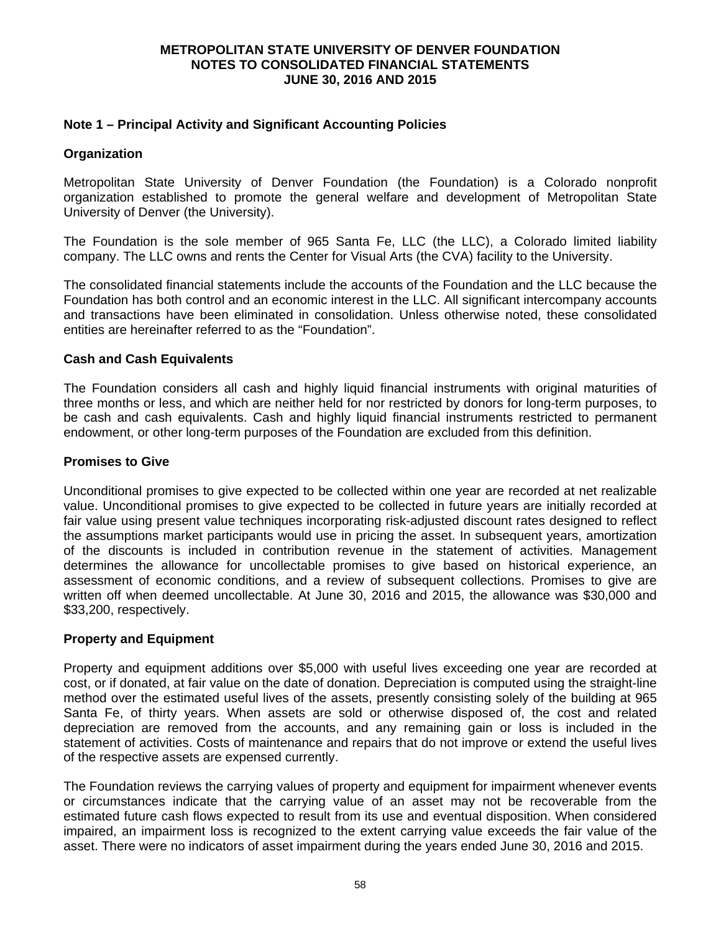## **Note 1 – Principal Activity and Significant Accounting Policies**

### **Organization**

Metropolitan State University of Denver Foundation (the Foundation) is a Colorado nonprofit organization established to promote the general welfare and development of Metropolitan State University of Denver (the University).

The Foundation is the sole member of 965 Santa Fe, LLC (the LLC), a Colorado limited liability company. The LLC owns and rents the Center for Visual Arts (the CVA) facility to the University.

The consolidated financial statements include the accounts of the Foundation and the LLC because the Foundation has both control and an economic interest in the LLC. All significant intercompany accounts and transactions have been eliminated in consolidation. Unless otherwise noted, these consolidated entities are hereinafter referred to as the "Foundation".

#### **Cash and Cash Equivalents**

The Foundation considers all cash and highly liquid financial instruments with original maturities of three months or less, and which are neither held for nor restricted by donors for long-term purposes, to be cash and cash equivalents. Cash and highly liquid financial instruments restricted to permanent endowment, or other long-term purposes of the Foundation are excluded from this definition.

### **Promises to Give**

Unconditional promises to give expected to be collected within one year are recorded at net realizable value. Unconditional promises to give expected to be collected in future years are initially recorded at fair value using present value techniques incorporating risk-adjusted discount rates designed to reflect the assumptions market participants would use in pricing the asset. In subsequent years, amortization of the discounts is included in contribution revenue in the statement of activities. Management determines the allowance for uncollectable promises to give based on historical experience, an assessment of economic conditions, and a review of subsequent collections. Promises to give are written off when deemed uncollectable. At June 30, 2016 and 2015, the allowance was \$30,000 and \$33,200, respectively.

#### **Property and Equipment**

Property and equipment additions over \$5,000 with useful lives exceeding one year are recorded at cost, or if donated, at fair value on the date of donation. Depreciation is computed using the straight-line method over the estimated useful lives of the assets, presently consisting solely of the building at 965 Santa Fe, of thirty years. When assets are sold or otherwise disposed of, the cost and related depreciation are removed from the accounts, and any remaining gain or loss is included in the statement of activities. Costs of maintenance and repairs that do not improve or extend the useful lives of the respective assets are expensed currently.

The Foundation reviews the carrying values of property and equipment for impairment whenever events or circumstances indicate that the carrying value of an asset may not be recoverable from the estimated future cash flows expected to result from its use and eventual disposition. When considered impaired, an impairment loss is recognized to the extent carrying value exceeds the fair value of the asset. There were no indicators of asset impairment during the years ended June 30, 2016 and 2015.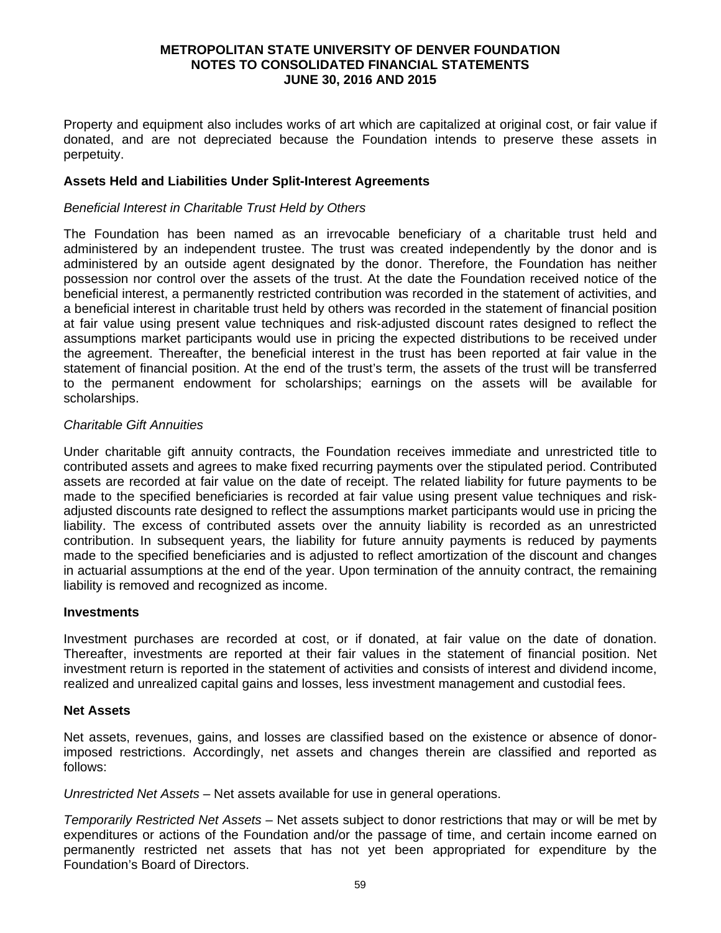Property and equipment also includes works of art which are capitalized at original cost, or fair value if donated, and are not depreciated because the Foundation intends to preserve these assets in perpetuity.

# **Assets Held and Liabilities Under Split-Interest Agreements**

# *Beneficial Interest in Charitable Trust Held by Others*

The Foundation has been named as an irrevocable beneficiary of a charitable trust held and administered by an independent trustee. The trust was created independently by the donor and is administered by an outside agent designated by the donor. Therefore, the Foundation has neither possession nor control over the assets of the trust. At the date the Foundation received notice of the beneficial interest, a permanently restricted contribution was recorded in the statement of activities, and a beneficial interest in charitable trust held by others was recorded in the statement of financial position at fair value using present value techniques and risk-adjusted discount rates designed to reflect the assumptions market participants would use in pricing the expected distributions to be received under the agreement. Thereafter, the beneficial interest in the trust has been reported at fair value in the statement of financial position. At the end of the trust's term, the assets of the trust will be transferred to the permanent endowment for scholarships; earnings on the assets will be available for scholarships.

## *Charitable Gift Annuities*

Under charitable gift annuity contracts, the Foundation receives immediate and unrestricted title to contributed assets and agrees to make fixed recurring payments over the stipulated period. Contributed assets are recorded at fair value on the date of receipt. The related liability for future payments to be made to the specified beneficiaries is recorded at fair value using present value techniques and riskadjusted discounts rate designed to reflect the assumptions market participants would use in pricing the liability. The excess of contributed assets over the annuity liability is recorded as an unrestricted contribution. In subsequent years, the liability for future annuity payments is reduced by payments made to the specified beneficiaries and is adjusted to reflect amortization of the discount and changes in actuarial assumptions at the end of the year. Upon termination of the annuity contract, the remaining liability is removed and recognized as income.

#### **Investments**

Investment purchases are recorded at cost, or if donated, at fair value on the date of donation. Thereafter, investments are reported at their fair values in the statement of financial position. Net investment return is reported in the statement of activities and consists of interest and dividend income, realized and unrealized capital gains and losses, less investment management and custodial fees.

#### **Net Assets**

Net assets, revenues, gains, and losses are classified based on the existence or absence of donorimposed restrictions. Accordingly, net assets and changes therein are classified and reported as follows:

*Unrestricted Net Assets* – Net assets available for use in general operations.

*Temporarily Restricted Net Assets* – Net assets subject to donor restrictions that may or will be met by expenditures or actions of the Foundation and/or the passage of time, and certain income earned on permanently restricted net assets that has not yet been appropriated for expenditure by the Foundation's Board of Directors.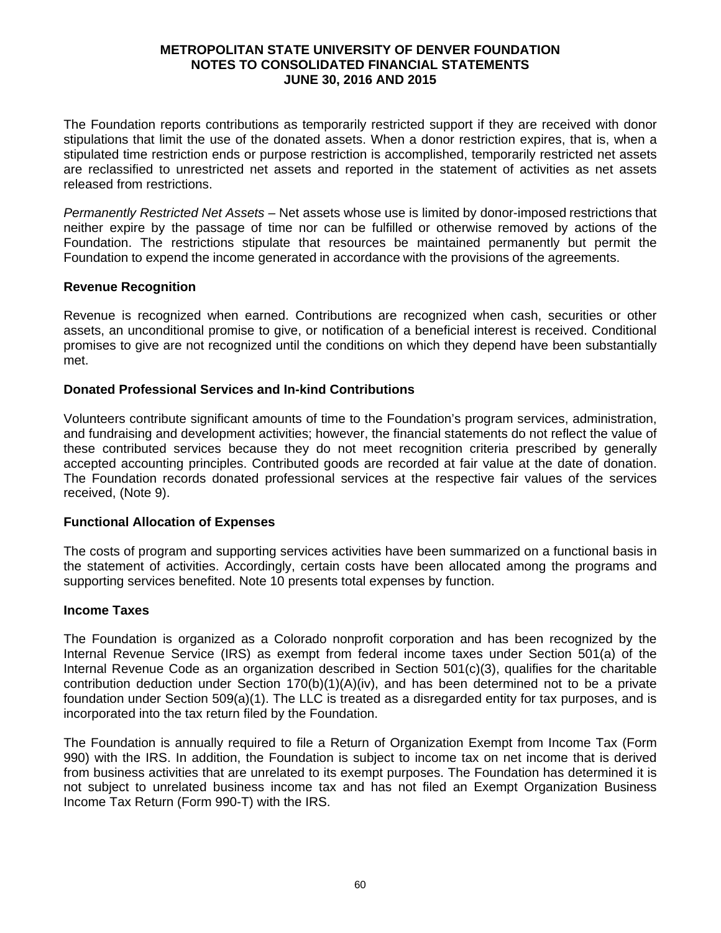The Foundation reports contributions as temporarily restricted support if they are received with donor stipulations that limit the use of the donated assets. When a donor restriction expires, that is, when a stipulated time restriction ends or purpose restriction is accomplished, temporarily restricted net assets are reclassified to unrestricted net assets and reported in the statement of activities as net assets released from restrictions.

*Permanently Restricted Net Assets* – Net assets whose use is limited by donor-imposed restrictions that neither expire by the passage of time nor can be fulfilled or otherwise removed by actions of the Foundation. The restrictions stipulate that resources be maintained permanently but permit the Foundation to expend the income generated in accordance with the provisions of the agreements.

# **Revenue Recognition**

Revenue is recognized when earned. Contributions are recognized when cash, securities or other assets, an unconditional promise to give, or notification of a beneficial interest is received. Conditional promises to give are not recognized until the conditions on which they depend have been substantially met.

## **Donated Professional Services and In-kind Contributions**

Volunteers contribute significant amounts of time to the Foundation's program services, administration, and fundraising and development activities; however, the financial statements do not reflect the value of these contributed services because they do not meet recognition criteria prescribed by generally accepted accounting principles. Contributed goods are recorded at fair value at the date of donation. The Foundation records donated professional services at the respective fair values of the services received, (Note 9).

#### **Functional Allocation of Expenses**

The costs of program and supporting services activities have been summarized on a functional basis in the statement of activities. Accordingly, certain costs have been allocated among the programs and supporting services benefited. Note 10 presents total expenses by function.

#### **Income Taxes**

The Foundation is organized as a Colorado nonprofit corporation and has been recognized by the Internal Revenue Service (IRS) as exempt from federal income taxes under Section 501(a) of the Internal Revenue Code as an organization described in Section 501(c)(3), qualifies for the charitable contribution deduction under Section 170(b)(1)(A)(iv), and has been determined not to be a private foundation under Section 509(a)(1). The LLC is treated as a disregarded entity for tax purposes, and is incorporated into the tax return filed by the Foundation.

The Foundation is annually required to file a Return of Organization Exempt from Income Tax (Form 990) with the IRS. In addition, the Foundation is subject to income tax on net income that is derived from business activities that are unrelated to its exempt purposes. The Foundation has determined it is not subject to unrelated business income tax and has not filed an Exempt Organization Business Income Tax Return (Form 990-T) with the IRS.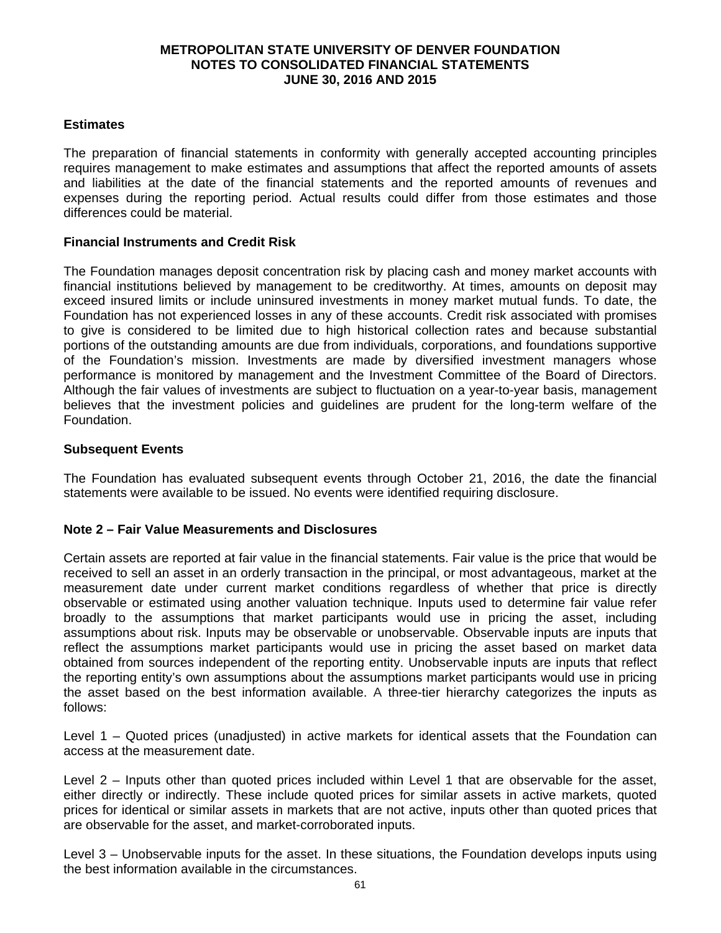# **Estimates**

The preparation of financial statements in conformity with generally accepted accounting principles requires management to make estimates and assumptions that affect the reported amounts of assets and liabilities at the date of the financial statements and the reported amounts of revenues and expenses during the reporting period. Actual results could differ from those estimates and those differences could be material.

## **Financial Instruments and Credit Risk**

The Foundation manages deposit concentration risk by placing cash and money market accounts with financial institutions believed by management to be creditworthy. At times, amounts on deposit may exceed insured limits or include uninsured investments in money market mutual funds. To date, the Foundation has not experienced losses in any of these accounts. Credit risk associated with promises to give is considered to be limited due to high historical collection rates and because substantial portions of the outstanding amounts are due from individuals, corporations, and foundations supportive of the Foundation's mission. Investments are made by diversified investment managers whose performance is monitored by management and the Investment Committee of the Board of Directors. Although the fair values of investments are subject to fluctuation on a year-to-year basis, management believes that the investment policies and guidelines are prudent for the long-term welfare of the Foundation.

## **Subsequent Events**

The Foundation has evaluated subsequent events through October 21, 2016, the date the financial statements were available to be issued. No events were identified requiring disclosure.

#### **Note 2 – Fair Value Measurements and Disclosures**

Certain assets are reported at fair value in the financial statements. Fair value is the price that would be received to sell an asset in an orderly transaction in the principal, or most advantageous, market at the measurement date under current market conditions regardless of whether that price is directly observable or estimated using another valuation technique. Inputs used to determine fair value refer broadly to the assumptions that market participants would use in pricing the asset, including assumptions about risk. Inputs may be observable or unobservable. Observable inputs are inputs that reflect the assumptions market participants would use in pricing the asset based on market data obtained from sources independent of the reporting entity. Unobservable inputs are inputs that reflect the reporting entity's own assumptions about the assumptions market participants would use in pricing the asset based on the best information available. A three-tier hierarchy categorizes the inputs as follows:

Level 1 – Quoted prices (unadjusted) in active markets for identical assets that the Foundation can access at the measurement date.

Level 2 – Inputs other than quoted prices included within Level 1 that are observable for the asset, either directly or indirectly. These include quoted prices for similar assets in active markets, quoted prices for identical or similar assets in markets that are not active, inputs other than quoted prices that are observable for the asset, and market-corroborated inputs.

Level 3 – Unobservable inputs for the asset. In these situations, the Foundation develops inputs using the best information available in the circumstances.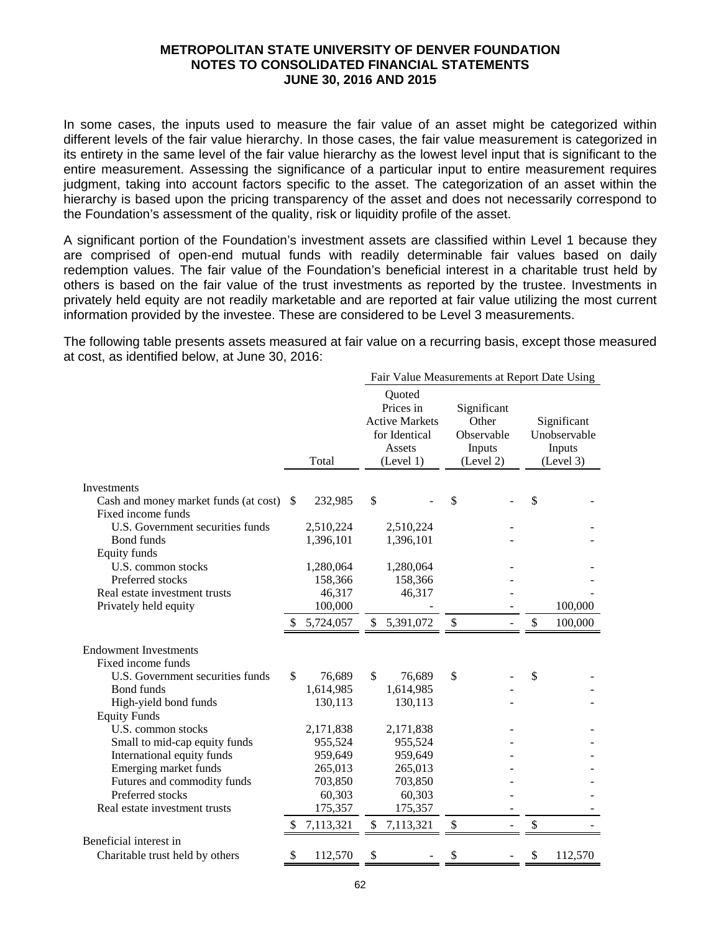In some cases, the inputs used to measure the fair value of an asset might be categorized within different levels of the fair value hierarchy. In those cases, the fair value measurement is categorized in its entirety in the same level of the fair value hierarchy as the lowest level input that is significant to the entire measurement. Assessing the significance of a particular input to entire measurement requires judgment, taking into account factors specific to the asset. The categorization of an asset within the hierarchy is based upon the pricing transparency of the asset and does not necessarily correspond to the Foundation's assessment of the quality, risk or liquidity profile of the asset.

A significant portion of the Foundation's investment assets are classified within Level 1 because they are comprised of open-end mutual funds with readily determinable fair values based on daily redemption values. The fair value of the Foundation's beneficial interest in a charitable trust held by others is based on the fair value of the trust investments as reported by the trustee. Investments in privately held equity are not readily marketable and are reported at fair value utilizing the most current information provided by the investee. These are considered to be Level 3 measurements.

The following table presents assets measured at fair value on a recurring basis, except those measured at cost, as identified below, at June 30, 2016:

|                                                                |               | Fair Value Measurements at Report Date Using                                                                                                      |           |                           |  |                                                    |         |
|----------------------------------------------------------------|---------------|---------------------------------------------------------------------------------------------------------------------------------------------------|-----------|---------------------------|--|----------------------------------------------------|---------|
|                                                                | Total         | Quoted<br>Prices in<br>Significant<br><b>Active Markets</b><br>Other<br>for Identical<br>Observable<br>Assets<br>Inputs<br>(Level 2)<br>(Level 1) |           |                           |  | Significant<br>Unobservable<br>Inputs<br>(Level 3) |         |
| Investments                                                    |               |                                                                                                                                                   |           |                           |  |                                                    |         |
| Cash and money market funds (at cost) \$<br>Fixed income funds | 232,985       | \$                                                                                                                                                |           | $\mathcal{S}$             |  | \$                                                 |         |
| U.S. Government securities funds                               | 2,510,224     |                                                                                                                                                   | 2,510,224 |                           |  |                                                    |         |
| <b>Bond funds</b><br>Equity funds                              | 1,396,101     |                                                                                                                                                   | 1,396,101 |                           |  |                                                    |         |
| U.S. common stocks                                             | 1,280,064     |                                                                                                                                                   | 1,280,064 |                           |  |                                                    |         |
| Preferred stocks                                               | 158,366       |                                                                                                                                                   | 158,366   |                           |  |                                                    |         |
| Real estate investment trusts                                  | 46,317        |                                                                                                                                                   | 46,317    |                           |  |                                                    |         |
| Privately held equity                                          | 100,000       |                                                                                                                                                   |           |                           |  |                                                    | 100,000 |
|                                                                | 5,724,057     | \$                                                                                                                                                | 5,391,072 | $\boldsymbol{\mathsf{S}}$ |  | \$                                                 | 100,000 |
| <b>Endowment Investments</b>                                   |               |                                                                                                                                                   |           |                           |  |                                                    |         |
| Fixed income funds                                             |               |                                                                                                                                                   |           |                           |  |                                                    |         |
| U.S. Government securities funds                               | \$<br>76,689  | \$                                                                                                                                                | 76,689    | \$                        |  | \$                                                 |         |
| Bond funds                                                     | 1,614,985     |                                                                                                                                                   | 1,614,985 |                           |  |                                                    |         |
| High-yield bond funds                                          | 130,113       |                                                                                                                                                   | 130,113   |                           |  |                                                    |         |
| <b>Equity Funds</b><br>U.S. common stocks                      | 2,171,838     |                                                                                                                                                   | 2,171,838 |                           |  |                                                    |         |
| Small to mid-cap equity funds                                  | 955,524       |                                                                                                                                                   | 955,524   |                           |  |                                                    |         |
| International equity funds                                     | 959,649       |                                                                                                                                                   | 959,649   |                           |  |                                                    |         |
| Emerging market funds                                          | 265,013       |                                                                                                                                                   | 265,013   |                           |  |                                                    |         |
| Futures and commodity funds                                    | 703,850       |                                                                                                                                                   | 703,850   |                           |  |                                                    |         |
| Preferred stocks                                               | 60,303        |                                                                                                                                                   | 60,303    |                           |  |                                                    |         |
| Real estate investment trusts                                  | 175,357       |                                                                                                                                                   | 175,357   |                           |  |                                                    |         |
|                                                                | 7,113,321     | \$                                                                                                                                                | 7,113,321 | \$                        |  | \$                                                 |         |
| Beneficial interest in                                         |               |                                                                                                                                                   |           |                           |  |                                                    |         |
| Charitable trust held by others                                | \$<br>112,570 | \$                                                                                                                                                |           | \$                        |  | \$                                                 | 112,570 |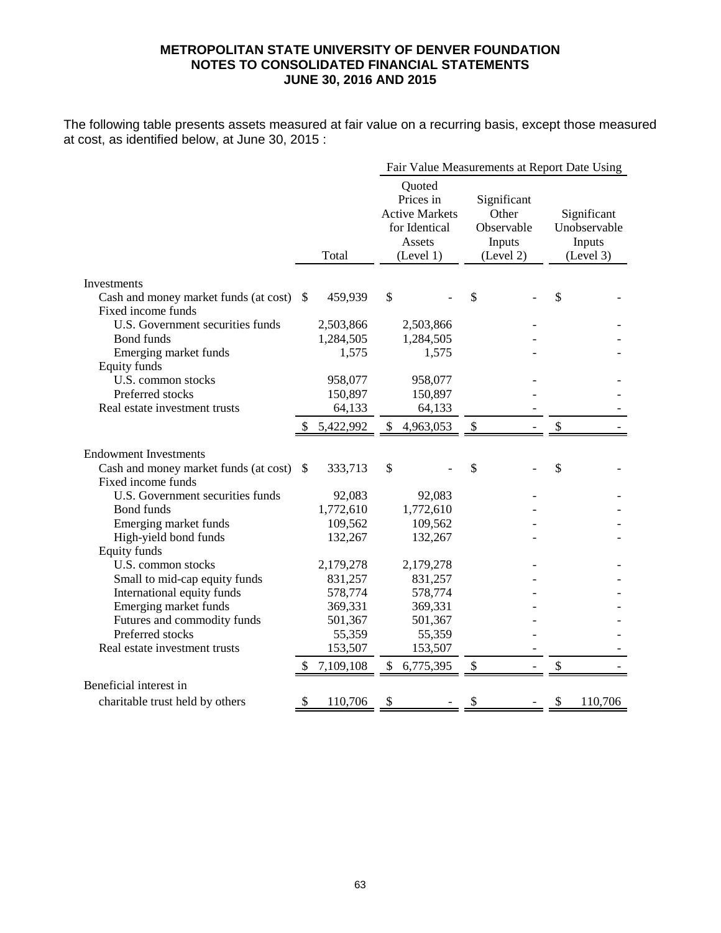The following table presents assets measured at fair value on a recurring basis, except those measured at cost, as identified below, at June 30, 2015 :

|                                                                                |                 | Fair Value Measurements at Report Date Using                                         |           |                                                           |  |    |                                                    |
|--------------------------------------------------------------------------------|-----------------|--------------------------------------------------------------------------------------|-----------|-----------------------------------------------------------|--|----|----------------------------------------------------|
|                                                                                | Total           | Quoted<br>Prices in<br><b>Active Markets</b><br>for Identical<br>Assets<br>(Level 1) |           | Significant<br>Other<br>Observable<br>Inputs<br>(Level 2) |  |    | Significant<br>Unobservable<br>Inputs<br>(Level 3) |
|                                                                                |                 |                                                                                      |           |                                                           |  |    |                                                    |
| Investments<br>Cash and money market funds (at cost) $\$<br>Fixed income funds | 459,939         | \$                                                                                   |           | \$                                                        |  | \$ |                                                    |
| U.S. Government securities funds                                               | 2,503,866       |                                                                                      | 2,503,866 |                                                           |  |    |                                                    |
| <b>Bond</b> funds                                                              | 1,284,505       |                                                                                      | 1,284,505 |                                                           |  |    |                                                    |
| Emerging market funds<br>Equity funds                                          | 1,575           |                                                                                      | 1,575     |                                                           |  |    |                                                    |
| U.S. common stocks                                                             | 958,077         |                                                                                      | 958,077   |                                                           |  |    |                                                    |
| Preferred stocks                                                               | 150,897         |                                                                                      | 150,897   |                                                           |  |    |                                                    |
| Real estate investment trusts                                                  | 64,133          |                                                                                      | 64,133    |                                                           |  |    |                                                    |
|                                                                                | \$<br>5,422,992 | \$                                                                                   | 4,963,053 | \$                                                        |  | \$ |                                                    |
| <b>Endowment Investments</b>                                                   |                 |                                                                                      |           |                                                           |  |    |                                                    |
| Cash and money market funds (at cost) \$<br>Fixed income funds                 | 333,713         | \$                                                                                   |           | \$                                                        |  | \$ |                                                    |
| U.S. Government securities funds                                               | 92,083          |                                                                                      | 92,083    |                                                           |  |    |                                                    |
| <b>Bond</b> funds                                                              | 1,772,610       |                                                                                      | 1,772,610 |                                                           |  |    |                                                    |
| Emerging market funds                                                          | 109,562         |                                                                                      | 109,562   |                                                           |  |    |                                                    |
| High-yield bond funds<br><b>Equity funds</b>                                   | 132,267         |                                                                                      | 132,267   |                                                           |  |    |                                                    |
| U.S. common stocks                                                             | 2,179,278       |                                                                                      | 2,179,278 |                                                           |  |    |                                                    |
| Small to mid-cap equity funds                                                  | 831,257         |                                                                                      | 831,257   |                                                           |  |    |                                                    |
| International equity funds                                                     | 578,774         |                                                                                      | 578,774   |                                                           |  |    |                                                    |
| Emerging market funds                                                          | 369,331         |                                                                                      | 369,331   |                                                           |  |    |                                                    |
| Futures and commodity funds                                                    | 501,367         |                                                                                      | 501,367   |                                                           |  |    |                                                    |
| Preferred stocks                                                               | 55,359          |                                                                                      | 55,359    |                                                           |  |    |                                                    |
| Real estate investment trusts                                                  | 153,507         |                                                                                      | 153,507   |                                                           |  |    |                                                    |
|                                                                                | \$<br>7,109,108 | \$                                                                                   | 6,775,395 | \$                                                        |  | \$ |                                                    |
| Beneficial interest in                                                         |                 |                                                                                      |           |                                                           |  |    |                                                    |
| charitable trust held by others                                                | \$<br>110,706   | \$                                                                                   |           | \$                                                        |  | S  | 110,706                                            |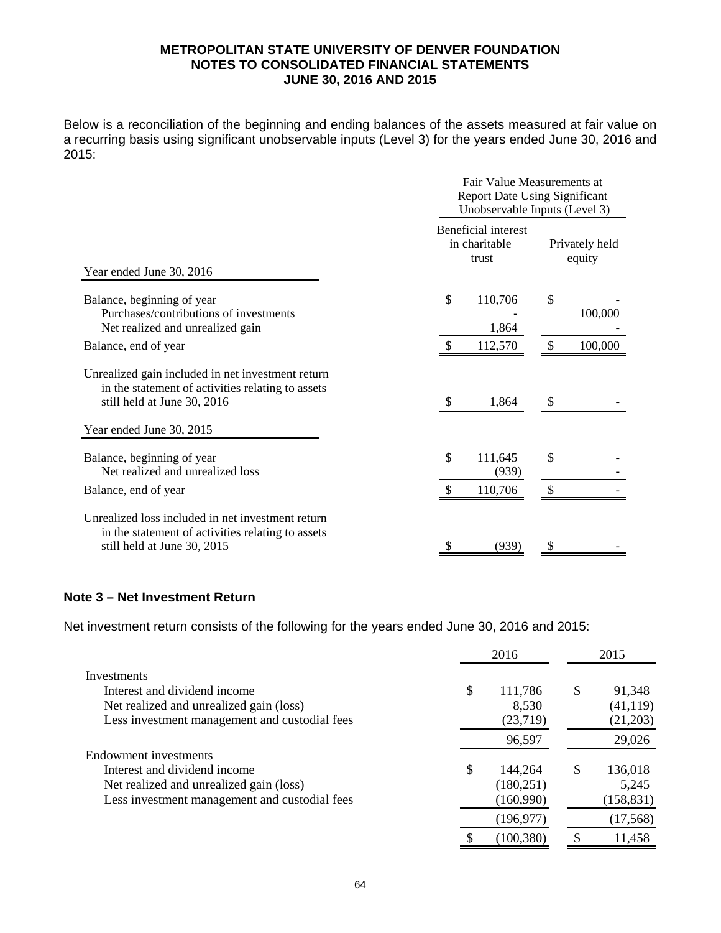Below is a reconciliation of the beginning and ending balances of the assets measured at fair value on a recurring basis using significant unobservable inputs (Level 3) for the years ended June 30, 2016 and 2015:

|                                                                                                                                       | Fair Value Measurements at<br><b>Report Date Using Significant</b><br>Unobservable Inputs (Level 3) |                          |  |  |  |  |  |
|---------------------------------------------------------------------------------------------------------------------------------------|-----------------------------------------------------------------------------------------------------|--------------------------|--|--|--|--|--|
|                                                                                                                                       | <b>Beneficial interest</b><br>in charitable<br>trust                                                | Privately held<br>equity |  |  |  |  |  |
| Year ended June 30, 2016                                                                                                              |                                                                                                     |                          |  |  |  |  |  |
| Balance, beginning of year<br>Purchases/contributions of investments<br>Net realized and unrealized gain                              | \$<br>110,706<br>1,864                                                                              | \$<br>100,000            |  |  |  |  |  |
| Balance, end of year                                                                                                                  | 112,570                                                                                             | \$<br>100,000            |  |  |  |  |  |
| Unrealized gain included in net investment return<br>in the statement of activities relating to assets<br>still held at June 30, 2016 | 1,864                                                                                               | <sup>\$</sup>            |  |  |  |  |  |
| Year ended June 30, 2015                                                                                                              |                                                                                                     |                          |  |  |  |  |  |
| Balance, beginning of year<br>Net realized and unrealized loss                                                                        | \$<br>111,645<br>(939)                                                                              | \$                       |  |  |  |  |  |
| Balance, end of year                                                                                                                  | 110,706                                                                                             | \$                       |  |  |  |  |  |
| Unrealized loss included in net investment return<br>in the statement of activities relating to assets<br>still held at June 30, 2015 | (939)                                                                                               |                          |  |  |  |  |  |

# **Note 3 – Net Investment Return**

Net investment return consists of the following for the years ended June 30, 2016 and 2015:

|                                               | 2016 |            | 2015 |            |
|-----------------------------------------------|------|------------|------|------------|
| Investments                                   |      |            |      |            |
| Interest and dividend income                  | \$   | 111,786    | \$   | 91,348     |
| Net realized and unrealized gain (loss)       |      | 8,530      |      | (41, 119)  |
| Less investment management and custodial fees |      | (23,719)   |      | (21,203)   |
|                                               |      | 96,597     |      | 29,026     |
| Endowment investments                         |      |            |      |            |
| Interest and dividend income                  | \$   | 144,264    | S    | 136,018    |
| Net realized and unrealized gain (loss)       |      | (180, 251) |      | 5,245      |
| Less investment management and custodial fees |      | (160,990)  |      | (158, 831) |
|                                               |      | (196, 977) |      | (17, 568)  |
|                                               | \$   | (100, 380) | S    | 11,458     |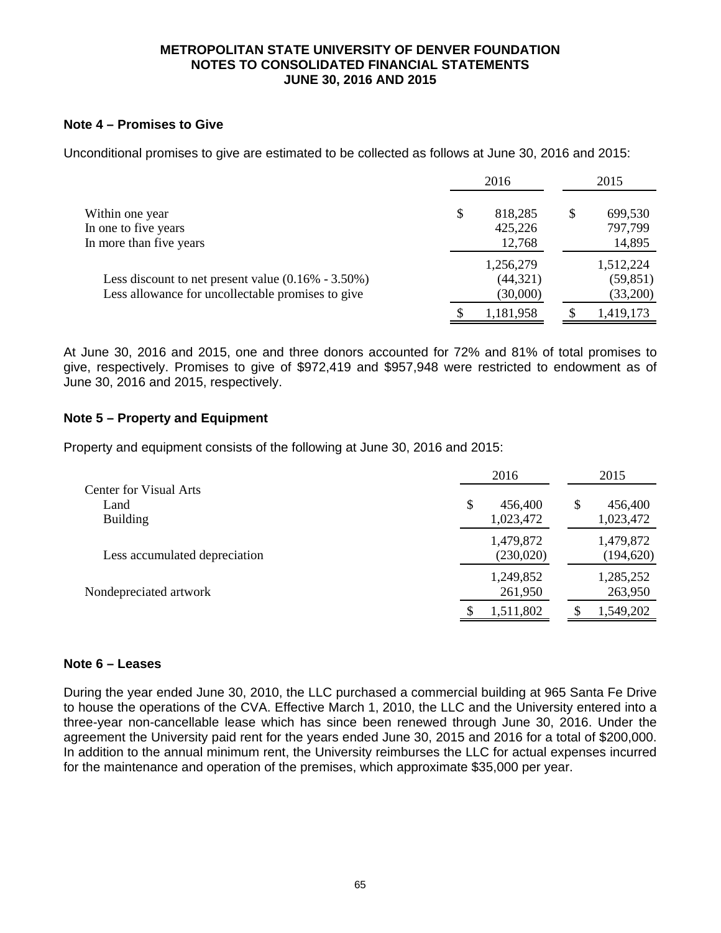## **Note 4 – Promises to Give**

Unconditional promises to give are estimated to be collected as follows at June 30, 2016 and 2015:

|                                                                                                             | 2016 |                                    |   | 2015                               |
|-------------------------------------------------------------------------------------------------------------|------|------------------------------------|---|------------------------------------|
| Within one year<br>In one to five years<br>In more than five years                                          | S    | 818,285<br>425,226<br>12,768       | S | 699,530<br>797,799<br>14,895       |
| Less discount to net present value $(0.16\% - 3.50\%)$<br>Less allowance for uncollectable promises to give |      | 1,256,279<br>(44, 321)<br>(30,000) |   | 1,512,224<br>(59, 851)<br>(33,200) |
|                                                                                                             |      | 1,181,958                          |   | 1,419,173                          |

At June 30, 2016 and 2015, one and three donors accounted for 72% and 81% of total promises to give, respectively. Promises to give of \$972,419 and \$957,948 were restricted to endowment as of June 30, 2016 and 2015, respectively.

## **Note 5 – Property and Equipment**

Property and equipment consists of the following at June 30, 2016 and 2015:

|                               | 2016          | 2015          |
|-------------------------------|---------------|---------------|
| <b>Center for Visual Arts</b> |               |               |
| Land                          | \$<br>456,400 | \$<br>456,400 |
| <b>Building</b>               | 1,023,472     | 1,023,472     |
|                               | 1,479,872     | 1,479,872     |
| Less accumulated depreciation | (230,020)     | (194, 620)    |
|                               | 1,249,852     | 1,285,252     |
| Nondepreciated artwork        | 261,950       | 263,950       |
|                               | 1,511,802     | 1,549,202     |

#### **Note 6 – Leases**

During the year ended June 30, 2010, the LLC purchased a commercial building at 965 Santa Fe Drive to house the operations of the CVA. Effective March 1, 2010, the LLC and the University entered into a three-year non-cancellable lease which has since been renewed through June 30, 2016. Under the agreement the University paid rent for the years ended June 30, 2015 and 2016 for a total of \$200,000. In addition to the annual minimum rent, the University reimburses the LLC for actual expenses incurred for the maintenance and operation of the premises, which approximate \$35,000 per year.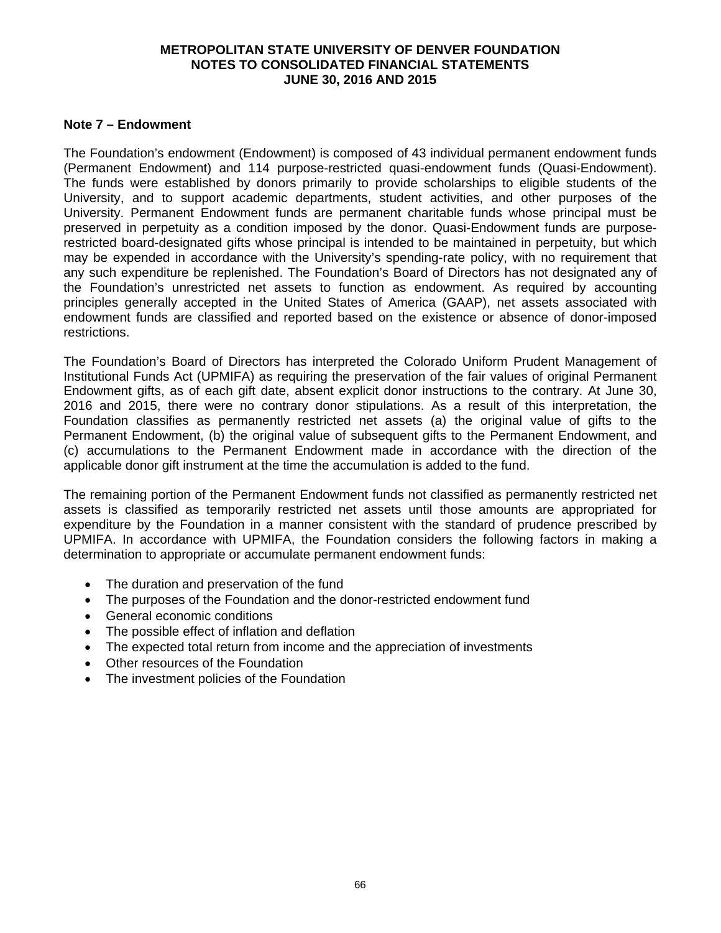### **Note 7 – Endowment**

The Foundation's endowment (Endowment) is composed of 43 individual permanent endowment funds (Permanent Endowment) and 114 purpose-restricted quasi-endowment funds (Quasi-Endowment). The funds were established by donors primarily to provide scholarships to eligible students of the University, and to support academic departments, student activities, and other purposes of the University. Permanent Endowment funds are permanent charitable funds whose principal must be preserved in perpetuity as a condition imposed by the donor. Quasi-Endowment funds are purposerestricted board-designated gifts whose principal is intended to be maintained in perpetuity, but which may be expended in accordance with the University's spending-rate policy, with no requirement that any such expenditure be replenished. The Foundation's Board of Directors has not designated any of the Foundation's unrestricted net assets to function as endowment. As required by accounting principles generally accepted in the United States of America (GAAP), net assets associated with endowment funds are classified and reported based on the existence or absence of donor-imposed restrictions.

The Foundation's Board of Directors has interpreted the Colorado Uniform Prudent Management of Institutional Funds Act (UPMIFA) as requiring the preservation of the fair values of original Permanent Endowment gifts, as of each gift date, absent explicit donor instructions to the contrary. At June 30, 2016 and 2015, there were no contrary donor stipulations. As a result of this interpretation, the Foundation classifies as permanently restricted net assets (a) the original value of gifts to the Permanent Endowment, (b) the original value of subsequent gifts to the Permanent Endowment, and (c) accumulations to the Permanent Endowment made in accordance with the direction of the applicable donor gift instrument at the time the accumulation is added to the fund.

The remaining portion of the Permanent Endowment funds not classified as permanently restricted net assets is classified as temporarily restricted net assets until those amounts are appropriated for expenditure by the Foundation in a manner consistent with the standard of prudence prescribed by UPMIFA. In accordance with UPMIFA, the Foundation considers the following factors in making a determination to appropriate or accumulate permanent endowment funds:

- The duration and preservation of the fund
- The purposes of the Foundation and the donor-restricted endowment fund
- General economic conditions
- The possible effect of inflation and deflation
- The expected total return from income and the appreciation of investments
- Other resources of the Foundation
- The investment policies of the Foundation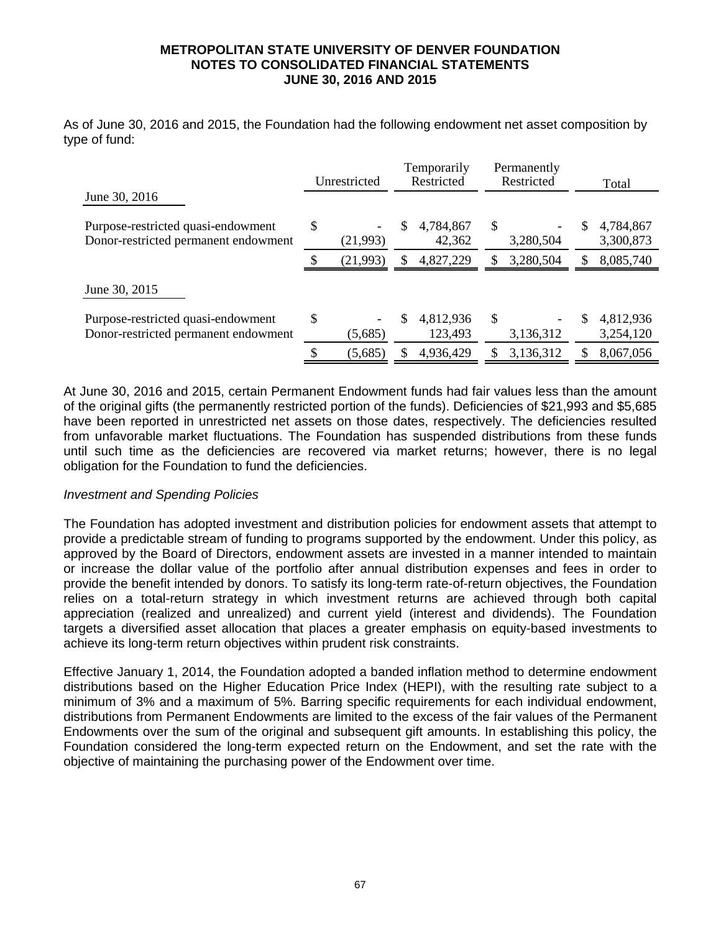As of June 30, 2016 and 2015, the Foundation had the following endowment net asset composition by type of fund:

|                                                                            | Unrestricted    |   | Temporarily<br>Restricted | Permanently<br>Restricted |   | Total                  |
|----------------------------------------------------------------------------|-----------------|---|---------------------------|---------------------------|---|------------------------|
| June 30, 2016                                                              |                 |   |                           |                           |   |                        |
| Purpose-restricted quasi-endowment<br>Donor-restricted permanent endowment | \$<br>(21, 993) | S | 4,784,867<br>42,362       | \$<br>3,280,504           | S | 4,784,867<br>3,300,873 |
|                                                                            | (21, 993)       | S | 4,827,229                 | 3,280,504                 |   | 8,085,740              |
| June 30, 2015                                                              |                 |   |                           |                           |   |                        |
| Purpose-restricted quasi-endowment<br>Donor-restricted permanent endowment | \$<br>(5,685)   | S | 4,812,936<br>123,493      | \$<br>3,136,312           |   | 4,812,936<br>3,254,120 |
|                                                                            | (5,685)         | S | 4,936,429                 | 3,136,312                 |   | 8,067,056              |

At June 30, 2016 and 2015, certain Permanent Endowment funds had fair values less than the amount of the original gifts (the permanently restricted portion of the funds). Deficiencies of \$21,993 and \$5,685 have been reported in unrestricted net assets on those dates, respectively. The deficiencies resulted from unfavorable market fluctuations. The Foundation has suspended distributions from these funds until such time as the deficiencies are recovered via market returns; however, there is no legal obligation for the Foundation to fund the deficiencies.

# *Investment and Spending Policies*

The Foundation has adopted investment and distribution policies for endowment assets that attempt to provide a predictable stream of funding to programs supported by the endowment. Under this policy, as approved by the Board of Directors, endowment assets are invested in a manner intended to maintain or increase the dollar value of the portfolio after annual distribution expenses and fees in order to provide the benefit intended by donors. To satisfy its long-term rate-of-return objectives, the Foundation relies on a total-return strategy in which investment returns are achieved through both capital appreciation (realized and unrealized) and current yield (interest and dividends). The Foundation targets a diversified asset allocation that places a greater emphasis on equity-based investments to achieve its long-term return objectives within prudent risk constraints.

Effective January 1, 2014, the Foundation adopted a banded inflation method to determine endowment distributions based on the Higher Education Price Index (HEPI), with the resulting rate subject to a minimum of 3% and a maximum of 5%. Barring specific requirements for each individual endowment, distributions from Permanent Endowments are limited to the excess of the fair values of the Permanent Endowments over the sum of the original and subsequent gift amounts. In establishing this policy, the Foundation considered the long-term expected return on the Endowment, and set the rate with the objective of maintaining the purchasing power of the Endowment over time.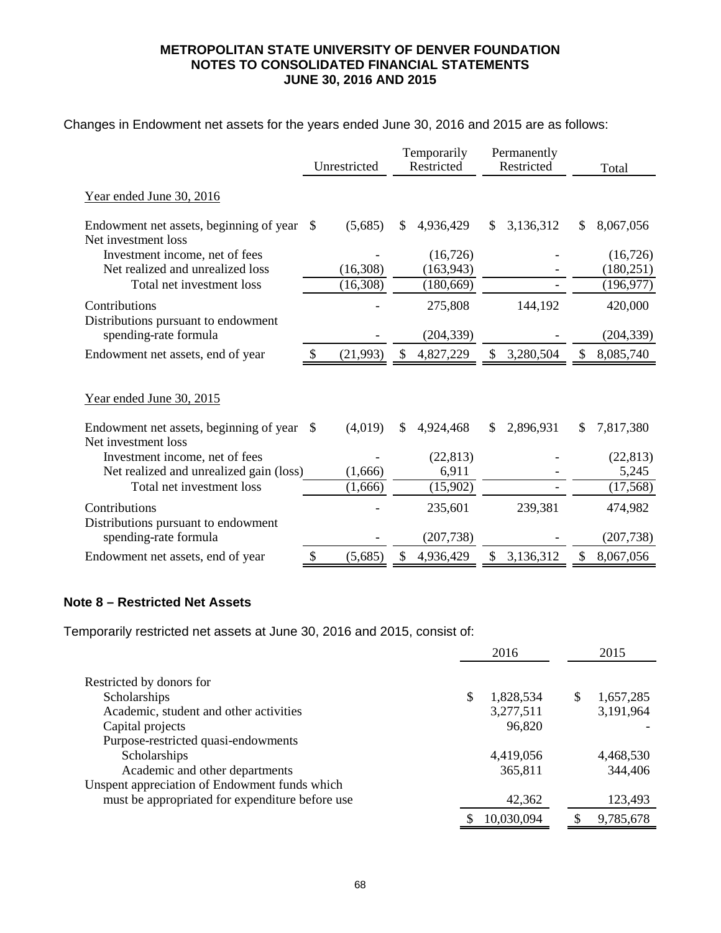# Changes in Endowment net assets for the years ended June 30, 2016 and 2015 are as follows:

|                                                                |               | Unrestricted |     | Temporarily<br>Restricted |               | Permanently<br>Restricted |     | Total      |
|----------------------------------------------------------------|---------------|--------------|-----|---------------------------|---------------|---------------------------|-----|------------|
| Year ended June 30, 2016                                       |               |              |     |                           |               |                           |     |            |
| Endowment net assets, beginning of year<br>Net investment loss | <sup>\$</sup> | (5,685)      | \$. | 4,936,429                 | \$.           | 3,136,312                 | \$. | 8,067,056  |
| Investment income, net of fees                                 |               |              |     | (16, 726)                 |               |                           |     | (16,726)   |
| Net realized and unrealized loss                               |               | (16,308)     |     | (163, 943)                |               |                           |     | (180, 251) |
| Total net investment loss                                      |               | (16, 308)    |     | (180, 669)                |               |                           |     | (196, 977) |
| Contributions<br>Distributions pursuant to endowment           |               |              |     | 275,808                   |               | 144,192                   |     | 420,000    |
| spending-rate formula                                          |               |              |     | (204, 339)                |               |                           |     | (204, 339) |
| Endowment net assets, end of year                              | $\mathcal{S}$ | (21, 993)    | \$  | 4,827,229                 | \$            | 3,280,504                 | \$  | 8,085,740  |
| Year ended June 30, 2015                                       |               |              |     |                           |               |                           |     |            |
| Endowment net assets, beginning of year<br>Net investment loss | <sup>\$</sup> | (4,019)      | \$. | 4,924,468                 | <sup>\$</sup> | 2,896,931                 | \$. | 7,817,380  |
| Investment income, net of fees                                 |               |              |     | (22, 813)                 |               |                           |     | (22, 813)  |
| Net realized and unrealized gain (loss)                        |               | (1,666)      |     | 6,911                     |               |                           |     | 5,245      |
| Total net investment loss                                      |               | (1,666)      |     | (15,902)                  |               |                           |     | (17, 568)  |
| Contributions<br>Distributions pursuant to endowment           |               |              |     | 235,601                   |               | 239,381                   |     | 474,982    |
| spending-rate formula                                          |               |              |     | (207, 738)                |               |                           |     | (207, 738) |
| Endowment net assets, end of year                              | \$            | (5,685)      | \$  | 4,936,429                 | \$            | 3,136,312                 |     | 8,067,056  |

# **Note 8 – Restricted Net Assets**

Temporarily restricted net assets at June 30, 2016 and 2015, consist of:

|                                                 | 2016            |    | 2015      |
|-------------------------------------------------|-----------------|----|-----------|
| Restricted by donors for                        |                 |    |           |
| Scholarships                                    | \$<br>1,828,534 | \$ | 1,657,285 |
| Academic, student and other activities          | 3,277,511       |    | 3,191,964 |
| Capital projects                                | 96,820          |    |           |
| Purpose-restricted quasi-endowments             |                 |    |           |
| Scholarships                                    | 4,419,056       |    | 4,468,530 |
| Academic and other departments                  | 365,811         |    | 344,406   |
| Unspent appreciation of Endowment funds which   |                 |    |           |
| must be appropriated for expenditure before use | 42,362          |    | 123,493   |
|                                                 | 10,030,094      | S  | 9,785,678 |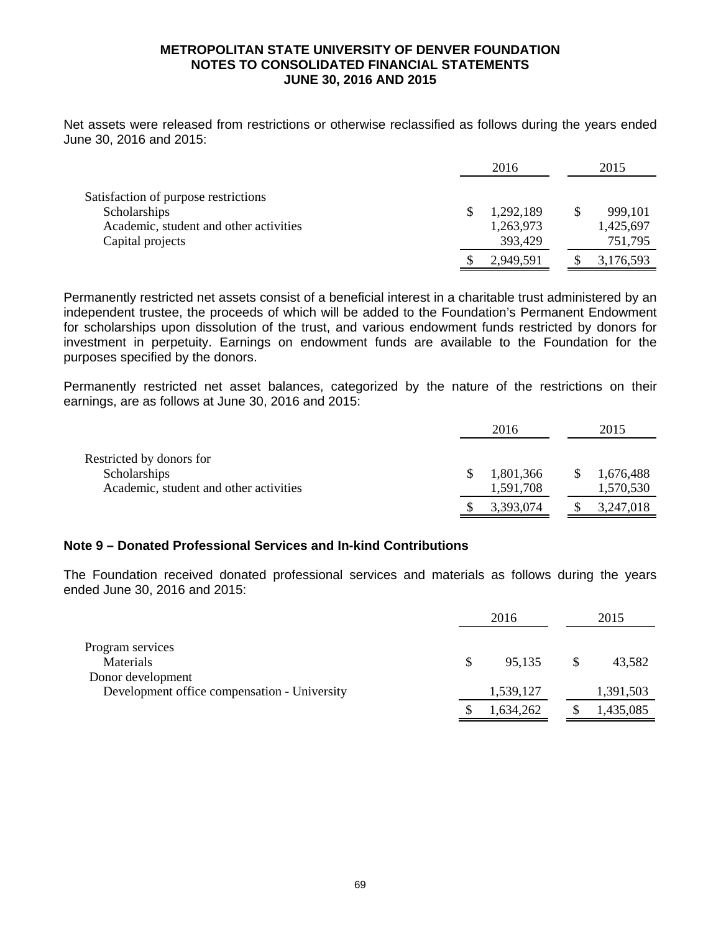Net assets were released from restrictions or otherwise reclassified as follows during the years ended June 30, 2016 and 2015:

|                                                                                                                    | 2016 |                                   |  | 2015                            |  |  |
|--------------------------------------------------------------------------------------------------------------------|------|-----------------------------------|--|---------------------------------|--|--|
| Satisfaction of purpose restrictions<br>Scholarships<br>Academic, student and other activities<br>Capital projects |      | 1,292,189<br>1,263,973<br>393,429 |  | 999,101<br>1,425,697<br>751,795 |  |  |
|                                                                                                                    |      | 2,949,591                         |  | 3,176,593                       |  |  |

Permanently restricted net assets consist of a beneficial interest in a charitable trust administered by an independent trustee, the proceeds of which will be added to the Foundation's Permanent Endowment for scholarships upon dissolution of the trust, and various endowment funds restricted by donors for investment in perpetuity. Earnings on endowment funds are available to the Foundation for the purposes specified by the donors.

Permanently restricted net asset balances, categorized by the nature of the restrictions on their earnings, are as follows at June 30, 2016 and 2015:

|                                                                                    | 2016          |                        | 2015                   |
|------------------------------------------------------------------------------------|---------------|------------------------|------------------------|
| Restricted by donors for<br>Scholarships<br>Academic, student and other activities | <sup>\$</sup> | 1,801,366<br>1,591,708 | 1,676,488<br>1,570,530 |
|                                                                                    |               | 3,393,074              | 3,247,018              |

#### **Note 9 – Donated Professional Services and In-kind Contributions**

The Foundation received donated professional services and materials as follows during the years ended June 30, 2016 and 2015:

|                                              | 2016 |           | 2015      |
|----------------------------------------------|------|-----------|-----------|
| Program services                             |      |           |           |
| Materials                                    | \$   | 95.135    | 43,582    |
| Donor development                            |      |           |           |
| Development office compensation - University |      | 1,539,127 | 1,391,503 |
|                                              |      | 1,634,262 | 1,435,085 |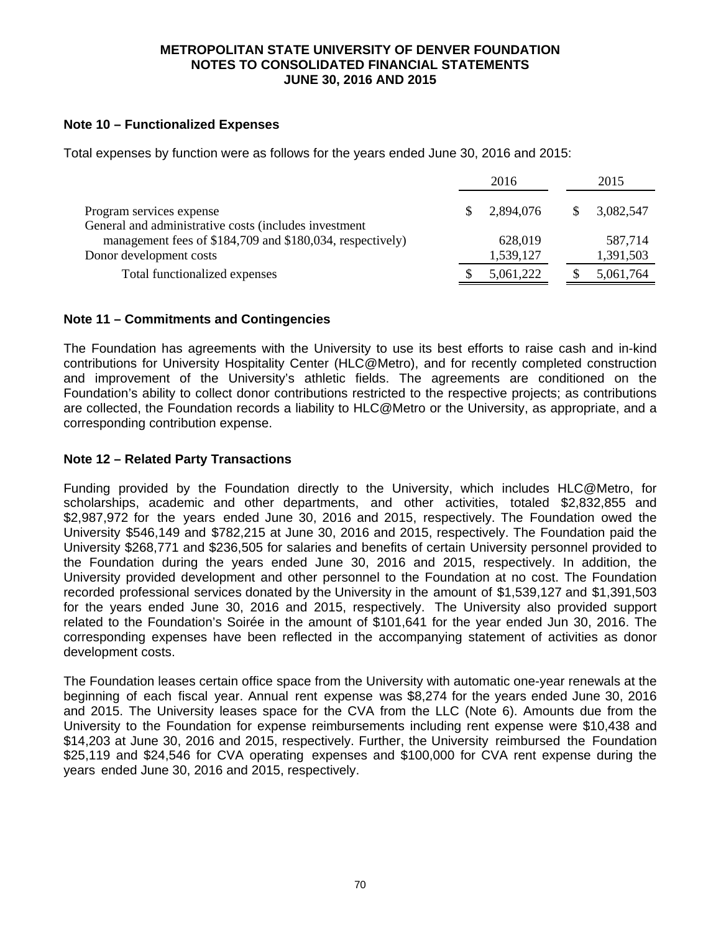#### **METROPOLITAN STATE UNIVERSITY OF DENVER FOUNDATION NOTES TO CONSOLIDATED FINANCIAL STATEMENTS JUNE 30, 2016 AND 2015**

## **Note 10 – Functionalized Expenses**

Total expenses by function were as follows for the years ended June 30, 2016 and 2015:

|                                                                                                                    |    | 2016      |     | 2015      |
|--------------------------------------------------------------------------------------------------------------------|----|-----------|-----|-----------|
| Program services expense                                                                                           | S. | 2,894,076 | \$. | 3,082,547 |
| General and administrative costs (includes investment<br>management fees of \$184,709 and \$180,034, respectively) |    | 628,019   |     | 587,714   |
| Donor development costs                                                                                            |    | 1,539,127 |     | 1,391,503 |
| Total functionalized expenses                                                                                      |    | 5,061,222 |     | 5,061,764 |

### **Note 11 – Commitments and Contingencies**

The Foundation has agreements with the University to use its best efforts to raise cash and in-kind contributions for University Hospitality Center (HLC@Metro), and for recently completed construction and improvement of the University's athletic fields. The agreements are conditioned on the Foundation's ability to collect donor contributions restricted to the respective projects; as contributions are collected, the Foundation records a liability to HLC@Metro or the University, as appropriate, and a corresponding contribution expense.

#### **Note 12 – Related Party Transactions**

Funding provided by the Foundation directly to the University, which includes HLC@Metro, for scholarships, academic and other departments, and other activities, totaled \$2,832,855 and \$2,987,972 for the years ended June 30, 2016 and 2015, respectively. The Foundation owed the University \$546,149 and \$782,215 at June 30, 2016 and 2015, respectively. The Foundation paid the University \$268,771 and \$236,505 for salaries and benefits of certain University personnel provided to the Foundation during the years ended June 30, 2016 and 2015, respectively. In addition, the University provided development and other personnel to the Foundation at no cost. The Foundation recorded professional services donated by the University in the amount of \$1,539,127 and \$1,391,503 for the years ended June 30, 2016 and 2015, respectively. The University also provided support related to the Foundation's Soirée in the amount of \$101,641 for the year ended Jun 30, 2016. The corresponding expenses have been reflected in the accompanying statement of activities as donor development costs.

The Foundation leases certain office space from the University with automatic one-year renewals at the beginning of each fiscal year. Annual rent expense was \$8,274 for the years ended June 30, 2016 and 2015. The University leases space for the CVA from the LLC (Note 6). Amounts due from the University to the Foundation for expense reimbursements including rent expense were \$10,438 and \$14,203 at June 30, 2016 and 2015, respectively. Further, the University reimbursed the Foundation \$25,119 and \$24,546 for CVA operating expenses and \$100,000 for CVA rent expense during the years ended June 30, 2016 and 2015, respectively.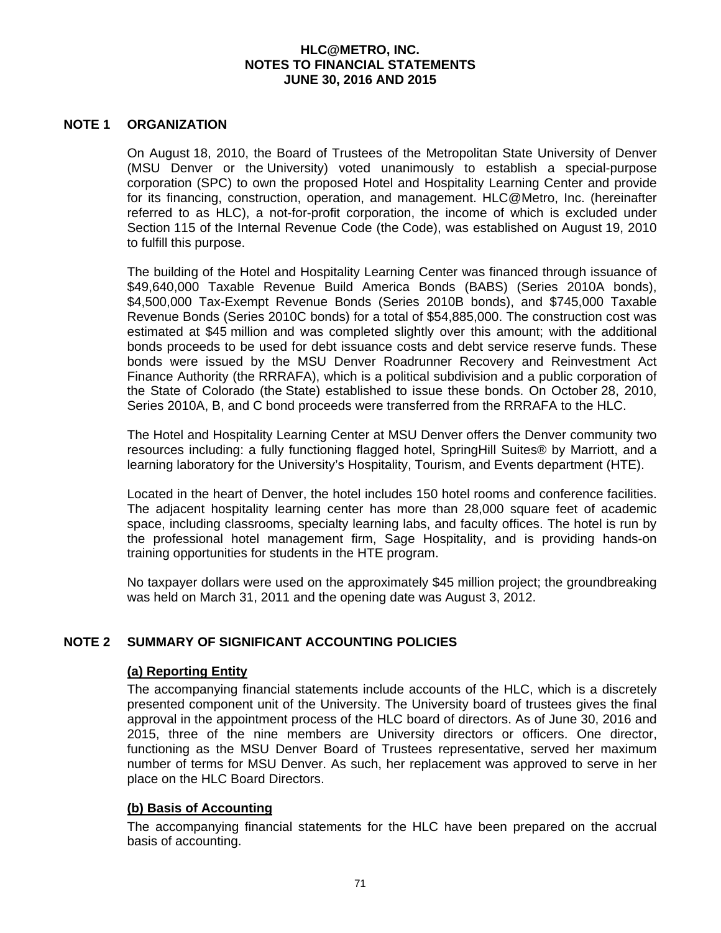#### **NOTE 1 ORGANIZATION**

On August 18, 2010, the Board of Trustees of the Metropolitan State University of Denver (MSU Denver or the University) voted unanimously to establish a special-purpose corporation (SPC) to own the proposed Hotel and Hospitality Learning Center and provide for its financing, construction, operation, and management. HLC@Metro, Inc. (hereinafter referred to as HLC), a not-for-profit corporation, the income of which is excluded under Section 115 of the Internal Revenue Code (the Code), was established on August 19, 2010 to fulfill this purpose.

The building of the Hotel and Hospitality Learning Center was financed through issuance of \$49,640,000 Taxable Revenue Build America Bonds (BABS) (Series 2010A bonds), \$4,500,000 Tax-Exempt Revenue Bonds (Series 2010B bonds), and \$745,000 Taxable Revenue Bonds (Series 2010C bonds) for a total of \$54,885,000. The construction cost was estimated at \$45 million and was completed slightly over this amount; with the additional bonds proceeds to be used for debt issuance costs and debt service reserve funds. These bonds were issued by the MSU Denver Roadrunner Recovery and Reinvestment Act Finance Authority (the RRRAFA), which is a political subdivision and a public corporation of the State of Colorado (the State) established to issue these bonds. On October 28, 2010, Series 2010A, B, and C bond proceeds were transferred from the RRRAFA to the HLC.

The Hotel and Hospitality Learning Center at MSU Denver offers the Denver community two resources including: a fully functioning flagged hotel, SpringHill Suites® by Marriott, and a learning laboratory for the University's Hospitality, Tourism, and Events department (HTE).

Located in the heart of Denver, the hotel includes 150 hotel rooms and conference facilities. The adjacent hospitality learning center has more than 28,000 square feet of academic space, including classrooms, specialty learning labs, and faculty offices. The hotel is run by the professional hotel management firm, Sage Hospitality, and is providing hands-on training opportunities for students in the HTE program.

No taxpayer dollars were used on the approximately \$45 million project; the groundbreaking was held on March 31, 2011 and the opening date was August 3, 2012.

## **NOTE 2 SUMMARY OF SIGNIFICANT ACCOUNTING POLICIES**

#### **(a) Reporting Entity**

The accompanying financial statements include accounts of the HLC, which is a discretely presented component unit of the University. The University board of trustees gives the final approval in the appointment process of the HLC board of directors. As of June 30, 2016 and 2015, three of the nine members are University directors or officers. One director, functioning as the MSU Denver Board of Trustees representative, served her maximum number of terms for MSU Denver. As such, her replacement was approved to serve in her place on the HLC Board Directors.

#### **(b) Basis of Accounting**

The accompanying financial statements for the HLC have been prepared on the accrual basis of accounting.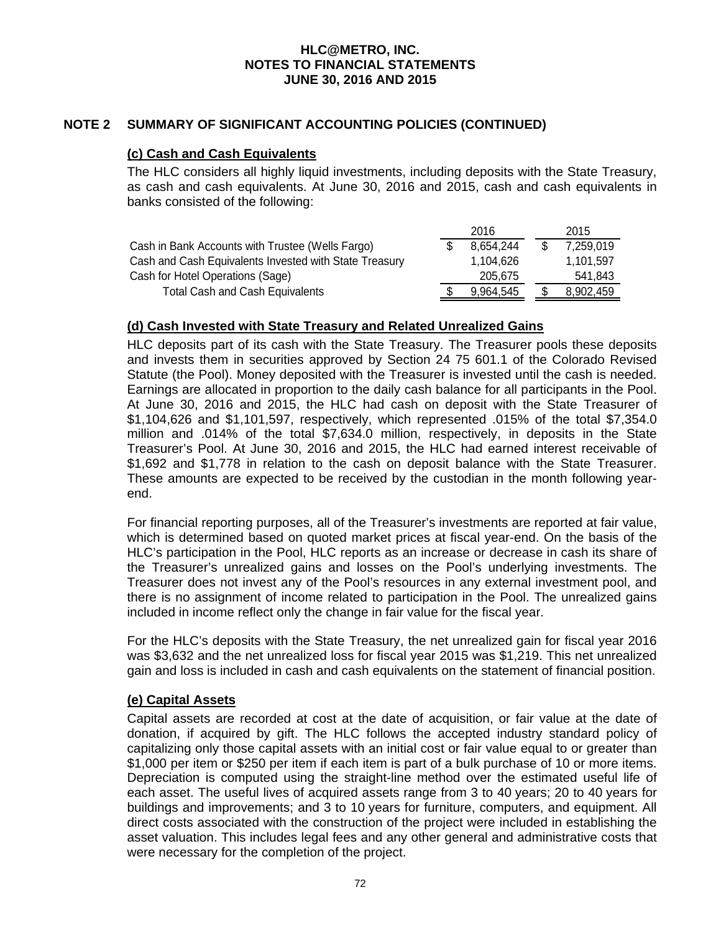## **NOTE 2 SUMMARY OF SIGNIFICANT ACCOUNTING POLICIES (CONTINUED)**

#### **(c) Cash and Cash Equivalents**

The HLC considers all highly liquid investments, including deposits with the State Treasury, as cash and cash equivalents. At June 30, 2016 and 2015, cash and cash equivalents in banks consisted of the following:

|                                                        | 2016      | 2015      |
|--------------------------------------------------------|-----------|-----------|
| Cash in Bank Accounts with Trustee (Wells Fargo)       | 8.654.244 | 7,259,019 |
| Cash and Cash Equivalents Invested with State Treasury | 1.104.626 | 1.101.597 |
| Cash for Hotel Operations (Sage)                       | 205,675   | 541.843   |
| <b>Total Cash and Cash Equivalents</b>                 | 9.964.545 | 8,902,459 |

## **(d) Cash Invested with State Treasury and Related Unrealized Gains**

HLC deposits part of its cash with the State Treasury. The Treasurer pools these deposits and invests them in securities approved by Section 24 75 601.1 of the Colorado Revised Statute (the Pool). Money deposited with the Treasurer is invested until the cash is needed. Earnings are allocated in proportion to the daily cash balance for all participants in the Pool. At June 30, 2016 and 2015, the HLC had cash on deposit with the State Treasurer of \$1,104,626 and \$1,101,597, respectively, which represented .015% of the total \$7,354.0 million and .014% of the total \$7,634.0 million, respectively, in deposits in the State Treasurer's Pool. At June 30, 2016 and 2015, the HLC had earned interest receivable of \$1,692 and \$1,778 in relation to the cash on deposit balance with the State Treasurer. These amounts are expected to be received by the custodian in the month following yearend.

For financial reporting purposes, all of the Treasurer's investments are reported at fair value, which is determined based on quoted market prices at fiscal year-end. On the basis of the HLC's participation in the Pool, HLC reports as an increase or decrease in cash its share of the Treasurer's unrealized gains and losses on the Pool's underlying investments. The Treasurer does not invest any of the Pool's resources in any external investment pool, and there is no assignment of income related to participation in the Pool. The unrealized gains included in income reflect only the change in fair value for the fiscal year.

For the HLC's deposits with the State Treasury, the net unrealized gain for fiscal year 2016 was \$3,632 and the net unrealized loss for fiscal year 2015 was \$1,219. This net unrealized gain and loss is included in cash and cash equivalents on the statement of financial position.

## **(e) Capital Assets**

Capital assets are recorded at cost at the date of acquisition, or fair value at the date of donation, if acquired by gift. The HLC follows the accepted industry standard policy of capitalizing only those capital assets with an initial cost or fair value equal to or greater than \$1,000 per item or \$250 per item if each item is part of a bulk purchase of 10 or more items. Depreciation is computed using the straight-line method over the estimated useful life of each asset. The useful lives of acquired assets range from 3 to 40 years; 20 to 40 years for buildings and improvements; and 3 to 10 years for furniture, computers, and equipment. All direct costs associated with the construction of the project were included in establishing the asset valuation. This includes legal fees and any other general and administrative costs that were necessary for the completion of the project.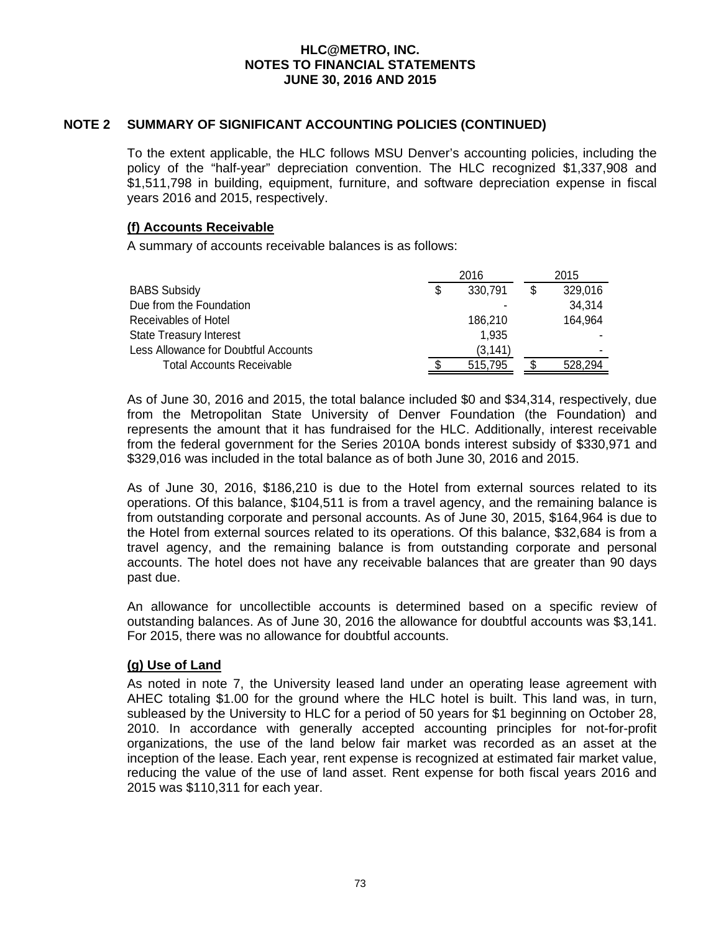#### **NOTE 2 SUMMARY OF SIGNIFICANT ACCOUNTING POLICIES (CONTINUED)**

To the extent applicable, the HLC follows MSU Denver's accounting policies, including the policy of the "half-year" depreciation convention. The HLC recognized \$1,337,908 and \$1,511,798 in building, equipment, furniture, and software depreciation expense in fiscal years 2016 and 2015, respectively.

## **(f) Accounts Receivable**

A summary of accounts receivable balances is as follows:

|                                      | 2016     |   | 2015    |
|--------------------------------------|----------|---|---------|
| <b>BABS Subsidy</b>                  | 330,791  | S | 329,016 |
| Due from the Foundation              |          |   | 34,314  |
| Receivables of Hotel                 | 186.210  |   | 164,964 |
| <b>State Treasury Interest</b>       | 1,935    |   |         |
| Less Allowance for Doubtful Accounts | (3, 141) |   |         |
| <b>Total Accounts Receivable</b>     | 515.795  |   | 528.294 |

As of June 30, 2016 and 2015, the total balance included \$0 and \$34,314, respectively, due from the Metropolitan State University of Denver Foundation (the Foundation) and represents the amount that it has fundraised for the HLC. Additionally, interest receivable from the federal government for the Series 2010A bonds interest subsidy of \$330,971 and \$329,016 was included in the total balance as of both June 30, 2016 and 2015.

As of June 30, 2016, \$186,210 is due to the Hotel from external sources related to its operations. Of this balance, \$104,511 is from a travel agency, and the remaining balance is from outstanding corporate and personal accounts. As of June 30, 2015, \$164,964 is due to the Hotel from external sources related to its operations. Of this balance, \$32,684 is from a travel agency, and the remaining balance is from outstanding corporate and personal accounts. The hotel does not have any receivable balances that are greater than 90 days past due.

An allowance for uncollectible accounts is determined based on a specific review of outstanding balances. As of June 30, 2016 the allowance for doubtful accounts was \$3,141. For 2015, there was no allowance for doubtful accounts.

#### **(g) Use of Land**

As noted in note 7, the University leased land under an operating lease agreement with AHEC totaling \$1.00 for the ground where the HLC hotel is built. This land was, in turn, subleased by the University to HLC for a period of 50 years for \$1 beginning on October 28, 2010. In accordance with generally accepted accounting principles for not-for-profit organizations, the use of the land below fair market was recorded as an asset at the inception of the lease. Each year, rent expense is recognized at estimated fair market value, reducing the value of the use of land asset. Rent expense for both fiscal years 2016 and 2015 was \$110,311 for each year.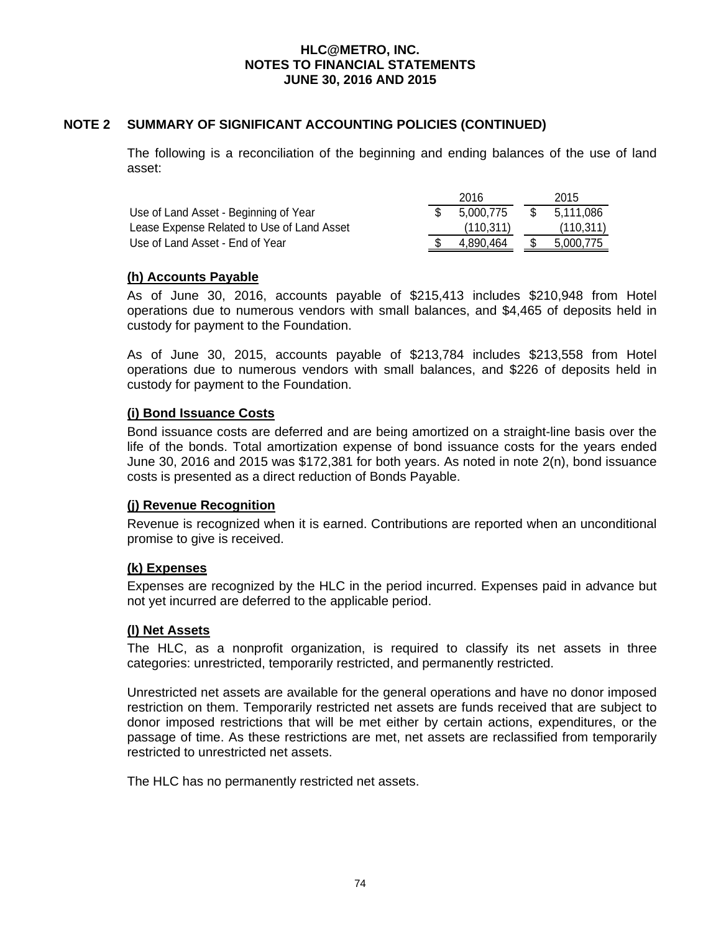### **NOTE 2 SUMMARY OF SIGNIFICANT ACCOUNTING POLICIES (CONTINUED)**

The following is a reconciliation of the beginning and ending balances of the use of land asset:

|                                            | 2016       | 2015       |
|--------------------------------------------|------------|------------|
| Use of Land Asset - Beginning of Year      | 5,000,775  | 5,111,086  |
| Lease Expense Related to Use of Land Asset | (110, 311) | (110, 311) |
| Use of Land Asset - End of Year            | 4.890.464  | 5.000.775  |

### **(h) Accounts Payable**

As of June 30, 2016, accounts payable of \$215,413 includes \$210,948 from Hotel operations due to numerous vendors with small balances, and \$4,465 of deposits held in custody for payment to the Foundation.

As of June 30, 2015, accounts payable of \$213,784 includes \$213,558 from Hotel operations due to numerous vendors with small balances, and \$226 of deposits held in custody for payment to the Foundation.

## **(i) Bond Issuance Costs**

Bond issuance costs are deferred and are being amortized on a straight-line basis over the life of the bonds. Total amortization expense of bond issuance costs for the years ended June 30, 2016 and 2015 was \$172,381 for both years. As noted in note 2(n), bond issuance costs is presented as a direct reduction of Bonds Payable.

## **(j) Revenue Recognition**

Revenue is recognized when it is earned. Contributions are reported when an unconditional promise to give is received.

## **(k) Expenses**

Expenses are recognized by the HLC in the period incurred. Expenses paid in advance but not yet incurred are deferred to the applicable period.

## **(l) Net Assets**

The HLC, as a nonprofit organization, is required to classify its net assets in three categories: unrestricted, temporarily restricted, and permanently restricted.

Unrestricted net assets are available for the general operations and have no donor imposed restriction on them. Temporarily restricted net assets are funds received that are subject to donor imposed restrictions that will be met either by certain actions, expenditures, or the passage of time. As these restrictions are met, net assets are reclassified from temporarily restricted to unrestricted net assets.

The HLC has no permanently restricted net assets.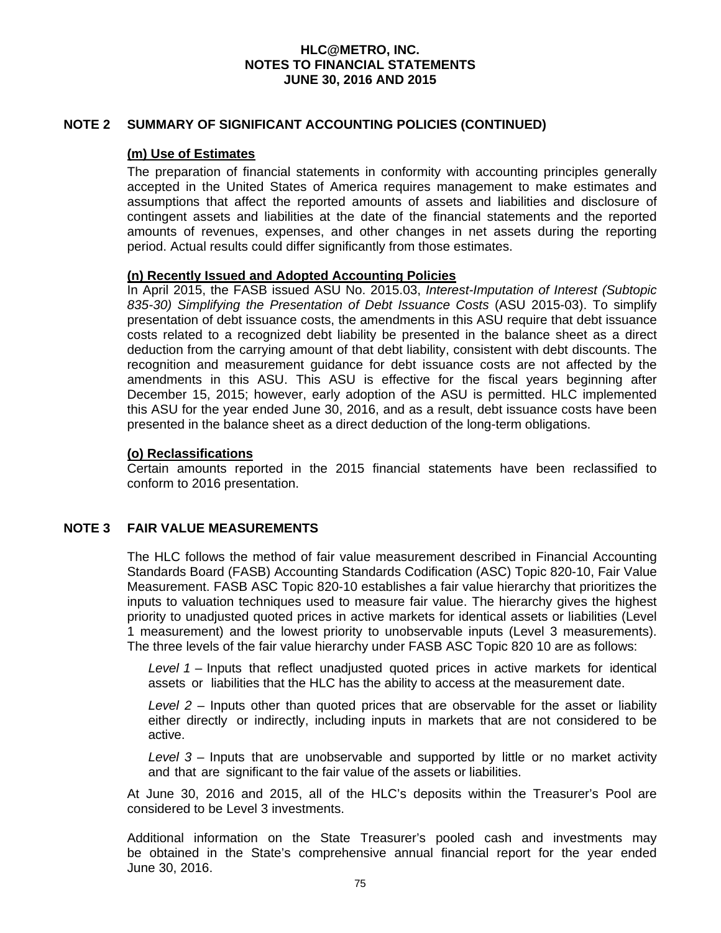#### **NOTE 2 SUMMARY OF SIGNIFICANT ACCOUNTING POLICIES (CONTINUED)**

#### **(m) Use of Estimates**

The preparation of financial statements in conformity with accounting principles generally accepted in the United States of America requires management to make estimates and assumptions that affect the reported amounts of assets and liabilities and disclosure of contingent assets and liabilities at the date of the financial statements and the reported amounts of revenues, expenses, and other changes in net assets during the reporting period. Actual results could differ significantly from those estimates.

#### **(n) Recently Issued and Adopted Accounting Policies**

In April 2015, the FASB issued ASU No. 2015.03, *Interest-Imputation of Interest (Subtopic 835-30) Simplifying the Presentation of Debt Issuance Costs* (ASU 2015-03). To simplify presentation of debt issuance costs, the amendments in this ASU require that debt issuance costs related to a recognized debt liability be presented in the balance sheet as a direct deduction from the carrying amount of that debt liability, consistent with debt discounts. The recognition and measurement guidance for debt issuance costs are not affected by the amendments in this ASU. This ASU is effective for the fiscal years beginning after December 15, 2015; however, early adoption of the ASU is permitted. HLC implemented this ASU for the year ended June 30, 2016, and as a result, debt issuance costs have been presented in the balance sheet as a direct deduction of the long-term obligations.

#### **(o) Reclassifications**

Certain amounts reported in the 2015 financial statements have been reclassified to conform to 2016 presentation.

#### **NOTE 3 FAIR VALUE MEASUREMENTS**

The HLC follows the method of fair value measurement described in Financial Accounting Standards Board (FASB) Accounting Standards Codification (ASC) Topic 820-10, Fair Value Measurement. FASB ASC Topic 820-10 establishes a fair value hierarchy that prioritizes the inputs to valuation techniques used to measure fair value. The hierarchy gives the highest priority to unadjusted quoted prices in active markets for identical assets or liabilities (Level 1 measurement) and the lowest priority to unobservable inputs (Level 3 measurements). The three levels of the fair value hierarchy under FASB ASC Topic 820 10 are as follows:

*Level 1* – Inputs that reflect unadjusted quoted prices in active markets for identical assets or liabilities that the HLC has the ability to access at the measurement date.

*Level 2* – Inputs other than quoted prices that are observable for the asset or liability either directly or indirectly, including inputs in markets that are not considered to be active.

*Level 3* – Inputs that are unobservable and supported by little or no market activity and that are significant to the fair value of the assets or liabilities.

At June 30, 2016 and 2015, all of the HLC's deposits within the Treasurer's Pool are considered to be Level 3 investments.

Additional information on the State Treasurer's pooled cash and investments may be obtained in the State's comprehensive annual financial report for the year ended June 30, 2016.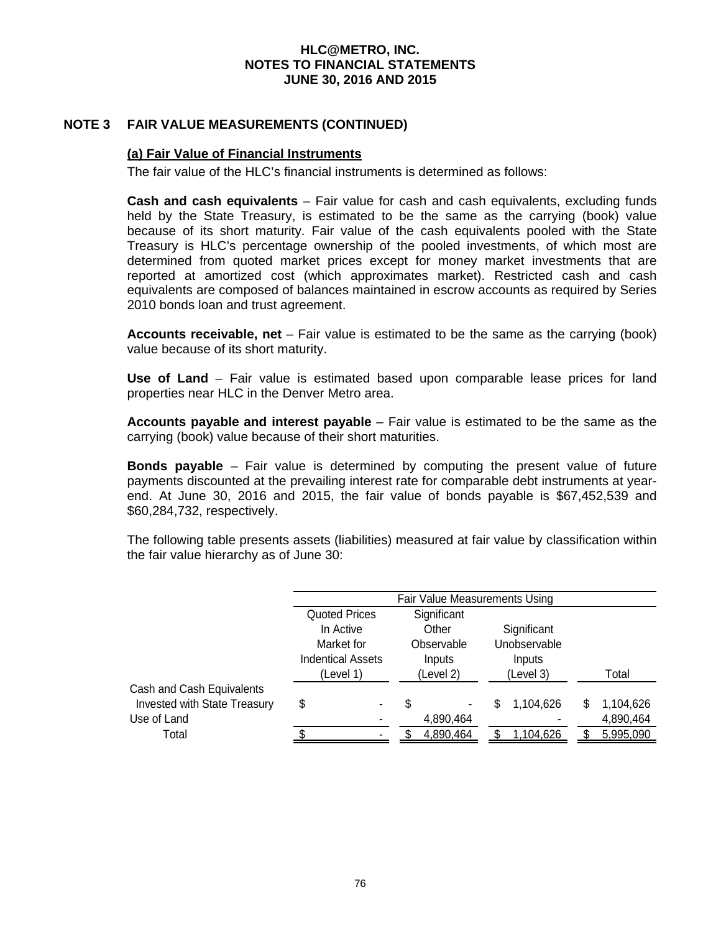### **NOTE 3 FAIR VALUE MEASUREMENTS (CONTINUED)**

#### **(a) Fair Value of Financial Instruments**

The fair value of the HLC's financial instruments is determined as follows:

**Cash and cash equivalents** – Fair value for cash and cash equivalents, excluding funds held by the State Treasury, is estimated to be the same as the carrying (book) value because of its short maturity. Fair value of the cash equivalents pooled with the State Treasury is HLC's percentage ownership of the pooled investments, of which most are determined from quoted market prices except for money market investments that are reported at amortized cost (which approximates market). Restricted cash and cash equivalents are composed of balances maintained in escrow accounts as required by Series 2010 bonds loan and trust agreement.

**Accounts receivable, net** – Fair value is estimated to be the same as the carrying (book) value because of its short maturity.

**Use of Land** – Fair value is estimated based upon comparable lease prices for land properties near HLC in the Denver Metro area.

**Accounts payable and interest payable** – Fair value is estimated to be the same as the carrying (book) value because of their short maturities.

**Bonds payable** – Fair value is determined by computing the present value of future payments discounted at the prevailing interest rate for comparable debt instruments at yearend. At June 30, 2016 and 2015, the fair value of bonds payable is \$67,452,539 and \$60,284,732, respectively.

The following table presents assets (liabilities) measured at fair value by classification within the fair value hierarchy as of June 30:

|                                     |                          | <b>Fair Value Measurements Using</b> |                 |                |
|-------------------------------------|--------------------------|--------------------------------------|-----------------|----------------|
|                                     | <b>Quoted Prices</b>     | Significant                          |                 |                |
|                                     | In Active                | Other                                | Significant     |                |
|                                     | Market for               | Observable                           | Unobservable    |                |
|                                     | <b>Indentical Assets</b> | Inputs                               | Inputs          |                |
|                                     | (Level 1)                | (Level 2)                            | (Level 3)       | Total          |
| Cash and Cash Equivalents           |                          |                                      |                 |                |
| <b>Invested with State Treasury</b> | \$                       | \$<br>٠                              | 1,104,626<br>\$ | 1,104,626<br>S |
| Use of Land                         |                          | 4,890,464                            |                 | 4,890,464      |
| Total                               | Φ                        | 4,890,464                            | 1,104,626       | 5,995,090      |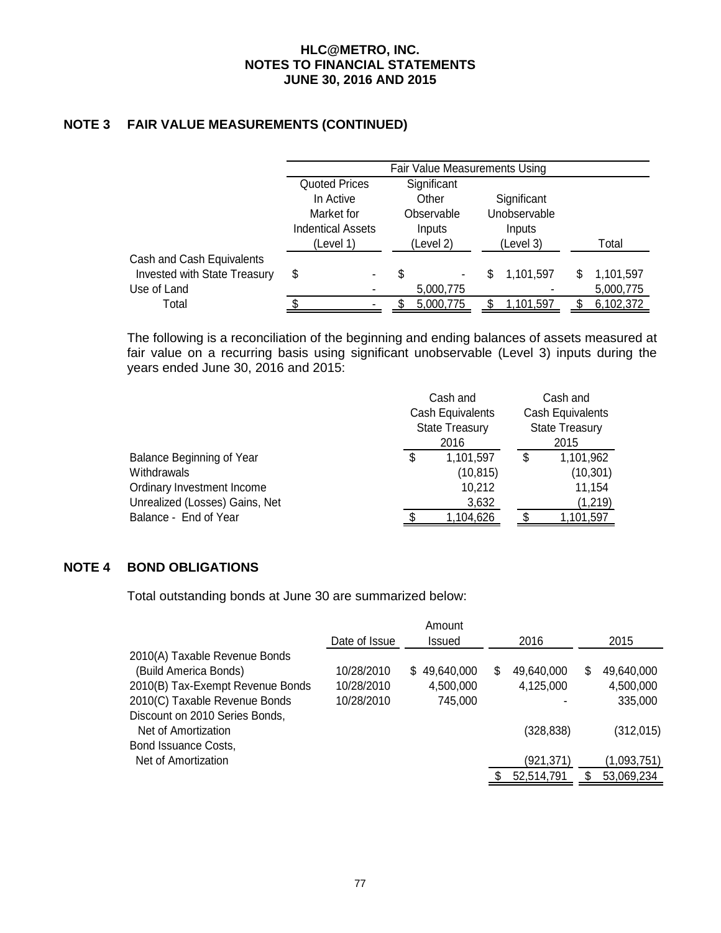## **NOTE 3 FAIR VALUE MEASUREMENTS (CONTINUED)**

|                                     |                          |                                     |           | Fair Value Measurements Using |        |              |   |           |
|-------------------------------------|--------------------------|-------------------------------------|-----------|-------------------------------|--------|--------------|---|-----------|
|                                     |                          | <b>Quoted Prices</b><br>Significant |           |                               |        |              |   |           |
|                                     | In Active                |                                     | Other     |                               |        | Significant  |   |           |
|                                     | Market for               |                                     |           | Observable                    |        | Unobservable |   |           |
|                                     | <b>Indentical Assets</b> |                                     | Inputs    |                               | Inputs |              |   |           |
|                                     | (Level 1)                |                                     | (Level 2) |                               |        | (Level 3)    |   | Total     |
| Cash and Cash Equivalents           |                          |                                     |           |                               |        |              |   |           |
| <b>Invested with State Treasury</b> | \$                       | ۰                                   | S         |                               | S      | 1,101,597    | S | 1,101,597 |
| Use of Land                         |                          |                                     |           | 5,000,775                     |        |              |   | 5,000,775 |
| Total                               |                          |                                     |           | 5,000,775                     |        | 1,101,597    |   | 6,102,372 |

The following is a reconciliation of the beginning and ending balances of assets measured at fair value on a recurring basis using significant unobservable (Level 3) inputs during the years ended June 30, 2016 and 2015:

|                                  | Cash and |                       | Cash and              |                         |  |
|----------------------------------|----------|-----------------------|-----------------------|-------------------------|--|
|                                  |          | Cash Equivalents      |                       | <b>Cash Equivalents</b> |  |
|                                  |          | <b>State Treasury</b> | <b>State Treasury</b> |                         |  |
|                                  |          | 2016                  |                       | 2015                    |  |
| <b>Balance Beginning of Year</b> |          | 1,101,597             | S                     | 1,101,962               |  |
| Withdrawals                      |          | (10, 815)             |                       | (10, 301)               |  |
| Ordinary Investment Income       |          | 10,212                |                       | 11,154                  |  |
| Unrealized (Losses) Gains, Net   |          | 3,632                 |                       | (1, 219)                |  |
| Balance - End of Year            |          | 1,104,626             |                       | 1,101,597               |  |

#### **NOTE 4 BOND OBLIGATIONS**

Total outstanding bonds at June 30 are summarized below:

|                                  |               | Amount        |   |            |                  |
|----------------------------------|---------------|---------------|---|------------|------------------|
|                                  | Date of Issue | <b>Issued</b> |   | 2016       | 2015             |
| 2010(A) Taxable Revenue Bonds    |               |               |   |            |                  |
| (Build America Bonds)            | 10/28/2010    | \$49,640,000  | S | 49,640,000 | \$<br>49,640,000 |
| 2010(B) Tax-Exempt Revenue Bonds | 10/28/2010    | 4,500,000     |   | 4,125,000  | 4,500,000        |
| 2010(C) Taxable Revenue Bonds    | 10/28/2010    | 745,000       |   |            | 335,000          |
| Discount on 2010 Series Bonds,   |               |               |   |            |                  |
| Net of Amortization              |               |               |   | (328, 838) | (312, 015)       |
| Bond Issuance Costs,             |               |               |   |            |                  |
| Net of Amortization              |               |               |   | (921,371)  | (1,093,751)      |
|                                  |               |               |   | 52,514,791 | 53,069,234       |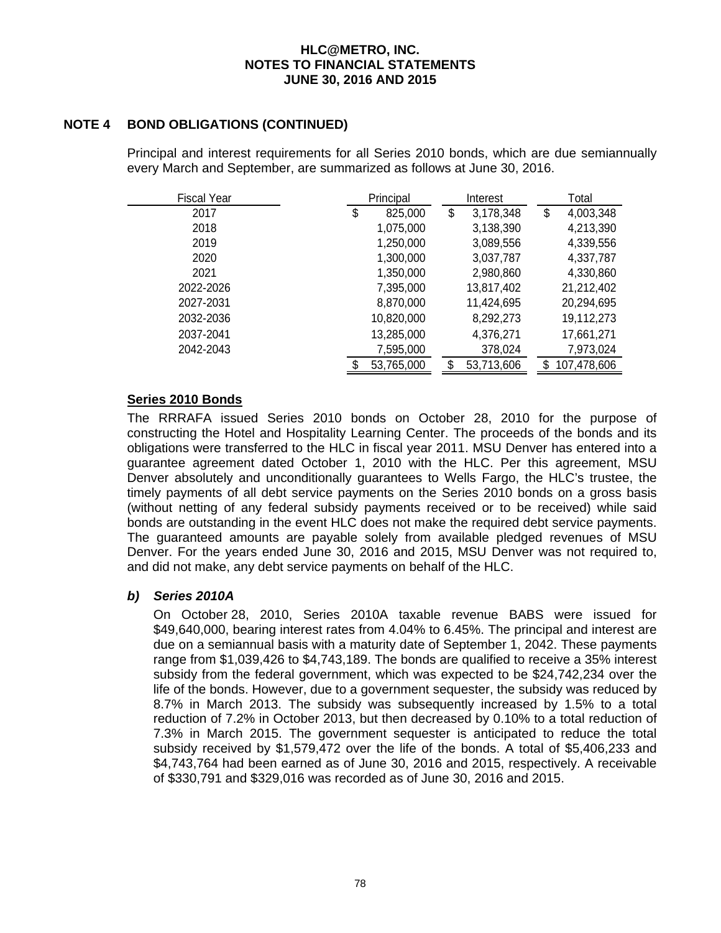## **NOTE 4 BOND OBLIGATIONS (CONTINUED)**

Principal and interest requirements for all Series 2010 bonds, which are due semiannually every March and September, are summarized as follows at June 30, 2016.

| <b>Fiscal Year</b> | Principal     |    | Interest   | Total           |
|--------------------|---------------|----|------------|-----------------|
| 2017               | \$<br>825,000 | \$ | 3,178,348  | \$<br>4,003,348 |
| 2018               | 1,075,000     |    | 3,138,390  | 4,213,390       |
| 2019               | 1,250,000     |    | 3,089,556  | 4,339,556       |
| 2020               | 1,300,000     |    | 3,037,787  | 4,337,787       |
| 2021               | 1,350,000     |    | 2,980,860  | 4,330,860       |
| 2022-2026          | 7,395,000     |    | 13,817,402 | 21,212,402      |
| 2027-2031          | 8,870,000     |    | 11,424,695 | 20,294,695      |
| 2032-2036          | 10,820,000    |    | 8,292,273  | 19,112,273      |
| 2037-2041          | 13,285,000    |    | 4,376,271  | 17,661,271      |
| 2042-2043          | 7,595,000     |    | 378,024    | 7,973,024       |
|                    | 53,765,000    |    | 53,713,606 | 107,478,606     |

#### **Series 2010 Bonds**

The RRRAFA issued Series 2010 bonds on October 28, 2010 for the purpose of constructing the Hotel and Hospitality Learning Center. The proceeds of the bonds and its obligations were transferred to the HLC in fiscal year 2011. MSU Denver has entered into a guarantee agreement dated October 1, 2010 with the HLC. Per this agreement, MSU Denver absolutely and unconditionally guarantees to Wells Fargo, the HLC's trustee, the timely payments of all debt service payments on the Series 2010 bonds on a gross basis (without netting of any federal subsidy payments received or to be received) while said bonds are outstanding in the event HLC does not make the required debt service payments. The guaranteed amounts are payable solely from available pledged revenues of MSU Denver. For the years ended June 30, 2016 and 2015, MSU Denver was not required to, and did not make, any debt service payments on behalf of the HLC.

#### *b) Series 2010A*

On October 28, 2010, Series 2010A taxable revenue BABS were issued for \$49,640,000, bearing interest rates from 4.04% to 6.45%. The principal and interest are due on a semiannual basis with a maturity date of September 1, 2042. These payments range from \$1,039,426 to \$4,743,189. The bonds are qualified to receive a 35% interest subsidy from the federal government, which was expected to be \$24,742,234 over the life of the bonds. However, due to a government sequester, the subsidy was reduced by 8.7% in March 2013. The subsidy was subsequently increased by 1.5% to a total reduction of 7.2% in October 2013, but then decreased by 0.10% to a total reduction of 7.3% in March 2015. The government sequester is anticipated to reduce the total subsidy received by \$1,579,472 over the life of the bonds. A total of \$5,406,233 and \$4,743,764 had been earned as of June 30, 2016 and 2015, respectively. A receivable of \$330,791 and \$329,016 was recorded as of June 30, 2016 and 2015.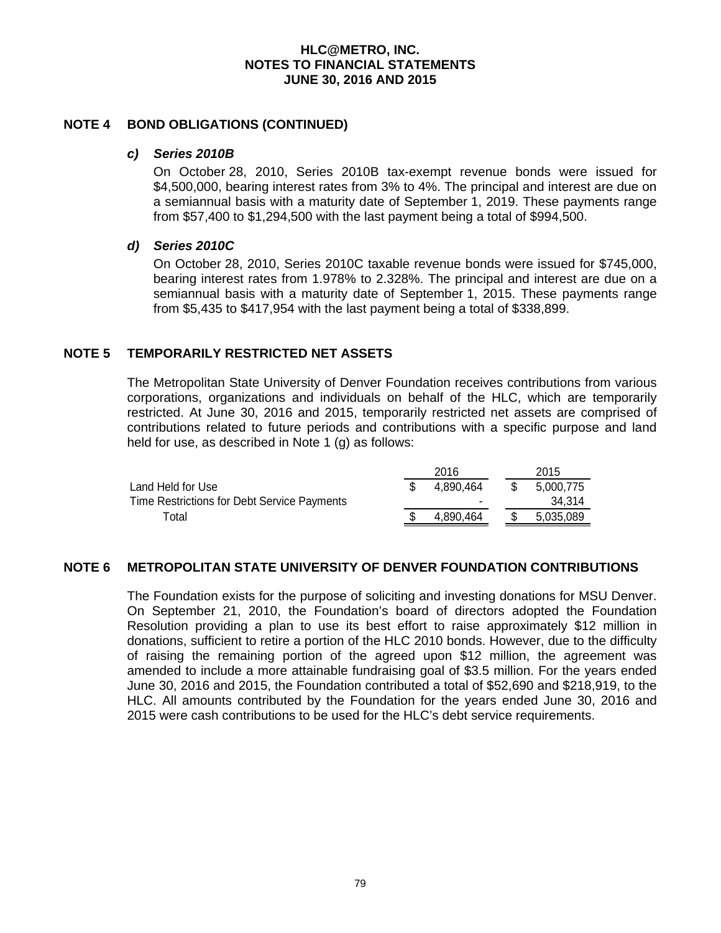### **NOTE 4 BOND OBLIGATIONS (CONTINUED)**

#### *c) Series 2010B*

On October 28, 2010, Series 2010B tax-exempt revenue bonds were issued for \$4,500,000, bearing interest rates from 3% to 4%. The principal and interest are due on a semiannual basis with a maturity date of September 1, 2019. These payments range from \$57,400 to \$1,294,500 with the last payment being a total of \$994,500.

### *d) Series 2010C*

On October 28, 2010, Series 2010C taxable revenue bonds were issued for \$745,000, bearing interest rates from 1.978% to 2.328%. The principal and interest are due on a semiannual basis with a maturity date of September 1, 2015. These payments range from \$5,435 to \$417,954 with the last payment being a total of \$338,899.

## **NOTE 5 TEMPORARILY RESTRICTED NET ASSETS**

The Metropolitan State University of Denver Foundation receives contributions from various corporations, organizations and individuals on behalf of the HLC, which are temporarily restricted. At June 30, 2016 and 2015, temporarily restricted net assets are comprised of contributions related to future periods and contributions with a specific purpose and land held for use, as described in Note 1 (g) as follows:

|                                             | 2016                     | 2015      |
|---------------------------------------------|--------------------------|-----------|
| Land Held for Use                           | 4.890.464                | 5,000,775 |
| Time Restrictions for Debt Service Payments | $\overline{\phantom{0}}$ | 34.314    |
| Total                                       | 4,890,464                | 5,035,089 |

#### **NOTE 6 METROPOLITAN STATE UNIVERSITY OF DENVER FOUNDATION CONTRIBUTIONS**

The Foundation exists for the purpose of soliciting and investing donations for MSU Denver. On September 21, 2010, the Foundation's board of directors adopted the Foundation Resolution providing a plan to use its best effort to raise approximately \$12 million in donations, sufficient to retire a portion of the HLC 2010 bonds. However, due to the difficulty of raising the remaining portion of the agreed upon \$12 million, the agreement was amended to include a more attainable fundraising goal of \$3.5 million. For the years ended June 30, 2016 and 2015, the Foundation contributed a total of \$52,690 and \$218,919, to the HLC. All amounts contributed by the Foundation for the years ended June 30, 2016 and 2015 were cash contributions to be used for the HLC's debt service requirements.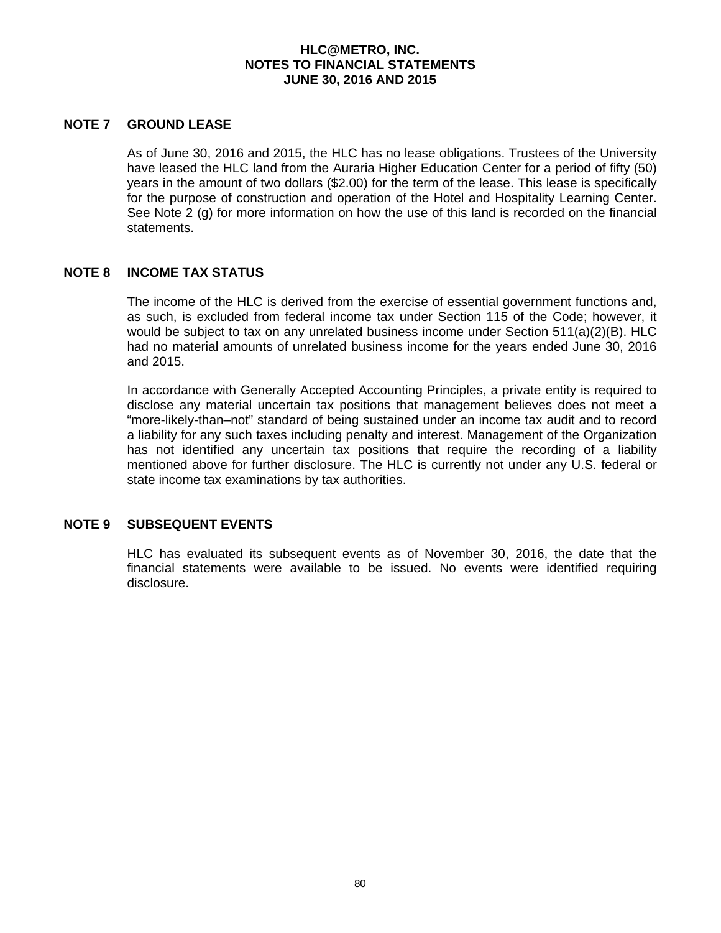## **NOTE 7 GROUND LEASE**

As of June 30, 2016 and 2015, the HLC has no lease obligations. Trustees of the University have leased the HLC land from the Auraria Higher Education Center for a period of fifty (50) years in the amount of two dollars (\$2.00) for the term of the lease. This lease is specifically for the purpose of construction and operation of the Hotel and Hospitality Learning Center. See Note 2 (g) for more information on how the use of this land is recorded on the financial statements.

#### **NOTE 8 INCOME TAX STATUS**

The income of the HLC is derived from the exercise of essential government functions and, as such, is excluded from federal income tax under Section 115 of the Code; however, it would be subject to tax on any unrelated business income under Section 511(a)(2)(B). HLC had no material amounts of unrelated business income for the years ended June 30, 2016 and 2015.

In accordance with Generally Accepted Accounting Principles, a private entity is required to disclose any material uncertain tax positions that management believes does not meet a "more-likely-than–not" standard of being sustained under an income tax audit and to record a liability for any such taxes including penalty and interest. Management of the Organization has not identified any uncertain tax positions that require the recording of a liability mentioned above for further disclosure. The HLC is currently not under any U.S. federal or state income tax examinations by tax authorities.

## **NOTE 9 SUBSEQUENT EVENTS**

HLC has evaluated its subsequent events as of November 30, 2016, the date that the financial statements were available to be issued. No events were identified requiring disclosure.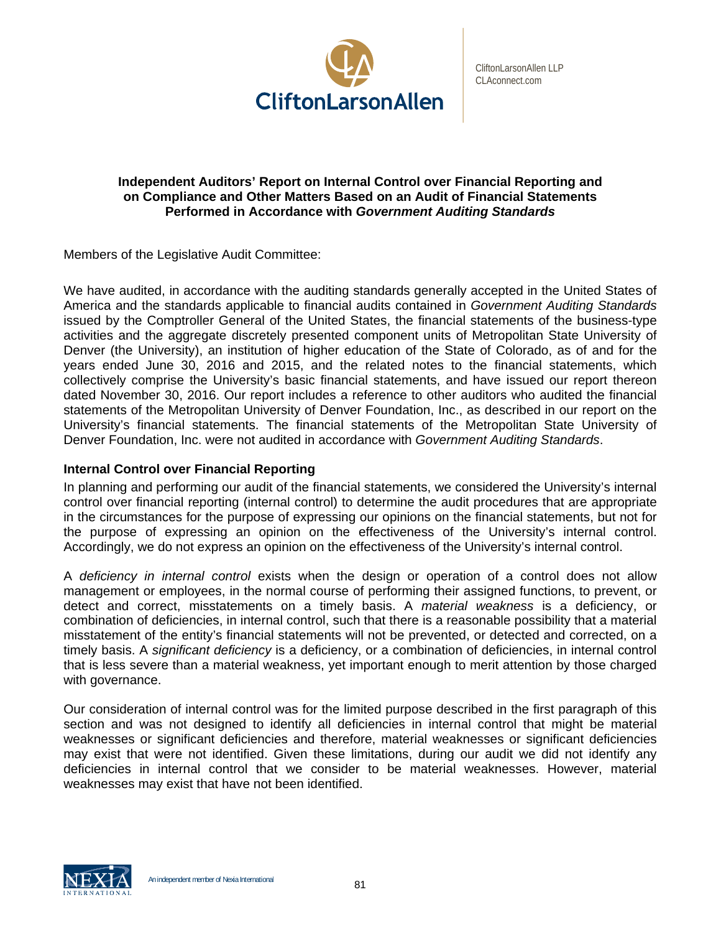

## **Independent Auditors' Report on Internal Control over Financial Reporting and on Compliance and Other Matters Based on an Audit of Financial Statements Performed in Accordance with** *Government Auditing Standards*

Members of the Legislative Audit Committee:

We have audited, in accordance with the auditing standards generally accepted in the United States of America and the standards applicable to financial audits contained in *Government Auditing Standards*  issued by the Comptroller General of the United States, the financial statements of the business-type activities and the aggregate discretely presented component units of Metropolitan State University of Denver (the University), an institution of higher education of the State of Colorado, as of and for the years ended June 30, 2016 and 2015, and the related notes to the financial statements, which collectively comprise the University's basic financial statements, and have issued our report thereon dated November 30, 2016. Our report includes a reference to other auditors who audited the financial statements of the Metropolitan University of Denver Foundation, Inc., as described in our report on the University's financial statements. The financial statements of the Metropolitan State University of Denver Foundation, Inc. were not audited in accordance with *Government Auditing Standards*.

## **Internal Control over Financial Reporting**

In planning and performing our audit of the financial statements, we considered the University's internal control over financial reporting (internal control) to determine the audit procedures that are appropriate in the circumstances for the purpose of expressing our opinions on the financial statements, but not for the purpose of expressing an opinion on the effectiveness of the University's internal control. Accordingly, we do not express an opinion on the effectiveness of the University's internal control.

A *deficiency in internal control* exists when the design or operation of a control does not allow management or employees, in the normal course of performing their assigned functions, to prevent, or detect and correct, misstatements on a timely basis. A *material weakness* is a deficiency, or combination of deficiencies, in internal control, such that there is a reasonable possibility that a material misstatement of the entity's financial statements will not be prevented, or detected and corrected, on a timely basis. A *significant deficiency* is a deficiency, or a combination of deficiencies, in internal control that is less severe than a material weakness, yet important enough to merit attention by those charged with governance.

Our consideration of internal control was for the limited purpose described in the first paragraph of this section and was not designed to identify all deficiencies in internal control that might be material weaknesses or significant deficiencies and therefore, material weaknesses or significant deficiencies may exist that were not identified. Given these limitations, during our audit we did not identify any deficiencies in internal control that we consider to be material weaknesses. However, material weaknesses may exist that have not been identified.

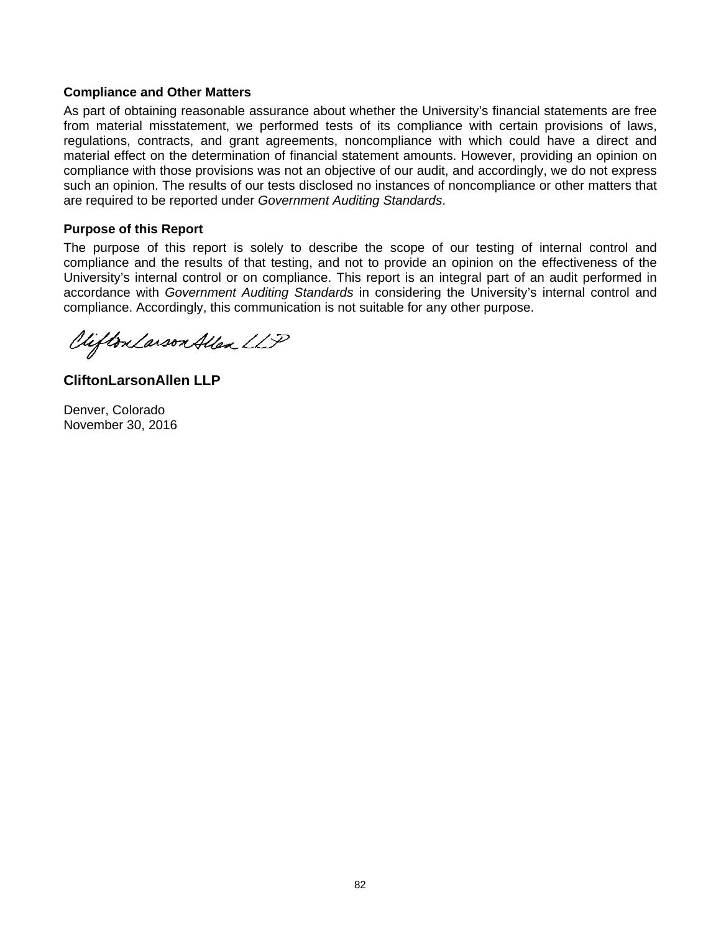#### **Compliance and Other Matters**

As part of obtaining reasonable assurance about whether the University's financial statements are free from material misstatement, we performed tests of its compliance with certain provisions of laws, regulations, contracts, and grant agreements, noncompliance with which could have a direct and material effect on the determination of financial statement amounts. However, providing an opinion on compliance with those provisions was not an objective of our audit, and accordingly, we do not express such an opinion. The results of our tests disclosed no instances of noncompliance or other matters that are required to be reported under *Government Auditing Standards*.

#### **Purpose of this Report**

The purpose of this report is solely to describe the scope of our testing of internal control and compliance and the results of that testing, and not to provide an opinion on the effectiveness of the University's internal control or on compliance. This report is an integral part of an audit performed in accordance with *Government Auditing Standards* in considering the University's internal control and compliance. Accordingly, this communication is not suitable for any other purpose.

Vifton Larson Allen LLP

**CliftonLarsonAllen LLP** 

Denver, Colorado November 30, 2016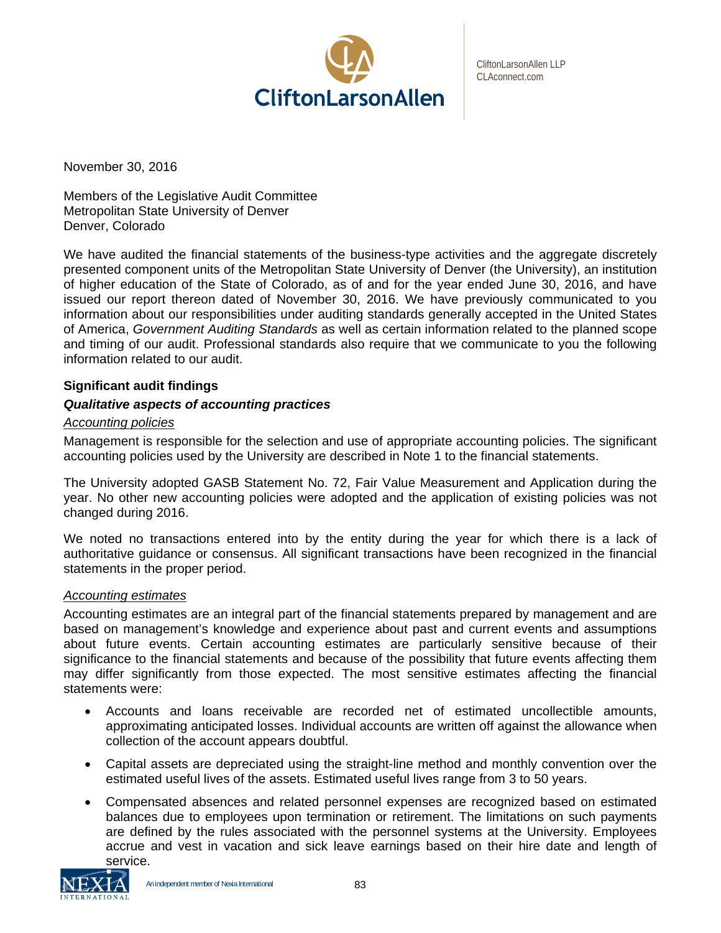

CliftonLarsonAllen LLP CLAconnect.com

November 30, 2016

Members of the Legislative Audit Committee Metropolitan State University of Denver Denver, Colorado

We have audited the financial statements of the business-type activities and the aggregate discretely presented component units of the Metropolitan State University of Denver (the University), an institution of higher education of the State of Colorado, as of and for the year ended June 30, 2016, and have issued our report thereon dated of November 30, 2016. We have previously communicated to you information about our responsibilities under auditing standards generally accepted in the United States of America, *Government Auditing Standards* as well as certain information related to the planned scope and timing of our audit. Professional standards also require that we communicate to you the following information related to our audit.

## **Significant audit findings**

## *Qualitative aspects of accounting practices*

### *Accounting policies*

Management is responsible for the selection and use of appropriate accounting policies. The significant accounting policies used by the University are described in Note 1 to the financial statements.

The University adopted GASB Statement No. 72, Fair Value Measurement and Application during the year. No other new accounting policies were adopted and the application of existing policies was not changed during 2016.

We noted no transactions entered into by the entity during the year for which there is a lack of authoritative guidance or consensus. All significant transactions have been recognized in the financial statements in the proper period.

#### *Accounting estimates*

Accounting estimates are an integral part of the financial statements prepared by management and are based on management's knowledge and experience about past and current events and assumptions about future events. Certain accounting estimates are particularly sensitive because of their significance to the financial statements and because of the possibility that future events affecting them may differ significantly from those expected. The most sensitive estimates affecting the financial statements were:

- Accounts and loans receivable are recorded net of estimated uncollectible amounts, approximating anticipated losses. Individual accounts are written off against the allowance when collection of the account appears doubtful.
- Capital assets are depreciated using the straight-line method and monthly convention over the estimated useful lives of the assets. Estimated useful lives range from 3 to 50 years.
- Compensated absences and related personnel expenses are recognized based on estimated balances due to employees upon termination or retirement. The limitations on such payments are defined by the rules associated with the personnel systems at the University. Employees accrue and vest in vacation and sick leave earnings based on their hire date and length of service.

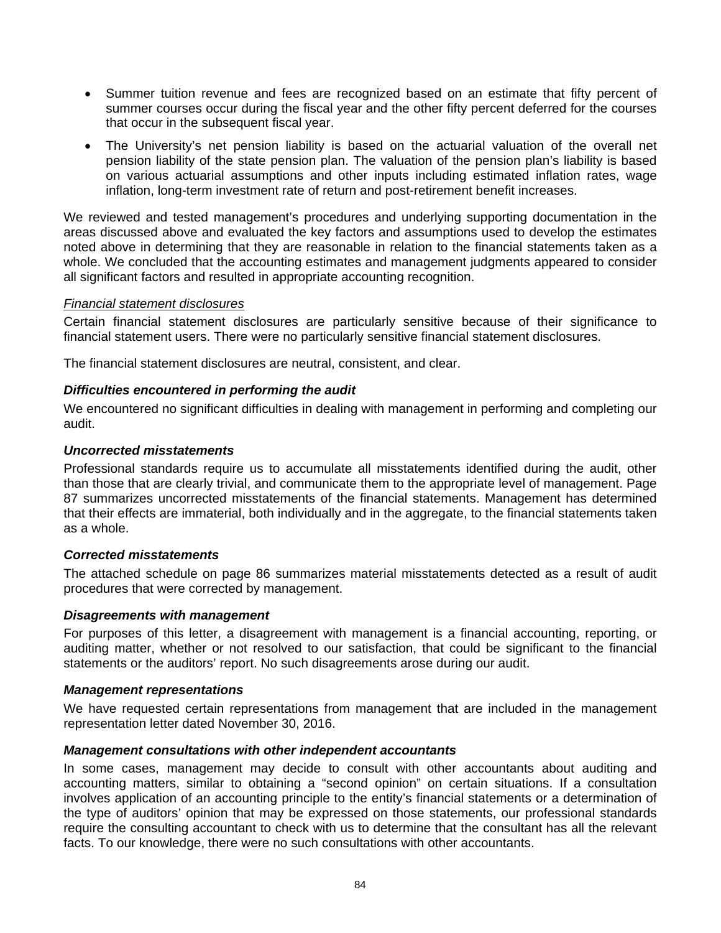- Summer tuition revenue and fees are recognized based on an estimate that fifty percent of summer courses occur during the fiscal year and the other fifty percent deferred for the courses that occur in the subsequent fiscal year.
- The University's net pension liability is based on the actuarial valuation of the overall net pension liability of the state pension plan. The valuation of the pension plan's liability is based on various actuarial assumptions and other inputs including estimated inflation rates, wage inflation, long-term investment rate of return and post-retirement benefit increases.

We reviewed and tested management's procedures and underlying supporting documentation in the areas discussed above and evaluated the key factors and assumptions used to develop the estimates noted above in determining that they are reasonable in relation to the financial statements taken as a whole. We concluded that the accounting estimates and management judgments appeared to consider all significant factors and resulted in appropriate accounting recognition.

### *Financial statement disclosures*

Certain financial statement disclosures are particularly sensitive because of their significance to financial statement users. There were no particularly sensitive financial statement disclosures.

The financial statement disclosures are neutral, consistent, and clear.

### *Difficulties encountered in performing the audit*

We encountered no significant difficulties in dealing with management in performing and completing our audit.

### *Uncorrected misstatements*

Professional standards require us to accumulate all misstatements identified during the audit, other than those that are clearly trivial, and communicate them to the appropriate level of management. Page 87 summarizes uncorrected misstatements of the financial statements. Management has determined that their effects are immaterial, both individually and in the aggregate, to the financial statements taken as a whole.

#### *Corrected misstatements*

The attached schedule on page 86 summarizes material misstatements detected as a result of audit procedures that were corrected by management.

## *Disagreements with management*

For purposes of this letter, a disagreement with management is a financial accounting, reporting, or auditing matter, whether or not resolved to our satisfaction, that could be significant to the financial statements or the auditors' report. No such disagreements arose during our audit.

#### *Management representations*

We have requested certain representations from management that are included in the management representation letter dated November 30, 2016.

#### *Management consultations with other independent accountants*

In some cases, management may decide to consult with other accountants about auditing and accounting matters, similar to obtaining a "second opinion" on certain situations. If a consultation involves application of an accounting principle to the entity's financial statements or a determination of the type of auditors' opinion that may be expressed on those statements, our professional standards require the consulting accountant to check with us to determine that the consultant has all the relevant facts. To our knowledge, there were no such consultations with other accountants.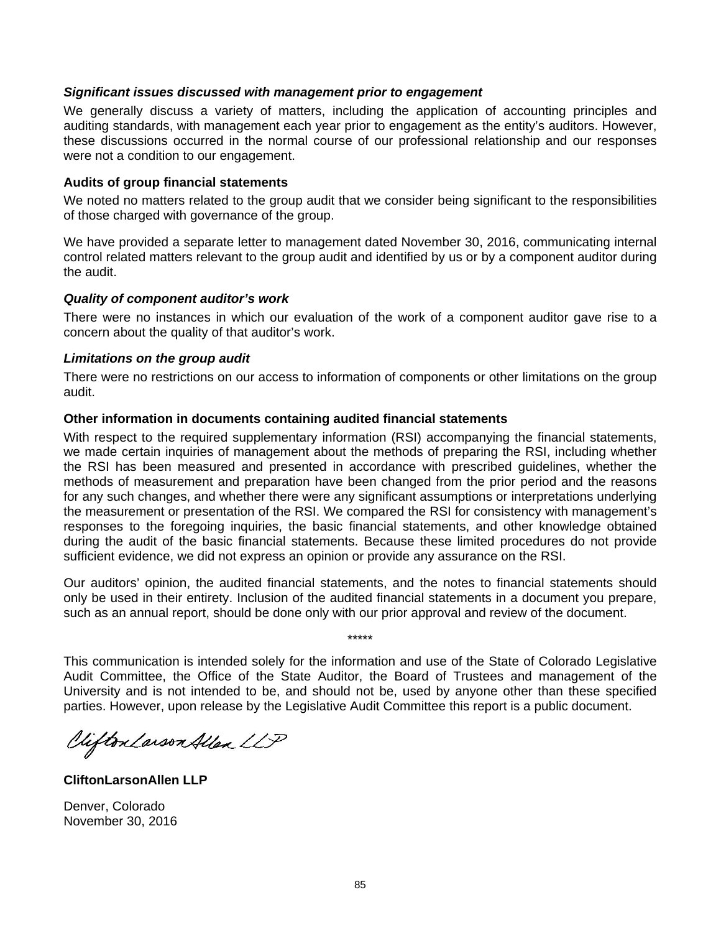#### *Significant issues discussed with management prior to engagement*

We generally discuss a variety of matters, including the application of accounting principles and auditing standards, with management each year prior to engagement as the entity's auditors. However, these discussions occurred in the normal course of our professional relationship and our responses were not a condition to our engagement.

#### **Audits of group financial statements**

We noted no matters related to the group audit that we consider being significant to the responsibilities of those charged with governance of the group.

We have provided a separate letter to management dated November 30, 2016, communicating internal control related matters relevant to the group audit and identified by us or by a component auditor during the audit.

#### *Quality of component auditor's work*

There were no instances in which our evaluation of the work of a component auditor gave rise to a concern about the quality of that auditor's work.

### *Limitations on the group audit*

There were no restrictions on our access to information of components or other limitations on the group audit.

### **Other information in documents containing audited financial statements**

With respect to the required supplementary information (RSI) accompanying the financial statements, we made certain inquiries of management about the methods of preparing the RSI, including whether the RSI has been measured and presented in accordance with prescribed guidelines, whether the methods of measurement and preparation have been changed from the prior period and the reasons for any such changes, and whether there were any significant assumptions or interpretations underlying the measurement or presentation of the RSI. We compared the RSI for consistency with management's responses to the foregoing inquiries, the basic financial statements, and other knowledge obtained during the audit of the basic financial statements. Because these limited procedures do not provide sufficient evidence, we did not express an opinion or provide any assurance on the RSI.

Our auditors' opinion, the audited financial statements, and the notes to financial statements should only be used in their entirety. Inclusion of the audited financial statements in a document you prepare, such as an annual report, should be done only with our prior approval and review of the document.

\*\*\*\*\*

This communication is intended solely for the information and use of the State of Colorado Legislative Audit Committee, the Office of the State Auditor, the Board of Trustees and management of the University and is not intended to be, and should not be, used by anyone other than these specified parties. However, upon release by the Legislative Audit Committee this report is a public document.

Clifton Larson Allen LLP

**CliftonLarsonAllen LLP** 

Denver, Colorado November 30, 2016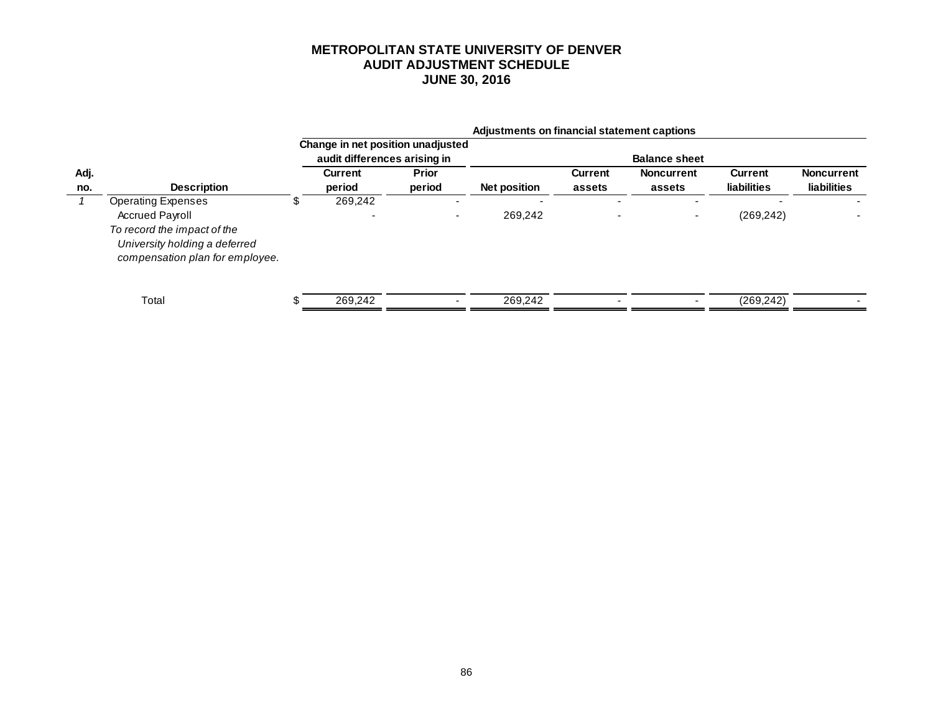# **METROPOLITAN STATE UNIVERSITY OF DENVER AUDIT ADJUSTMENT SCHEDULE JUNE 30, 2016**

|      |                                 | Adjustments on financial statement captions |                                   |              |                |                      |                |                   |  |  |  |
|------|---------------------------------|---------------------------------------------|-----------------------------------|--------------|----------------|----------------------|----------------|-------------------|--|--|--|
|      |                                 |                                             | Change in net position unadjusted |              |                |                      |                |                   |  |  |  |
|      |                                 | audit differences arising in                |                                   |              |                | <b>Balance sheet</b> |                |                   |  |  |  |
| Adj. |                                 | Current                                     | <b>Prior</b>                      |              | <b>Current</b> | <b>Noncurrent</b>    | <b>Current</b> | <b>Noncurrent</b> |  |  |  |
| no.  | <b>Description</b>              | period                                      | period                            | Net position | assets         | assets               | liabilities    | liabilities       |  |  |  |
|      | <b>Operating Expenses</b>       | 269,242                                     |                                   |              |                |                      |                |                   |  |  |  |
|      | <b>Accrued Payroll</b>          |                                             |                                   | 269,242      |                |                      | (269, 242)     |                   |  |  |  |
|      | To record the impact of the     |                                             |                                   |              |                |                      |                |                   |  |  |  |
|      | University holding a deferred   |                                             |                                   |              |                |                      |                |                   |  |  |  |
|      | compensation plan for employee. |                                             |                                   |              |                |                      |                |                   |  |  |  |
|      |                                 |                                             |                                   |              |                |                      |                |                   |  |  |  |
|      | Total                           | 269.242                                     |                                   | 269.242      |                |                      | (269.242)      |                   |  |  |  |
|      |                                 |                                             |                                   |              |                |                      |                |                   |  |  |  |